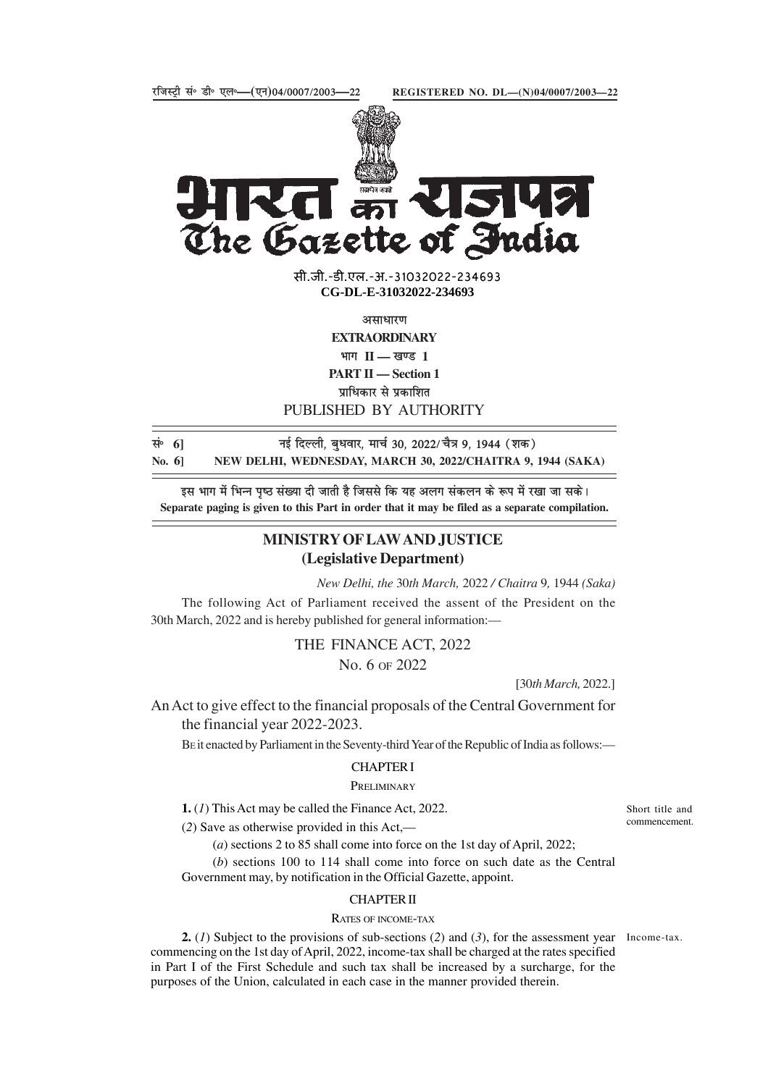

 $\begin{bmatrix} \frac{1}{2} & \frac{1}{2} & \frac{1}{2} & \frac{1}{2} \\ \frac{1}{2} & \frac{1}{2} & \frac{1}{2} & \frac{1}{2} \\ \frac{1}{2} & \frac{1}{2} & \frac{1}{2} & \frac{1}{2} \\ \frac{1}{2} & \frac{1}{2} & \frac{1}{2} & \frac{1}{2} \\ \frac{1}{2} & \frac{1}{2} & \frac{1}{2} & \frac{1}{2} \\ \frac{1}{2} & \frac{1}{2} & \frac{1}{2} & \frac{1}{2} \\ \frac{1}{2} & \frac{1}{2} & \frac{1}{2$ The Gazette of India

> सी.जी.-डी.एल.-अ.-31032022-234<mark>6</mark>93 **xxxGIDExxx CG-DL-E-31032022-234693**

> > असाधारण

**EXTRAORDINARY** भाग II — खण्ड 1

**PART II — Section 1**

पाधिकार से पकाशित

PUBLISHED BY AUTHORITY

lañ **6]** ubZ fnYyh] cq/kokj] ekpZ 30] 2022@pS= 9] 1944 ¼'kd½ **No. 6] NEW DELHI, WEDNESDAY, MARCH 30, 2022/CHAITRA 9, 1944 (SAKA)**

इस भाग में भिन्न पृष्ठ संख्या दी जाती है जिससे कि यह अलग संकलन के रूप में रखा जा सके। **Separate paging is given to this Part in order that it may be filed as a separate compilation.**

# **MINISTRY OF LAW AND JUSTICE (Legislative Department)**

*New Delhi, the* 30*th March,* 2022 */ Chaitra* 9*,* 1944 *(Saka)*

The following Act of Parliament received the assent of the President on the 30th March, 2022 and is hereby published for general information:—

> THE FINANCE ACT, 2022 No. 6 OF 2022

> > [30*th March,* 2022.]

An Act to give effect to the financial proposals of the Central Government for the financial year 2022-2023.

BE it enacted by Parliament in the Seventy-third Year of the Republic of India as follows:—

# CHAPTER I

# **PRELIMINARY**

**1.** (*1*) This Act may be called the Finance Act, 2022.

(*2*) Save as otherwise provided in this Act,—

(*a*) sections 2 to 85 shall come into force on the 1st day of April, 2022;

(*b*) sections 100 to 114 shall come into force on such date as the Central Government may, by notification in the Official Gazette, appoint.

## CHAPTER II

#### RATES OF INCOME-TAX

**2.** (*1*) Subject to the provisions of sub-sections (*2*) and (*3*), for the assessment year Income-tax. commencing on the 1st day of April, 2022, income-tax shall be charged at the rates specified in Part I of the First Schedule and such tax shall be increased by a surcharge, for the purposes of the Union, calculated in each case in the manner provided therein.

Short title and commencement.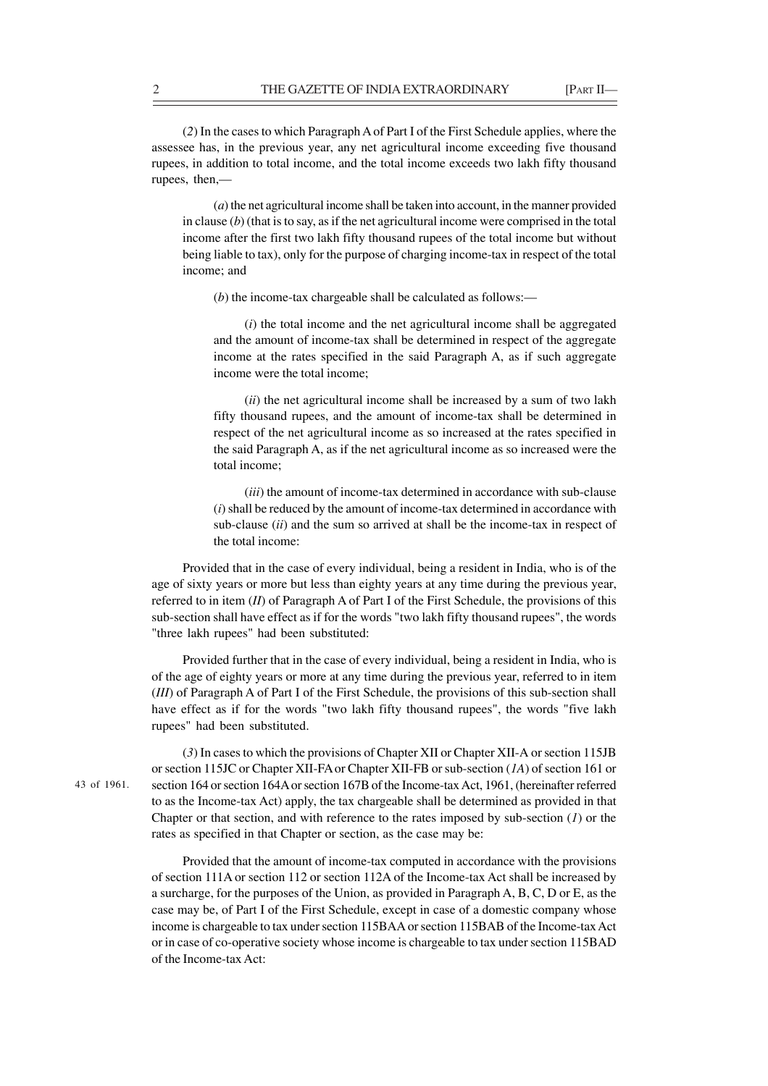(*2*) In the cases to which Paragraph A of Part I of the First Schedule applies, where the assessee has, in the previous year, any net agricultural income exceeding five thousand rupees, in addition to total income, and the total income exceeds two lakh fifty thousand rupees, then,—

(*a*) the net agricultural income shall be taken into account, in the manner provided in clause (*b*) (that is to say, as if the net agricultural income were comprised in the total income after the first two lakh fifty thousand rupees of the total income but without being liable to tax), only for the purpose of charging income-tax in respect of the total income; and

(*b*) the income-tax chargeable shall be calculated as follows:—

(*i*) the total income and the net agricultural income shall be aggregated and the amount of income-tax shall be determined in respect of the aggregate income at the rates specified in the said Paragraph A, as if such aggregate income were the total income;

(*ii*) the net agricultural income shall be increased by a sum of two lakh fifty thousand rupees, and the amount of income-tax shall be determined in respect of the net agricultural income as so increased at the rates specified in the said Paragraph A, as if the net agricultural income as so increased were the total income;

(*iii*) the amount of income-tax determined in accordance with sub-clause (*i*) shall be reduced by the amount of income-tax determined in accordance with sub-clause (*ii*) and the sum so arrived at shall be the income-tax in respect of the total income:

Provided that in the case of every individual, being a resident in India, who is of the age of sixty years or more but less than eighty years at any time during the previous year, referred to in item (*II*) of Paragraph A of Part I of the First Schedule, the provisions of this sub-section shall have effect as if for the words "two lakh fifty thousand rupees", the words "three lakh rupees" had been substituted:

Provided further that in the case of every individual, being a resident in India, who is of the age of eighty years or more at any time during the previous year, referred to in item (*III*) of Paragraph A of Part I of the First Schedule, the provisions of this sub-section shall have effect as if for the words "two lakh fifty thousand rupees", the words "five lakh rupees" had been substituted.

43 of 1961.

(*3*) In cases to which the provisions of Chapter XII or Chapter XII-A or section 115JB or section 115JC or Chapter XII-FA or Chapter XII-FB or sub-section (*1A*) of section 161 or section 164 or section 164A or section 167B of the Income-tax Act, 1961, (hereinafter referred to as the Income-tax Act) apply, the tax chargeable shall be determined as provided in that Chapter or that section, and with reference to the rates imposed by sub-section (*1*) or the rates as specified in that Chapter or section, as the case may be:

Provided that the amount of income-tax computed in accordance with the provisions of section 111A or section 112 or section 112A of the Income-tax Act shall be increased by a surcharge, for the purposes of the Union, as provided in Paragraph A, B, C, D or E, as the case may be, of Part I of the First Schedule, except in case of a domestic company whose income is chargeable to tax under section 115BAA or section 115BAB of the Income-tax Act or in case of co-operative society whose income is chargeable to tax under section 115BAD of the Income-tax Act: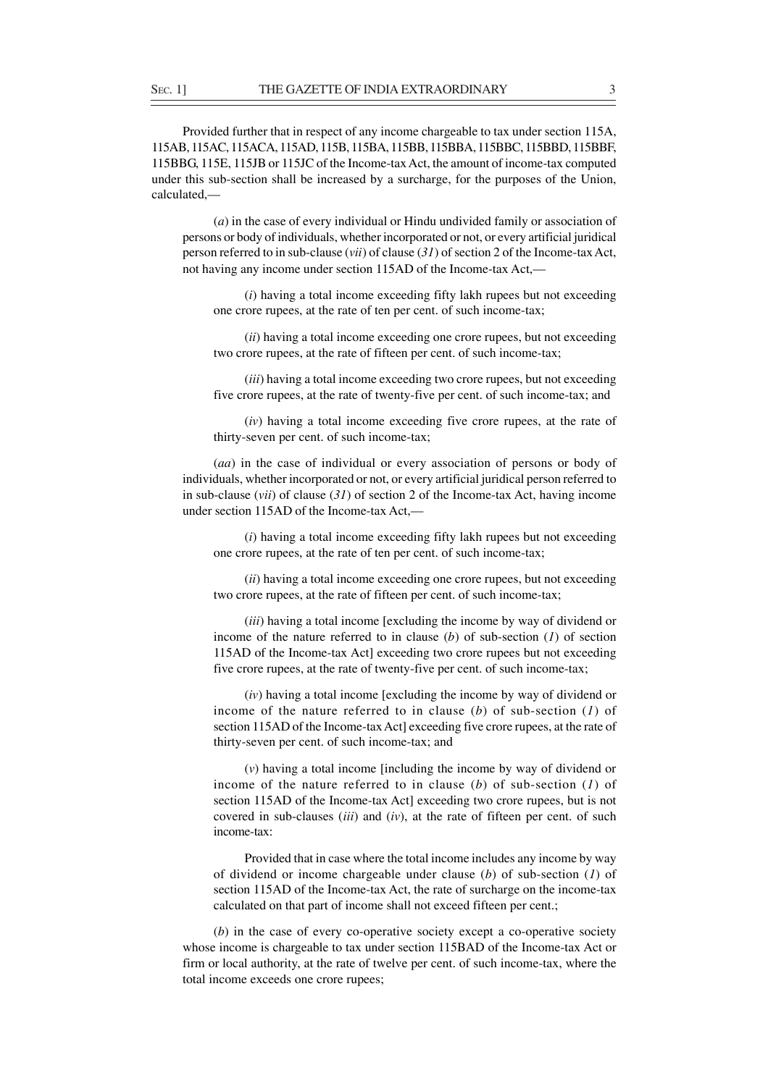Provided further that in respect of any income chargeable to tax under section 115A, 115AB, 115AC, 115ACA, 115AD, 115B, 115BA, 115BB, 115BBA, 115BBC, 115BBD, 115BBF, 115BBG, 115E, 115JB or 115JC of the Income-tax Act, the amount of income-tax computed under this sub-section shall be increased by a surcharge, for the purposes of the Union, calculated,—

(*a*) in the case of every individual or Hindu undivided family or association of persons or body of individuals, whether incorporated or not, or every artificial juridical person referred to in sub-clause (*vii*) of clause (*31*) of section 2 of the Income-tax Act, not having any income under section 115AD of the Income-tax Act,—

(*i*) having a total income exceeding fifty lakh rupees but not exceeding one crore rupees, at the rate of ten per cent. of such income-tax;

(*ii*) having a total income exceeding one crore rupees, but not exceeding two crore rupees, at the rate of fifteen per cent. of such income-tax;

(*iii*) having a total income exceeding two crore rupees, but not exceeding five crore rupees, at the rate of twenty-five per cent. of such income-tax; and

(*iv*) having a total income exceeding five crore rupees, at the rate of thirty-seven per cent. of such income-tax;

(*aa*) in the case of individual or every association of persons or body of individuals, whether incorporated or not, or every artificial juridical person referred to in sub-clause (*vii*) of clause (*31*) of section 2 of the Income-tax Act, having income under section 115AD of the Income-tax Act,—

(*i*) having a total income exceeding fifty lakh rupees but not exceeding one crore rupees, at the rate of ten per cent. of such income-tax;

(*ii*) having a total income exceeding one crore rupees, but not exceeding two crore rupees, at the rate of fifteen per cent. of such income-tax;

(*iii*) having a total income [excluding the income by way of dividend or income of the nature referred to in clause (*b*) of sub-section (*1*) of section 115AD of the Income-tax Act] exceeding two crore rupees but not exceeding five crore rupees, at the rate of twenty-five per cent. of such income-tax;

(*iv*) having a total income [excluding the income by way of dividend or income of the nature referred to in clause (*b*) of sub-section (*1*) of section 115AD of the Income-tax Act] exceeding five crore rupees, at the rate of thirty-seven per cent. of such income-tax; and

(*v*) having a total income [including the income by way of dividend or income of the nature referred to in clause (*b*) of sub-section (*1*) of section 115AD of the Income-tax Act] exceeding two crore rupees, but is not covered in sub-clauses (*iii*) and (*iv*), at the rate of fifteen per cent. of such income-tax:

Provided that in case where the total income includes any income by way of dividend or income chargeable under clause (*b*) of sub-section (*1*) of section 115AD of the Income-tax Act, the rate of surcharge on the income-tax calculated on that part of income shall not exceed fifteen per cent.;

(*b*) in the case of every co-operative society except a co-operative society whose income is chargeable to tax under section 115BAD of the Income-tax Act or firm or local authority, at the rate of twelve per cent. of such income-tax, where the total income exceeds one crore rupees;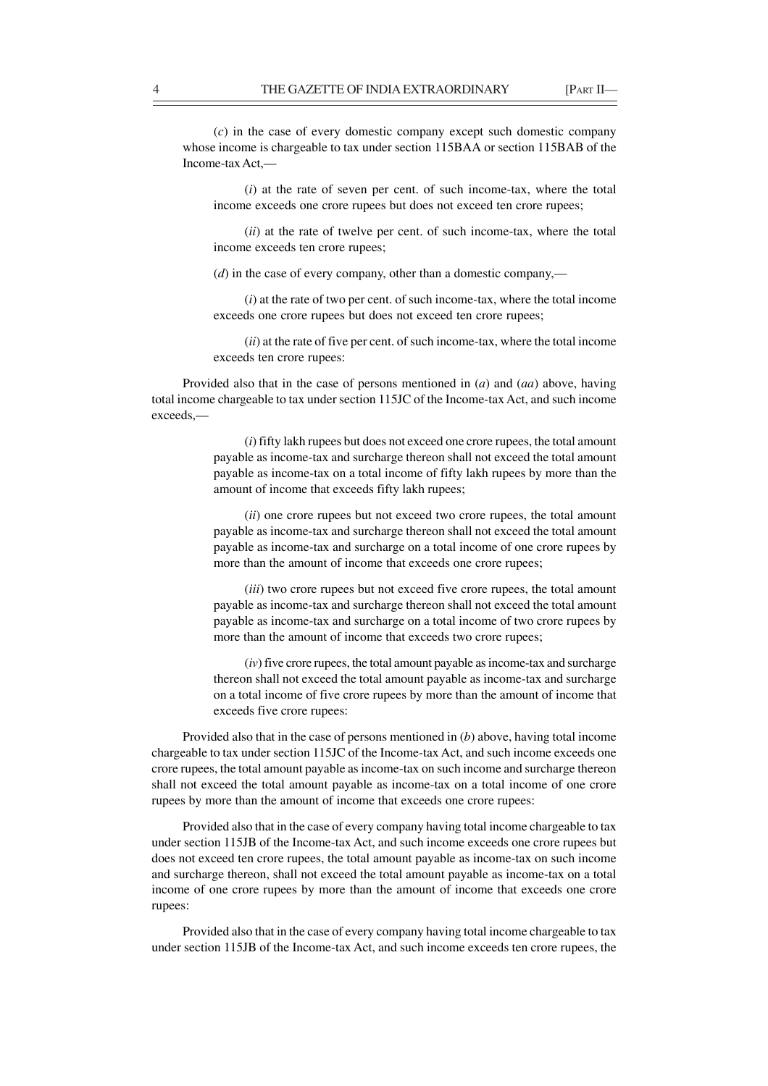(*c*) in the case of every domestic company except such domestic company whose income is chargeable to tax under section 115BAA or section 115BAB of the Income-tax Act,—

(*i*) at the rate of seven per cent. of such income-tax, where the total income exceeds one crore rupees but does not exceed ten crore rupees;

(*ii*) at the rate of twelve per cent. of such income-tax, where the total income exceeds ten crore rupees;

(*d*) in the case of every company, other than a domestic company,—

(*i*) at the rate of two per cent. of such income-tax, where the total income exceeds one crore rupees but does not exceed ten crore rupees;

(*ii*) at the rate of five per cent. of such income-tax, where the total income exceeds ten crore rupees:

Provided also that in the case of persons mentioned in (*a*) and (*aa*) above, having total income chargeable to tax under section 115JC of the Income-tax Act, and such income exceeds,—

> (*i*) fifty lakh rupees but does not exceed one crore rupees, the total amount payable as income-tax and surcharge thereon shall not exceed the total amount payable as income-tax on a total income of fifty lakh rupees by more than the amount of income that exceeds fifty lakh rupees;

> (*ii*) one crore rupees but not exceed two crore rupees, the total amount payable as income-tax and surcharge thereon shall not exceed the total amount payable as income-tax and surcharge on a total income of one crore rupees by more than the amount of income that exceeds one crore rupees;

> (*iii*) two crore rupees but not exceed five crore rupees, the total amount payable as income-tax and surcharge thereon shall not exceed the total amount payable as income-tax and surcharge on a total income of two crore rupees by more than the amount of income that exceeds two crore rupees;

> (*iv*) five crore rupees, the total amount payable as income-tax and surcharge thereon shall not exceed the total amount payable as income-tax and surcharge on a total income of five crore rupees by more than the amount of income that exceeds five crore rupees:

Provided also that in the case of persons mentioned in (*b*) above, having total income chargeable to tax under section 115JC of the Income-tax Act, and such income exceeds one crore rupees, the total amount payable as income-tax on such income and surcharge thereon shall not exceed the total amount payable as income-tax on a total income of one crore rupees by more than the amount of income that exceeds one crore rupees:

Provided also that in the case of every company having total income chargeable to tax under section 115JB of the Income-tax Act, and such income exceeds one crore rupees but does not exceed ten crore rupees, the total amount payable as income-tax on such income and surcharge thereon, shall not exceed the total amount payable as income-tax on a total income of one crore rupees by more than the amount of income that exceeds one crore rupees:

Provided also that in the case of every company having total income chargeable to tax under section 115JB of the Income-tax Act, and such income exceeds ten crore rupees, the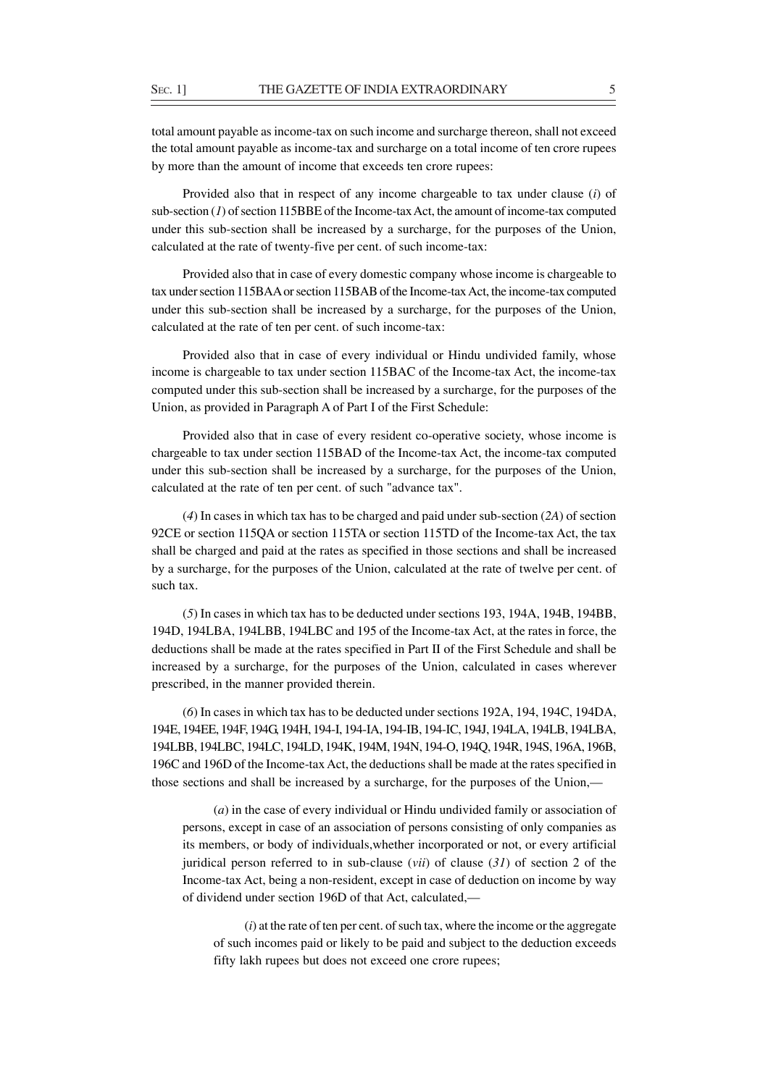total amount payable as income-tax on such income and surcharge thereon, shall not exceed the total amount payable as income-tax and surcharge on a total income of ten crore rupees by more than the amount of income that exceeds ten crore rupees:

Provided also that in respect of any income chargeable to tax under clause (*i*) of sub-section (*1*) of section 115BBE of the Income-tax Act, the amount of income-tax computed under this sub-section shall be increased by a surcharge, for the purposes of the Union, calculated at the rate of twenty-five per cent. of such income-tax:

Provided also that in case of every domestic company whose income is chargeable to tax under section 115BAA or section 115BAB of the Income-tax Act, the income-tax computed under this sub-section shall be increased by a surcharge, for the purposes of the Union, calculated at the rate of ten per cent. of such income-tax:

Provided also that in case of every individual or Hindu undivided family, whose income is chargeable to tax under section 115BAC of the Income-tax Act, the income-tax computed under this sub-section shall be increased by a surcharge, for the purposes of the Union, as provided in Paragraph A of Part I of the First Schedule:

Provided also that in case of every resident co-operative society, whose income is chargeable to tax under section 115BAD of the Income-tax Act, the income-tax computed under this sub-section shall be increased by a surcharge, for the purposes of the Union, calculated at the rate of ten per cent. of such "advance tax".

(*4*) In cases in which tax has to be charged and paid under sub-section (*2A*) of section 92CE or section 115QA or section 115TA or section 115TD of the Income-tax Act, the tax shall be charged and paid at the rates as specified in those sections and shall be increased by a surcharge, for the purposes of the Union, calculated at the rate of twelve per cent. of such tax.

(*5*) In cases in which tax has to be deducted under sections 193, 194A, 194B, 194BB, 194D, 194LBA, 194LBB, 194LBC and 195 of the Income-tax Act, at the rates in force, the deductions shall be made at the rates specified in Part II of the First Schedule and shall be increased by a surcharge, for the purposes of the Union, calculated in cases wherever prescribed, in the manner provided therein.

(*6*) In cases in which tax has to be deducted under sections 192A, 194, 194C, 194DA, 194E, 194EE, 194F, 194G, 194H, 194-I, 194-IA, 194-IB, 194-IC, 194J, 194LA, 194LB, 194LBA, 194LBB, 194LBC, 194LC, 194LD, 194K, 194M, 194N, 194-O, 194Q, 194R, 194S, 196A, 196B, 196C and 196D of the Income-tax Act, the deductions shall be made at the rates specified in those sections and shall be increased by a surcharge, for the purposes of the Union,—

(*a*) in the case of every individual or Hindu undivided family or association of persons, except in case of an association of persons consisting of only companies as its members, or body of individuals,whether incorporated or not, or every artificial juridical person referred to in sub-clause (*vii*) of clause (*31*) of section 2 of the Income-tax Act, being a non-resident, except in case of deduction on income by way of dividend under section 196D of that Act, calculated,—

(*i*) at the rate of ten per cent. of such tax, where the income or the aggregate of such incomes paid or likely to be paid and subject to the deduction exceeds fifty lakh rupees but does not exceed one crore rupees;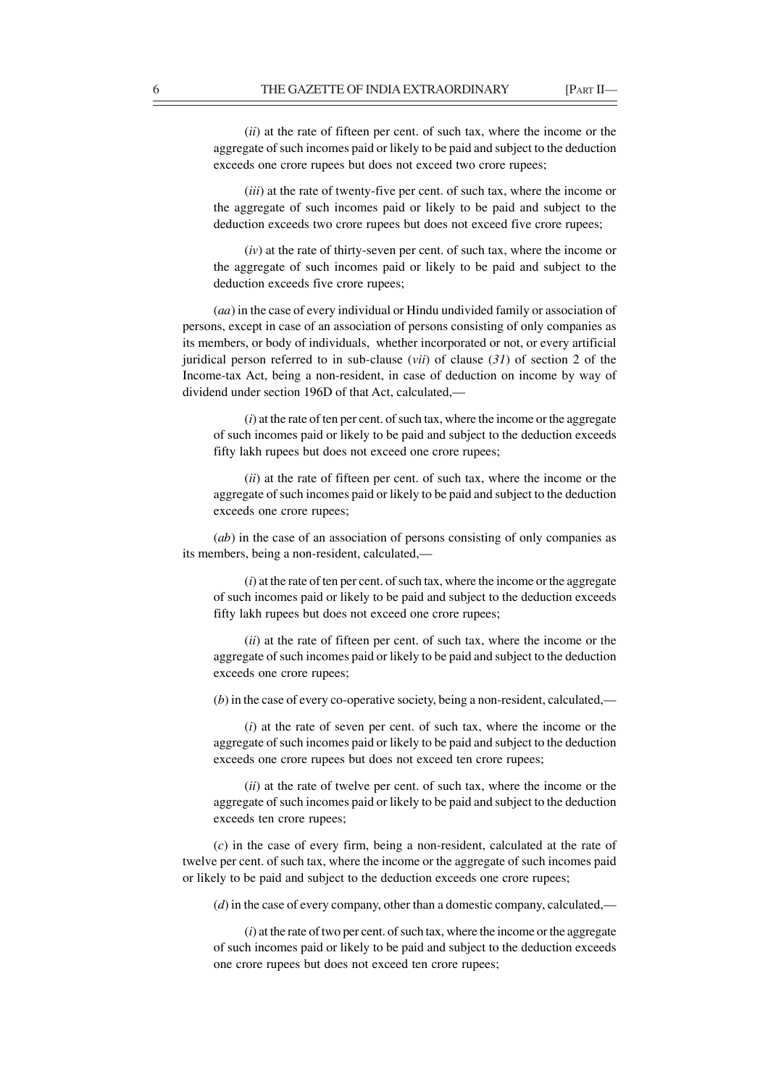(*ii*) at the rate of fifteen per cent. of such tax, where the income or the aggregate of such incomes paid or likely to be paid and subject to the deduction exceeds one crore rupees but does not exceed two crore rupees;

(*iii*) at the rate of twenty-five per cent. of such tax, where the income or the aggregate of such incomes paid or likely to be paid and subject to the deduction exceeds two crore rupees but does not exceed five crore rupees;

(*iv*) at the rate of thirty-seven per cent. of such tax, where the income or the aggregate of such incomes paid or likely to be paid and subject to the deduction exceeds five crore rupees;

(*aa*) in the case of every individual or Hindu undivided family or association of persons, except in case of an association of persons consisting of only companies as its members, or body of individuals, whether incorporated or not, or every artificial juridical person referred to in sub-clause (*vii*) of clause (*31*) of section 2 of the Income-tax Act, being a non-resident, in case of deduction on income by way of dividend under section 196D of that Act, calculated,—

(*i*) at the rate of ten per cent. of such tax, where the income or the aggregate of such incomes paid or likely to be paid and subject to the deduction exceeds fifty lakh rupees but does not exceed one crore rupees;

(*ii*) at the rate of fifteen per cent. of such tax, where the income or the aggregate of such incomes paid or likely to be paid and subject to the deduction exceeds one crore rupees;

(*ab*) in the case of an association of persons consisting of only companies as its members, being a non-resident, calculated,—

(*i*) at the rate of ten per cent. of such tax, where the income or the aggregate of such incomes paid or likely to be paid and subject to the deduction exceeds fifty lakh rupees but does not exceed one crore rupees;

(*ii*) at the rate of fifteen per cent. of such tax, where the income or the aggregate of such incomes paid or likely to be paid and subject to the deduction exceeds one crore rupees;

(*b*) in the case of every co-operative society, being a non-resident, calculated,—

(*i*) at the rate of seven per cent. of such tax, where the income or the aggregate of such incomes paid or likely to be paid and subject to the deduction exceeds one crore rupees but does not exceed ten crore rupees;

(*ii*) at the rate of twelve per cent. of such tax, where the income or the aggregate of such incomes paid or likely to be paid and subject to the deduction exceeds ten crore rupees;

(*c*) in the case of every firm, being a non-resident, calculated at the rate of twelve per cent. of such tax, where the income or the aggregate of such incomes paid or likely to be paid and subject to the deduction exceeds one crore rupees;

(*d*) in the case of every company, other than a domestic company, calculated,—

(*i*) at the rate of two per cent. of such tax, where the income or the aggregate of such incomes paid or likely to be paid and subject to the deduction exceeds one crore rupees but does not exceed ten crore rupees;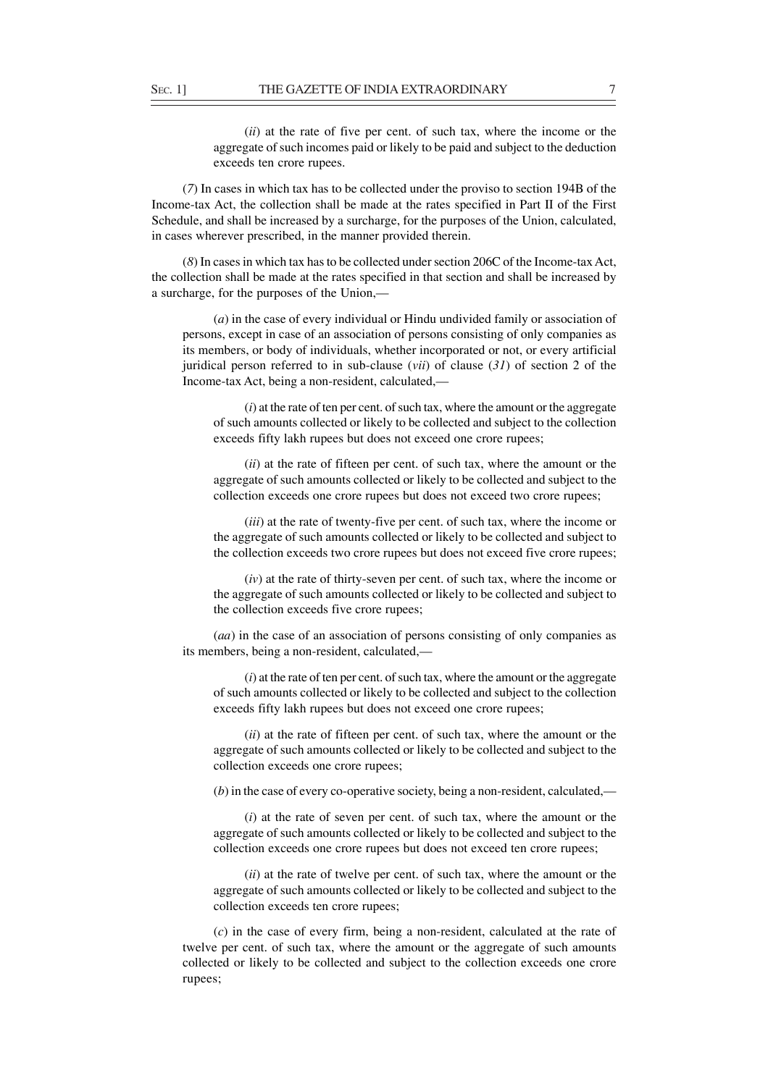(*ii*) at the rate of five per cent. of such tax, where the income or the aggregate of such incomes paid or likely to be paid and subject to the deduction exceeds ten crore rupees.

(*7*) In cases in which tax has to be collected under the proviso to section 194B of the Income-tax Act, the collection shall be made at the rates specified in Part II of the First Schedule, and shall be increased by a surcharge, for the purposes of the Union, calculated, in cases wherever prescribed, in the manner provided therein.

(*8*) In cases in which tax has to be collected under section 206C of the Income-tax Act, the collection shall be made at the rates specified in that section and shall be increased by a surcharge, for the purposes of the Union,—

(*a*) in the case of every individual or Hindu undivided family or association of persons, except in case of an association of persons consisting of only companies as its members, or body of individuals, whether incorporated or not, or every artificial juridical person referred to in sub-clause (*vii*) of clause (*31*) of section 2 of the Income-tax Act, being a non-resident, calculated,—

(*i*) at the rate of ten per cent. of such tax, where the amount or the aggregate of such amounts collected or likely to be collected and subject to the collection exceeds fifty lakh rupees but does not exceed one crore rupees;

(*ii*) at the rate of fifteen per cent. of such tax, where the amount or the aggregate of such amounts collected or likely to be collected and subject to the collection exceeds one crore rupees but does not exceed two crore rupees;

(*iii*) at the rate of twenty-five per cent. of such tax, where the income or the aggregate of such amounts collected or likely to be collected and subject to the collection exceeds two crore rupees but does not exceed five crore rupees;

(*iv*) at the rate of thirty-seven per cent. of such tax, where the income or the aggregate of such amounts collected or likely to be collected and subject to the collection exceeds five crore rupees;

(*aa*) in the case of an association of persons consisting of only companies as its members, being a non-resident, calculated,—

(*i*) at the rate of ten per cent. of such tax, where the amount or the aggregate of such amounts collected or likely to be collected and subject to the collection exceeds fifty lakh rupees but does not exceed one crore rupees;

(*ii*) at the rate of fifteen per cent. of such tax, where the amount or the aggregate of such amounts collected or likely to be collected and subject to the collection exceeds one crore rupees;

(*b*) in the case of every co-operative society, being a non-resident, calculated,—

(*i*) at the rate of seven per cent. of such tax, where the amount or the aggregate of such amounts collected or likely to be collected and subject to the collection exceeds one crore rupees but does not exceed ten crore rupees;

(*ii*) at the rate of twelve per cent. of such tax, where the amount or the aggregate of such amounts collected or likely to be collected and subject to the collection exceeds ten crore rupees;

(*c*) in the case of every firm, being a non-resident, calculated at the rate of twelve per cent. of such tax, where the amount or the aggregate of such amounts collected or likely to be collected and subject to the collection exceeds one crore rupees;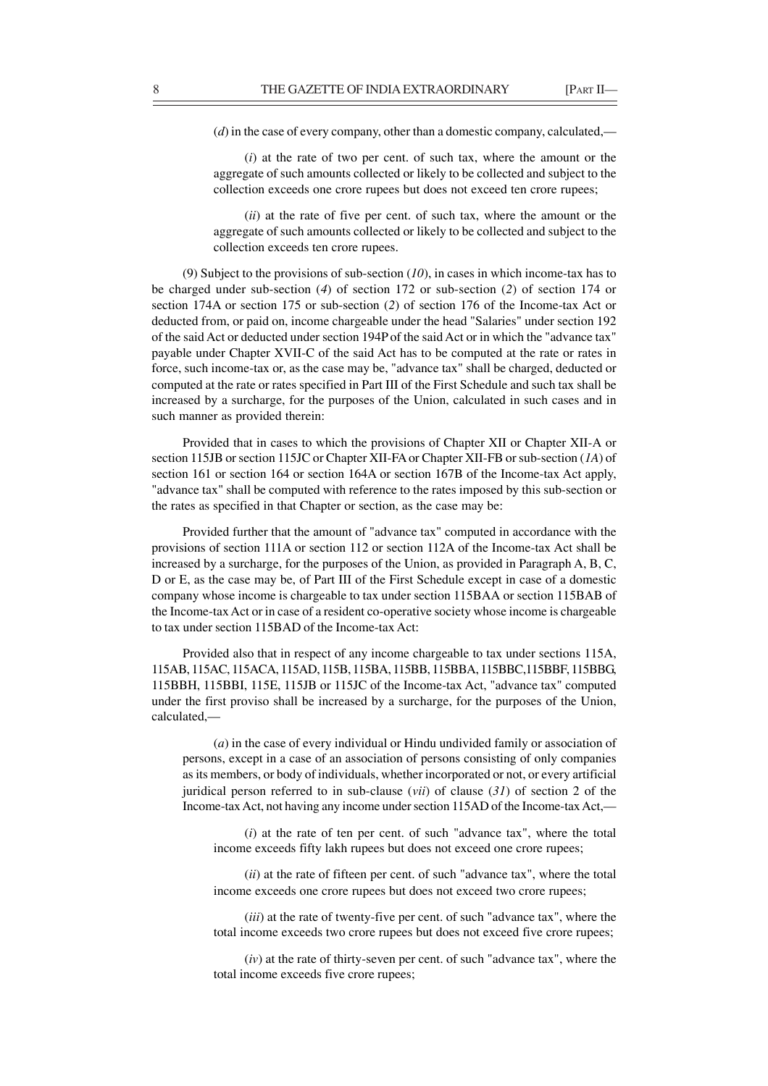(*d*) in the case of every company, other than a domestic company, calculated,—

(*i*) at the rate of two per cent. of such tax, where the amount or the aggregate of such amounts collected or likely to be collected and subject to the collection exceeds one crore rupees but does not exceed ten crore rupees;

(*ii*) at the rate of five per cent. of such tax, where the amount or the aggregate of such amounts collected or likely to be collected and subject to the collection exceeds ten crore rupees.

(9) Subject to the provisions of sub-section (*10*), in cases in which income-tax has to be charged under sub-section (*4*) of section 172 or sub-section (*2*) of section 174 or section 174A or section 175 or sub-section (*2*) of section 176 of the Income-tax Act or deducted from, or paid on, income chargeable under the head "Salaries" under section 192 of the said Act or deducted under section 194P of the said Act or in which the "advance tax" payable under Chapter XVII-C of the said Act has to be computed at the rate or rates in force, such income-tax or, as the case may be, "advance tax" shall be charged, deducted or computed at the rate or rates specified in Part III of the First Schedule and such tax shall be increased by a surcharge, for the purposes of the Union, calculated in such cases and in such manner as provided therein:

Provided that in cases to which the provisions of Chapter XII or Chapter XII-A or section 115JB or section 115JC or Chapter XII-FA or Chapter XII-FB or sub-section (*1A*) of section 161 or section 164 or section 164A or section 167B of the Income-tax Act apply, "advance tax" shall be computed with reference to the rates imposed by this sub-section or the rates as specified in that Chapter or section, as the case may be:

Provided further that the amount of "advance tax" computed in accordance with the provisions of section 111A or section 112 or section 112A of the Income-tax Act shall be increased by a surcharge, for the purposes of the Union, as provided in Paragraph A, B, C, D or E, as the case may be, of Part III of the First Schedule except in case of a domestic company whose income is chargeable to tax under section 115BAA or section 115BAB of the Income-tax Act or in case of a resident co-operative society whose income is chargeable to tax under section 115BAD of the Income-tax Act:

Provided also that in respect of any income chargeable to tax under sections 115A, 115AB, 115AC, 115ACA, 115AD, 115B, 115BA, 115BB, 115BBA, 115BBC,115BBF, 115BBG, 115BBH, 115BBI, 115E, 115JB or 115JC of the Income-tax Act, "advance tax" computed under the first proviso shall be increased by a surcharge, for the purposes of the Union, calculated,—

(*a*) in the case of every individual or Hindu undivided family or association of persons, except in a case of an association of persons consisting of only companies as its members, or body of individuals, whether incorporated or not, or every artificial juridical person referred to in sub-clause (*vii*) of clause (*31*) of section 2 of the Income-tax Act, not having any income under section 115AD of the Income-tax Act,—

(*i*) at the rate of ten per cent. of such "advance tax", where the total income exceeds fifty lakh rupees but does not exceed one crore rupees;

(*ii*) at the rate of fifteen per cent. of such "advance tax", where the total income exceeds one crore rupees but does not exceed two crore rupees;

(*iii*) at the rate of twenty-five per cent. of such "advance tax", where the total income exceeds two crore rupees but does not exceed five crore rupees;

(*iv*) at the rate of thirty-seven per cent. of such "advance tax", where the total income exceeds five crore rupees;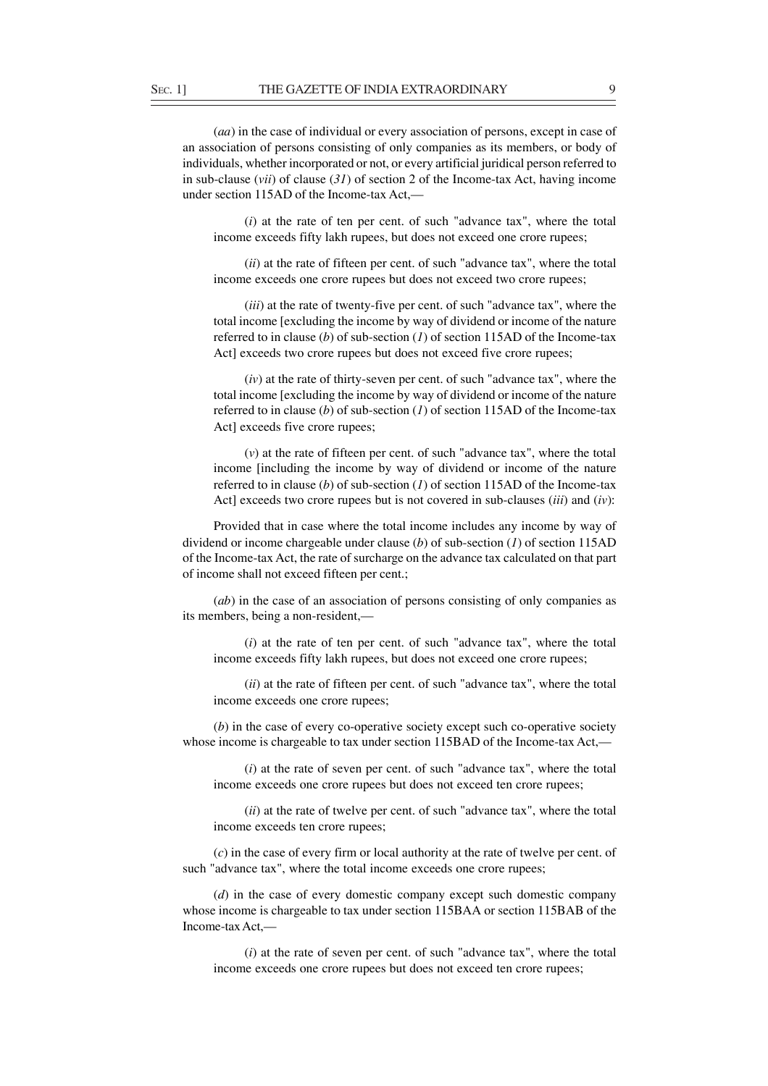(*aa*) in the case of individual or every association of persons, except in case of an association of persons consisting of only companies as its members, or body of individuals, whether incorporated or not, or every artificial juridical person referred to in sub-clause (*vii*) of clause (*31*) of section 2 of the Income-tax Act, having income under section 115AD of the Income-tax Act,—

(*i*) at the rate of ten per cent. of such "advance tax", where the total income exceeds fifty lakh rupees, but does not exceed one crore rupees;

(*ii*) at the rate of fifteen per cent. of such "advance tax", where the total income exceeds one crore rupees but does not exceed two crore rupees;

(*iii*) at the rate of twenty-five per cent. of such "advance tax", where the total income [excluding the income by way of dividend or income of the nature referred to in clause (*b*) of sub-section (*1*) of section 115AD of the Income-tax Act] exceeds two crore rupees but does not exceed five crore rupees;

(*iv*) at the rate of thirty-seven per cent. of such "advance tax", where the total income [excluding the income by way of dividend or income of the nature referred to in clause (*b*) of sub-section (*1*) of section 115AD of the Income-tax Act] exceeds five crore rupees;

(*v*) at the rate of fifteen per cent. of such "advance tax", where the total income [including the income by way of dividend or income of the nature referred to in clause (*b*) of sub-section (*1*) of section 115AD of the Income-tax Act] exceeds two crore rupees but is not covered in sub-clauses (*iii*) and (*iv*):

Provided that in case where the total income includes any income by way of dividend or income chargeable under clause (*b*) of sub-section (*1*) of section 115AD of the Income-tax Act, the rate of surcharge on the advance tax calculated on that part of income shall not exceed fifteen per cent.;

(*ab*) in the case of an association of persons consisting of only companies as its members, being a non-resident,—

(*i*) at the rate of ten per cent. of such "advance tax", where the total income exceeds fifty lakh rupees, but does not exceed one crore rupees;

(*ii*) at the rate of fifteen per cent. of such "advance tax", where the total income exceeds one crore rupees;

(*b*) in the case of every co-operative society except such co-operative society whose income is chargeable to tax under section 115BAD of the Income-tax Act,—

(*i*) at the rate of seven per cent. of such "advance tax", where the total income exceeds one crore rupees but does not exceed ten crore rupees;

(*ii*) at the rate of twelve per cent. of such "advance tax", where the total income exceeds ten crore rupees;

(*c*) in the case of every firm or local authority at the rate of twelve per cent. of such "advance tax", where the total income exceeds one crore rupees;

(*d*) in the case of every domestic company except such domestic company whose income is chargeable to tax under section 115BAA or section 115BAB of the Income-tax Act,—

(*i*) at the rate of seven per cent. of such "advance tax", where the total income exceeds one crore rupees but does not exceed ten crore rupees;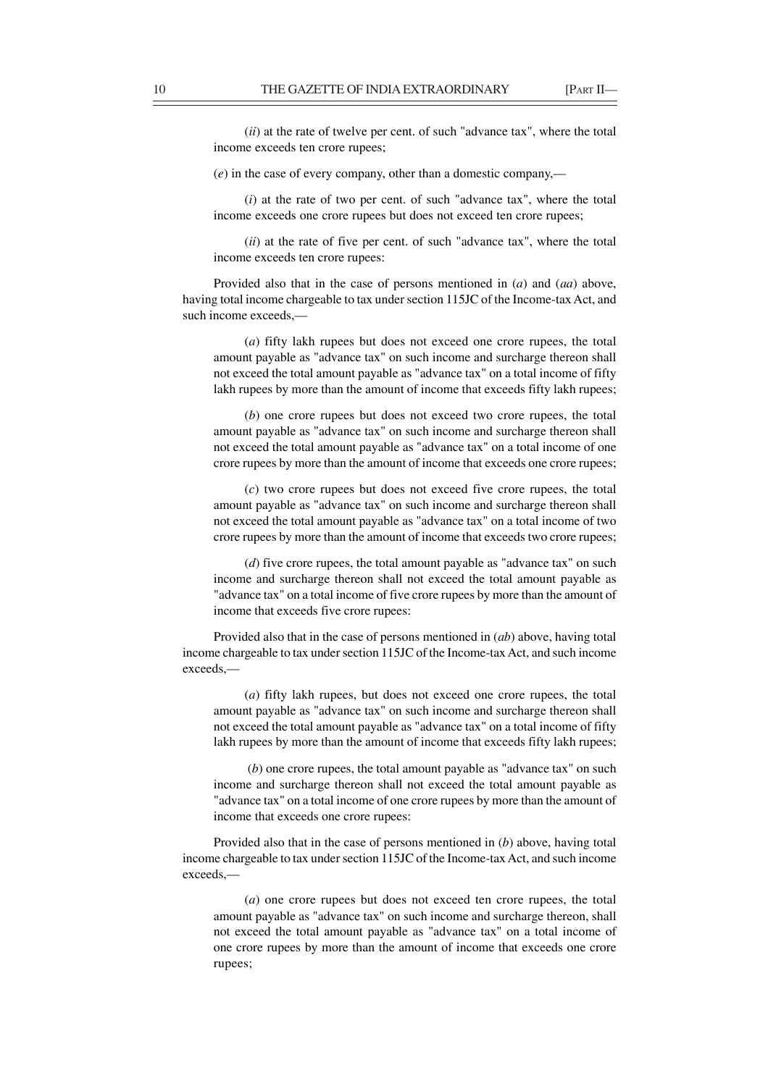(*ii*) at the rate of twelve per cent. of such "advance tax", where the total income exceeds ten crore rupees;

(*e*) in the case of every company, other than a domestic company,—

(*i*) at the rate of two per cent. of such "advance tax", where the total income exceeds one crore rupees but does not exceed ten crore rupees;

(*ii*) at the rate of five per cent. of such "advance tax", where the total income exceeds ten crore rupees:

Provided also that in the case of persons mentioned in (*a*) and (*aa*) above, having total income chargeable to tax under section 115JC of the Income-tax Act, and such income exceeds,—

(*a*) fifty lakh rupees but does not exceed one crore rupees, the total amount payable as "advance tax" on such income and surcharge thereon shall not exceed the total amount payable as "advance tax" on a total income of fifty lakh rupees by more than the amount of income that exceeds fifty lakh rupees;

(*b*) one crore rupees but does not exceed two crore rupees, the total amount payable as "advance tax" on such income and surcharge thereon shall not exceed the total amount payable as "advance tax" on a total income of one crore rupees by more than the amount of income that exceeds one crore rupees;

(*c*) two crore rupees but does not exceed five crore rupees, the total amount payable as "advance tax" on such income and surcharge thereon shall not exceed the total amount payable as "advance tax" on a total income of two crore rupees by more than the amount of income that exceeds two crore rupees;

(*d*) five crore rupees, the total amount payable as "advance tax" on such income and surcharge thereon shall not exceed the total amount payable as "advance tax" on a total income of five crore rupees by more than the amount of income that exceeds five crore rupees:

Provided also that in the case of persons mentioned in (*ab*) above, having total income chargeable to tax under section 115JC of the Income-tax Act, and such income exceeds,—

(*a*) fifty lakh rupees, but does not exceed one crore rupees, the total amount payable as "advance tax" on such income and surcharge thereon shall not exceed the total amount payable as "advance tax" on a total income of fifty lakh rupees by more than the amount of income that exceeds fifty lakh rupees;

 (*b*) one crore rupees, the total amount payable as "advance tax" on such income and surcharge thereon shall not exceed the total amount payable as "advance tax" on a total income of one crore rupees by more than the amount of income that exceeds one crore rupees:

Provided also that in the case of persons mentioned in (*b*) above, having total income chargeable to tax under section 115JC of the Income-tax Act, and such income exceeds,—

(*a*) one crore rupees but does not exceed ten crore rupees, the total amount payable as "advance tax" on such income and surcharge thereon, shall not exceed the total amount payable as "advance tax" on a total income of one crore rupees by more than the amount of income that exceeds one crore rupees;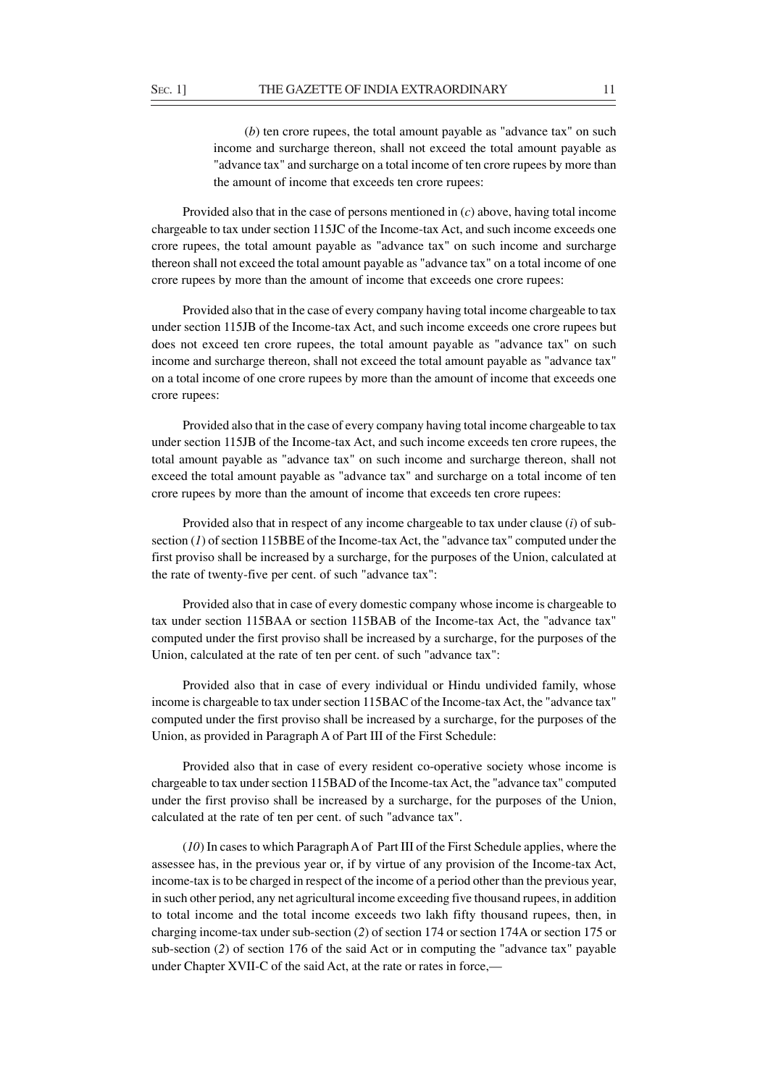(*b*) ten crore rupees, the total amount payable as "advance tax" on such income and surcharge thereon, shall not exceed the total amount payable as "advance tax" and surcharge on a total income of ten crore rupees by more than the amount of income that exceeds ten crore rupees:

Provided also that in the case of persons mentioned in (*c*) above, having total income chargeable to tax under section 115JC of the Income-tax Act, and such income exceeds one crore rupees, the total amount payable as "advance tax" on such income and surcharge thereon shall not exceed the total amount payable as "advance tax" on a total income of one crore rupees by more than the amount of income that exceeds one crore rupees:

Provided also that in the case of every company having total income chargeable to tax under section 115JB of the Income-tax Act, and such income exceeds one crore rupees but does not exceed ten crore rupees, the total amount payable as "advance tax" on such income and surcharge thereon, shall not exceed the total amount payable as "advance tax" on a total income of one crore rupees by more than the amount of income that exceeds one crore rupees:

Provided also that in the case of every company having total income chargeable to tax under section 115JB of the Income-tax Act, and such income exceeds ten crore rupees, the total amount payable as "advance tax" on such income and surcharge thereon, shall not exceed the total amount payable as "advance tax" and surcharge on a total income of ten crore rupees by more than the amount of income that exceeds ten crore rupees:

Provided also that in respect of any income chargeable to tax under clause (*i*) of subsection (*1*) of section 115BBE of the Income-tax Act, the "advance tax" computed under the first proviso shall be increased by a surcharge, for the purposes of the Union, calculated at the rate of twenty-five per cent. of such "advance tax":

Provided also that in case of every domestic company whose income is chargeable to tax under section 115BAA or section 115BAB of the Income-tax Act, the "advance tax" computed under the first proviso shall be increased by a surcharge, for the purposes of the Union, calculated at the rate of ten per cent. of such "advance tax":

Provided also that in case of every individual or Hindu undivided family, whose income is chargeable to tax under section 115BAC of the Income-tax Act, the "advance tax" computed under the first proviso shall be increased by a surcharge, for the purposes of the Union, as provided in Paragraph A of Part III of the First Schedule:

Provided also that in case of every resident co-operative society whose income is chargeable to tax under section 115BAD of the Income-tax Act, the "advance tax" computed under the first proviso shall be increased by a surcharge, for the purposes of the Union, calculated at the rate of ten per cent. of such "advance tax".

(*10*) In cases to which Paragraph A of Part III of the First Schedule applies, where the assessee has, in the previous year or, if by virtue of any provision of the Income-tax Act, income-tax is to be charged in respect of the income of a period other than the previous year, in such other period, any net agricultural income exceeding five thousand rupees, in addition to total income and the total income exceeds two lakh fifty thousand rupees, then, in charging income-tax under sub-section (*2*) of section 174 or section 174A or section 175 or sub-section (*2*) of section 176 of the said Act or in computing the "advance tax" payable under Chapter XVII-C of the said Act, at the rate or rates in force,—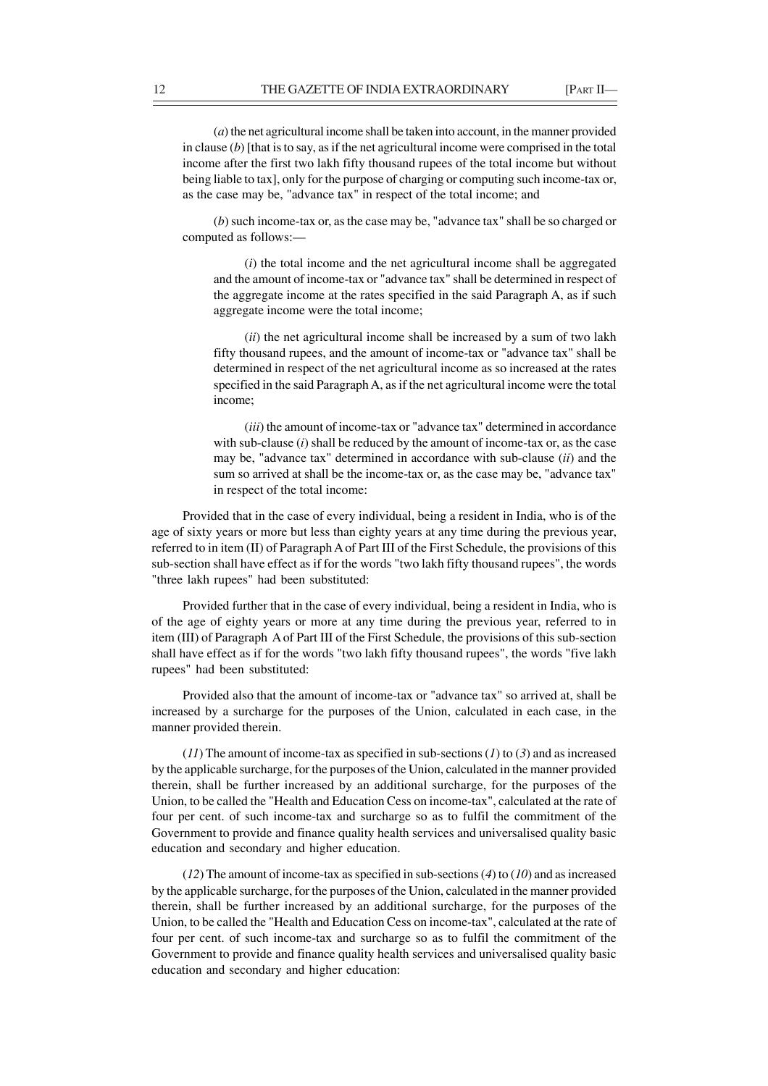(*a*) the net agricultural income shall be taken into account, in the manner provided in clause (*b*) [that is to say, as if the net agricultural income were comprised in the total income after the first two lakh fifty thousand rupees of the total income but without being liable to tax], only for the purpose of charging or computing such income-tax or, as the case may be, "advance tax" in respect of the total income; and

(*b*) such income-tax or, as the case may be, "advance tax" shall be so charged or computed as follows:—

(*i*) the total income and the net agricultural income shall be aggregated and the amount of income-tax or "advance tax" shall be determined in respect of the aggregate income at the rates specified in the said Paragraph A, as if such aggregate income were the total income;

(*ii*) the net agricultural income shall be increased by a sum of two lakh fifty thousand rupees, and the amount of income-tax or "advance tax" shall be determined in respect of the net agricultural income as so increased at the rates specified in the said Paragraph A, as if the net agricultural income were the total income;

(*iii*) the amount of income-tax or "advance tax" determined in accordance with sub-clause (*i*) shall be reduced by the amount of income-tax or, as the case may be, "advance tax" determined in accordance with sub-clause (*ii*) and the sum so arrived at shall be the income-tax or, as the case may be, "advance tax" in respect of the total income:

Provided that in the case of every individual, being a resident in India, who is of the age of sixty years or more but less than eighty years at any time during the previous year, referred to in item (II) of Paragraph A of Part III of the First Schedule, the provisions of this sub-section shall have effect as if for the words "two lakh fifty thousand rupees", the words "three lakh rupees" had been substituted:

Provided further that in the case of every individual, being a resident in India, who is of the age of eighty years or more at any time during the previous year, referred to in item (III) of Paragraph A of Part III of the First Schedule, the provisions of this sub-section shall have effect as if for the words "two lakh fifty thousand rupees", the words "five lakh rupees" had been substituted:

Provided also that the amount of income-tax or "advance tax" so arrived at, shall be increased by a surcharge for the purposes of the Union, calculated in each case, in the manner provided therein.

(*11*) The amount of income-tax as specified in sub-sections (*1*) to (*3*) and as increased by the applicable surcharge, for the purposes of the Union, calculated in the manner provided therein, shall be further increased by an additional surcharge, for the purposes of the Union, to be called the "Health and Education Cess on income-tax", calculated at the rate of four per cent. of such income-tax and surcharge so as to fulfil the commitment of the Government to provide and finance quality health services and universalised quality basic education and secondary and higher education.

(*12*) The amount of income-tax as specified in sub-sections (*4*) to (*10*) and as increased by the applicable surcharge, for the purposes of the Union, calculated in the manner provided therein, shall be further increased by an additional surcharge, for the purposes of the Union, to be called the "Health and Education Cess on income-tax", calculated at the rate of four per cent. of such income-tax and surcharge so as to fulfil the commitment of the Government to provide and finance quality health services and universalised quality basic education and secondary and higher education: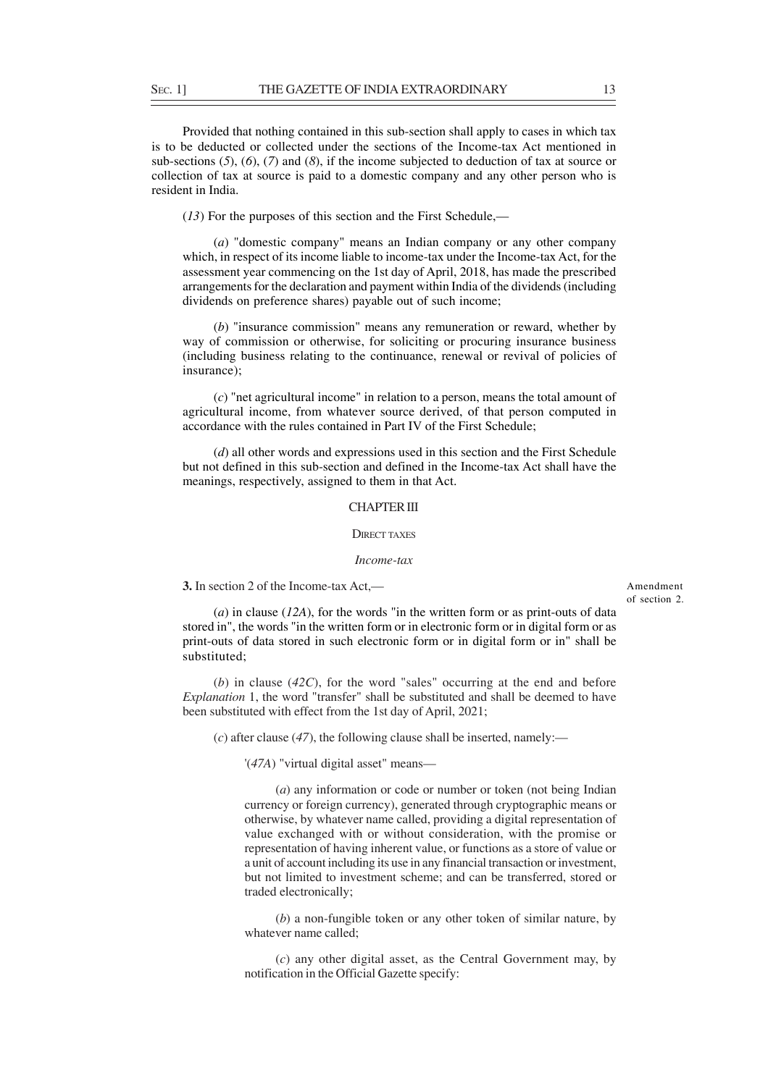Provided that nothing contained in this sub-section shall apply to cases in which tax is to be deducted or collected under the sections of the Income-tax Act mentioned in sub-sections (*5*), (*6*), (*7*) and (*8*), if the income subjected to deduction of tax at source or collection of tax at source is paid to a domestic company and any other person who is resident in India.

(*13*) For the purposes of this section and the First Schedule,—

(*a*) "domestic company" means an Indian company or any other company which, in respect of its income liable to income-tax under the Income-tax Act, for the assessment year commencing on the 1st day of April, 2018, has made the prescribed arrangements for the declaration and payment within India of the dividends (including dividends on preference shares) payable out of such income;

(*b*) "insurance commission" means any remuneration or reward, whether by way of commission or otherwise, for soliciting or procuring insurance business (including business relating to the continuance, renewal or revival of policies of insurance);

(*c*) "net agricultural income" in relation to a person, means the total amount of agricultural income, from whatever source derived, of that person computed in accordance with the rules contained in Part IV of the First Schedule;

(*d*) all other words and expressions used in this section and the First Schedule but not defined in this sub-section and defined in the Income-tax Act shall have the meanings, respectively, assigned to them in that Act.

### CHAPTER III

#### DIDECT TAVES

#### *Income-tax*

**3.** In section 2 of the Income-tax Act,—

(*a*) in clause (*12A*), for the words "in the written form or as print-outs of data stored in", the words "in the written form or in electronic form or in digital form or as print-outs of data stored in such electronic form or in digital form or in" shall be substituted;

(*b*) in clause (*42C*), for the word "sales" occurring at the end and before *Explanation* 1, the word "transfer" shall be substituted and shall be deemed to have been substituted with effect from the 1st day of April, 2021;

(*c*) after clause (*47*), the following clause shall be inserted, namely:—

'(*47A*) "virtual digital asset" means—

(*a*) any information or code or number or token (not being Indian currency or foreign currency), generated through cryptographic means or otherwise, by whatever name called, providing a digital representation of value exchanged with or without consideration, with the promise or representation of having inherent value, or functions as a store of value or a unit of account including its use in any financial transaction or investment, but not limited to investment scheme; and can be transferred, stored or traded electronically;

(*b*) a non-fungible token or any other token of similar nature, by whatever name called;

(*c*) any other digital asset, as the Central Government may, by notification in the Official Gazette specify: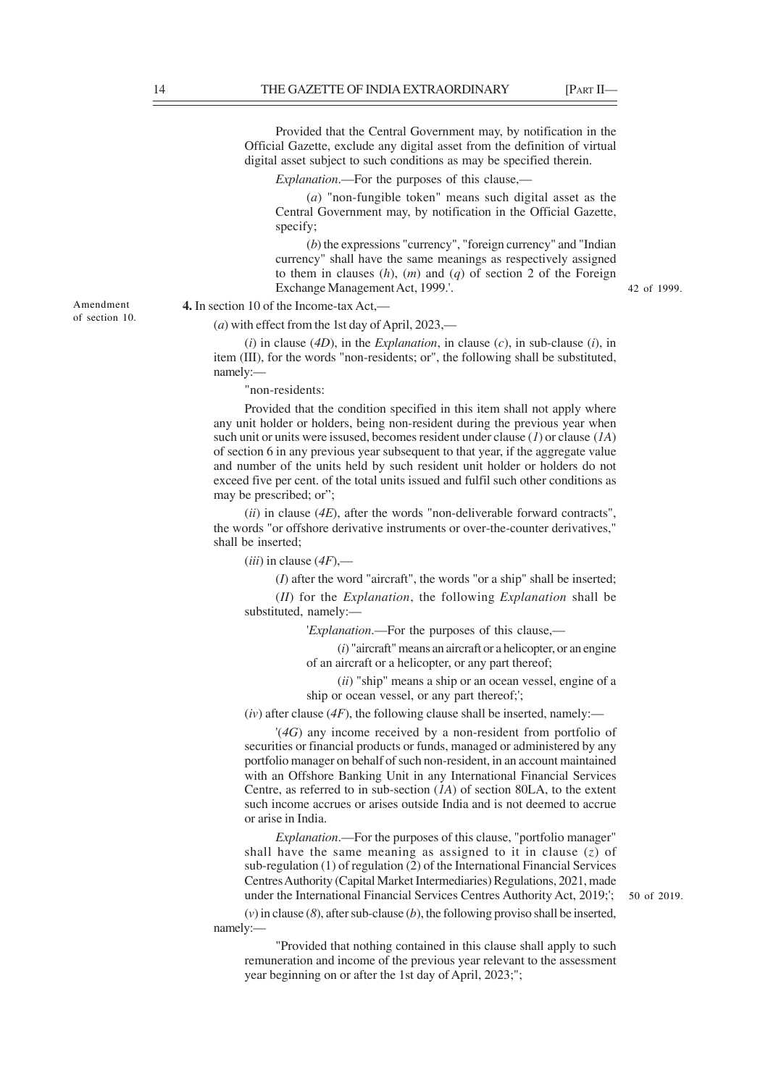Provided that the Central Government may, by notification in the Official Gazette, exclude any digital asset from the definition of virtual digital asset subject to such conditions as may be specified therein.

*Explanation*.—For the purposes of this clause,—

(*a*) "non-fungible token" means such digital asset as the Central Government may, by notification in the Official Gazette, specify;

(*b*) the expressions "currency", "foreign currency" and "Indian currency" shall have the same meanings as respectively assigned to them in clauses (*h*), (*m*) and (*q*) of section 2 of the Foreign Exchange Management Act, 1999.'.

42 of 1999.

Amendment of section 10. **4.** In section 10 of the Income-tax Act,—

(*a*) with effect from the 1st day of April, 2023,—

(*i*) in clause (*4D*), in the *Explanation*, in clause (*c*), in sub-clause (*i*), in item (III), for the words "non-residents; or", the following shall be substituted, namely:—

"non-residents:

Provided that the condition specified in this item shall not apply where any unit holder or holders, being non-resident during the previous year when such unit or units were issused, becomes resident under clause (*1*) or clause (*1A*) of section 6 in any previous year subsequent to that year, if the aggregate value and number of the units held by such resident unit holder or holders do not exceed five per cent. of the total units issued and fulfil such other conditions as may be prescribed; or";

(*ii*) in clause (*4E*), after the words "non-deliverable forward contracts", the words "or offshore derivative instruments or over-the-counter derivatives," shall be inserted;

(*iii*) in clause (*4F*),—

(*I*) after the word "aircraft", the words "or a ship" shall be inserted;

(*II*) for the *Explanation*, the following *Explanation* shall be substituted, namely:—

'*Explanation*.—For the purposes of this clause,—

(*i*) "aircraft" means an aircraft or a helicopter, or an engine of an aircraft or a helicopter, or any part thereof;

(*ii*) "ship" means a ship or an ocean vessel, engine of a ship or ocean vessel, or any part thereof;';

 $(iv)$  after clause ( $4F$ ), the following clause shall be inserted, namely:—

'(*4G*) any income received by a non-resident from portfolio of securities or financial products or funds, managed or administered by any portfolio manager on behalf of such non-resident, in an account maintained with an Offshore Banking Unit in any International Financial Services Centre, as referred to in sub-section (*1A*) of section 80LA, to the extent such income accrues or arises outside India and is not deemed to accrue or arise in India.

*Explanation*.—For the purposes of this clause, "portfolio manager" shall have the same meaning as assigned to it in clause (*z*) of sub-regulation (1) of regulation (2) of the International Financial Services Centres Authority (Capital Market Intermediaries) Regulations, 2021, made under the International Financial Services Centres Authority Act, 2019;';

(*v*) in clause (*8*), after sub-clause (*b*), the following proviso shall be inserted, namely:—

"Provided that nothing contained in this clause shall apply to such remuneration and income of the previous year relevant to the assessment year beginning on or after the 1st day of April, 2023;";

50 of 2019.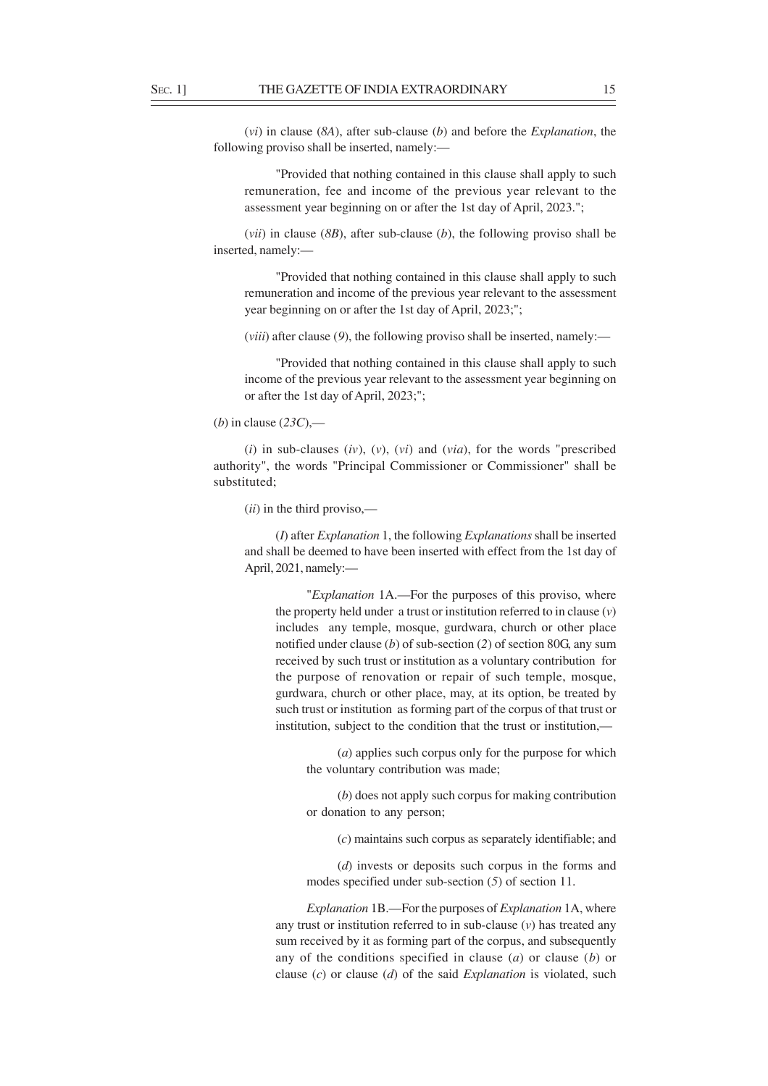(*vi*) in clause (*8A*), after sub-clause (*b*) and before the *Explanation*, the following proviso shall be inserted, namely:—

"Provided that nothing contained in this clause shall apply to such remuneration, fee and income of the previous year relevant to the assessment year beginning on or after the 1st day of April, 2023.";

(*vii*) in clause (*8B*), after sub-clause (*b*), the following proviso shall be inserted, namely:—

"Provided that nothing contained in this clause shall apply to such remuneration and income of the previous year relevant to the assessment year beginning on or after the 1st day of April, 2023;";

(*viii*) after clause (*9*), the following proviso shall be inserted, namely:—

"Provided that nothing contained in this clause shall apply to such income of the previous year relevant to the assessment year beginning on or after the 1st day of April, 2023;";

(*i*) in sub-clauses (*iv*), (*v*), (*vi*) and (*via*), for the words "prescribed authority", the words "Principal Commissioner or Commissioner" shall be substituted;

(*ii*) in the third proviso,—

(*I*) after *Explanation* 1, the following *Explanations* shall be inserted and shall be deemed to have been inserted with effect from the 1st day of April, 2021, namely:—

"*Explanation* 1A.—For the purposes of this proviso, where the property held under a trust or institution referred to in clause (*v*) includes any temple, mosque, gurdwara, church or other place notified under clause (*b*) of sub-section (*2*) of section 80G, any sum received by such trust or institution as a voluntary contribution for the purpose of renovation or repair of such temple, mosque, gurdwara, church or other place, may, at its option, be treated by such trust or institution as forming part of the corpus of that trust or institution, subject to the condition that the trust or institution,—

(*a*) applies such corpus only for the purpose for which the voluntary contribution was made;

(*b*) does not apply such corpus for making contribution or donation to any person;

(*c*) maintains such corpus as separately identifiable; and

(*d*) invests or deposits such corpus in the forms and modes specified under sub-section (*5*) of section 11.

*Explanation* 1B.—For the purposes of *Explanation* 1A, where any trust or institution referred to in sub-clause (*v*) has treated any sum received by it as forming part of the corpus, and subsequently any of the conditions specified in clause (*a*) or clause (*b*) or clause (*c*) or clause (*d*) of the said *Explanation* is violated, such

<sup>(</sup>*b*) in clause (*23C*),—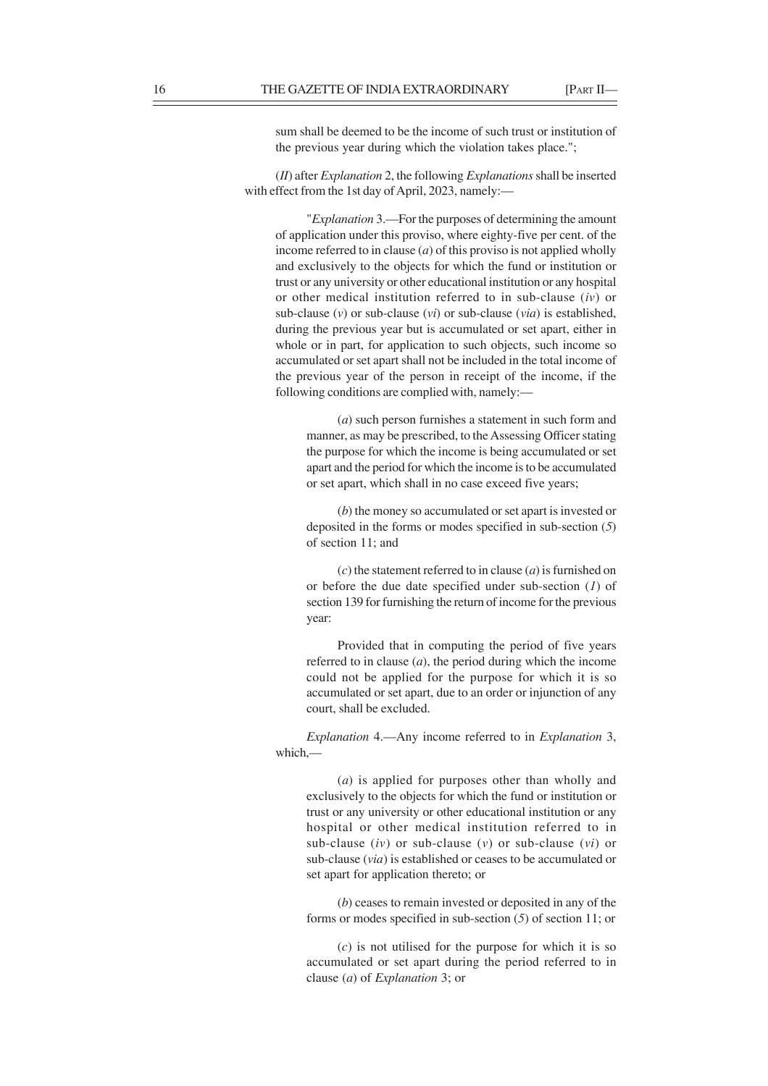sum shall be deemed to be the income of such trust or institution of the previous year during which the violation takes place.";

(*II*) after *Explanation* 2, the following *Explanations* shall be inserted with effect from the 1st day of April, 2023, namely:—

"*Explanation* 3.—For the purposes of determining the amount of application under this proviso, where eighty-five per cent. of the income referred to in clause (*a*) of this proviso is not applied wholly and exclusively to the objects for which the fund or institution or trust or any university or other educational institution or any hospital or other medical institution referred to in sub-clause (*iv*) or sub-clause (*v*) or sub-clause (*vi*) or sub-clause (*via*) is established, during the previous year but is accumulated or set apart, either in whole or in part, for application to such objects, such income so accumulated or set apart shall not be included in the total income of the previous year of the person in receipt of the income, if the following conditions are complied with, namely:—

(*a*) such person furnishes a statement in such form and manner, as may be prescribed, to the Assessing Officer stating the purpose for which the income is being accumulated or set apart and the period for which the income is to be accumulated or set apart, which shall in no case exceed five years;

(*b*) the money so accumulated or set apart is invested or deposited in the forms or modes specified in sub-section (*5*) of section 11; and

(*c*) the statement referred to in clause (*a*) is furnished on or before the due date specified under sub-section (*1*) of section 139 for furnishing the return of income for the previous year:

Provided that in computing the period of five years referred to in clause (*a*), the period during which the income could not be applied for the purpose for which it is so accumulated or set apart, due to an order or injunction of any court, shall be excluded.

*Explanation* 4.—Any income referred to in *Explanation* 3, which,—

(*a*) is applied for purposes other than wholly and exclusively to the objects for which the fund or institution or trust or any university or other educational institution or any hospital or other medical institution referred to in sub-clause (*iv*) or sub-clause (*v*) or sub-clause (*vi*) or sub-clause (*via*) is established or ceases to be accumulated or set apart for application thereto; or

(*b*) ceases to remain invested or deposited in any of the forms or modes specified in sub-section (*5*) of section 11; or

(*c*) is not utilised for the purpose for which it is so accumulated or set apart during the period referred to in clause (*a*) of *Explanation* 3; or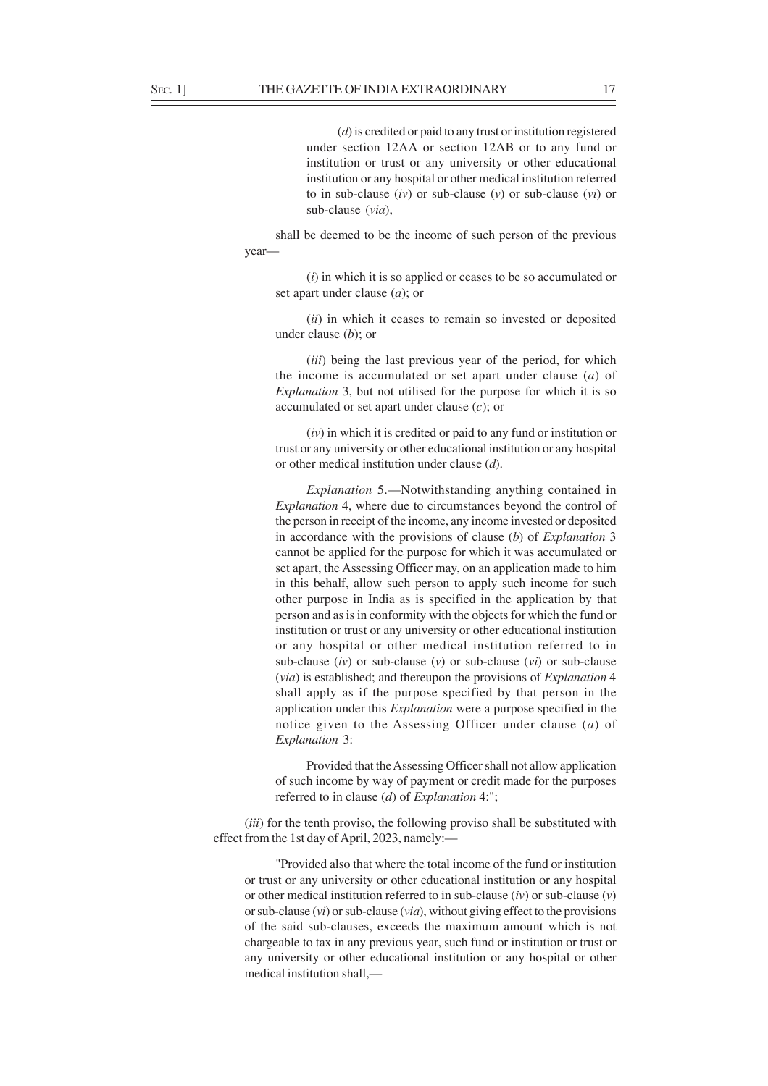(*d*) is credited or paid to any trust or institution registered under section 12AA or section 12AB or to any fund or institution or trust or any university or other educational institution or any hospital or other medical institution referred to in sub-clause (*iv*) or sub-clause (*v*) or sub-clause (*vi*) or sub-clause (*via*),

shall be deemed to be the income of such person of the previous year—

(*i*) in which it is so applied or ceases to be so accumulated or set apart under clause (*a*); or

(*ii*) in which it ceases to remain so invested or deposited under clause (*b*); or

(*iii*) being the last previous year of the period, for which the income is accumulated or set apart under clause (*a*) of *Explanation* 3, but not utilised for the purpose for which it is so accumulated or set apart under clause (*c*); or

(*iv*) in which it is credited or paid to any fund or institution or trust or any university or other educational institution or any hospital or other medical institution under clause (*d*).

*Explanation* 5.—Notwithstanding anything contained in *Explanation* 4, where due to circumstances beyond the control of the person in receipt of the income, any income invested or deposited in accordance with the provisions of clause (*b*) of *Explanation* 3 cannot be applied for the purpose for which it was accumulated or set apart, the Assessing Officer may, on an application made to him in this behalf, allow such person to apply such income for such other purpose in India as is specified in the application by that person and as is in conformity with the objects for which the fund or institution or trust or any university or other educational institution or any hospital or other medical institution referred to in sub-clause (*iv*) or sub-clause (*v*) or sub-clause (*vi*) or sub-clause (*via*) is established; and thereupon the provisions of *Explanation* 4 shall apply as if the purpose specified by that person in the application under this *Explanation* were a purpose specified in the notice given to the Assessing Officer under clause (*a*) of *Explanation* 3:

Provided that the Assessing Officer shall not allow application of such income by way of payment or credit made for the purposes referred to in clause (*d*) of *Explanation* 4:";

(*iii*) for the tenth proviso, the following proviso shall be substituted with effect from the 1st day of April, 2023, namely:—

"Provided also that where the total income of the fund or institution or trust or any university or other educational institution or any hospital or other medical institution referred to in sub-clause (*iv*) or sub-clause (*v*) or sub-clause (*vi*) or sub-clause (*via*), without giving effect to the provisions of the said sub-clauses, exceeds the maximum amount which is not chargeable to tax in any previous year, such fund or institution or trust or any university or other educational institution or any hospital or other medical institution shall,—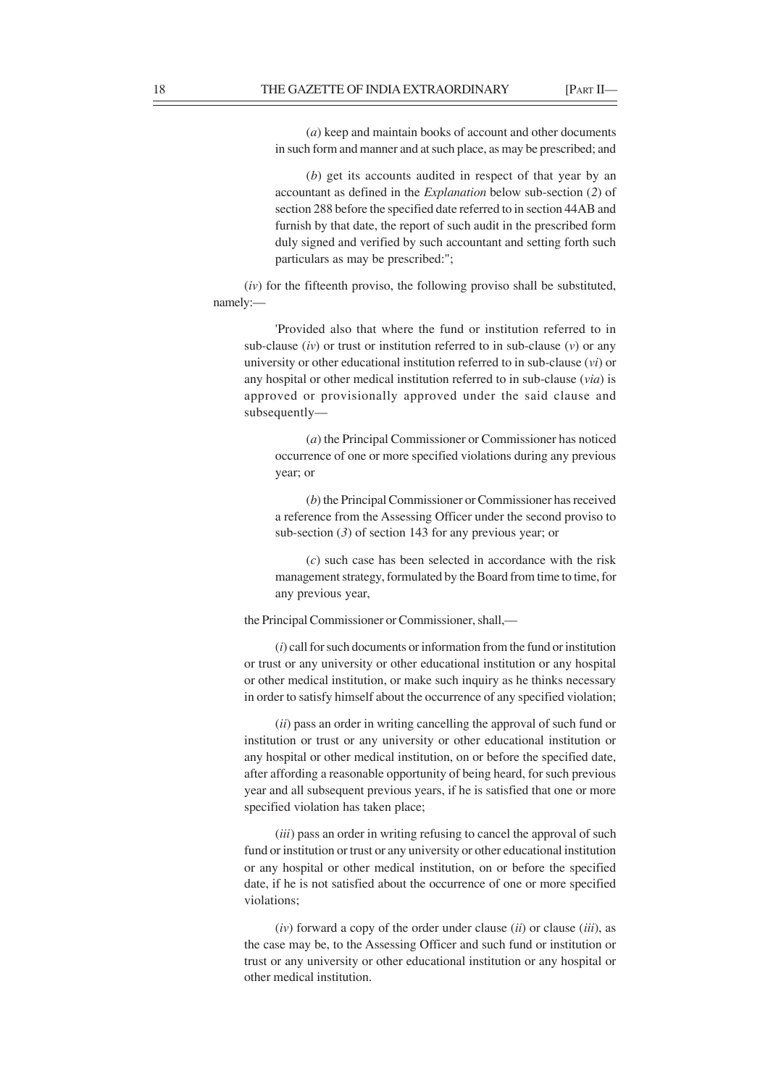(*a*) keep and maintain books of account and other documents in such form and manner and at such place, as may be prescribed; and

(*b*) get its accounts audited in respect of that year by an accountant as defined in the *Explanation* below sub-section (*2*) of section 288 before the specified date referred to in section 44AB and furnish by that date, the report of such audit in the prescribed form duly signed and verified by such accountant and setting forth such particulars as may be prescribed:";

(*iv*) for the fifteenth proviso, the following proviso shall be substituted, namely:—

'Provided also that where the fund or institution referred to in sub-clause (*iv*) or trust or institution referred to in sub-clause (*v*) or any university or other educational institution referred to in sub-clause (*vi*) or any hospital or other medical institution referred to in sub-clause (*via*) is approved or provisionally approved under the said clause and subsequently—

(*a*) the Principal Commissioner or Commissioner has noticed occurrence of one or more specified violations during any previous year; or

(*b*) the Principal Commissioner or Commissioner has received a reference from the Assessing Officer under the second proviso to sub-section (*3*) of section 143 for any previous year; or

(*c*) such case has been selected in accordance with the risk management strategy, formulated by the Board from time to time, for any previous year,

the Principal Commissioner or Commissioner, shall,—

(*i*) call for such documents or information from the fund or institution or trust or any university or other educational institution or any hospital or other medical institution, or make such inquiry as he thinks necessary in order to satisfy himself about the occurrence of any specified violation;

(*ii*) pass an order in writing cancelling the approval of such fund or institution or trust or any university or other educational institution or any hospital or other medical institution, on or before the specified date, after affording a reasonable opportunity of being heard, for such previous year and all subsequent previous years, if he is satisfied that one or more specified violation has taken place;

(*iii*) pass an order in writing refusing to cancel the approval of such fund or institution or trust or any university or other educational institution or any hospital or other medical institution, on or before the specified date, if he is not satisfied about the occurrence of one or more specified violations;

(*iv*) forward a copy of the order under clause (*ii*) or clause (*iii*), as the case may be, to the Assessing Officer and such fund or institution or trust or any university or other educational institution or any hospital or other medical institution.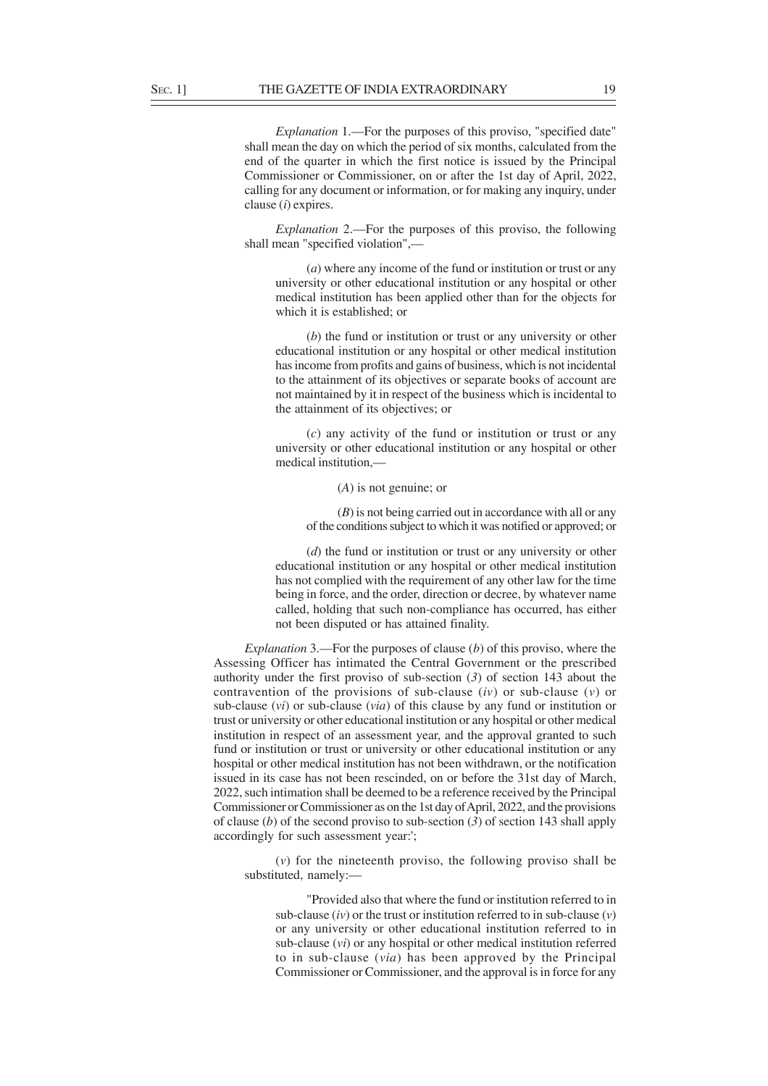*Explanation* 1.—For the purposes of this proviso, "specified date" shall mean the day on which the period of six months, calculated from the end of the quarter in which the first notice is issued by the Principal Commissioner or Commissioner, on or after the 1st day of April, 2022, calling for any document or information, or for making any inquiry, under clause (*i*) expires.

*Explanation* 2.—For the purposes of this proviso, the following shall mean "specified violation",-

(*a*) where any income of the fund or institution or trust or any university or other educational institution or any hospital or other medical institution has been applied other than for the objects for which it is established; or

(*b*) the fund or institution or trust or any university or other educational institution or any hospital or other medical institution has income from profits and gains of business, which is not incidental to the attainment of its objectives or separate books of account are not maintained by it in respect of the business which is incidental to the attainment of its objectives; or

(*c*) any activity of the fund or institution or trust or any university or other educational institution or any hospital or other medical institution,—

(*A*) is not genuine; or

(*B*) is not being carried out in accordance with all or any of the conditions subject to which it was notified or approved; or

(*d*) the fund or institution or trust or any university or other educational institution or any hospital or other medical institution has not complied with the requirement of any other law for the time being in force, and the order, direction or decree, by whatever name called, holding that such non-compliance has occurred, has either not been disputed or has attained finality.

*Explanation* 3.—For the purposes of clause (*b*) of this proviso, where the Assessing Officer has intimated the Central Government or the prescribed authority under the first proviso of sub-section (*3*) of section 143 about the contravention of the provisions of sub-clause (*iv*) or sub-clause (*v*) or sub-clause (*vi*) or sub-clause (*via*) of this clause by any fund or institution or trust or university or other educational institution or any hospital or other medical institution in respect of an assessment year, and the approval granted to such fund or institution or trust or university or other educational institution or any hospital or other medical institution has not been withdrawn, or the notification issued in its case has not been rescinded, on or before the 31st day of March, 2022, such intimation shall be deemed to be a reference received by the Principal Commissioner or Commissioner as on the 1st day of April, 2022, and the provisions of clause (*b*) of the second proviso to sub-section (*3*) of section 143 shall apply accordingly for such assessment year:';

(*v*) for the nineteenth proviso, the following proviso shall be substituted, namely:—

"Provided also that where the fund or institution referred to in sub-clause (*iv*) or the trust or institution referred to in sub-clause (*v*) or any university or other educational institution referred to in sub-clause (*vi*) or any hospital or other medical institution referred to in sub-clause (*via*) has been approved by the Principal Commissioner or Commissioner, and the approval is in force for any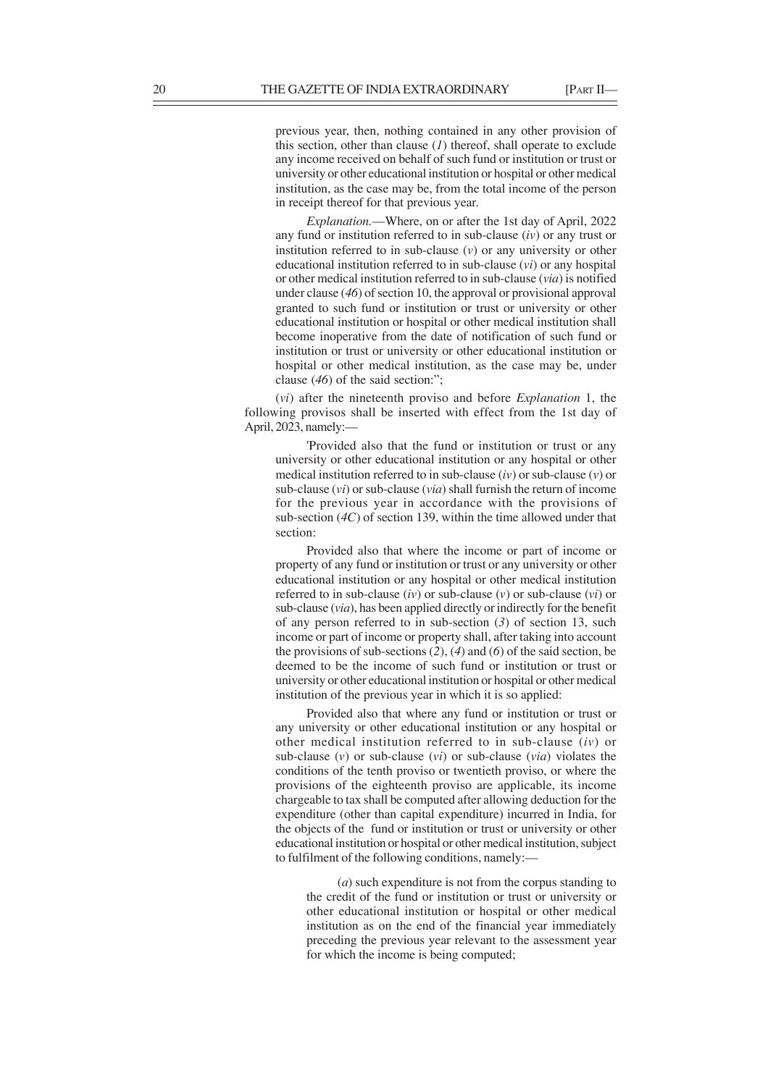previous year, then, nothing contained in any other provision of this section, other than clause (*1*) thereof, shall operate to exclude any income received on behalf of such fund or institution or trust or university or other educational institution or hospital or other medical institution, as the case may be, from the total income of the person in receipt thereof for that previous year.

*Explanation.*—Where, on or after the 1st day of April, 2022 any fund or institution referred to in sub-clause (*iv*) or any trust or institution referred to in sub-clause (*v*) or any university or other educational institution referred to in sub-clause (*vi*) or any hospital or other medical institution referred to in sub-clause (*via*) is notified under clause (*46*) of section 10, the approval or provisional approval granted to such fund or institution or trust or university or other educational institution or hospital or other medical institution shall become inoperative from the date of notification of such fund or institution or trust or university or other educational institution or hospital or other medical institution, as the case may be, under clause (*46*) of the said section:";

(*vi*) after the nineteenth proviso and before *Explanation* 1, the following provisos shall be inserted with effect from the 1st day of April, 2023, namely:—

'Provided also that the fund or institution or trust or any university or other educational institution or any hospital or other medical institution referred to in sub-clause (*iv*) or sub-clause (*v*) or sub-clause (*vi*) or sub-clause (*via*) shall furnish the return of income for the previous year in accordance with the provisions of sub-section (*4C*) of section 139, within the time allowed under that section:

Provided also that where the income or part of income or property of any fund or institution or trust or any university or other educational institution or any hospital or other medical institution referred to in sub-clause (*iv*) or sub-clause (*v*) or sub-clause (*vi*) or sub-clause (*via*), has been applied directly or indirectly for the benefit of any person referred to in sub-section (*3*) of section 13, such income or part of income or property shall, after taking into account the provisions of sub-sections (*2*), (*4*) and (*6*) of the said section, be deemed to be the income of such fund or institution or trust or university or other educational institution or hospital or other medical institution of the previous year in which it is so applied:

Provided also that where any fund or institution or trust or any university or other educational institution or any hospital or other medical institution referred to in sub-clause (*iv*) or sub-clause (*v*) or sub-clause (*vi*) or sub-clause (*via*) violates the conditions of the tenth proviso or twentieth proviso, or where the provisions of the eighteenth proviso are applicable, its income chargeable to tax shall be computed after allowing deduction for the expenditure (other than capital expenditure) incurred in India, for the objects of the fund or institution or trust or university or other educational institution or hospital or other medical institution, subject to fulfilment of the following conditions, namely:—

(*a*) such expenditure is not from the corpus standing to the credit of the fund or institution or trust or university or other educational institution or hospital or other medical institution as on the end of the financial year immediately preceding the previous year relevant to the assessment year for which the income is being computed;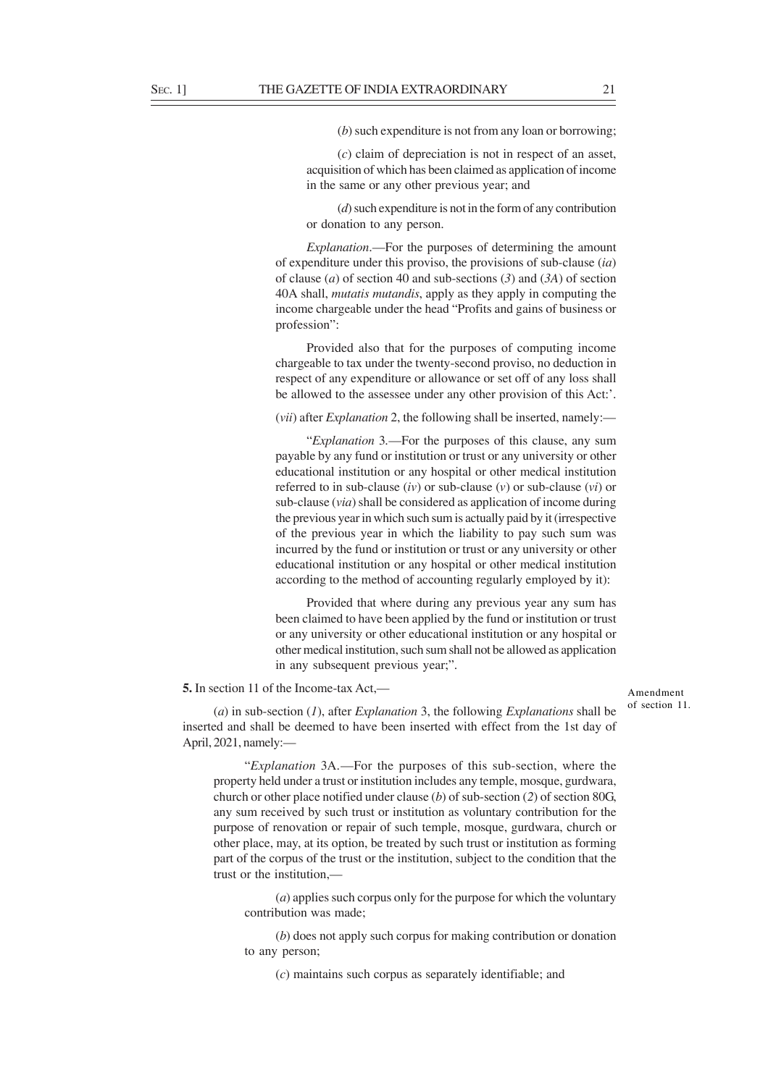(*b*) such expenditure is not from any loan or borrowing;

(*c*) claim of depreciation is not in respect of an asset, acquisition of which has been claimed as application of income in the same or any other previous year; and

(*d*) such expenditure is not in the form of any contribution or donation to any person.

*Explanation*.—For the purposes of determining the amount of expenditure under this proviso, the provisions of sub-clause (*ia*) of clause (*a*) of section 40 and sub-sections (*3*) and (*3A*) of section 40A shall, *mutatis mutandis*, apply as they apply in computing the income chargeable under the head "Profits and gains of business or profession":

Provided also that for the purposes of computing income chargeable to tax under the twenty-second proviso, no deduction in respect of any expenditure or allowance or set off of any loss shall be allowed to the assessee under any other provision of this Act:'.

(*vii*) after *Explanation* 2, the following shall be inserted, namely:—

"*Explanation* 3*.*—For the purposes of this clause, any sum payable by any fund or institution or trust or any university or other educational institution or any hospital or other medical institution referred to in sub-clause (*iv*) or sub-clause (*v*) or sub-clause (*vi*) or sub-clause (*via*) shall be considered as application of income during the previous year in which such sum is actually paid by it (irrespective of the previous year in which the liability to pay such sum was incurred by the fund or institution or trust or any university or other educational institution or any hospital or other medical institution according to the method of accounting regularly employed by it):

Provided that where during any previous year any sum has been claimed to have been applied by the fund or institution or trust or any university or other educational institution or any hospital or other medical institution, such sum shall not be allowed as application in any subsequent previous year;".

**5.** In section 11 of the Income-tax Act,—

#### Amendment of section 11.

(*a*) in sub-section (*1*), after *Explanation* 3, the following *Explanations* shall be inserted and shall be deemed to have been inserted with effect from the 1st day of April, 2021, namely:—

"*Explanation* 3A*.*—For the purposes of this sub-section, where the property held under a trust or institution includes any temple, mosque, gurdwara, church or other place notified under clause (*b*) of sub-section (*2*) of section 80G, any sum received by such trust or institution as voluntary contribution for the purpose of renovation or repair of such temple, mosque, gurdwara, church or other place, may, at its option, be treated by such trust or institution as forming part of the corpus of the trust or the institution, subject to the condition that the trust or the institution,—

(*a*) applies such corpus only for the purpose for which the voluntary contribution was made;

(*b*) does not apply such corpus for making contribution or donation to any person;

(*c*) maintains such corpus as separately identifiable; and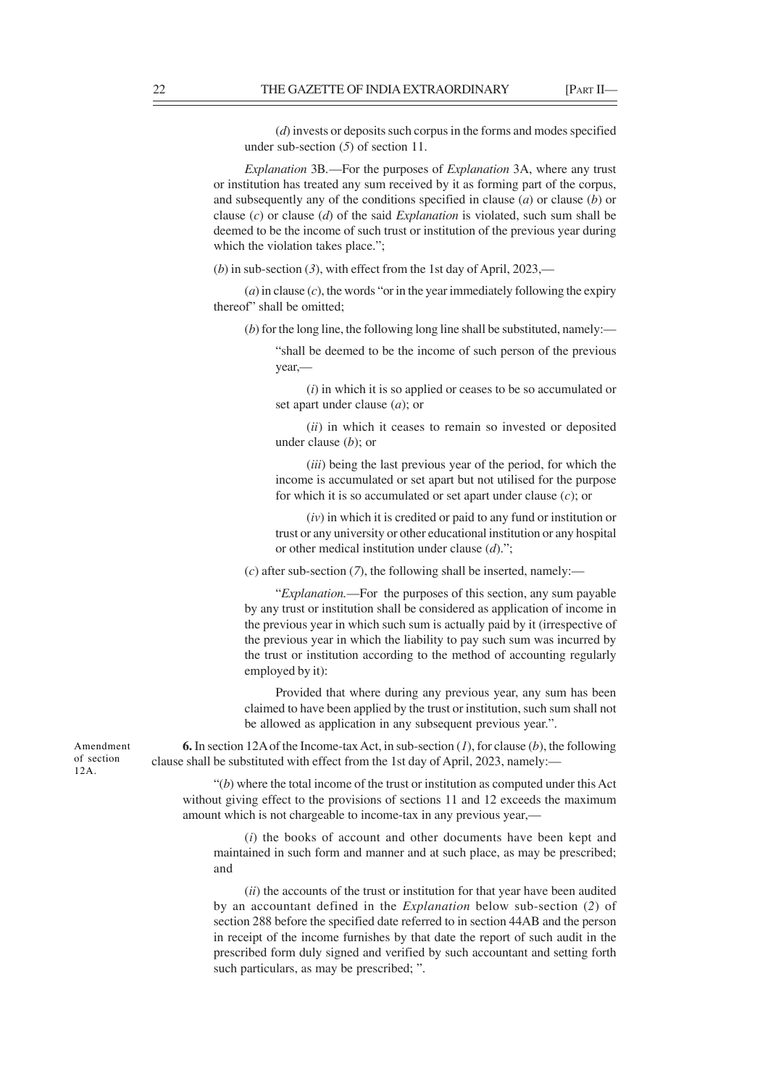(*d*) invests or deposits such corpus in the forms and modes specified under sub-section (*5*) of section 11.

*Explanation* 3B*.*—For the purposes of *Explanation* 3A, where any trust or institution has treated any sum received by it as forming part of the corpus, and subsequently any of the conditions specified in clause (*a*) or clause (*b*) or clause (*c*) or clause (*d*) of the said *Explanation* is violated, such sum shall be deemed to be the income of such trust or institution of the previous year during which the violation takes place.";

(*b*) in sub-section (*3*), with effect from the 1st day of April, 2023,—

 $(a)$  in clause  $(c)$ , the words "or in the year immediately following the expiry thereof" shall be omitted;

(*b*) for the long line, the following long line shall be substituted, namely:—

"shall be deemed to be the income of such person of the previous year,—

(*i*) in which it is so applied or ceases to be so accumulated or set apart under clause (*a*); or

(*ii*) in which it ceases to remain so invested or deposited under clause (*b*); or

(*iii*) being the last previous year of the period, for which the income is accumulated or set apart but not utilised for the purpose for which it is so accumulated or set apart under clause (*c*); or

(*iv*) in which it is credited or paid to any fund or institution or trust or any university or other educational institution or any hospital or other medical institution under clause (*d*).";

(*c*) after sub-section (*7*), the following shall be inserted, namely:—

"*Explanation.*—For the purposes of this section, any sum payable by any trust or institution shall be considered as application of income in the previous year in which such sum is actually paid by it (irrespective of the previous year in which the liability to pay such sum was incurred by the trust or institution according to the method of accounting regularly employed by it):

Provided that where during any previous year, any sum has been claimed to have been applied by the trust or institution, such sum shall not be allowed as application in any subsequent previous year.".

**6.** In section 12A of the Income-tax Act, in sub-section (*1*), for clause (*b*), the following clause shall be substituted with effect from the 1st day of April, 2023, namely:—

"(*b*) where the total income of the trust or institution as computed under this Act without giving effect to the provisions of sections 11 and 12 exceeds the maximum amount which is not chargeable to income-tax in any previous year,—

(*i*) the books of account and other documents have been kept and maintained in such form and manner and at such place, as may be prescribed; and

(*ii*) the accounts of the trust or institution for that year have been audited by an accountant defined in the *Explanation* below sub-section (*2*) of section 288 before the specified date referred to in section 44AB and the person in receipt of the income furnishes by that date the report of such audit in the prescribed form duly signed and verified by such accountant and setting forth such particulars, as may be prescribed; ".

Amendment of section 12A.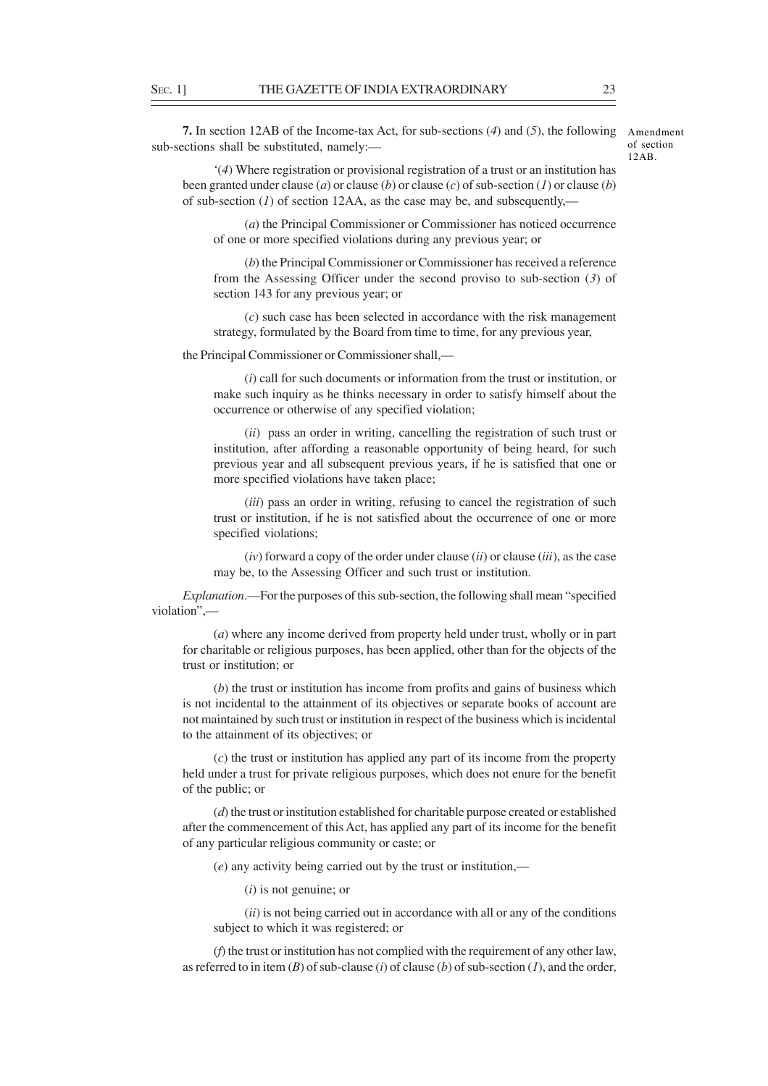**7.** In section 12AB of the Income-tax Act, for sub-sections (*4*) and (*5*), the following sub-sections shall be substituted, namely:—

Amendment of section  $12AB$ 

'(*4*) Where registration or provisional registration of a trust or an institution has been granted under clause (*a*) or clause (*b*) or clause (*c*) of sub-section (*1*) or clause (*b*) of sub-section (*1*) of section 12AA, as the case may be, and subsequently,—

(*a*) the Principal Commissioner or Commissioner has noticed occurrence of one or more specified violations during any previous year; or

(*b*) the Principal Commissioner or Commissioner has received a reference from the Assessing Officer under the second proviso to sub-section (*3*) of section 143 for any previous year; or

(*c*) such case has been selected in accordance with the risk management strategy, formulated by the Board from time to time, for any previous year,

the Principal Commissioner or Commissioner shall,—

(*i*) call for such documents or information from the trust or institution, or make such inquiry as he thinks necessary in order to satisfy himself about the occurrence or otherwise of any specified violation;

(*ii*) pass an order in writing, cancelling the registration of such trust or institution, after affording a reasonable opportunity of being heard, for such previous year and all subsequent previous years, if he is satisfied that one or more specified violations have taken place;

(*iii*) pass an order in writing, refusing to cancel the registration of such trust or institution, if he is not satisfied about the occurrence of one or more specified violations:

(*iv*) forward a copy of the order under clause (*ii*) or clause (*iii*), as the case may be, to the Assessing Officer and such trust or institution.

*Explanation*.—For the purposes of this sub-section, the following shall mean "specified violation",—

(*a*) where any income derived from property held under trust, wholly or in part for charitable or religious purposes, has been applied, other than for the objects of the trust or institution; or

(*b*) the trust or institution has income from profits and gains of business which is not incidental to the attainment of its objectives or separate books of account are not maintained by such trust or institution in respect of the business which is incidental to the attainment of its objectives; or

(*c*) the trust or institution has applied any part of its income from the property held under a trust for private religious purposes, which does not enure for the benefit of the public; or

(*d*) the trust or institution established for charitable purpose created or established after the commencement of this Act, has applied any part of its income for the benefit of any particular religious community or caste; or

(*e*) any activity being carried out by the trust or institution,—

(*i*) is not genuine; or

(*ii*) is not being carried out in accordance with all or any of the conditions subject to which it was registered; or

(*f*) the trust or institution has not complied with the requirement of any other law, as referred to in item (*B*) of sub-clause (*i*) of clause (*b*) of sub-section (*1*), and the order,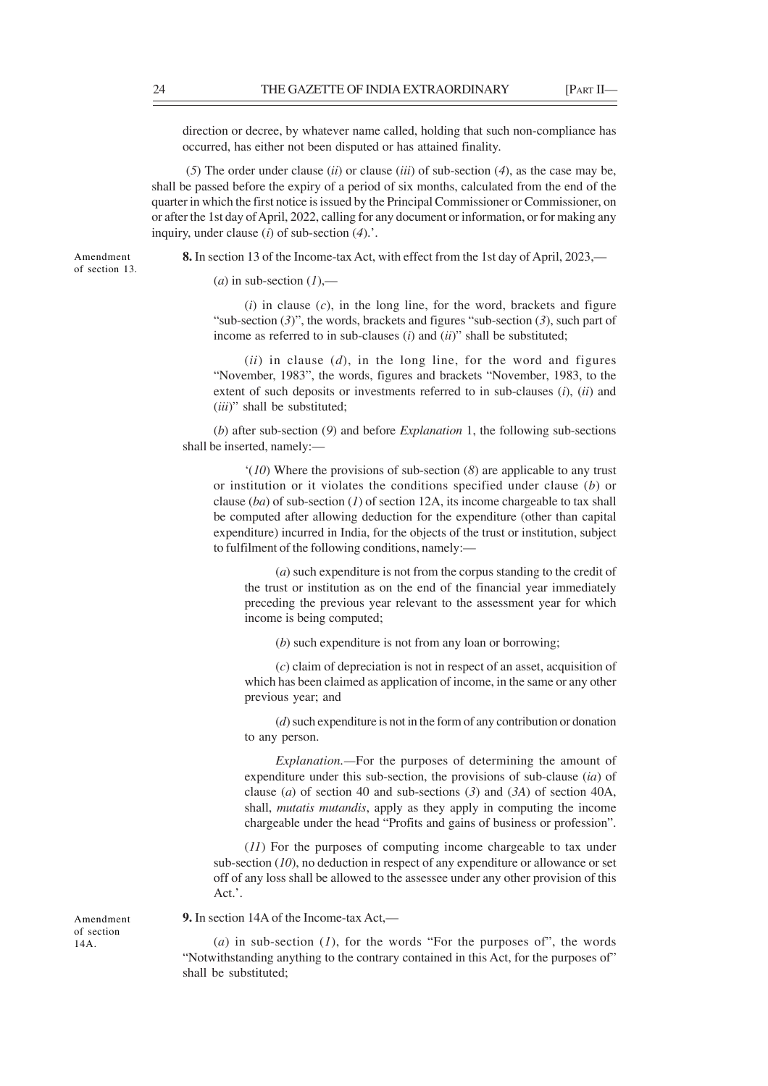direction or decree, by whatever name called, holding that such non-compliance has occurred, has either not been disputed or has attained finality.

 (*5*) The order under clause (*ii*) or clause (*iii*) of sub-section (*4*), as the case may be, shall be passed before the expiry of a period of six months, calculated from the end of the quarter in which the first notice is issued by the Principal Commissioner or Commissioner, on or after the 1st day of April, 2022, calling for any document or information, or for making any inquiry, under clause (*i*) of sub-section (*4*).'.

**8.** In section 13 of the Income-tax Act, with effect from the 1st day of April, 2023,—

 $(a)$  in sub-section  $(I)$ ,—

 $(i)$  in clause  $(c)$ , in the long line, for the word, brackets and figure "sub-section (*3*)", the words, brackets and figures "sub-section (*3*), such part of income as referred to in sub-clauses (*i*) and (*ii*)" shall be substituted;

 $(ii)$  in clause  $(d)$ , in the long line, for the word and figures "November, 1983", the words, figures and brackets "November, 1983, to the extent of such deposits or investments referred to in sub-clauses (*i*), (*ii*) and (*iii*)" shall be substituted;

(*b*) after sub-section (*9*) and before *Explanation* 1, the following sub-sections shall be inserted, namely:—

'(*10*) Where the provisions of sub-section (*8*) are applicable to any trust or institution or it violates the conditions specified under clause (*b*) or clause (*ba*) of sub-section (*1*) of section 12A, its income chargeable to tax shall be computed after allowing deduction for the expenditure (other than capital expenditure) incurred in India, for the objects of the trust or institution, subject to fulfilment of the following conditions, namely:—

(*a*) such expenditure is not from the corpus standing to the credit of the trust or institution as on the end of the financial year immediately preceding the previous year relevant to the assessment year for which income is being computed;

(*b*) such expenditure is not from any loan or borrowing;

(*c*) claim of depreciation is not in respect of an asset, acquisition of which has been claimed as application of income, in the same or any other previous year; and

(*d*) such expenditure is not in the form of any contribution or donation to any person.

*Explanation.—*For the purposes of determining the amount of expenditure under this sub-section, the provisions of sub-clause (*ia*) of clause (*a*) of section 40 and sub-sections (*3*) and (*3A*) of section 40A, shall, *mutatis mutandis*, apply as they apply in computing the income chargeable under the head "Profits and gains of business or profession".

(*11*) For the purposes of computing income chargeable to tax under sub-section (*10*), no deduction in respect of any expenditure or allowance or set off of any loss shall be allowed to the assessee under any other provision of this Act.'.

**9.** In section 14A of the Income-tax Act,—

(*a*) in sub-section (*1*), for the words "For the purposes of", the words "Notwithstanding anything to the contrary contained in this Act, for the purposes of" shall be substituted;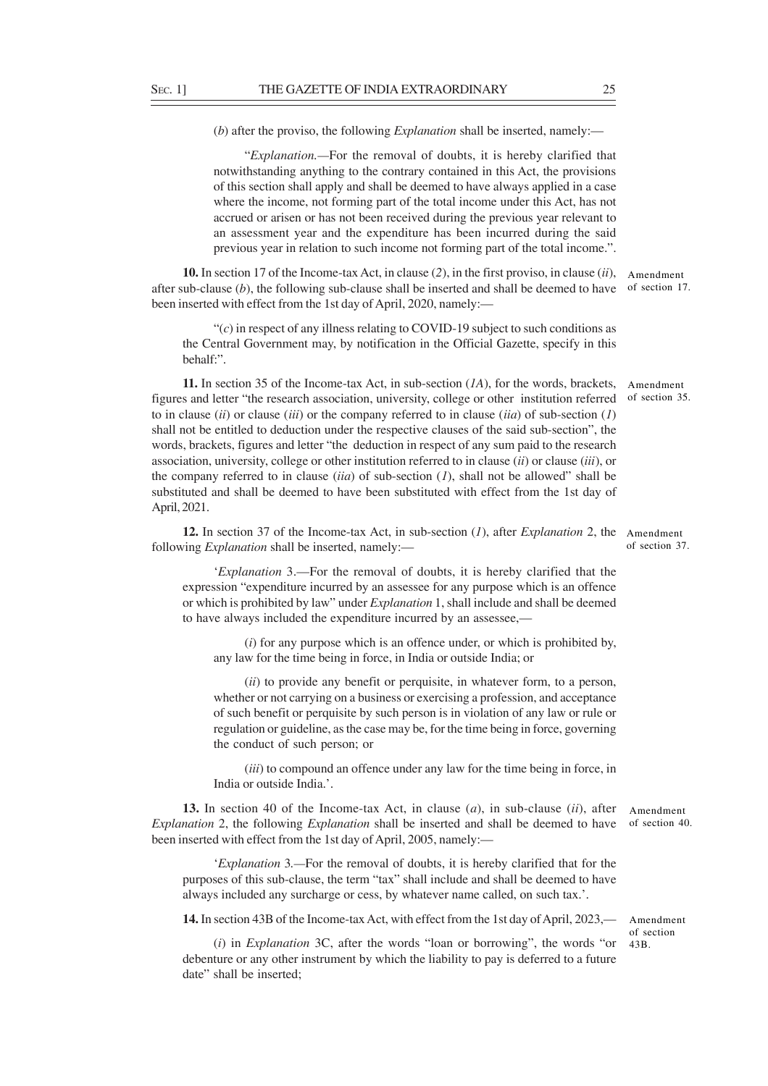(*b*) after the proviso, the following *Explanation* shall be inserted, namely:—

"*Explanation.—*For the removal of doubts, it is hereby clarified that notwithstanding anything to the contrary contained in this Act, the provisions of this section shall apply and shall be deemed to have always applied in a case where the income, not forming part of the total income under this Act, has not accrued or arisen or has not been received during the previous year relevant to an assessment year and the expenditure has been incurred during the said previous year in relation to such income not forming part of the total income.".

**10.** In section 17 of the Income-tax Act, in clause (*2*), in the first proviso, in clause (*ii*), Amendment after sub-clause (*b*), the following sub-clause shall be inserted and shall be deemed to have of section 17. been inserted with effect from the 1st day of April, 2020, namely:—

"(*c*) in respect of any illness relating to COVID-19 subject to such conditions as the Central Government may, by notification in the Official Gazette, specify in this behalf:".

**11.** In section 35 of the Income-tax Act, in sub-section (*1A*), for the words, brackets, figures and letter "the research association, university, college or other institution referred to in clause (*ii*) or clause (*iii*) or the company referred to in clause (*iia*) of sub-section (*1*) shall not be entitled to deduction under the respective clauses of the said sub-section", the words, brackets, figures and letter "the deduction in respect of any sum paid to the research association, university, college or other institution referred to in clause (*ii*) or clause (*iii*), or the company referred to in clause (*iia*) of sub-section (*1*), shall not be allowed" shall be substituted and shall be deemed to have been substituted with effect from the 1st day of April, 2021. Amendment of section 35.

**12.** In section 37 of the Income-tax Act, in sub-section (*1*), after *Explanation* 2, the Amendment following *Explanation* shall be inserted, namely:—

'*Explanation* 3.—For the removal of doubts, it is hereby clarified that the expression "expenditure incurred by an assessee for any purpose which is an offence or which is prohibited by law" under *Explanation* 1, shall include and shall be deemed to have always included the expenditure incurred by an assessee,—

(*i*) for any purpose which is an offence under, or which is prohibited by, any law for the time being in force, in India or outside India; or

(*ii*) to provide any benefit or perquisite, in whatever form, to a person, whether or not carrying on a business or exercising a profession, and acceptance of such benefit or perquisite by such person is in violation of any law or rule or regulation or guideline, as the case may be, for the time being in force, governing the conduct of such person; or

(*iii*) to compound an offence under any law for the time being in force, in India or outside India.'.

**13.** In section 40 of the Income-tax Act, in clause (*a*), in sub-clause (*ii*), after *Explanation* 2, the following *Explanation* shall be inserted and shall be deemed to have been inserted with effect from the 1st day of April, 2005, namely:— Amendment of section 40.

'*Explanation* 3*.—*For the removal of doubts, it is hereby clarified that for the purposes of this sub-clause, the term "tax" shall include and shall be deemed to have always included any surcharge or cess, by whatever name called, on such tax.'.

**14.** In section 43B of the Income-tax Act, with effect from the 1st day of April, 2023,—

Amendment of section 43B.

(*i*) in *Explanation* 3C, after the words "loan or borrowing", the words "or debenture or any other instrument by which the liability to pay is deferred to a future date" shall be inserted;

of section 37.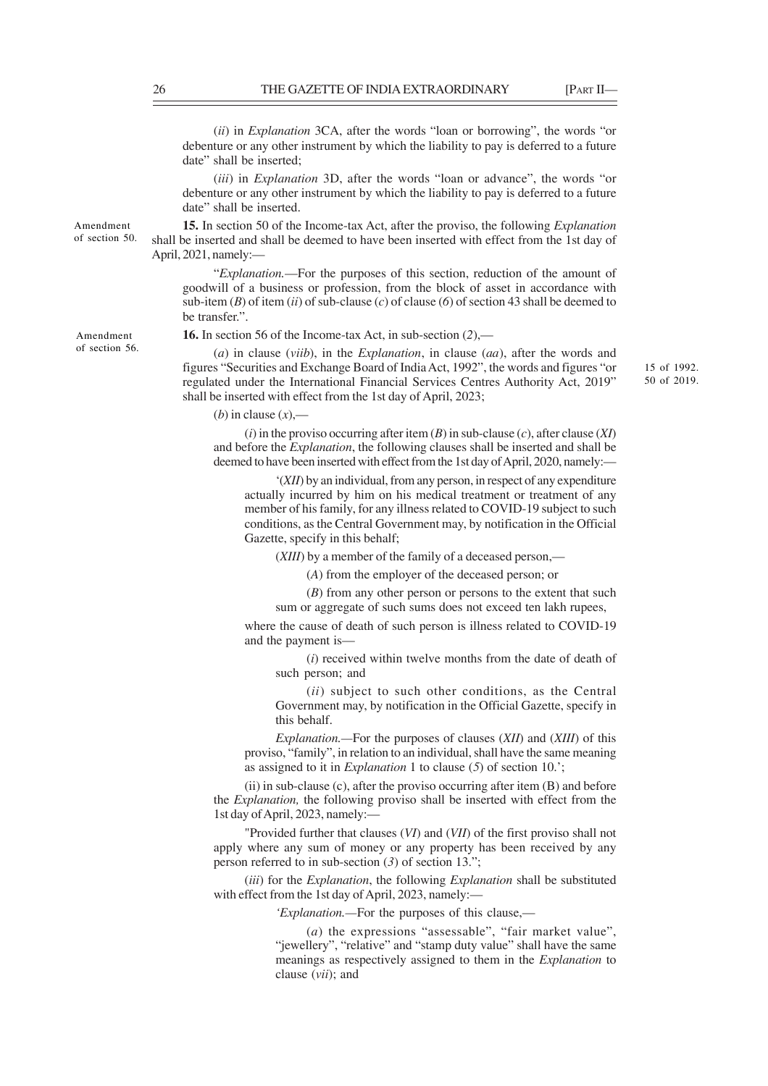(*ii*) in *Explanation* 3CA, after the words "loan or borrowing", the words "or debenture or any other instrument by which the liability to pay is deferred to a future date" shall be inserted;

(*iii*) in *Explanation* 3D, after the words "loan or advance", the words "or debenture or any other instrument by which the liability to pay is deferred to a future date" shall be inserted.

**15.** In section 50 of the Income-tax Act, after the proviso, the following *Explanation* shall be inserted and shall be deemed to have been inserted with effect from the 1st day of April, 2021, namely:—

"*Explanation.*—For the purposes of this section, reduction of the amount of goodwill of a business or profession, from the block of asset in accordance with sub-item (*B*) of item (*ii*) of sub-clause (*c*) of clause (*6*) of section 43 shall be deemed to be transfer.".

**16.** In section 56 of the Income-tax Act, in sub-section (*2*),—

(*a*) in clause (*viib*), in the *Explanation*, in clause (*aa*), after the words and figures "Securities and Exchange Board of India Act, 1992", the words and figures "or regulated under the International Financial Services Centres Authority Act, 2019" shall be inserted with effect from the 1st day of April, 2023;

(*b*) in clause  $(x)$ ,—

(*i*) in the proviso occurring after item (*B*) in sub-clause (*c*), after clause (*XI*) and before the *Explanation*, the following clauses shall be inserted and shall be deemed to have been inserted with effect from the 1st day of April, 2020, namely:—

'(*XII*) by an individual, from any person, in respect of any expenditure actually incurred by him on his medical treatment or treatment of any member of his family, for any illness related to COVID-19 subject to such conditions, as the Central Government may, by notification in the Official Gazette, specify in this behalf;

(*XIII*) by a member of the family of a deceased person,—

(*A*) from the employer of the deceased person; or

(*B*) from any other person or persons to the extent that such sum or aggregate of such sums does not exceed ten lakh rupees,

where the cause of death of such person is illness related to COVID-19 and the payment is—

(*i*) received within twelve months from the date of death of such person; and

(*ii*) subject to such other conditions, as the Central Government may, by notification in the Official Gazette, specify in this behalf.

*Explanation.—*For the purposes of clauses (*XII*) and (*XIII*) of this proviso, "family", in relation to an individual, shall have the same meaning as assigned to it in *Explanation* 1 to clause (*5*) of section 10.';

(ii) in sub-clause (c), after the proviso occurring after item (B) and before the *Explanation,* the following proviso shall be inserted with effect from the 1st day of April, 2023, namely:—

"Provided further that clauses (*VI*) and (*VII*) of the first proviso shall not apply where any sum of money or any property has been received by any person referred to in sub-section (*3*) of section 13.";

(*iii*) for the *Explanation*, the following *Explanation* shall be substituted with effect from the 1st day of April, 2023, namely:—

*'Explanation.—*For the purposes of this clause,—

(*a*) the expressions "assessable", "fair market value", "jewellery", "relative" and "stamp duty value" shall have the same meanings as respectively assigned to them in the *Explanation* to clause (*vii*); and

Amendment of section 50.

Amendment of section 56.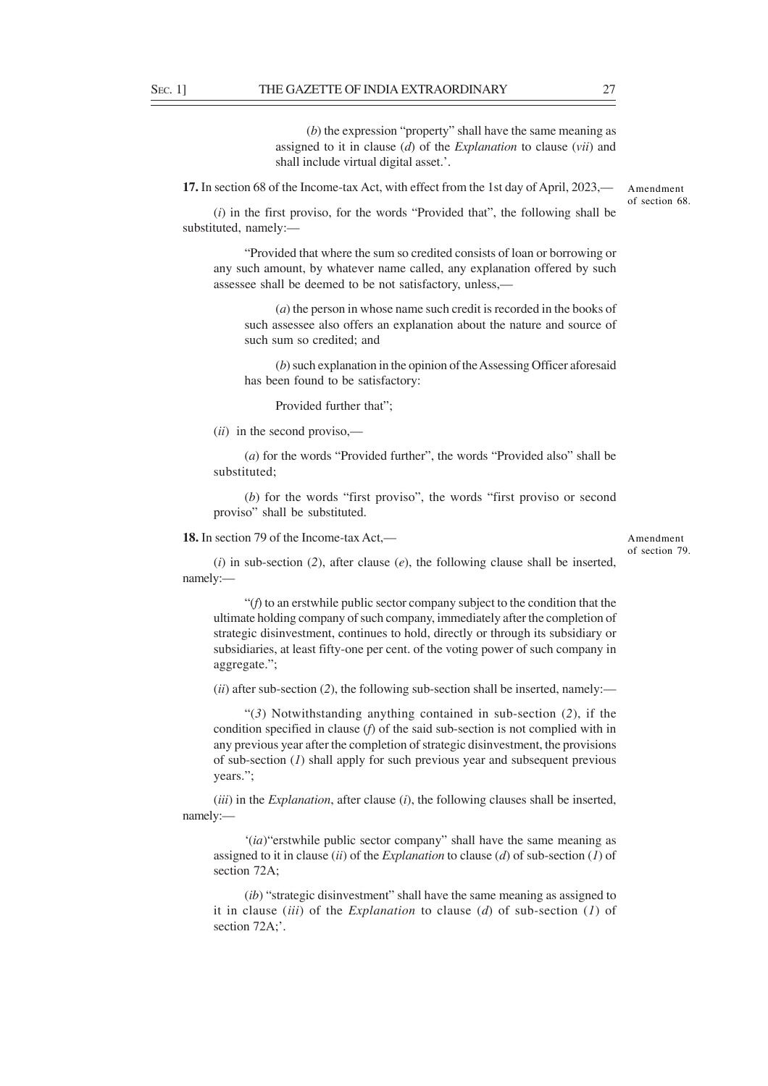(*b*) the expression "property" shall have the same meaning as assigned to it in clause (*d*) of the *Explanation* to clause (*vii*) and shall include virtual digital asset.'.

**17.** In section 68 of the Income-tax Act, with effect from the 1st day of April, 2023,— Amendment

(*i*) in the first proviso, for the words "Provided that", the following shall be substituted, namely:—

"Provided that where the sum so credited consists of loan or borrowing or any such amount, by whatever name called, any explanation offered by such assessee shall be deemed to be not satisfactory, unless,—

(*a*) the person in whose name such credit is recorded in the books of such assessee also offers an explanation about the nature and source of such sum so credited; and

(*b*) such explanation in the opinion of the Assessing Officer aforesaid has been found to be satisfactory:

Provided further that";

(*ii*) in the second proviso,—

(*a*) for the words "Provided further", the words "Provided also" shall be substituted;

(*b*) for the words "first proviso", the words "first proviso or second proviso" shall be substituted.

### **18.** In section 79 of the Income-tax Act,—

(*i*) in sub-section (*2*), after clause (*e*), the following clause shall be inserted, namely:—

"(*f*) to an erstwhile public sector company subject to the condition that the ultimate holding company of such company, immediately after the completion of strategic disinvestment, continues to hold, directly or through its subsidiary or subsidiaries, at least fifty-one per cent. of the voting power of such company in aggregate.";

(*ii*) after sub-section (*2*), the following sub-section shall be inserted, namely:—

"(*3*) Notwithstanding anything contained in sub-section (*2*), if the condition specified in clause (*f*) of the said sub-section is not complied with in any previous year after the completion of strategic disinvestment, the provisions of sub-section (*1*) shall apply for such previous year and subsequent previous years.";

(*iii*) in the *Explanation*, after clause (*i*), the following clauses shall be inserted, namely:—

'(*ia*)"erstwhile public sector company" shall have the same meaning as assigned to it in clause (*ii*) of the *Explanation* to clause (*d*) of sub-section (*1*) of section 72A;

(*ib*) "strategic disinvestment" shall have the same meaning as assigned to it in clause (*iii*) of the *Explanation* to clause (*d*) of sub-section (*1*) of section 72A;'.

of section 68.

Amendment of section 79.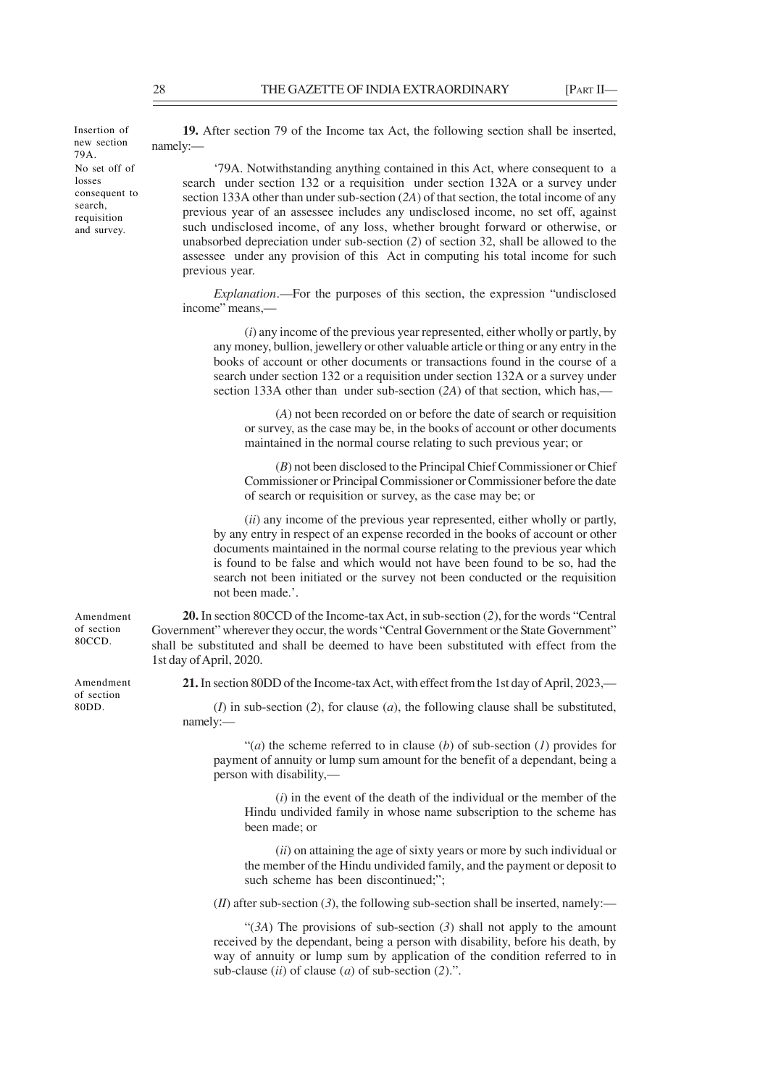No set off of losses consequent to search, requisition and survey. Insertion of new section 79A.

**19.** After section 79 of the Income tax Act, the following section shall be inserted, namely:—

'79A. Notwithstanding anything contained in this Act, where consequent to a search under section 132 or a requisition under section 132A or a survey under section 133A other than under sub-section (*2A*) of that section, the total income of any previous year of an assessee includes any undisclosed income, no set off, against such undisclosed income, of any loss, whether brought forward or otherwise, or unabsorbed depreciation under sub-section (*2*) of section 32, shall be allowed to the assessee under any provision of this Act in computing his total income for such previous year.

*Explanation*.—For the purposes of this section, the expression "undisclosed income" means,—

(*i*) any income of the previous year represented, either wholly or partly, by any money, bullion, jewellery or other valuable article or thing or any entry in the books of account or other documents or transactions found in the course of a search under section 132 or a requisition under section 132A or a survey under section 133A other than under sub-section (*2A*) of that section, which has,—

(*A*) not been recorded on or before the date of search or requisition or survey, as the case may be, in the books of account or other documents maintained in the normal course relating to such previous year; or

(*B*) not been disclosed to the Principal Chief Commissioner or Chief Commissioner or Principal Commissioner or Commissioner before the date of search or requisition or survey, as the case may be; or

(*ii*) any income of the previous year represented, either wholly or partly, by any entry in respect of an expense recorded in the books of account or other documents maintained in the normal course relating to the previous year which is found to be false and which would not have been found to be so, had the search not been initiated or the survey not been conducted or the requisition not been made.'.

**20.** In section 80CCD of the Income-tax Act, in sub-section (*2*), for the words "Central Government" wherever they occur, the words "Central Government or the State Government" shall be substituted and shall be deemed to have been substituted with effect from the 1st day of April, 2020.

**21.** In section 80DD of the Income-tax Act, with effect from the 1st day of April, 2023,—

(*I*) in sub-section (*2*), for clause (*a*), the following clause shall be substituted, namely:—

"(*a*) the scheme referred to in clause (*b*) of sub-section (*l*) provides for payment of annuity or lump sum amount for the benefit of a dependant, being a person with disability,—

(*i*) in the event of the death of the individual or the member of the Hindu undivided family in whose name subscription to the scheme has been made; or

(*ii*) on attaining the age of sixty years or more by such individual or the member of the Hindu undivided family, and the payment or deposit to such scheme has been discontinued;";

 $(H)$  after sub-section  $(3)$ , the following sub-section shall be inserted, namely:—

"(*3A*) The provisions of sub-section (*3*) shall not apply to the amount received by the dependant, being a person with disability, before his death, by way of annuity or lump sum by application of the condition referred to in sub-clause (*ii*) of clause (*a*) of sub-section (*2*).".

Amendment of section 80CCD.

Amendment of section 80DD.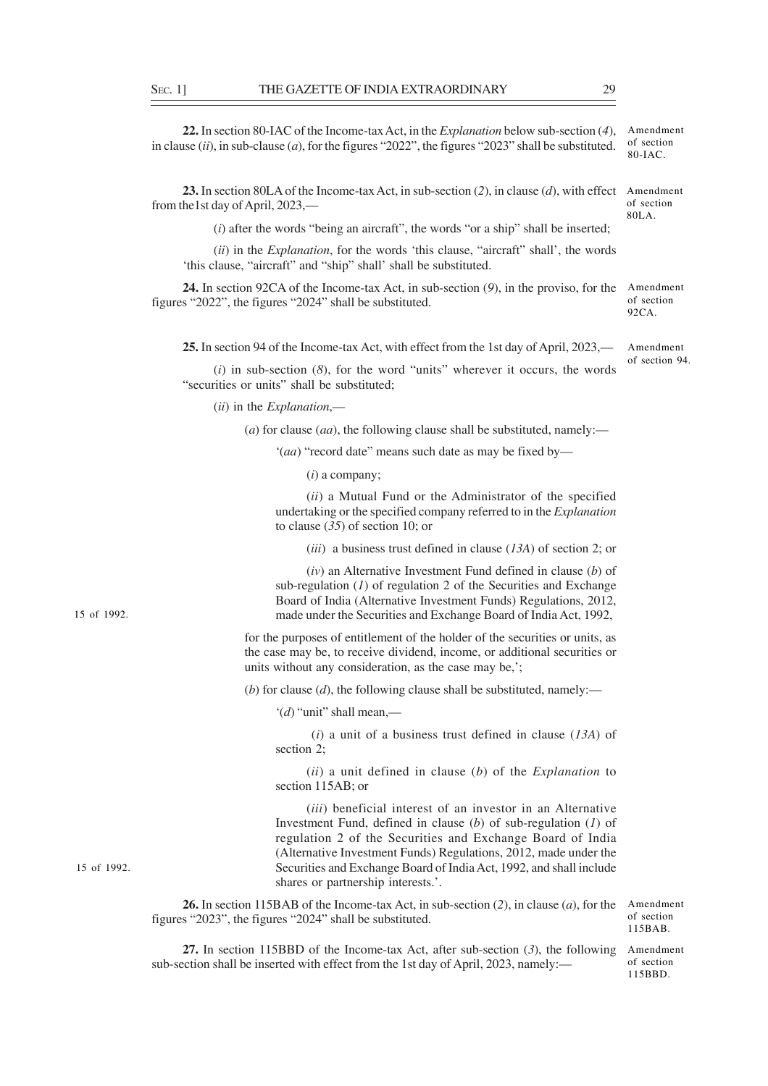**22.** In section 80-IAC of the Income-tax Act, in the *Explanation* below sub-section (*4*), in clause (*ii*), in sub-clause (*a*), for the figures "2022", the figures "2023" shall be substituted. Amendment of section 80-IAC.

**23.** In section 80LA of the Income-tax Act, in sub-section (*2*), in clause (*d*), with effect Amendment from the1st day of April, 2023, of section 80LA.

(*i*) after the words "being an aircraft", the words "or a ship" shall be inserted;

(*ii*) in the *Explanation*, for the words 'this clause, "aircraft" shall', the words 'this clause, "aircraft" and "ship" shall' shall be substituted.

**24.** In section 92CA of the Income-tax Act, in sub-section (*9*), in the proviso, for the Amendment figures "2022", the figures "2024" shall be substituted.

**25.** In section 94 of the Income-tax Act, with effect from the 1st day of April, 2023,— Amendment

(*i*) in sub-section (*8*), for the word "units" wherever it occurs, the words "securities or units" shall be substituted;

(*ii*) in the *Explanation*,—

(*a*) for clause (*aa*), the following clause shall be substituted, namely:—

'(*aa*) "record date" means such date as may be fixed by—

(*i*) a company;

(*ii*) a Mutual Fund or the Administrator of the specified undertaking or the specified company referred to in the *Explanation* to clause (*35*) of section 10; or

(*iii*) a business trust defined in clause (*13A*) of section 2; or

(*iv*) an Alternative Investment Fund defined in clause (*b*) of sub-regulation  $(I)$  of regulation 2 of the Securities and Exchange Board of India (Alternative Investment Funds) Regulations, 2012, made under the Securities and Exchange Board of India Act, 1992,

for the purposes of entitlement of the holder of the securities or units, as the case may be, to receive dividend, income, or additional securities or units without any consideration, as the case may be,';

(*b*) for clause (*d*), the following clause shall be substituted, namely:—

'(*d*) "unit" shall mean,—

 (*i*) a unit of a business trust defined in clause (*13A*) of section 2;

(*ii*) a unit defined in clause (*b*) of the *Explanation* to section 115AB; or

(*iii*) beneficial interest of an investor in an Alternative Investment Fund, defined in clause (*b*) of sub-regulation (*1*) of regulation 2 of the Securities and Exchange Board of India (Alternative Investment Funds) Regulations, 2012, made under the Securities and Exchange Board of India Act, 1992, and shall include shares or partnership interests.'.

**26.** In section 115BAB of the Income-tax Act, in sub-section (*2*), in clause (*a*), for the figures "2023", the figures "2024" shall be substituted.

Amendment of section 115BAB.

**27.** In section 115BBD of the Income-tax Act, after sub-section (*3*), the following sub-section shall be inserted with effect from the 1st day of April, 2023, namely:—

Amendment of section 115BBD.

15 of 1992.

15 of 1992.

of section  $92CA$ .

of section 94.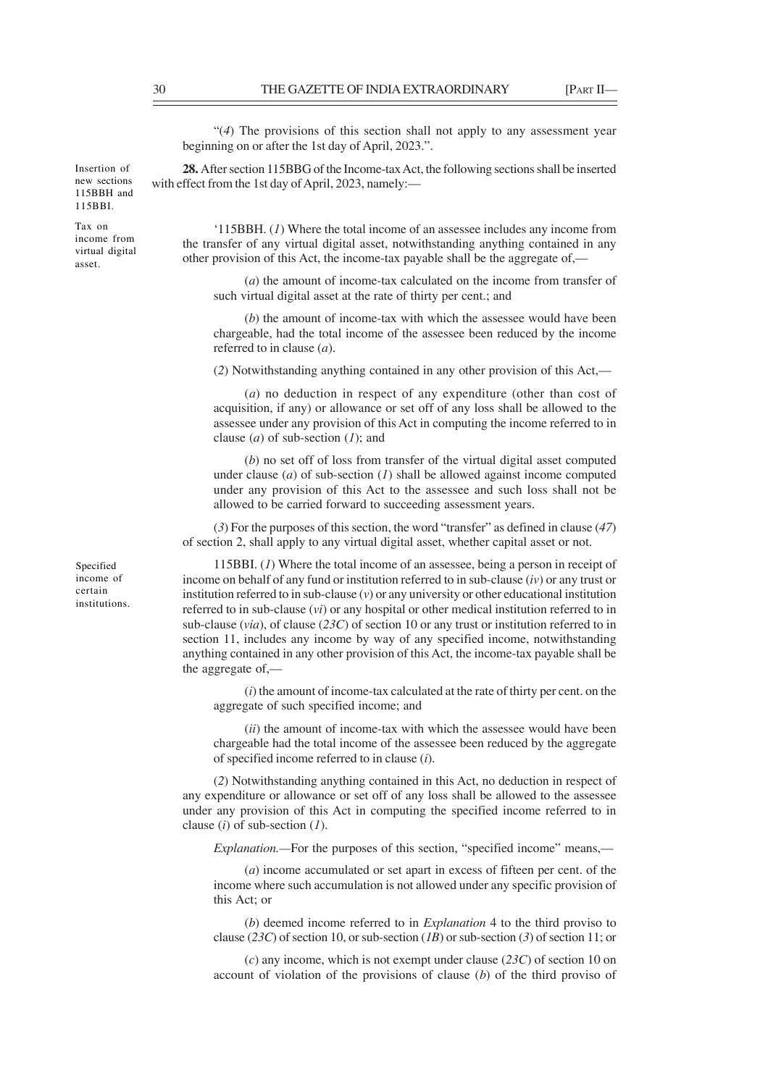"(*4*) The provisions of this section shall not apply to any assessment year beginning on or after the 1st day of April, 2023.".

**28.** After section 115BBG of the Income-tax Act, the following sections shall be inserted with effect from the 1st day of April, 2023, namely:—

'115BBH. (*1*) Where the total income of an assessee includes any income from the transfer of any virtual digital asset, notwithstanding anything contained in any other provision of this Act, the income-tax payable shall be the aggregate of,—

(*a*) the amount of income-tax calculated on the income from transfer of such virtual digital asset at the rate of thirty per cent.; and

(*b*) the amount of income-tax with which the assessee would have been chargeable, had the total income of the assessee been reduced by the income referred to in clause (*a*).

(*2*) Notwithstanding anything contained in any other provision of this Act,—

(*a*) no deduction in respect of any expenditure (other than cost of acquisition, if any) or allowance or set off of any loss shall be allowed to the assessee under any provision of this Act in computing the income referred to in clause (*a*) of sub-section (*1*); and

(*b*) no set off of loss from transfer of the virtual digital asset computed under clause (*a*) of sub-section (*1*) shall be allowed against income computed under any provision of this Act to the assessee and such loss shall not be allowed to be carried forward to succeeding assessment years.

(*3*) For the purposes of this section, the word "transfer" as defined in clause (*47*) of section 2, shall apply to any virtual digital asset, whether capital asset or not.

115BBI. (*1*) Where the total income of an assessee, being a person in receipt of income on behalf of any fund or institution referred to in sub-clause (*iv*) or any trust or institution referred to in sub-clause (*v*) or any university or other educational institution referred to in sub-clause (*vi*) or any hospital or other medical institution referred to in sub-clause (*via*), of clause (*23C*) of section 10 or any trust or institution referred to in section 11, includes any income by way of any specified income, notwithstanding anything contained in any other provision of this Act, the income-tax payable shall be the aggregate of,—

(*i*) the amount of income-tax calculated at the rate of thirty per cent. on the aggregate of such specified income; and

(*ii*) the amount of income-tax with which the assessee would have been chargeable had the total income of the assessee been reduced by the aggregate of specified income referred to in clause (*i*).

(*2*) Notwithstanding anything contained in this Act, no deduction in respect of any expenditure or allowance or set off of any loss shall be allowed to the assessee under any provision of this Act in computing the specified income referred to in clause (*i*) of sub-section (*1*).

*Explanation.*—For the purposes of this section, "specified income" means,—

(*a*) income accumulated or set apart in excess of fifteen per cent. of the income where such accumulation is not allowed under any specific provision of this Act; or

(*b*) deemed income referred to in *Explanation* 4 to the third proviso to clause (*23C*) of section 10, or sub-section (*1B*) or sub-section (*3*) of section 11; or

(*c*) any income, which is not exempt under clause (*23C*) of section 10 on account of violation of the provisions of clause (*b*) of the third proviso of

Tax on income from virtual digital asset.

Specified income of certain institutions.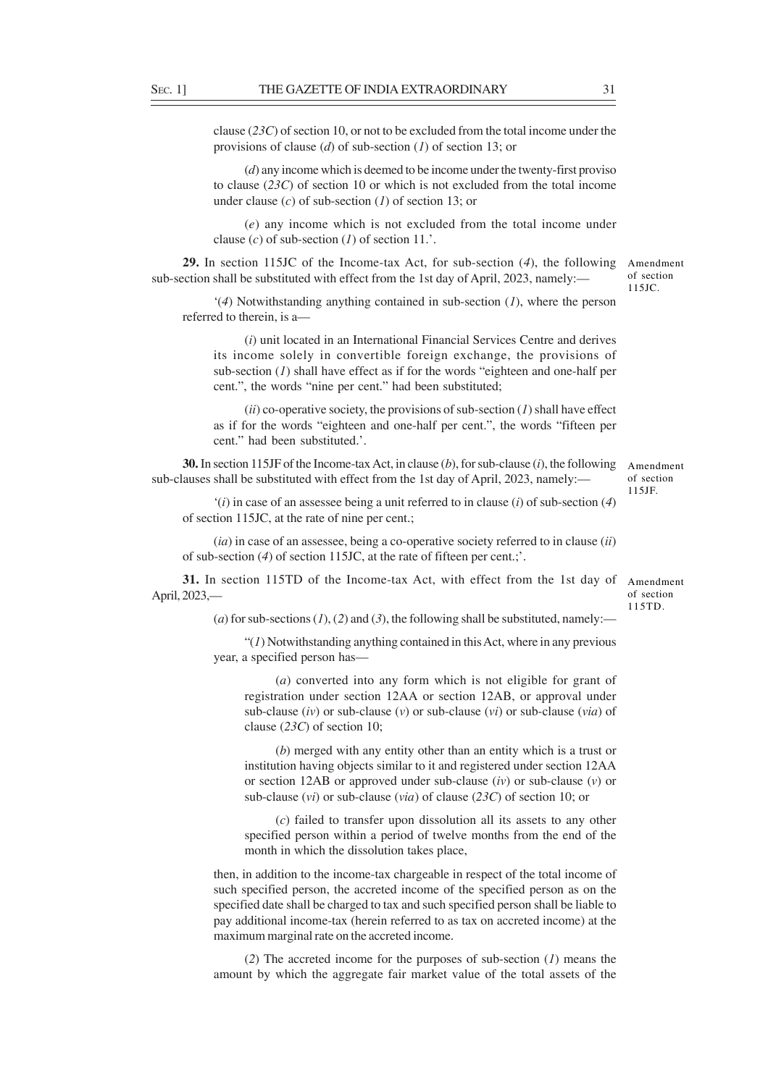clause (*23C*) of section 10, or not to be excluded from the total income under the provisions of clause (*d*) of sub-section (*1*) of section 13; or

(*d*) any income which is deemed to be income under the twenty-first proviso to clause (*23C*) of section 10 or which is not excluded from the total income under clause (*c*) of sub-section (*1*) of section 13; or

(*e*) any income which is not excluded from the total income under clause  $(c)$  of sub-section  $(1)$  of section 11.'.

**29.** In section 115JC of the Income-tax Act, for sub-section (*4*), the following Amendment sub-section shall be substituted with effect from the 1st day of April, 2023, namely:—

'(*4*) Notwithstanding anything contained in sub-section (*1*), where the person referred to therein, is a—

(*i*) unit located in an International Financial Services Centre and derives its income solely in convertible foreign exchange, the provisions of sub-section (*1*) shall have effect as if for the words "eighteen and one-half per cent.", the words "nine per cent." had been substituted;

(*ii*) co-operative society, the provisions of sub-section (*1*) shall have effect as if for the words "eighteen and one-half per cent.", the words "fifteen per cent." had been substituted.'.

**30.** In section 115JF of the Income-tax Act, in clause (*b*), for sub-clause (*i*), the following sub-clauses shall be substituted with effect from the 1st day of April, 2023, namely:—

Amendment of section 115JF.

of section 115JC.

'(*i*) in case of an assessee being a unit referred to in clause (*i*) of sub-section (*4*) of section 115JC, at the rate of nine per cent.;

(*ia*) in case of an assessee, being a co-operative society referred to in clause (*ii*) of sub-section (*4*) of section 115JC, at the rate of fifteen per cent.;'.

**31.** In section 115TD of the Income-tax Act, with effect from the 1st day of April, 2023,—

Amendment of section 115TD.

(*a*) for sub-sections (*1*), (*2*) and (*3*), the following shall be substituted, namely:-

"(*1*) Notwithstanding anything contained in this Act, where in any previous year, a specified person has—

(*a*) converted into any form which is not eligible for grant of registration under section 12AA or section 12AB, or approval under sub-clause (*iv*) or sub-clause (*v*) or sub-clause (*vi*) or sub-clause (*via*) of clause (*23C*) of section 10;

(*b*) merged with any entity other than an entity which is a trust or institution having objects similar to it and registered under section 12AA or section 12AB or approved under sub-clause (*iv*) or sub-clause (*v*) or sub-clause (*vi*) or sub-clause (*via*) of clause (*23C*) of section 10; or

(*c*) failed to transfer upon dissolution all its assets to any other specified person within a period of twelve months from the end of the month in which the dissolution takes place,

then, in addition to the income-tax chargeable in respect of the total income of such specified person, the accreted income of the specified person as on the specified date shall be charged to tax and such specified person shall be liable to pay additional income-tax (herein referred to as tax on accreted income) at the maximum marginal rate on the accreted income.

(*2*) The accreted income for the purposes of sub-section (*1*) means the amount by which the aggregate fair market value of the total assets of the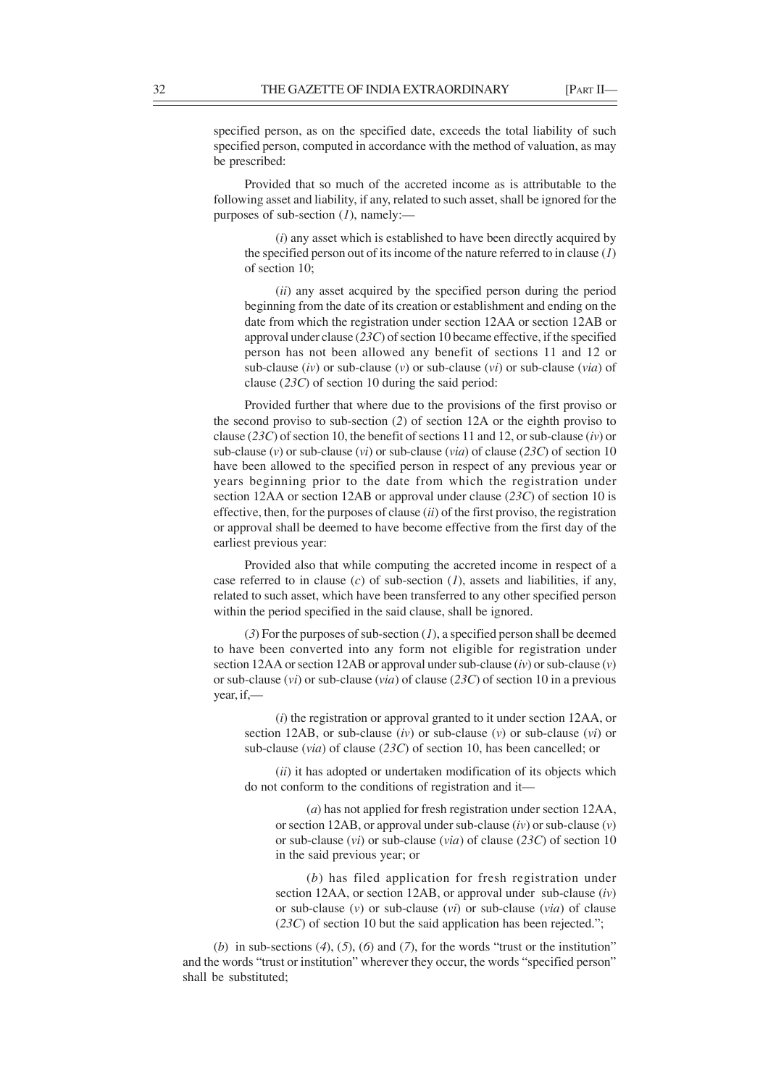specified person, as on the specified date, exceeds the total liability of such specified person, computed in accordance with the method of valuation, as may be prescribed:

Provided that so much of the accreted income as is attributable to the following asset and liability, if any, related to such asset, shall be ignored for the purposes of sub-section (*1*), namely:—

(*i*) any asset which is established to have been directly acquired by the specified person out of its income of the nature referred to in clause (*1*) of section 10;

(*ii*) any asset acquired by the specified person during the period beginning from the date of its creation or establishment and ending on the date from which the registration under section 12AA or section 12AB or approval under clause (*23C*) of section 10 became effective, if the specified person has not been allowed any benefit of sections 11 and 12 or sub-clause (*iv*) or sub-clause (*v*) or sub-clause (*vi*) or sub-clause (*via*) of clause (*23C*) of section 10 during the said period:

Provided further that where due to the provisions of the first proviso or the second proviso to sub-section (*2*) of section 12A or the eighth proviso to clause (*23C*) of section 10, the benefit of sections 11 and 12, or sub-clause (*iv*) or sub-clause (*v*) or sub-clause (*vi*) or sub-clause (*via*) of clause (*23C*) of section 10 have been allowed to the specified person in respect of any previous year or years beginning prior to the date from which the registration under section 12AA or section 12AB or approval under clause (*23C*) of section 10 is effective, then, for the purposes of clause (*ii*) of the first proviso, the registration or approval shall be deemed to have become effective from the first day of the earliest previous year:

Provided also that while computing the accreted income in respect of a case referred to in clause (*c*) of sub-section (*1*), assets and liabilities, if any, related to such asset, which have been transferred to any other specified person within the period specified in the said clause, shall be ignored.

(*3*) For the purposes of sub-section (*1*), a specified person shall be deemed to have been converted into any form not eligible for registration under section 12AA or section 12AB or approval under sub-clause (*iv*) or sub-clause (*v*) or sub-clause (*vi*) or sub-clause (*via*) of clause (*23C*) of section 10 in a previous year, if,—

(*i*) the registration or approval granted to it under section 12AA, or section 12AB, or sub-clause (*iv*) or sub-clause (*v*) or sub-clause (*vi*) or sub-clause (*via*) of clause (*23C*) of section 10, has been cancelled; or

(*ii*) it has adopted or undertaken modification of its objects which do not conform to the conditions of registration and it—

(*a*) has not applied for fresh registration under section 12AA, or section 12AB, or approval under sub-clause (*iv*) or sub-clause (*v*) or sub-clause (*vi*) or sub-clause (*via*) of clause (*23C*) of section 10 in the said previous year; or

(*b*) has filed application for fresh registration under section 12AA, or section 12AB, or approval under sub-clause (*iv*) or sub-clause (*v*) or sub-clause (*vi*) or sub-clause (*via*) of clause (*23C*) of section 10 but the said application has been rejected.";

(*b*) in sub-sections (*4*), (*5*), (*6*) and (*7*), for the words "trust or the institution" and the words "trust or institution" wherever they occur, the words "specified person" shall be substituted;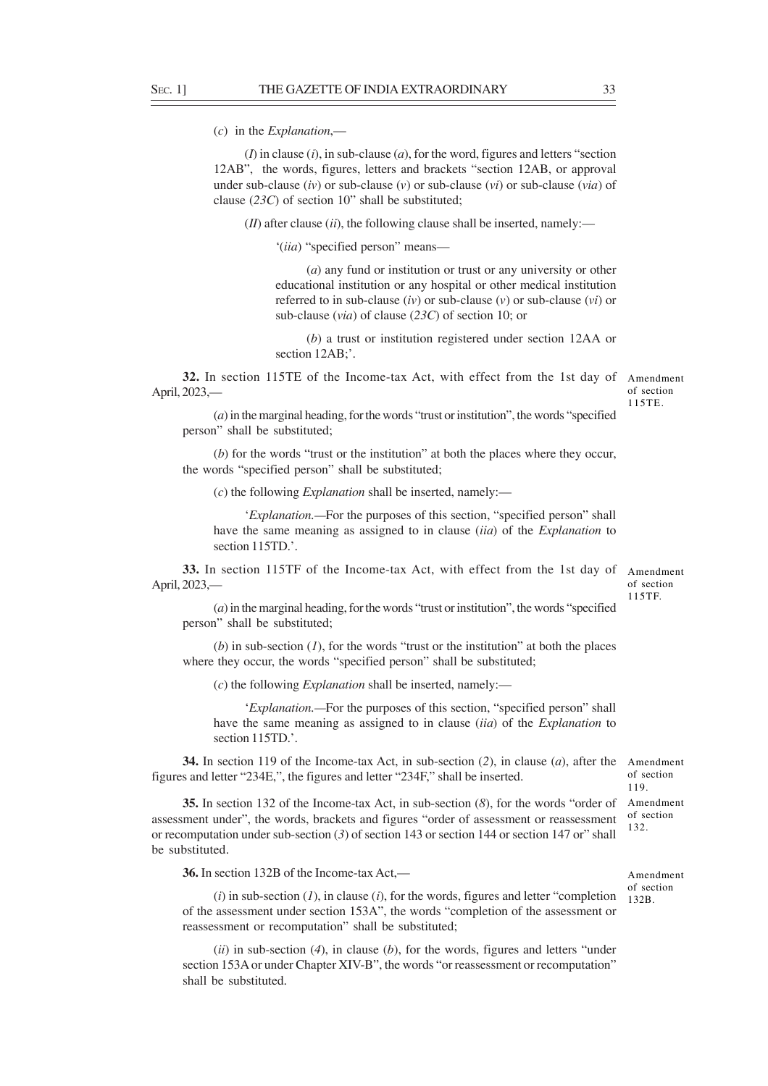(*c*) in the *Explanation*,—

(*I*) in clause (*i*), in sub-clause (*a*), for the word, figures and letters "section 12AB", the words, figures, letters and brackets "section 12AB, or approval under sub-clause (*iv*) or sub-clause (*v*) or sub-clause (*vi*) or sub-clause (*via*) of clause (*23C*) of section 10" shall be substituted;

 $(H)$  after clause  $(ii)$ , the following clause shall be inserted, namely:—

'(*iia*) "specified person" means—

(*a*) any fund or institution or trust or any university or other educational institution or any hospital or other medical institution referred to in sub-clause (*iv*) or sub-clause (*v*) or sub-clause (*vi*) or sub-clause (*via*) of clause (*23C*) of section 10; or

(*b*) a trust or institution registered under section 12AA or section 12AB;'.

**32.** In section 115TE of the Income-tax Act, with effect from the 1st day of April, 2023,—

Amendment of section 115TE.

(*a*) in the marginal heading, for the words "trust or institution", the words "specified person" shall be substituted;

(*b*) for the words "trust or the institution" at both the places where they occur, the words "specified person" shall be substituted;

(*c*) the following *Explanation* shall be inserted, namely:—

'*Explanation.—*For the purposes of this section, "specified person" shall have the same meaning as assigned to in clause (*iia*) of the *Explanation* to section 115TD.'.

**33.** In section 115TF of the Income-tax Act, with effect from the 1st day of Amendment April, 2023,—

of section 115TF.

(*a*) in the marginal heading, for the words "trust or institution", the words "specified person" shall be substituted;

 $(b)$  in sub-section  $(I)$ , for the words "trust or the institution" at both the places where they occur, the words "specified person" shall be substituted;

(*c*) the following *Explanation* shall be inserted, namely:—

'*Explanation.—*For the purposes of this section, "specified person" shall have the same meaning as assigned to in clause (*iia*) of the *Explanation* to section 115TD.'.

**34.** In section 119 of the Income-tax Act, in sub-section (*2*), in clause (*a*), after the Amendment figures and letter "234E,", the figures and letter "234F," shall be inserted.

**35.** In section 132 of the Income-tax Act, in sub-section (*8*), for the words "order of assessment under", the words, brackets and figures "order of assessment or reassessment or recomputation under sub-section (*3*) of section 143 or section 144 or section 147 or" shall be substituted.

**36.** In section 132B of the Income-tax Act,—

(*i*) in sub-section (*1*), in clause (*i*), for the words, figures and letter "completion of the assessment under section 153A", the words "completion of the assessment or reassessment or recomputation" shall be substituted;

(*ii*) in sub-section (*4*), in clause (*b*), for the words, figures and letters "under section 153A or under Chapter XIV-B", the words "or reassessment or recomputation" shall be substituted.

Amendment of section 132B.

of section 119. Amendment of section 132.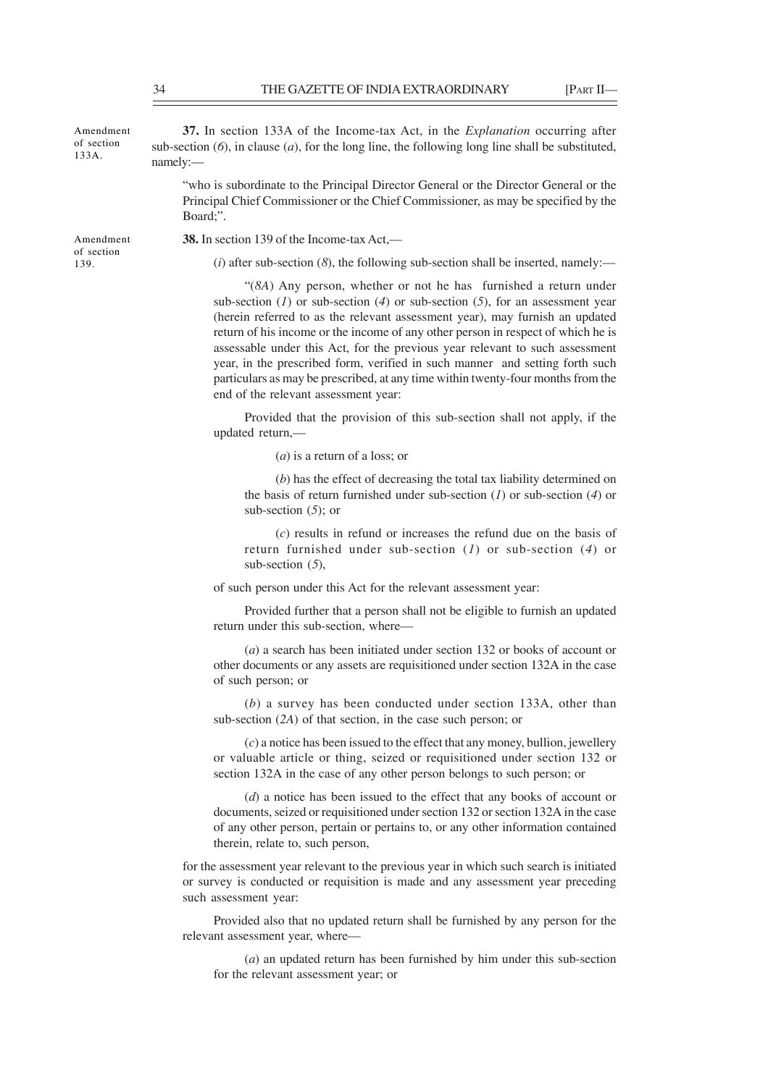Amendment of section 133A.

**37.** In section 133A of the Income-tax Act, in the *Explanation* occurring after sub-section  $(6)$ , in clause  $(a)$ , for the long line, the following long line shall be substituted, namely:—

"who is subordinate to the Principal Director General or the Director General or the Principal Chief Commissioner or the Chief Commissioner, as may be specified by the Board;".

Amendment of section 139.

**38.** In section 139 of the Income-tax Act,—

(*i*) after sub-section (*8*), the following sub-section shall be inserted, namely:—

"(*8A*) Any person, whether or not he has furnished a return under sub-section (*1*) or sub-section (*4*) or sub-section (*5*), for an assessment year (herein referred to as the relevant assessment year), may furnish an updated return of his income or the income of any other person in respect of which he is assessable under this Act, for the previous year relevant to such assessment year, in the prescribed form, verified in such manner and setting forth such particulars as may be prescribed, at any time within twenty-four months from the end of the relevant assessment year:

Provided that the provision of this sub-section shall not apply, if the updated return,—

(*a*) is a return of a loss; or

(*b*) has the effect of decreasing the total tax liability determined on the basis of return furnished under sub-section (*1*) or sub-section (*4*) or sub-section (*5*); or

(*c*) results in refund or increases the refund due on the basis of return furnished under sub-section (*1*) or sub-section (*4*) or sub-section (*5*),

of such person under this Act for the relevant assessment year:

Provided further that a person shall not be eligible to furnish an updated return under this sub-section, where—

(*a*) a search has been initiated under section 132 or books of account or other documents or any assets are requisitioned under section 132A in the case of such person; or

(*b*) a survey has been conducted under section 133A, other than sub-section (*2A*) of that section, in the case such person; or

(*c*) a notice has been issued to the effect that any money, bullion, jewellery or valuable article or thing, seized or requisitioned under section 132 or section 132A in the case of any other person belongs to such person; or

(*d*) a notice has been issued to the effect that any books of account or documents, seized or requisitioned under section 132 or section 132A in the case of any other person, pertain or pertains to, or any other information contained therein, relate to, such person,

for the assessment year relevant to the previous year in which such search is initiated or survey is conducted or requisition is made and any assessment year preceding such assessment year:

Provided also that no updated return shall be furnished by any person for the relevant assessment year, where—

(*a*) an updated return has been furnished by him under this sub-section for the relevant assessment year; or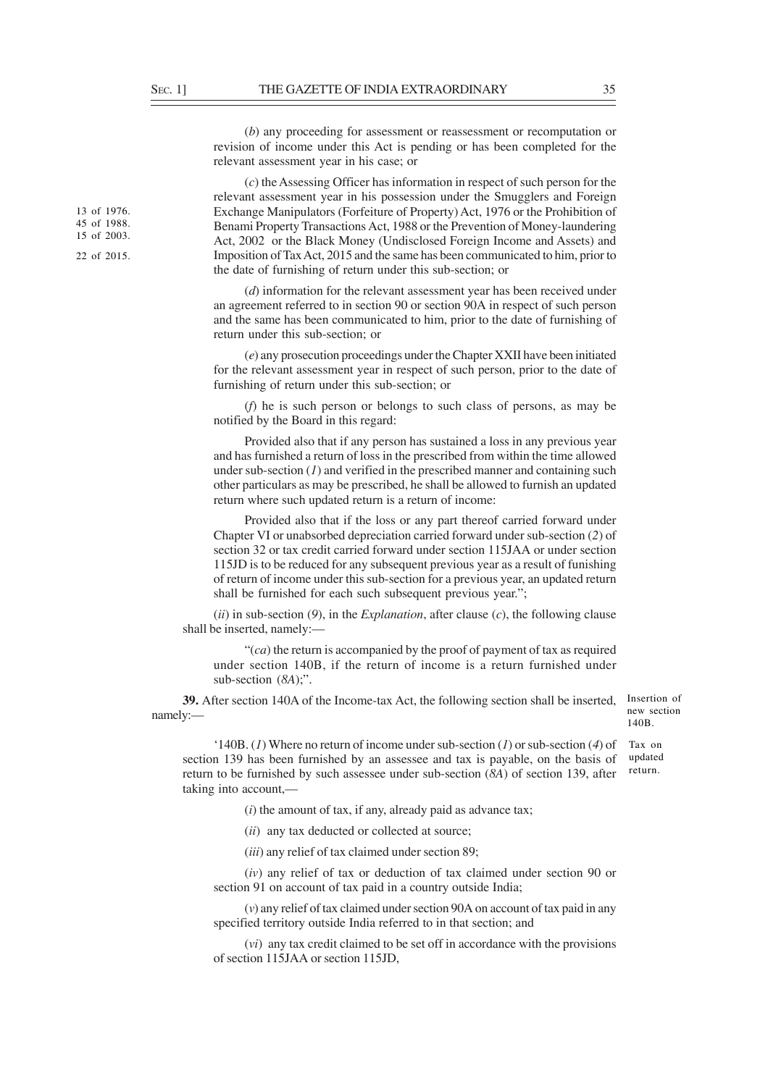(*b*) any proceeding for assessment or reassessment or recomputation or revision of income under this Act is pending or has been completed for the relevant assessment year in his case; or

(*c*) the Assessing Officer has information in respect of such person for the relevant assessment year in his possession under the Smugglers and Foreign Exchange Manipulators (Forfeiture of Property) Act, 1976 or the Prohibition of Benami Property Transactions Act, 1988 or the Prevention of Money-laundering Act, 2002 or the Black Money (Undisclosed Foreign Income and Assets) and Imposition of Tax Act, 2015 and the same has been communicated to him, prior to the date of furnishing of return under this sub-section; or

(*d*) information for the relevant assessment year has been received under an agreement referred to in section 90 or section 90A in respect of such person and the same has been communicated to him, prior to the date of furnishing of return under this sub-section; or

(*e*) any prosecution proceedings under the Chapter XXII have been initiated for the relevant assessment year in respect of such person, prior to the date of furnishing of return under this sub-section; or

(*f*) he is such person or belongs to such class of persons, as may be notified by the Board in this regard:

Provided also that if any person has sustained a loss in any previous year and has furnished a return of loss in the prescribed from within the time allowed under sub-section (*1*) and verified in the prescribed manner and containing such other particulars as may be prescribed, he shall be allowed to furnish an updated return where such updated return is a return of income:

Provided also that if the loss or any part thereof carried forward under Chapter VI or unabsorbed depreciation carried forward under sub-section (*2*) of section 32 or tax credit carried forward under section 115JAA or under section 115JD is to be reduced for any subsequent previous year as a result of funishing of return of income under this sub-section for a previous year, an updated return shall be furnished for each such subsequent previous year.";

(*ii*) in sub-section (*9*), in the *Explanation*, after clause (*c*), the following clause shall be inserted, namely:—

"(*ca*) the return is accompanied by the proof of payment of tax as required under section 140B, if the return of income is a return furnished under sub-section (*8A*);".

**39.** After section 140A of the Income-tax Act, the following section shall be inserted, Insertion of namely:—

new section 140B.

'140B. (*1*) Where no return of income under sub-section (*1*) or sub-section (*4*) of section 139 has been furnished by an assessee and tax is payable, on the basis of return to be furnished by such assessee under sub-section (*8A*) of section 139, after taking into account,— Tax on updated return.

(*i*) the amount of tax, if any, already paid as advance tax;

(*ii*) any tax deducted or collected at source;

(*iii*) any relief of tax claimed under section 89;

(*iv*) any relief of tax or deduction of tax claimed under section 90 or section 91 on account of tax paid in a country outside India;

(*v*) any relief of tax claimed under section 90A on account of tax paid in any specified territory outside India referred to in that section; and

(*vi*) any tax credit claimed to be set off in accordance with the provisions of section 115JAA or section 115JD,

13 of 1976. 45 of 1988. 15 of 2003.

22 of 2015.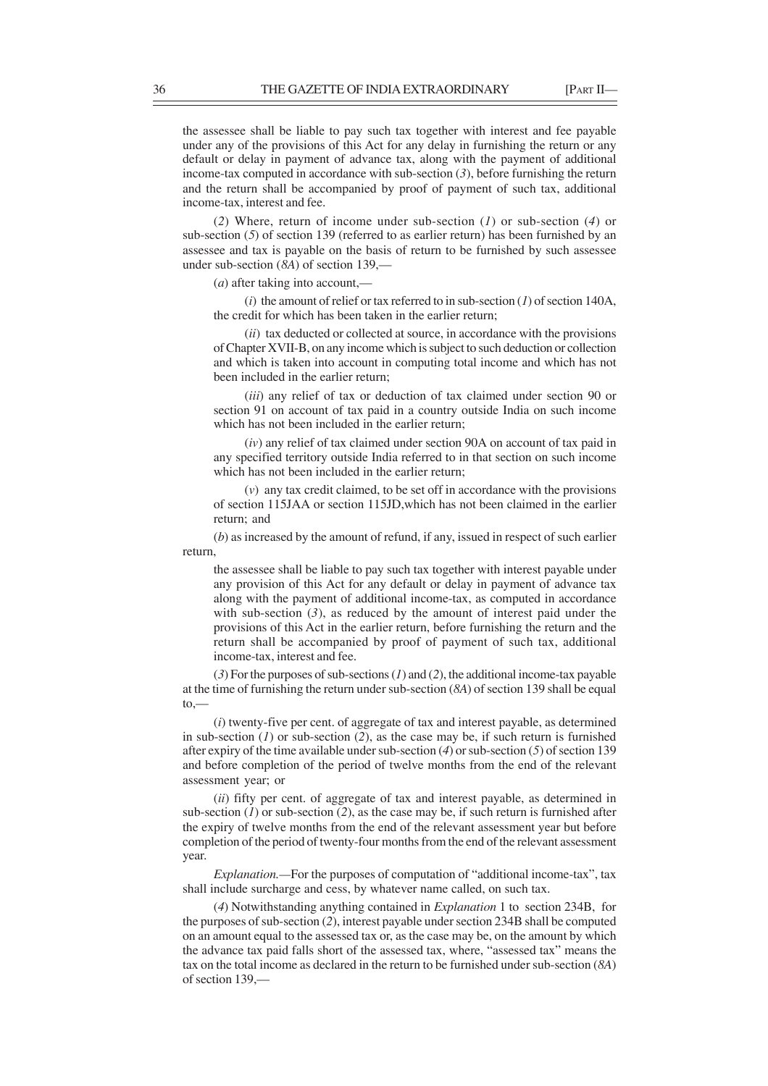the assessee shall be liable to pay such tax together with interest and fee payable under any of the provisions of this Act for any delay in furnishing the return or any default or delay in payment of advance tax, along with the payment of additional income-tax computed in accordance with sub-section (*3*), before furnishing the return and the return shall be accompanied by proof of payment of such tax, additional income-tax, interest and fee.

(*2*) Where, return of income under sub-section (*1*) or sub-section (*4*) or sub-section (*5*) of section 139 (referred to as earlier return) has been furnished by an assessee and tax is payable on the basis of return to be furnished by such assessee under sub-section (*8A*) of section 139,—

(*a*) after taking into account,—

(*i*) the amount of relief or tax referred to in sub-section (*1*) of section 140A, the credit for which has been taken in the earlier return;

(*ii*) tax deducted or collected at source, in accordance with the provisions of Chapter XVII-B, on any income which is subject to such deduction or collection and which is taken into account in computing total income and which has not been included in the earlier return;

(*iii*) any relief of tax or deduction of tax claimed under section 90 or section 91 on account of tax paid in a country outside India on such income which has not been included in the earlier return;

(*iv*) any relief of tax claimed under section 90A on account of tax paid in any specified territory outside India referred to in that section on such income which has not been included in the earlier return;

(*v*) any tax credit claimed, to be set off in accordance with the provisions of section 115JAA or section 115JD,which has not been claimed in the earlier return; and

(*b*) as increased by the amount of refund, if any, issued in respect of such earlier return,

the assessee shall be liable to pay such tax together with interest payable under any provision of this Act for any default or delay in payment of advance tax along with the payment of additional income-tax, as computed in accordance with sub-section  $(3)$ , as reduced by the amount of interest paid under the provisions of this Act in the earlier return, before furnishing the return and the return shall be accompanied by proof of payment of such tax, additional income-tax, interest and fee.

(*3*) For the purposes of sub-sections (*1*) and (*2*), the additional income-tax payable at the time of furnishing the return under sub-section (*8A*) of section 139 shall be equal  $to -$ 

(*i*) twenty-five per cent. of aggregate of tax and interest payable, as determined in sub-section (*1*) or sub-section (*2*), as the case may be, if such return is furnished after expiry of the time available under sub-section (*4*) or sub-section (*5*) of section 139 and before completion of the period of twelve months from the end of the relevant assessment year; or

(*ii*) fifty per cent. of aggregate of tax and interest payable, as determined in sub-section  $(1)$  or sub-section  $(2)$ , as the case may be, if such return is furnished after the expiry of twelve months from the end of the relevant assessment year but before completion of the period of twenty-four months from the end of the relevant assessment year.

*Explanation.—*For the purposes of computation of "additional income-tax", tax shall include surcharge and cess, by whatever name called, on such tax.

(*4*) Notwithstanding anything contained in *Explanation* 1 to section 234B, for the purposes of sub-section (*2*), interest payable under section 234B shall be computed on an amount equal to the assessed tax or, as the case may be, on the amount by which the advance tax paid falls short of the assessed tax, where, "assessed tax" means the tax on the total income as declared in the return to be furnished under sub-section (*8A*) of section 139,—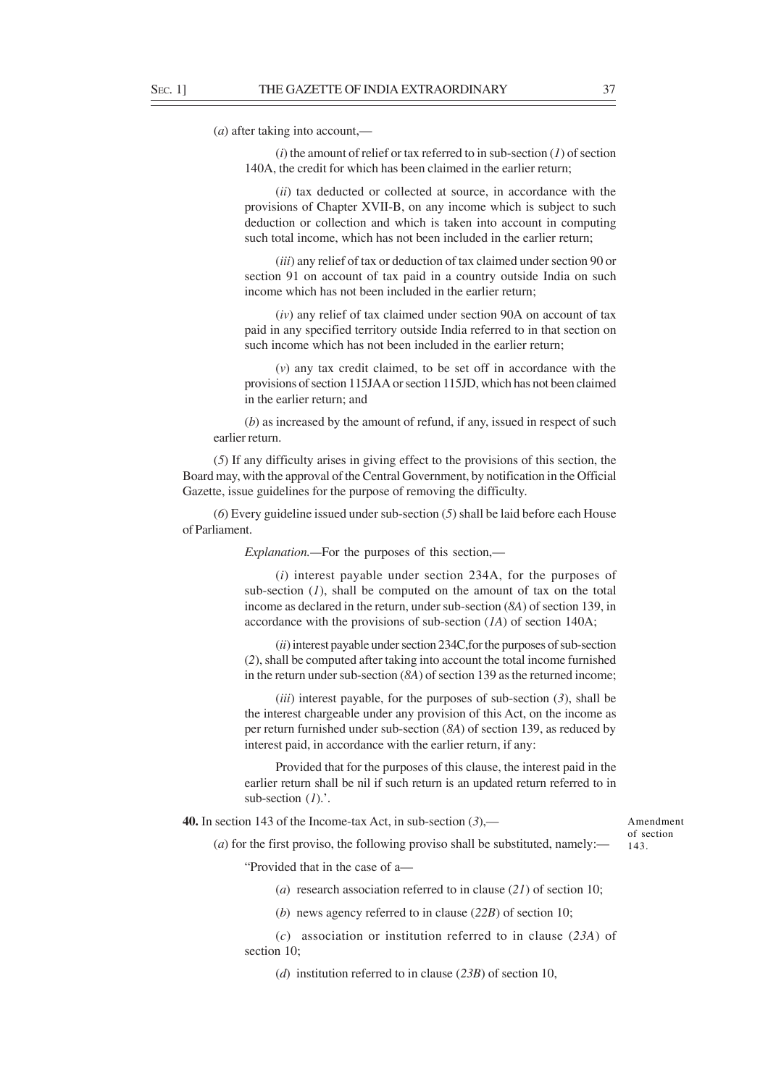(*a*) after taking into account,—

(*i*) the amount of relief or tax referred to in sub-section (*1*) of section 140A, the credit for which has been claimed in the earlier return;

(*ii*) tax deducted or collected at source, in accordance with the provisions of Chapter XVII-B, on any income which is subject to such deduction or collection and which is taken into account in computing such total income, which has not been included in the earlier return;

(*iii*) any relief of tax or deduction of tax claimed under section 90 or section 91 on account of tax paid in a country outside India on such income which has not been included in the earlier return;

(*iv*) any relief of tax claimed under section 90A on account of tax paid in any specified territory outside India referred to in that section on such income which has not been included in the earlier return;

(*v*) any tax credit claimed, to be set off in accordance with the provisions of section 115JAA or section 115JD, which has not been claimed in the earlier return; and

(*b*) as increased by the amount of refund, if any, issued in respect of such earlier return.

(*5*) If any difficulty arises in giving effect to the provisions of this section, the Board may, with the approval of the Central Government, by notification in the Official Gazette, issue guidelines for the purpose of removing the difficulty.

(*6*) Every guideline issued under sub-section (*5*) shall be laid before each House of Parliament.

*Explanation.—*For the purposes of this section,—

(*i*) interest payable under section 234A, for the purposes of sub-section (*1*), shall be computed on the amount of tax on the total income as declared in the return, under sub-section (*8A*) of section 139, in accordance with the provisions of sub-section (*1A*) of section 140A;

(*ii*) interest payable under section 234C,for the purposes of sub-section (*2*), shall be computed after taking into account the total income furnished in the return under sub-section (*8A*) of section 139 as the returned income;

(*iii*) interest payable, for the purposes of sub-section (*3*), shall be the interest chargeable under any provision of this Act, on the income as per return furnished under sub-section (*8A*) of section 139, as reduced by interest paid, in accordance with the earlier return, if any:

Provided that for the purposes of this clause, the interest paid in the earlier return shall be nil if such return is an updated return referred to in sub-section (*1*).'.

**40.** In section 143 of the Income-tax Act, in sub-section (*3*),—

Amendment of section 143.

(*a*) for the first proviso, the following proviso shall be substituted, namely:—

"Provided that in the case of a—

(*a*) research association referred to in clause (*21*) of section 10;

(*b*) news agency referred to in clause (*22B*) of section 10;

(*c*) association or institution referred to in clause (*23A*) of section 10;

(*d*) institution referred to in clause (*23B*) of section 10,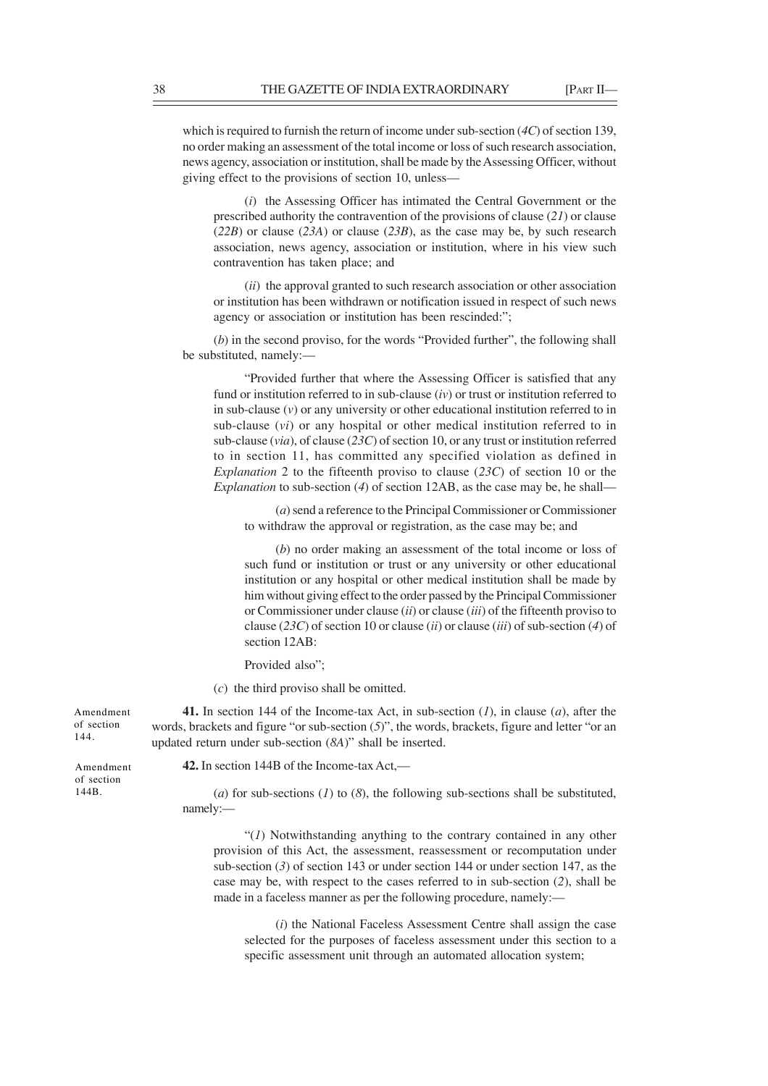which is required to furnish the return of income under sub-section (*4C*) of section 139, no order making an assessment of the total income or loss of such research association, news agency, association or institution, shall be made by the Assessing Officer, without giving effect to the provisions of section 10, unless—

(*i*) the Assessing Officer has intimated the Central Government or the prescribed authority the contravention of the provisions of clause (*21*) or clause (*22B*) or clause (*23A*) or clause (*23B*), as the case may be, by such research association, news agency, association or institution, where in his view such contravention has taken place; and

(*ii*) the approval granted to such research association or other association or institution has been withdrawn or notification issued in respect of such news agency or association or institution has been rescinded:";

(*b*) in the second proviso, for the words "Provided further", the following shall be substituted, namely:—

"Provided further that where the Assessing Officer is satisfied that any fund or institution referred to in sub-clause (*iv*) or trust or institution referred to in sub-clause (*v*) or any university or other educational institution referred to in sub-clause (*vi*) or any hospital or other medical institution referred to in sub-clause (*via*), of clause (*23C*) of section 10, or any trust or institution referred to in section 11, has committed any specified violation as defined in *Explanation* 2 to the fifteenth proviso to clause (*23C*) of section 10 or the *Explanation* to sub-section (*4*) of section 12AB, as the case may be, he shall—

(*a*) send a reference to the Principal Commissioner or Commissioner to withdraw the approval or registration, as the case may be; and

(*b*) no order making an assessment of the total income or loss of such fund or institution or trust or any university or other educational institution or any hospital or other medical institution shall be made by him without giving effect to the order passed by the Principal Commissioner or Commissioner under clause (*ii*) or clause (*iii*) of the fifteenth proviso to clause (*23C*) of section 10 or clause (*ii*) or clause (*iii*) of sub-section (*4*) of section 12AB:

Provided also";

(*c*) the third proviso shall be omitted.

**41.** In section 144 of the Income-tax Act, in sub-section (*1*), in clause (*a*), after the words, brackets and figure "or sub-section (*5*)", the words, brackets, figure and letter "or an updated return under sub-section (*8A*)" shall be inserted.

Amendment of section

144B.

Amendment of section 144.

**42.** In section 144B of the Income-tax Act,—

(*a*) for sub-sections (*1*) to (*8*), the following sub-sections shall be substituted, namely:—

"(*1*) Notwithstanding anything to the contrary contained in any other provision of this Act, the assessment, reassessment or recomputation under sub-section (*3*) of section 143 or under section 144 or under section 147, as the case may be, with respect to the cases referred to in sub-section (*2*), shall be made in a faceless manner as per the following procedure, namely:—

(*i*) the National Faceless Assessment Centre shall assign the case selected for the purposes of faceless assessment under this section to a specific assessment unit through an automated allocation system;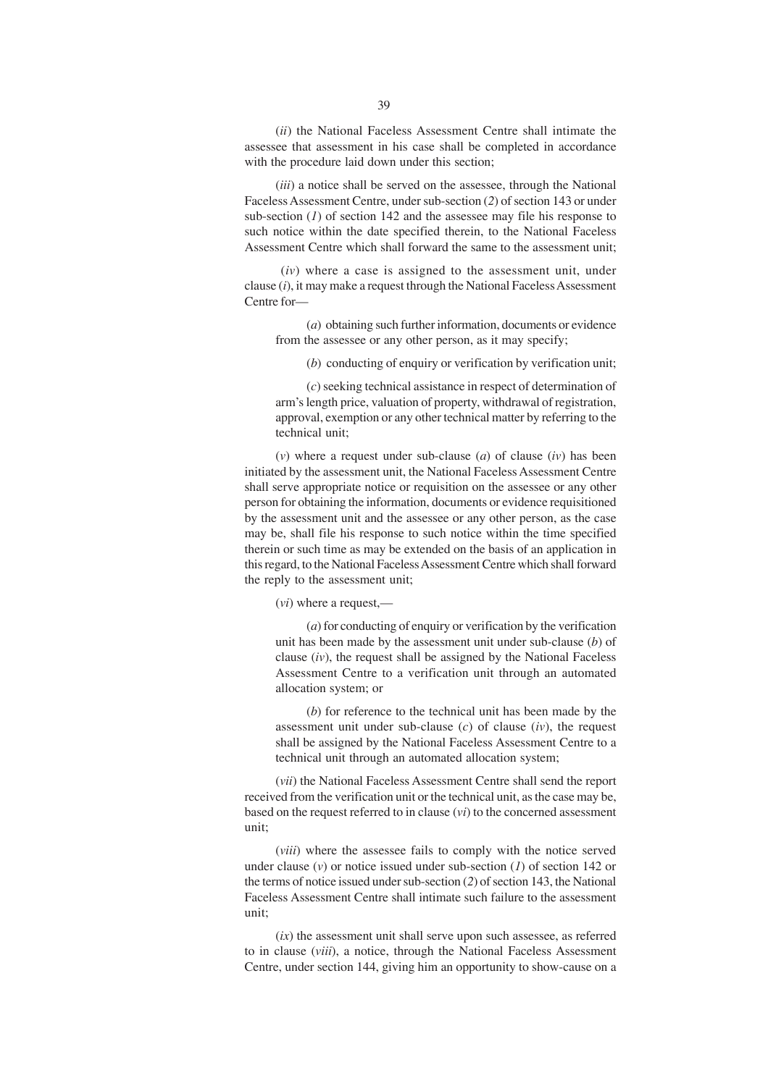(*ii*) the National Faceless Assessment Centre shall intimate the assessee that assessment in his case shall be completed in accordance with the procedure laid down under this section;

(*iii*) a notice shall be served on the assessee, through the National Faceless Assessment Centre, under sub-section (*2*) of section 143 or under sub-section  $(1)$  of section 142 and the assessee may file his response to such notice within the date specified therein, to the National Faceless Assessment Centre which shall forward the same to the assessment unit;

 (*iv*) where a case is assigned to the assessment unit, under clause (*i*), it may make a request through the National Faceless Assessment Centre for—

(*a*) obtaining such further information, documents or evidence from the assessee or any other person, as it may specify;

(*b*) conducting of enquiry or verification by verification unit;

(*c*) seeking technical assistance in respect of determination of arm's length price, valuation of property, withdrawal of registration, approval, exemption or any other technical matter by referring to the technical unit;

(*v*) where a request under sub-clause (*a*) of clause (*iv*) has been initiated by the assessment unit, the National Faceless Assessment Centre shall serve appropriate notice or requisition on the assessee or any other person for obtaining the information, documents or evidence requisitioned by the assessment unit and the assessee or any other person, as the case may be, shall file his response to such notice within the time specified therein or such time as may be extended on the basis of an application in this regard, to the National Faceless Assessment Centre which shall forward the reply to the assessment unit;

(*vi*) where a request,—

(*a*) for conducting of enquiry or verification by the verification unit has been made by the assessment unit under sub-clause (*b*) of clause (*iv*), the request shall be assigned by the National Faceless Assessment Centre to a verification unit through an automated allocation system; or

(*b*) for reference to the technical unit has been made by the assessment unit under sub-clause (*c*) of clause (*iv*), the request shall be assigned by the National Faceless Assessment Centre to a technical unit through an automated allocation system;

(*vii*) the National Faceless Assessment Centre shall send the report received from the verification unit or the technical unit, as the case may be, based on the request referred to in clause (*vi*) to the concerned assessment unit;

(*viii*) where the assessee fails to comply with the notice served under clause (*v*) or notice issued under sub-section (*1*) of section 142 or the terms of notice issued under sub-section (*2*) of section 143, the National Faceless Assessment Centre shall intimate such failure to the assessment unit;

(*ix*) the assessment unit shall serve upon such assessee, as referred to in clause (*viii*), a notice, through the National Faceless Assessment Centre, under section 144, giving him an opportunity to show-cause on a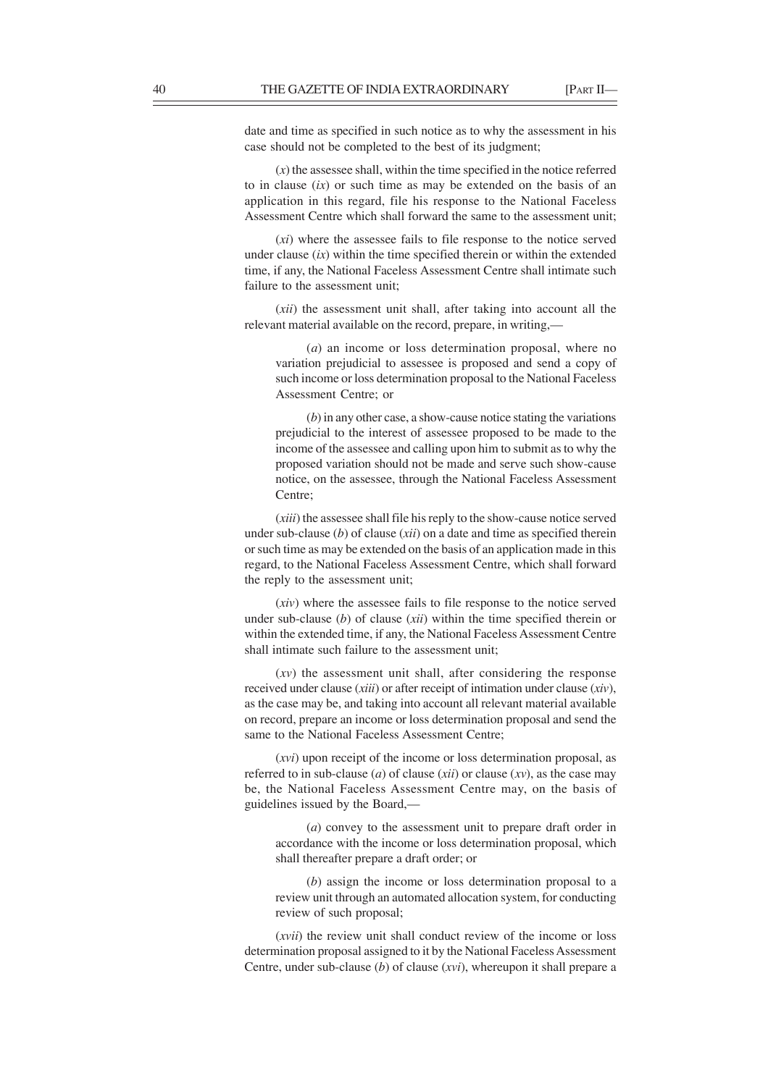date and time as specified in such notice as to why the assessment in his case should not be completed to the best of its judgment;

 $(x)$  the assessee shall, within the time specified in the notice referred to in clause (*ix*) or such time as may be extended on the basis of an application in this regard, file his response to the National Faceless Assessment Centre which shall forward the same to the assessment unit;

(*xi*) where the assessee fails to file response to the notice served under clause (*ix*) within the time specified therein or within the extended time, if any, the National Faceless Assessment Centre shall intimate such failure to the assessment unit;

(*xii*) the assessment unit shall, after taking into account all the relevant material available on the record, prepare, in writing,—

(*a*) an income or loss determination proposal, where no variation prejudicial to assessee is proposed and send a copy of such income or loss determination proposal to the National Faceless Assessment Centre; or

(*b*) in any other case, a show-cause notice stating the variations prejudicial to the interest of assessee proposed to be made to the income of the assessee and calling upon him to submit as to why the proposed variation should not be made and serve such show-cause notice, on the assessee, through the National Faceless Assessment Centre;

(*xiii*) the assessee shall file his reply to the show-cause notice served under sub-clause (*b*) of clause (*xii*) on a date and time as specified therein or such time as may be extended on the basis of an application made in this regard, to the National Faceless Assessment Centre, which shall forward the reply to the assessment unit;

(*xiv*) where the assessee fails to file response to the notice served under sub-clause (*b*) of clause (*xii*) within the time specified therein or within the extended time, if any, the National Faceless Assessment Centre shall intimate such failure to the assessment unit;

(*xv*) the assessment unit shall, after considering the response received under clause (*xiii*) or after receipt of intimation under clause (*xiv*), as the case may be, and taking into account all relevant material available on record, prepare an income or loss determination proposal and send the same to the National Faceless Assessment Centre;

(*xvi*) upon receipt of the income or loss determination proposal, as referred to in sub-clause (*a*) of clause (*xii*) or clause (*xv*), as the case may be, the National Faceless Assessment Centre may, on the basis of guidelines issued by the Board,—

(*a*) convey to the assessment unit to prepare draft order in accordance with the income or loss determination proposal, which shall thereafter prepare a draft order; or

(*b*) assign the income or loss determination proposal to a review unit through an automated allocation system, for conducting review of such proposal;

(*xvii*) the review unit shall conduct review of the income or loss determination proposal assigned to it by the National Faceless Assessment Centre, under sub-clause (*b*) of clause (*xvi*), whereupon it shall prepare a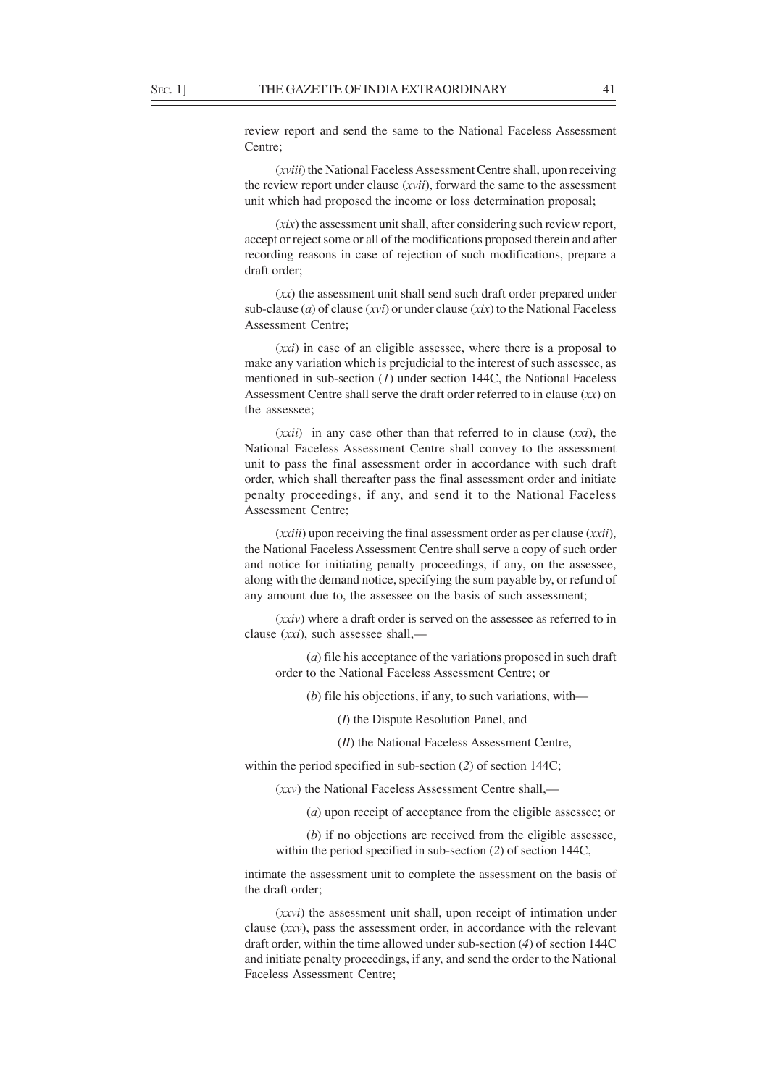review report and send the same to the National Faceless Assessment Centre;

(*xviii*) the National Faceless Assessment Centre shall, upon receiving the review report under clause (*xvii*), forward the same to the assessment unit which had proposed the income or loss determination proposal;

(*xix*) the assessment unit shall, after considering such review report, accept or reject some or all of the modifications proposed therein and after recording reasons in case of rejection of such modifications, prepare a draft order;

(*xx*) the assessment unit shall send such draft order prepared under sub-clause (*a*) of clause (*xvi*) or under clause (*xix*) to the National Faceless Assessment Centre;

(*xxi*) in case of an eligible assessee, where there is a proposal to make any variation which is prejudicial to the interest of such assessee, as mentioned in sub-section (*1*) under section 144C, the National Faceless Assessment Centre shall serve the draft order referred to in clause (*xx*) on the assessee;

(*xxii*) in any case other than that referred to in clause (*xxi*), the National Faceless Assessment Centre shall convey to the assessment unit to pass the final assessment order in accordance with such draft order, which shall thereafter pass the final assessment order and initiate penalty proceedings, if any, and send it to the National Faceless Assessment Centre;

(*xxiii*) upon receiving the final assessment order as per clause (*xxii*), the National Faceless Assessment Centre shall serve a copy of such order and notice for initiating penalty proceedings, if any, on the assessee, along with the demand notice, specifying the sum payable by, or refund of any amount due to, the assessee on the basis of such assessment;

(*xxiv*) where a draft order is served on the assessee as referred to in clause (*xxi*), such assessee shall,—

(*a*) file his acceptance of the variations proposed in such draft order to the National Faceless Assessment Centre; or

(*b*) file his objections, if any, to such variations, with—

(*I*) the Dispute Resolution Panel, and

(*II*) the National Faceless Assessment Centre,

within the period specified in sub-section (*2*) of section 144C;

(*xxv*) the National Faceless Assessment Centre shall,—

(*a*) upon receipt of acceptance from the eligible assessee; or

(*b*) if no objections are received from the eligible assessee, within the period specified in sub-section (*2*) of section 144C,

intimate the assessment unit to complete the assessment on the basis of the draft order;

(*xxvi*) the assessment unit shall, upon receipt of intimation under clause (*xxv*), pass the assessment order, in accordance with the relevant draft order, within the time allowed under sub-section (*4*) of section 144C and initiate penalty proceedings, if any, and send the order to the National Faceless Assessment Centre;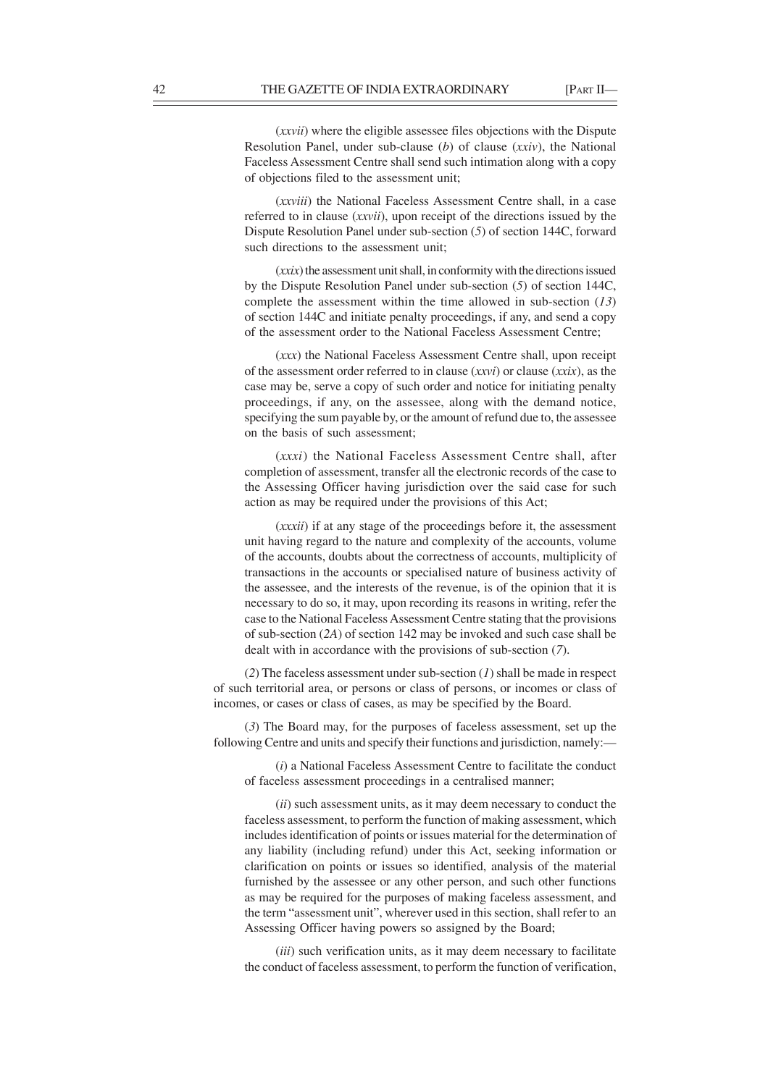(*xxvii*) where the eligible assessee files objections with the Dispute Resolution Panel, under sub-clause (*b*) of clause (*xxiv*), the National Faceless Assessment Centre shall send such intimation along with a copy of objections filed to the assessment unit;

(*xxviii*) the National Faceless Assessment Centre shall, in a case referred to in clause (*xxvii*), upon receipt of the directions issued by the Dispute Resolution Panel under sub-section (*5*) of section 144C, forward such directions to the assessment unit;

(*xxix*) the assessment unit shall, in conformity with the directions issued by the Dispute Resolution Panel under sub-section (*5*) of section 144C, complete the assessment within the time allowed in sub-section (*13*) of section 144C and initiate penalty proceedings, if any, and send a copy of the assessment order to the National Faceless Assessment Centre;

(*xxx*) the National Faceless Assessment Centre shall, upon receipt of the assessment order referred to in clause (*xxvi*) or clause (*xxix*), as the case may be, serve a copy of such order and notice for initiating penalty proceedings, if any, on the assessee, along with the demand notice, specifying the sum payable by, or the amount of refund due to, the assessee on the basis of such assessment;

(*xxxi*) the National Faceless Assessment Centre shall, after completion of assessment, transfer all the electronic records of the case to the Assessing Officer having jurisdiction over the said case for such action as may be required under the provisions of this Act;

(*xxxii*) if at any stage of the proceedings before it, the assessment unit having regard to the nature and complexity of the accounts, volume of the accounts, doubts about the correctness of accounts, multiplicity of transactions in the accounts or specialised nature of business activity of the assessee, and the interests of the revenue, is of the opinion that it is necessary to do so, it may, upon recording its reasons in writing, refer the case to the National Faceless Assessment Centre stating that the provisions of sub-section (*2A*) of section 142 may be invoked and such case shall be dealt with in accordance with the provisions of sub-section (*7*).

(*2*) The faceless assessment under sub-section (*1*) shall be made in respect of such territorial area, or persons or class of persons, or incomes or class of incomes, or cases or class of cases, as may be specified by the Board.

(*3*) The Board may, for the purposes of faceless assessment, set up the following Centre and units and specify their functions and jurisdiction, namely:—

(*i*) a National Faceless Assessment Centre to facilitate the conduct of faceless assessment proceedings in a centralised manner;

(*ii*) such assessment units, as it may deem necessary to conduct the faceless assessment, to perform the function of making assessment, which includes identification of points or issues material for the determination of any liability (including refund) under this Act, seeking information or clarification on points or issues so identified, analysis of the material furnished by the assessee or any other person, and such other functions as may be required for the purposes of making faceless assessment, and the term "assessment unit", wherever used in this section, shall refer to an Assessing Officer having powers so assigned by the Board;

(*iii*) such verification units, as it may deem necessary to facilitate the conduct of faceless assessment, to perform the function of verification,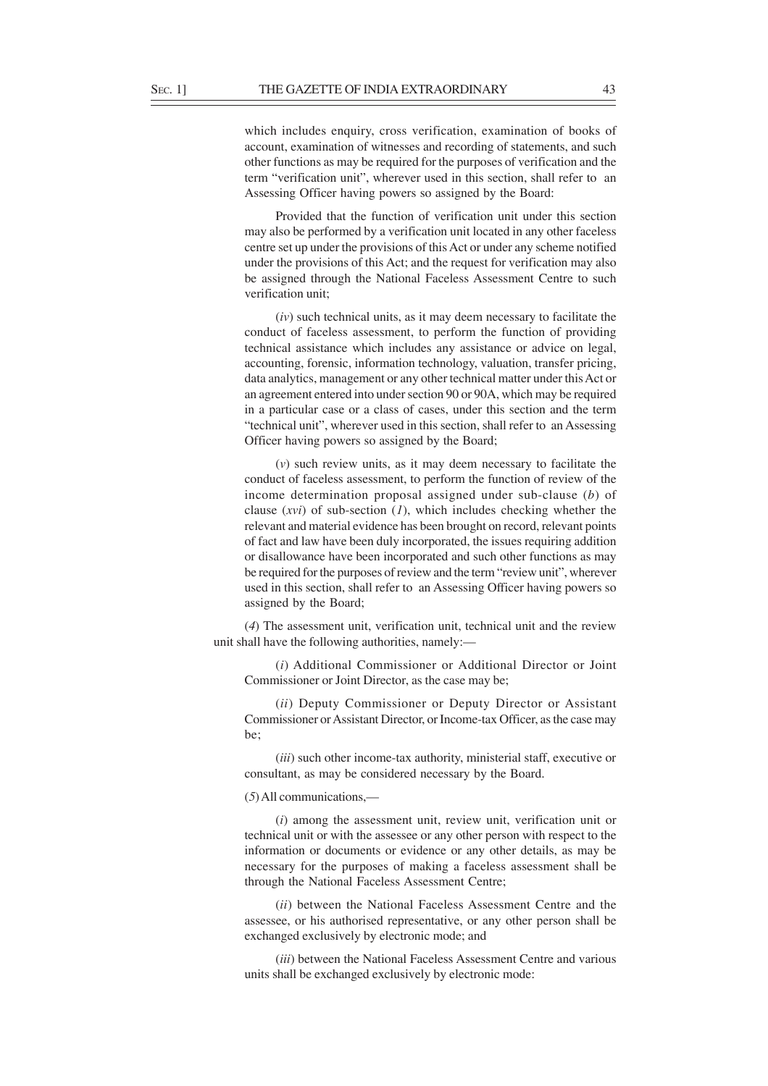which includes enquiry, cross verification, examination of books of account, examination of witnesses and recording of statements, and such other functions as may be required for the purposes of verification and the term "verification unit", wherever used in this section, shall refer to an Assessing Officer having powers so assigned by the Board:

Provided that the function of verification unit under this section may also be performed by a verification unit located in any other faceless centre set up under the provisions of this Act or under any scheme notified under the provisions of this Act; and the request for verification may also be assigned through the National Faceless Assessment Centre to such verification unit;

(*iv*) such technical units, as it may deem necessary to facilitate the conduct of faceless assessment, to perform the function of providing technical assistance which includes any assistance or advice on legal, accounting, forensic, information technology, valuation, transfer pricing, data analytics, management or any other technical matter under this Act or an agreement entered into under section 90 or 90A, which may be required in a particular case or a class of cases, under this section and the term "technical unit", wherever used in this section, shall refer to an Assessing Officer having powers so assigned by the Board;

(*v*) such review units, as it may deem necessary to facilitate the conduct of faceless assessment, to perform the function of review of the income determination proposal assigned under sub-clause (*b*) of clause (*xvi*) of sub-section (*1*), which includes checking whether the relevant and material evidence has been brought on record, relevant points of fact and law have been duly incorporated, the issues requiring addition or disallowance have been incorporated and such other functions as may be required for the purposes of review and the term "review unit", wherever used in this section, shall refer to an Assessing Officer having powers so assigned by the Board;

(*4*) The assessment unit, verification unit, technical unit and the review unit shall have the following authorities, namely:—

(*i*) Additional Commissioner or Additional Director or Joint Commissioner or Joint Director, as the case may be;

(*ii*) Deputy Commissioner or Deputy Director or Assistant Commissioner or Assistant Director, or Income-tax Officer, as the case may be;

(*iii*) such other income-tax authority, ministerial staff, executive or consultant, as may be considered necessary by the Board.

(*5*) All communications,—

(*i*) among the assessment unit, review unit, verification unit or technical unit or with the assessee or any other person with respect to the information or documents or evidence or any other details, as may be necessary for the purposes of making a faceless assessment shall be through the National Faceless Assessment Centre;

(*ii*) between the National Faceless Assessment Centre and the assessee, or his authorised representative, or any other person shall be exchanged exclusively by electronic mode; and

(*iii*) between the National Faceless Assessment Centre and various units shall be exchanged exclusively by electronic mode: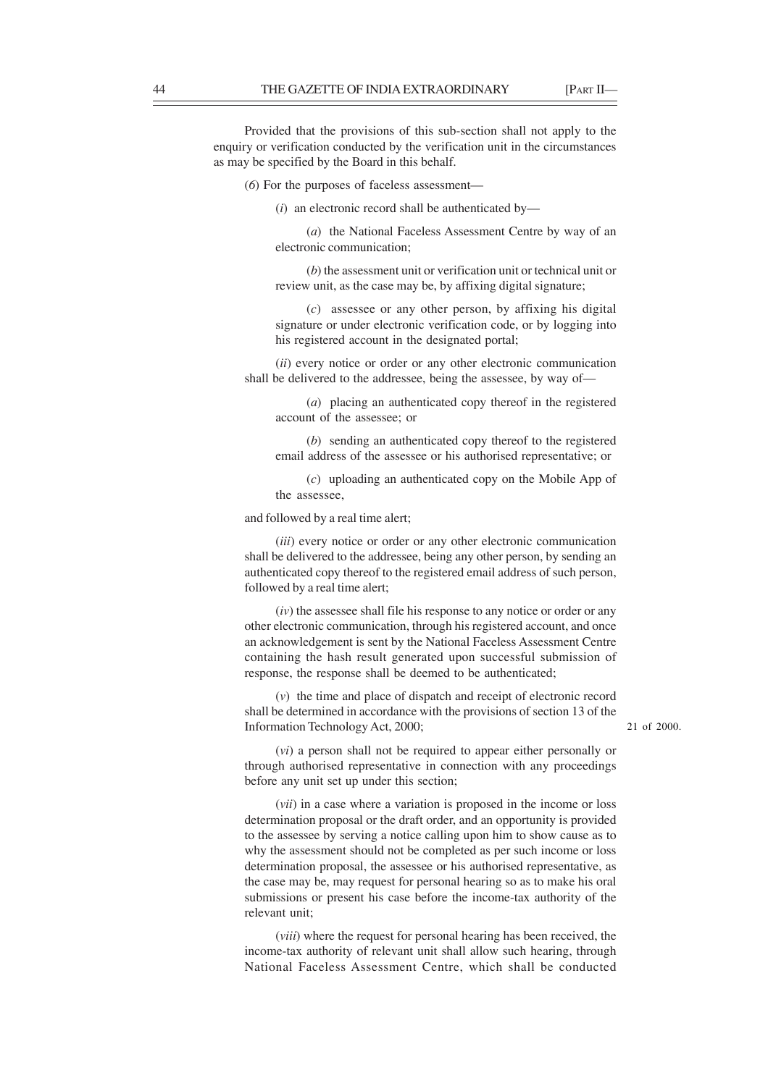Provided that the provisions of this sub-section shall not apply to the enquiry or verification conducted by the verification unit in the circumstances as may be specified by the Board in this behalf.

(*6*) For the purposes of faceless assessment—

(*i*) an electronic record shall be authenticated by—

(*a*) the National Faceless Assessment Centre by way of an electronic communication;

(*b*) the assessment unit or verification unit or technical unit or review unit, as the case may be, by affixing digital signature;

(*c*) assessee or any other person, by affixing his digital signature or under electronic verification code, or by logging into his registered account in the designated portal;

(*ii*) every notice or order or any other electronic communication shall be delivered to the addressee, being the assessee, by way of—

(*a*) placing an authenticated copy thereof in the registered account of the assessee; or

(*b*) sending an authenticated copy thereof to the registered email address of the assessee or his authorised representative; or

(*c*) uploading an authenticated copy on the Mobile App of the assessee,

and followed by a real time alert;

(*iii*) every notice or order or any other electronic communication shall be delivered to the addressee, being any other person, by sending an authenticated copy thereof to the registered email address of such person, followed by a real time alert;

(*iv*) the assessee shall file his response to any notice or order or any other electronic communication, through his registered account, and once an acknowledgement is sent by the National Faceless Assessment Centre containing the hash result generated upon successful submission of response, the response shall be deemed to be authenticated;

(*v*) the time and place of dispatch and receipt of electronic record shall be determined in accordance with the provisions of section 13 of the Information Technology Act, 2000;

21 of 2000.

(*vi*) a person shall not be required to appear either personally or through authorised representative in connection with any proceedings before any unit set up under this section;

(*vii*) in a case where a variation is proposed in the income or loss determination proposal or the draft order, and an opportunity is provided to the assessee by serving a notice calling upon him to show cause as to why the assessment should not be completed as per such income or loss determination proposal, the assessee or his authorised representative, as the case may be, may request for personal hearing so as to make his oral submissions or present his case before the income-tax authority of the relevant unit;

(*viii*) where the request for personal hearing has been received, the income-tax authority of relevant unit shall allow such hearing, through National Faceless Assessment Centre, which shall be conducted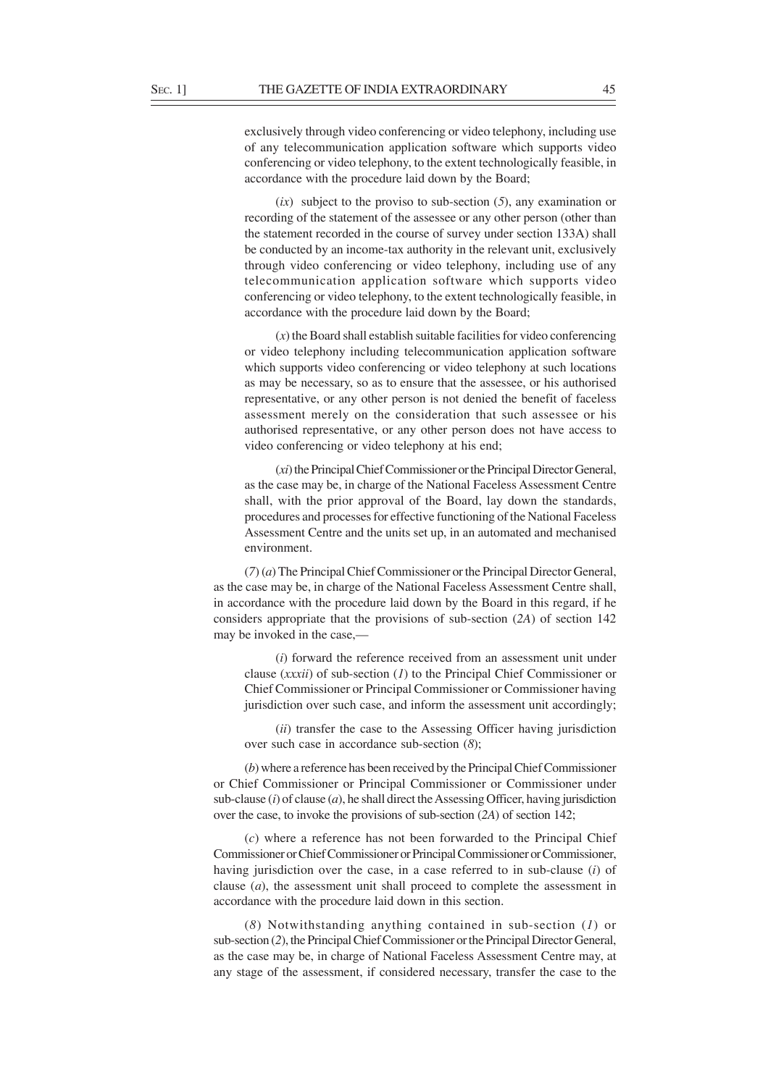exclusively through video conferencing or video telephony, including use of any telecommunication application software which supports video conferencing or video telephony, to the extent technologically feasible, in accordance with the procedure laid down by the Board;

(*ix*) subject to the proviso to sub-section (*5*), any examination or recording of the statement of the assessee or any other person (other than the statement recorded in the course of survey under section 133A) shall be conducted by an income-tax authority in the relevant unit, exclusively through video conferencing or video telephony, including use of any telecommunication application software which supports video conferencing or video telephony, to the extent technologically feasible, in accordance with the procedure laid down by the Board;

(*x*) the Board shall establish suitable facilities for video conferencing or video telephony including telecommunication application software which supports video conferencing or video telephony at such locations as may be necessary, so as to ensure that the assessee, or his authorised representative, or any other person is not denied the benefit of faceless assessment merely on the consideration that such assessee or his authorised representative, or any other person does not have access to video conferencing or video telephony at his end;

(*xi*) the Principal Chief Commissioner or the Principal Director General, as the case may be, in charge of the National Faceless Assessment Centre shall, with the prior approval of the Board, lay down the standards, procedures and processes for effective functioning of the National Faceless Assessment Centre and the units set up, in an automated and mechanised environment.

(*7*) (*a*) The Principal Chief Commissioner or the Principal Director General, as the case may be, in charge of the National Faceless Assessment Centre shall, in accordance with the procedure laid down by the Board in this regard, if he considers appropriate that the provisions of sub-section (*2A*) of section 142 may be invoked in the case.

(*i*) forward the reference received from an assessment unit under clause (*xxxii*) of sub-section (*1*) to the Principal Chief Commissioner or Chief Commissioner or Principal Commissioner or Commissioner having jurisdiction over such case, and inform the assessment unit accordingly;

(*ii*) transfer the case to the Assessing Officer having jurisdiction over such case in accordance sub-section (*8*);

(*b*) where a reference has been received by the Principal Chief Commissioner or Chief Commissioner or Principal Commissioner or Commissioner under sub-clause (*i*) of clause (*a*), he shall direct the Assessing Officer, having jurisdiction over the case, to invoke the provisions of sub-section (*2A*) of section 142;

(*c*) where a reference has not been forwarded to the Principal Chief Commissioner or Chief Commissioner or Principal Commissioner or Commissioner, having jurisdiction over the case, in a case referred to in sub-clause (*i*) of clause (*a*), the assessment unit shall proceed to complete the assessment in accordance with the procedure laid down in this section.

(*8*) Notwithstanding anything contained in sub-section (*1*) or sub-section (*2*), the Principal Chief Commissioner or the Principal Director General, as the case may be, in charge of National Faceless Assessment Centre may, at any stage of the assessment, if considered necessary, transfer the case to the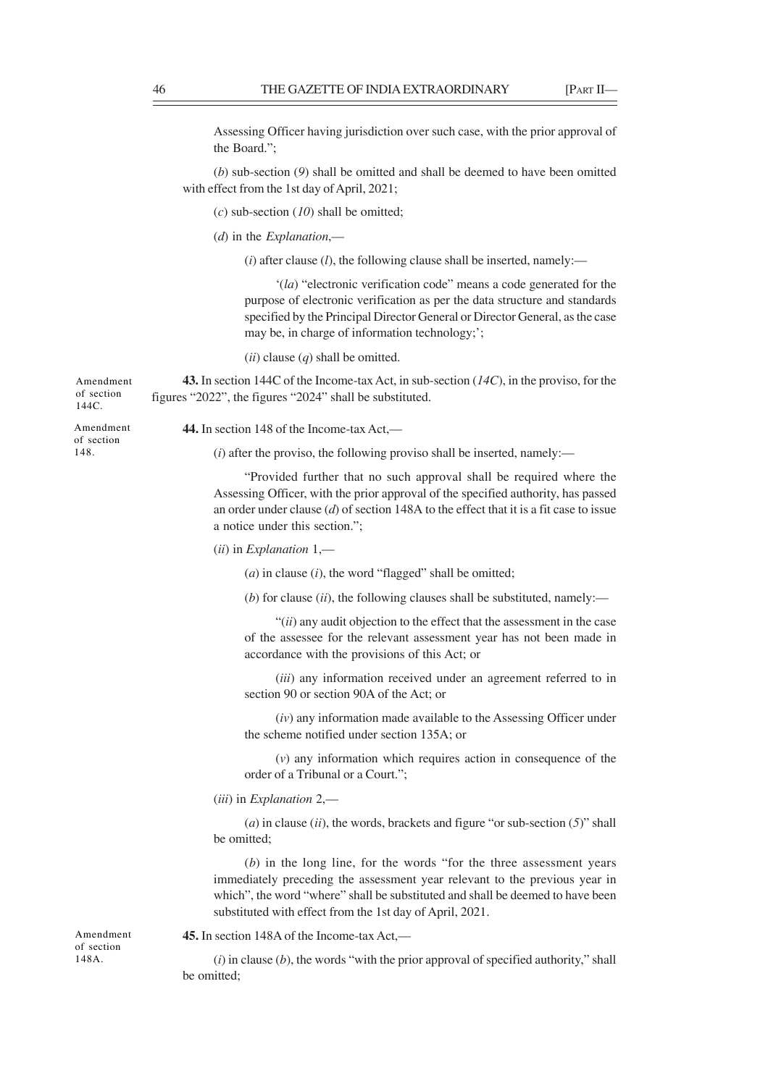Assessing Officer having jurisdiction over such case, with the prior approval of the Board.";

(*b*) sub-section (*9*) shall be omitted and shall be deemed to have been omitted with effect from the 1st day of April, 2021;

(*c*) sub-section (*10*) shall be omitted;

(*d*) in the *Explanation*,—

 $(i)$  after clause  $(l)$ , the following clause shall be inserted, namely:—

'(*la*) "electronic verification code" means a code generated for the purpose of electronic verification as per the data structure and standards specified by the Principal Director General or Director General, as the case may be, in charge of information technology;';

(*ii*) clause (*q*) shall be omitted.

**43.** In section 144C of the Income-tax Act, in sub-section (*14C*), in the proviso, for the figures "2022", the figures "2024" shall be substituted.

Amendment of section 148.

Amendment of section 144C.

**44.** In section 148 of the Income-tax Act,—

(*i*) after the proviso, the following proviso shall be inserted, namely:—

"Provided further that no such approval shall be required where the Assessing Officer, with the prior approval of the specified authority, has passed an order under clause (*d*) of section 148A to the effect that it is a fit case to issue a notice under this section.";

(*ii*) in *Explanation* 1,—

(*a*) in clause (*i*), the word "flagged" shall be omitted;

(*b*) for clause (*ii*), the following clauses shall be substituted, namely:—

"(*ii*) any audit objection to the effect that the assessment in the case of the assessee for the relevant assessment year has not been made in accordance with the provisions of this Act; or

(*iii*) any information received under an agreement referred to in section 90 or section 90A of the Act; or

(*iv*) any information made available to the Assessing Officer under the scheme notified under section 135A; or

(*v*) any information which requires action in consequence of the order of a Tribunal or a Court.";

(*iii*) in *Explanation* 2,—

(*a*) in clause (*ii*), the words, brackets and figure "or sub-section (*5*)" shall be omitted;

(*b*) in the long line, for the words "for the three assessment years immediately preceding the assessment year relevant to the previous year in which", the word "where" shall be substituted and shall be deemed to have been substituted with effect from the 1st day of April, 2021.

**45.** In section 148A of the Income-tax Act,—

(*i*) in clause (*b*), the words "with the prior approval of specified authority," shall be omitted;

Amendment of section 148A.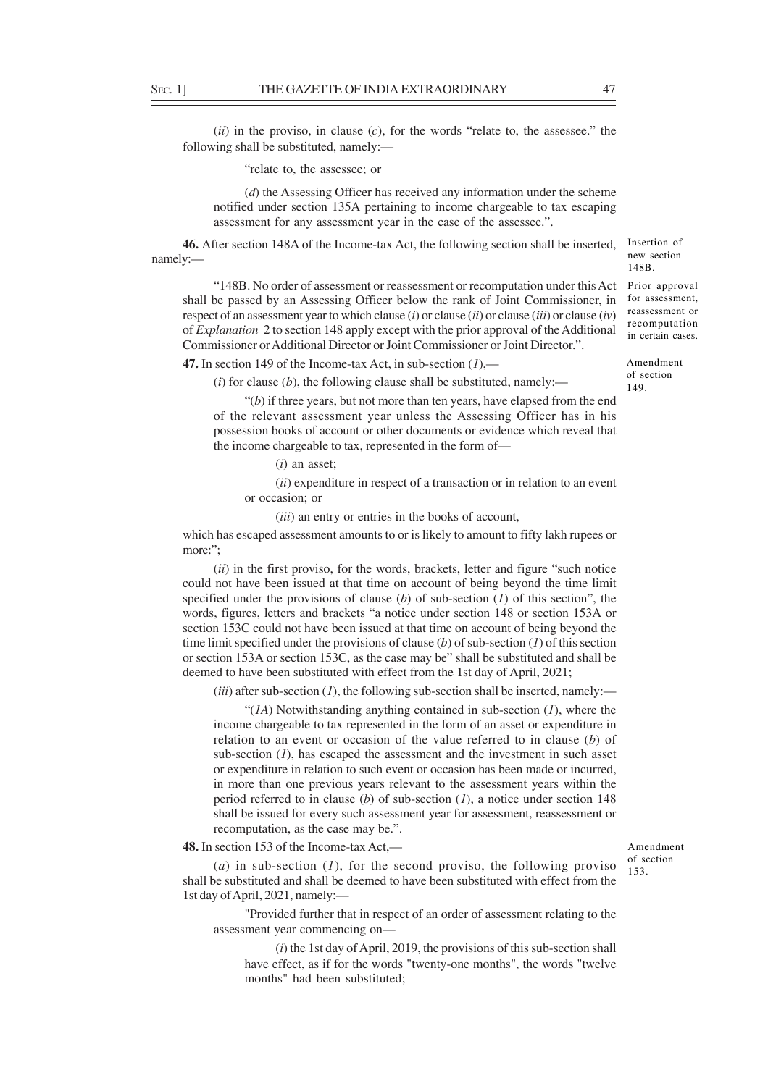(*ii*) in the proviso, in clause (*c*), for the words "relate to, the assessee." the following shall be substituted, namely:—

"relate to, the assessee; or

(*d*) the Assessing Officer has received any information under the scheme notified under section 135A pertaining to income chargeable to tax escaping assessment for any assessment year in the case of the assessee.".

**46.** After section 148A of the Income-tax Act, the following section shall be inserted, namely:—

"148B. No order of assessment or reassessment or recomputation under this Act shall be passed by an Assessing Officer below the rank of Joint Commissioner, in respect of an assessment year to which clause (*i*) or clause (*ii*) or clause (*iii*) or clause (*iv*) of *Explanation* 2 to section 148 apply except with the prior approval of the Additional Commissioner or Additional Director or Joint Commissioner or Joint Director.".

**47.** In section 149 of the Income-tax Act, in sub-section (*1*),—

 $(i)$  for clause  $(b)$ , the following clause shall be substituted, namely:—

"(*b*) if three years, but not more than ten years, have elapsed from the end of the relevant assessment year unless the Assessing Officer has in his possession books of account or other documents or evidence which reveal that the income chargeable to tax, represented in the form of—

(*i*) an asset;

(*ii*) expenditure in respect of a transaction or in relation to an event or occasion; or

(*iii*) an entry or entries in the books of account,

which has escaped assessment amounts to or is likely to amount to fifty lakh rupees or more:":

(*ii*) in the first proviso, for the words, brackets, letter and figure "such notice could not have been issued at that time on account of being beyond the time limit specified under the provisions of clause (*b*) of sub-section (*1*) of this section", the words, figures, letters and brackets "a notice under section 148 or section 153A or section 153C could not have been issued at that time on account of being beyond the time limit specified under the provisions of clause (*b*) of sub-section (*1*) of this section or section 153A or section 153C, as the case may be" shall be substituted and shall be deemed to have been substituted with effect from the 1st day of April, 2021;

 $(iii)$  after sub-section  $(I)$ , the following sub-section shall be inserted, namely:—

"(*1A*) Notwithstanding anything contained in sub-section (*1*), where the income chargeable to tax represented in the form of an asset or expenditure in relation to an event or occasion of the value referred to in clause (*b*) of sub-section (*1*), has escaped the assessment and the investment in such asset or expenditure in relation to such event or occasion has been made or incurred, in more than one previous years relevant to the assessment years within the period referred to in clause (*b*) of sub-section (*1*), a notice under section 148 shall be issued for every such assessment year for assessment, reassessment or recomputation, as the case may be.".

**48.** In section 153 of the Income-tax Act,—

(*a*) in sub-section (*1*), for the second proviso, the following proviso shall be substituted and shall be deemed to have been substituted with effect from the 1st day of April, 2021, namely:—

"Provided further that in respect of an order of assessment relating to the assessment year commencing on—

(*i*) the 1st day of April, 2019, the provisions of this sub-section shall have effect, as if for the words "twenty-one months", the words "twelve months" had been substituted;

Amendment of section 153.

148B. Prior approval for assessment,

Insertion of new section

reassessment or recomputation in certain cases.

Amendment of section 149.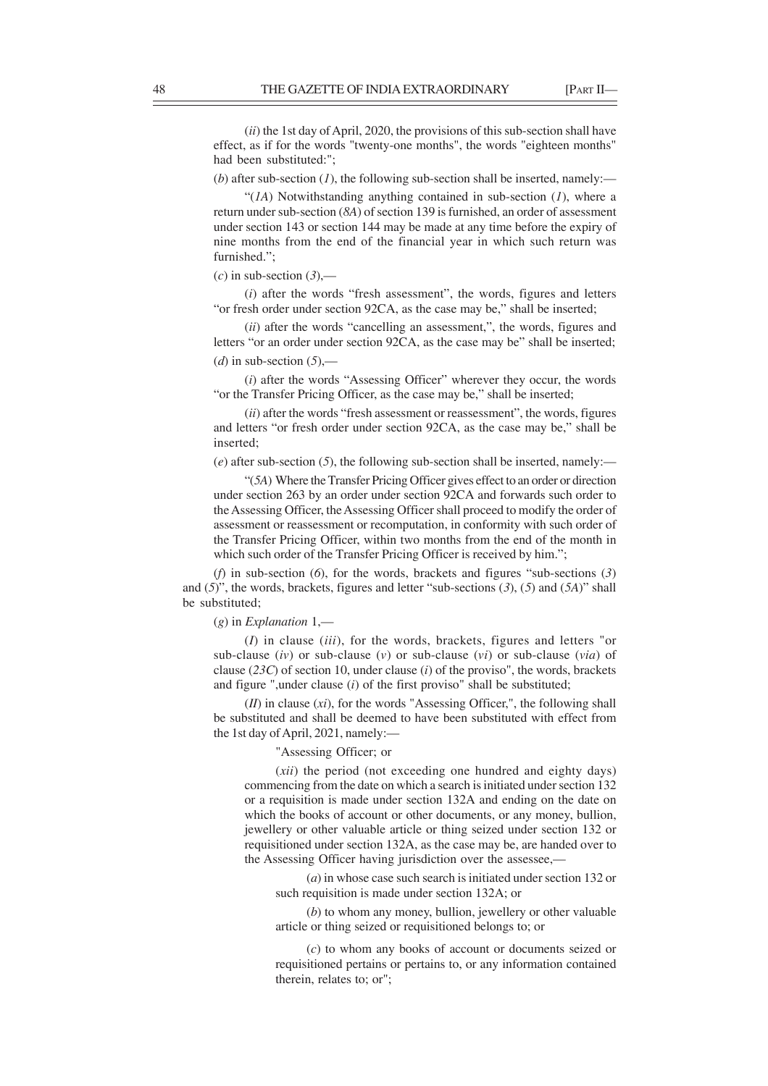(*ii*) the 1st day of April, 2020, the provisions of this sub-section shall have effect, as if for the words "twenty-one months", the words "eighteen months" had been substituted:";

(*b*) after sub-section (*l*), the following sub-section shall be inserted, namely:—

" $(1)$  Notwithstanding anything contained in sub-section  $(1)$ , where a return under sub-section (*8A*) of section 139 is furnished, an order of assessment under section 143 or section 144 may be made at any time before the expiry of nine months from the end of the financial year in which such return was furnished.";

 $(c)$  in sub-section  $(3)$ ,—

(*i*) after the words "fresh assessment", the words, figures and letters "or fresh order under section 92CA, as the case may be," shall be inserted;

(*ii*) after the words "cancelling an assessment,", the words, figures and letters "or an order under section 92CA, as the case may be" shall be inserted;  $(d)$  in sub-section  $(5)$ ,

(*i*) after the words "Assessing Officer" wherever they occur, the words "or the Transfer Pricing Officer, as the case may be," shall be inserted;

(*ii*) after the words "fresh assessment or reassessment", the words, figures and letters "or fresh order under section 92CA, as the case may be," shall be inserted;

(*e*) after sub-section (*5*), the following sub-section shall be inserted, namely:—

"(*5A*) Where the Transfer Pricing Officer gives effect to an order or direction under section 263 by an order under section 92CA and forwards such order to the Assessing Officer, the Assessing Officer shall proceed to modify the order of assessment or reassessment or recomputation, in conformity with such order of the Transfer Pricing Officer, within two months from the end of the month in which such order of the Transfer Pricing Officer is received by him.";

(*f*) in sub-section (*6*), for the words, brackets and figures "sub-sections (*3*) and (*5*)", the words, brackets, figures and letter "sub-sections (*3*), (*5*) and (*5A*)" shall be substituted;

(*g*) in *Explanation* 1,—

(*I*) in clause (*iii*), for the words, brackets, figures and letters "or sub-clause (*iv*) or sub-clause (*v*) or sub-clause (*vi*) or sub-clause (*via*) of clause (*23C*) of section 10, under clause (*i*) of the proviso", the words, brackets and figure ",under clause (*i*) of the first proviso" shall be substituted;

(*II*) in clause (*xi*), for the words "Assessing Officer,", the following shall be substituted and shall be deemed to have been substituted with effect from the 1st day of April, 2021, namely:—

# "Assessing Officer; or

(*xii*) the period (not exceeding one hundred and eighty days) commencing from the date on which a search is initiated under section 132 or a requisition is made under section 132A and ending on the date on which the books of account or other documents, or any money, bullion, jewellery or other valuable article or thing seized under section 132 or requisitioned under section 132A, as the case may be, are handed over to the Assessing Officer having jurisdiction over the assessee,-

(*a*) in whose case such search is initiated under section 132 or such requisition is made under section 132A; or

(*b*) to whom any money, bullion, jewellery or other valuable article or thing seized or requisitioned belongs to; or

(*c*) to whom any books of account or documents seized or requisitioned pertains or pertains to, or any information contained therein, relates to; or";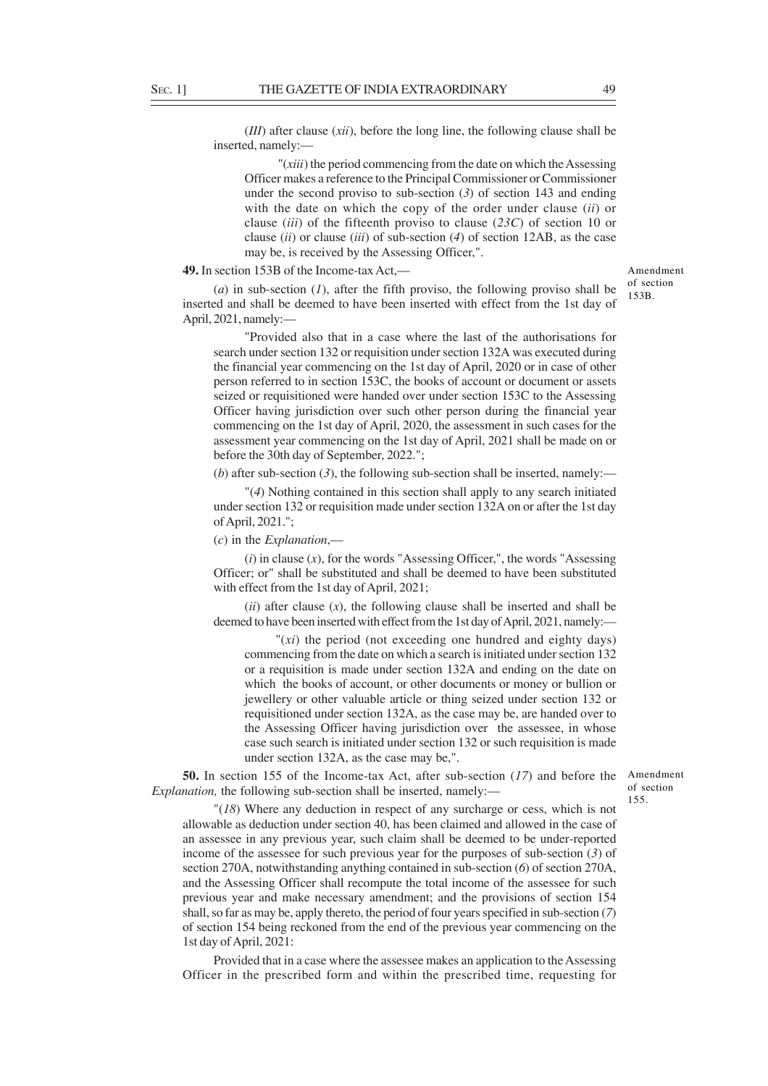(*III*) after clause (*xii*), before the long line, the following clause shall be inserted, namely:—

 "(*xiii*) the period commencing from the date on which the Assessing Officer makes a reference to the Principal Commissioner or Commissioner under the second proviso to sub-section (*3*) of section 143 and ending with the date on which the copy of the order under clause (*ii*) or clause (*iii*) of the fifteenth proviso to clause (*23C*) of section 10 or clause (*ii*) or clause (*iii*) of sub-section (*4*) of section 12AB, as the case may be, is received by the Assessing Officer,".

#### **49.** In section 153B of the Income-tax Act,—

(*a*) in sub-section (*1*), after the fifth proviso, the following proviso shall be inserted and shall be deemed to have been inserted with effect from the 1st day of April, 2021, namely:—

"Provided also that in a case where the last of the authorisations for search under section 132 or requisition under section 132A was executed during the financial year commencing on the 1st day of April, 2020 or in case of other person referred to in section 153C, the books of account or document or assets seized or requisitioned were handed over under section 153C to the Assessing Officer having jurisdiction over such other person during the financial year commencing on the 1st day of April, 2020, the assessment in such cases for the assessment year commencing on the 1st day of April, 2021 shall be made on or before the 30th day of September, 2022.";

(*b*) after sub-section (*3*), the following sub-section shall be inserted, namely:—

"(*4*) Nothing contained in this section shall apply to any search initiated under section 132 or requisition made under section 132A on or after the 1st day of April, 2021.";

# (*c*) in the *Explanation*,—

(*i*) in clause (*x*), for the words "Assessing Officer,", the words "Assessing Officer; or" shall be substituted and shall be deemed to have been substituted with effect from the 1st day of April, 2021;

(*ii*) after clause (*x*), the following clause shall be inserted and shall be deemed to have been inserted with effect from the 1st day of April, 2021, namely:—

"(*xi*) the period (not exceeding one hundred and eighty days) commencing from the date on which a search is initiated under section 132 or a requisition is made under section 132A and ending on the date on which the books of account, or other documents or money or bullion or jewellery or other valuable article or thing seized under section 132 or requisitioned under section 132A, as the case may be, are handed over to the Assessing Officer having jurisdiction over the assessee, in whose case such search is initiated under section 132 or such requisition is made under section 132A, as the case may be,".

**50.** In section 155 of the Income-tax Act, after sub-section (*17*) and before the Amendment *Explanation*, the following sub-section shall be inserted, namely:—

of section 155.

"(*18*) Where any deduction in respect of any surcharge or cess, which is not allowable as deduction under section 40, has been claimed and allowed in the case of an assessee in any previous year, such claim shall be deemed to be under-reported income of the assessee for such previous year for the purposes of sub-section (*3*) of section 270A, notwithstanding anything contained in sub-section (*6*) of section 270A, and the Assessing Officer shall recompute the total income of the assessee for such previous year and make necessary amendment; and the provisions of section 154 shall, so far as may be, apply thereto, the period of four years specified in sub-section (*7*) of section 154 being reckoned from the end of the previous year commencing on the 1st day of April, 2021:

Provided that in a case where the assessee makes an application to the Assessing Officer in the prescribed form and within the prescribed time, requesting for

Amendment of section 153B.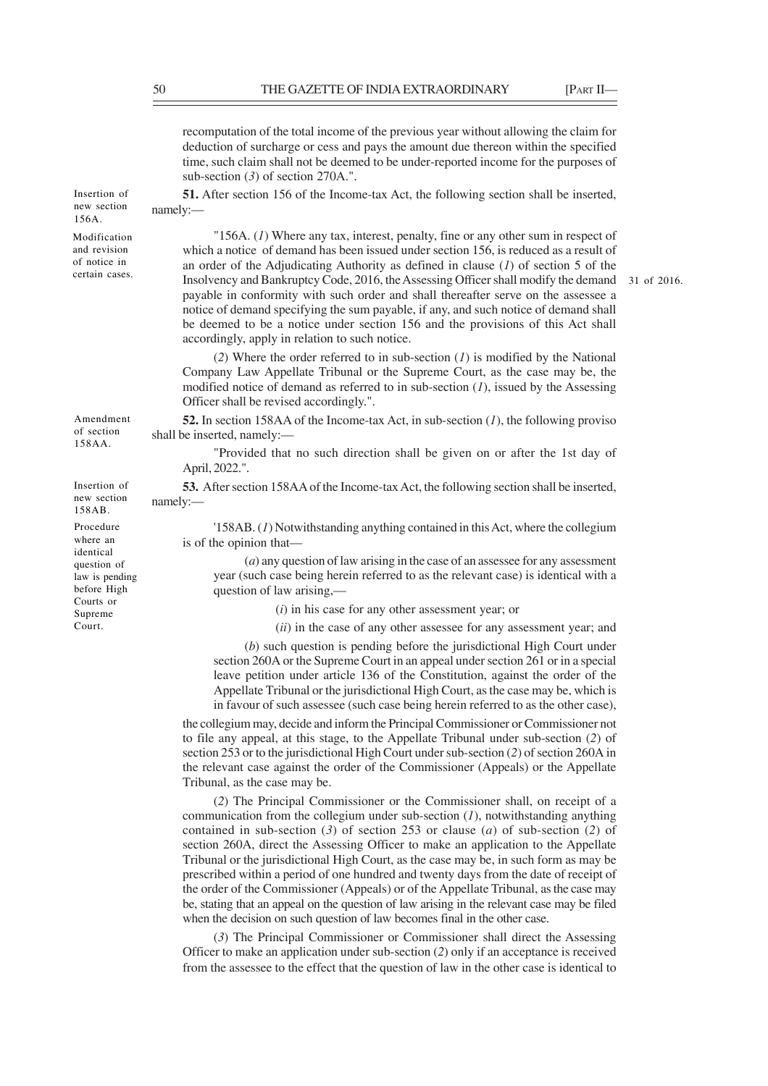recomputation of the total income of the previous year without allowing the claim for deduction of surcharge or cess and pays the amount due thereon within the specified time, such claim shall not be deemed to be under-reported income for the purposes of sub-section (*3*) of section 270A.".

**51.** After section 156 of the Income-tax Act, the following section shall be inserted, namely:—

"156A. (*1*) Where any tax, interest, penalty, fine or any other sum in respect of which a notice of demand has been issued under section 156, is reduced as a result of an order of the Adjudicating Authority as defined in clause (*1*) of section 5 of the Insolvency and Bankruptcy Code, 2016, the Assessing Officer shall modify the demand 31 of 2016.payable in conformity with such order and shall thereafter serve on the assessee a notice of demand specifying the sum payable, if any, and such notice of demand shall be deemed to be a notice under section 156 and the provisions of this Act shall accordingly, apply in relation to such notice.

(*2*) Where the order referred to in sub-section (*1*) is modified by the National Company Law Appellate Tribunal or the Supreme Court, as the case may be, the modified notice of demand as referred to in sub-section (*1*), issued by the Assessing Officer shall be revised accordingly.".

**52.** In section 158AA of the Income-tax Act, in sub-section (*1*), the following proviso shall be inserted, namely:—

"Provided that no such direction shall be given on or after the 1st day of April, 2022.".

**53.** After section 158AA of the Income-tax Act, the following section shall be inserted, namely:—

'158AB. (*1*) Notwithstanding anything contained in this Act, where the collegium is of the opinion that—

(*a*) any question of law arising in the case of an assessee for any assessment year (such case being herein referred to as the relevant case) is identical with a question of law arising,—

(*i*) in his case for any other assessment year; or

(*ii*) in the case of any other assessee for any assessment year; and

(*b*) such question is pending before the jurisdictional High Court under section 260A or the Supreme Court in an appeal under section 261 or in a special leave petition under article 136 of the Constitution, against the order of the Appellate Tribunal or the jurisdictional High Court, as the case may be, which is in favour of such assessee (such case being herein referred to as the other case),

the collegium may, decide and inform the Principal Commissioner or Commissioner not to file any appeal, at this stage, to the Appellate Tribunal under sub-section (*2*) of section 253 or to the jurisdictional High Court under sub-section (*2*) of section 260A in the relevant case against the order of the Commissioner (Appeals) or the Appellate Tribunal, as the case may be.

(*2*) The Principal Commissioner or the Commissioner shall, on receipt of a communication from the collegium under sub-section (*1*), notwithstanding anything contained in sub-section (*3*) of section 253 or clause (*a*) of sub-section (*2*) of section 260A, direct the Assessing Officer to make an application to the Appellate Tribunal or the jurisdictional High Court, as the case may be, in such form as may be prescribed within a period of one hundred and twenty days from the date of receipt of the order of the Commissioner (Appeals) or of the Appellate Tribunal, as the case may be, stating that an appeal on the question of law arising in the relevant case may be filed when the decision on such question of law becomes final in the other case.

(*3*) The Principal Commissioner or Commissioner shall direct the Assessing Officer to make an application under sub-section (*2*) only if an acceptance is received from the assessee to the effect that the question of law in the other case is identical to

Amendment of section 158AA.

Insertion of new section 156A. Modification and revision of notice in certain cases.

Insertion of new section 158AB.

Procedure where an identical question of law is pending before High Courts or Supreme Court.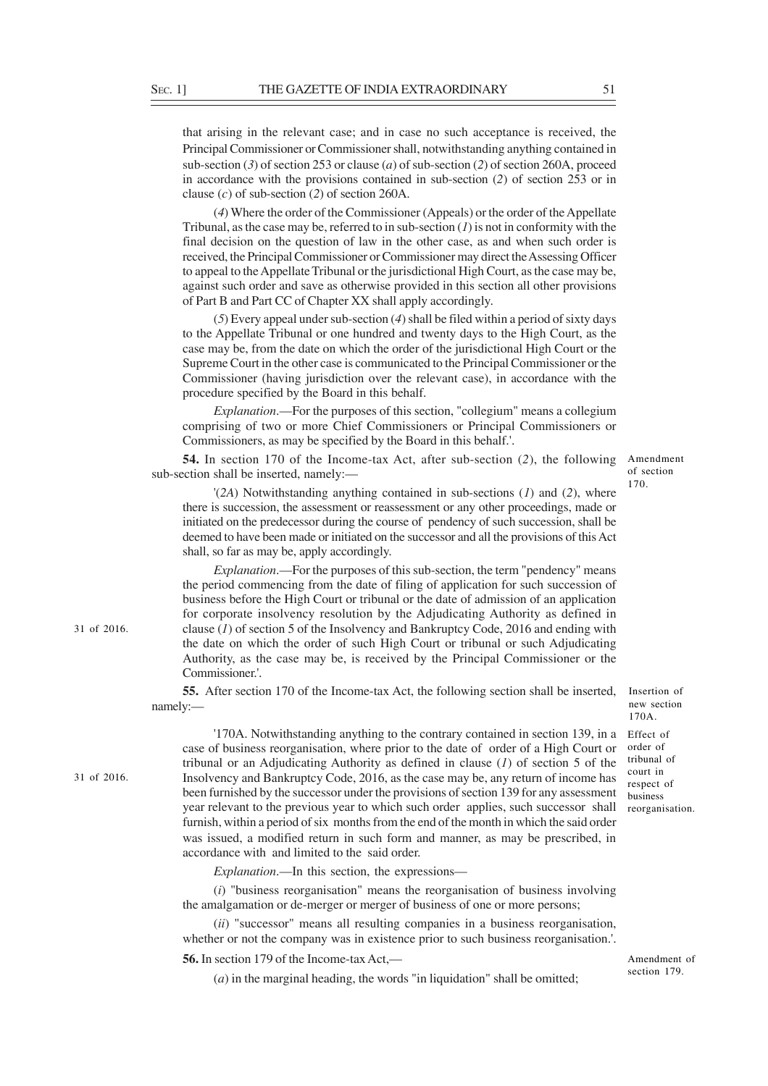that arising in the relevant case; and in case no such acceptance is received, the Principal Commissioner or Commissioner shall, notwithstanding anything contained in sub-section (*3*) of section 253 or clause (*a*) of sub-section (*2*) of section 260A, proceed in accordance with the provisions contained in sub-section (*2*) of section 253 or in clause (*c*) of sub-section (*2*) of section 260A.

(*4*) Where the order of the Commissioner (Appeals) or the order of the Appellate Tribunal, as the case may be, referred to in sub-section (*1*) is not in conformity with the final decision on the question of law in the other case, as and when such order is received, the Principal Commissioner or Commissioner may direct the Assessing Officer to appeal to the Appellate Tribunal or the jurisdictional High Court, as the case may be, against such order and save as otherwise provided in this section all other provisions of Part B and Part CC of Chapter XX shall apply accordingly.

(*5*) Every appeal under sub-section (*4*) shall be filed within a period of sixty days to the Appellate Tribunal or one hundred and twenty days to the High Court, as the case may be, from the date on which the order of the jurisdictional High Court or the Supreme Court in the other case is communicated to the Principal Commissioner or the Commissioner (having jurisdiction over the relevant case), in accordance with the procedure specified by the Board in this behalf.

*Explanation*.—For the purposes of this section, "collegium" means a collegium comprising of two or more Chief Commissioners or Principal Commissioners or Commissioners, as may be specified by the Board in this behalf.'.

**54.** In section 170 of the Income-tax Act, after sub-section (*2*), the following sub-section shall be inserted, namely:

Amendment of section 170.

'(*2A*) Notwithstanding anything contained in sub-sections (*1*) and (*2*), where there is succession, the assessment or reassessment or any other proceedings, made or initiated on the predecessor during the course of pendency of such succession, shall be deemed to have been made or initiated on the successor and all the provisions of this Act shall, so far as may be, apply accordingly.

*Explanation*.—For the purposes of this sub-section, the term "pendency" means the period commencing from the date of filing of application for such succession of business before the High Court or tribunal or the date of admission of an application for corporate insolvency resolution by the Adjudicating Authority as defined in clause (*1*) of section 5 of the Insolvency and Bankruptcy Code, 2016 and ending with the date on which the order of such High Court or tribunal or such Adjudicating Authority, as the case may be, is received by the Principal Commissioner or the Commissioner.'.

**55.** After section 170 of the Income-tax Act, the following section shall be inserted, namely:—

31 of 2016.

31 of 2016.

'170A. Notwithstanding anything to the contrary contained in section 139, in a Effect of case of business reorganisation, where prior to the date of order of a High Court or tribunal or an Adjudicating Authority as defined in clause (*1*) of section 5 of the Insolvency and Bankruptcy Code, 2016, as the case may be, any return of income has been furnished by the successor under the provisions of section 139 for any assessment year relevant to the previous year to which such order applies, such successor shall furnish, within a period of six months from the end of the month in which the said order was issued, a modified return in such form and manner, as may be prescribed, in accordance with and limited to the said order.

*Explanation*.—In this section, the expressions—

(*i*) "business reorganisation" means the reorganisation of business involving the amalgamation or de-merger or merger of business of one or more persons;

(*ii*) "successor" means all resulting companies in a business reorganisation, whether or not the company was in existence prior to such business reorganisation.'.

**56.** In section 179 of the Income-tax Act,—

(*a*) in the marginal heading, the words "in liquidation" shall be omitted;

Insertion of new section 170A.

order of tribunal of court in respect of business reorganisation.

Amendment of section 179.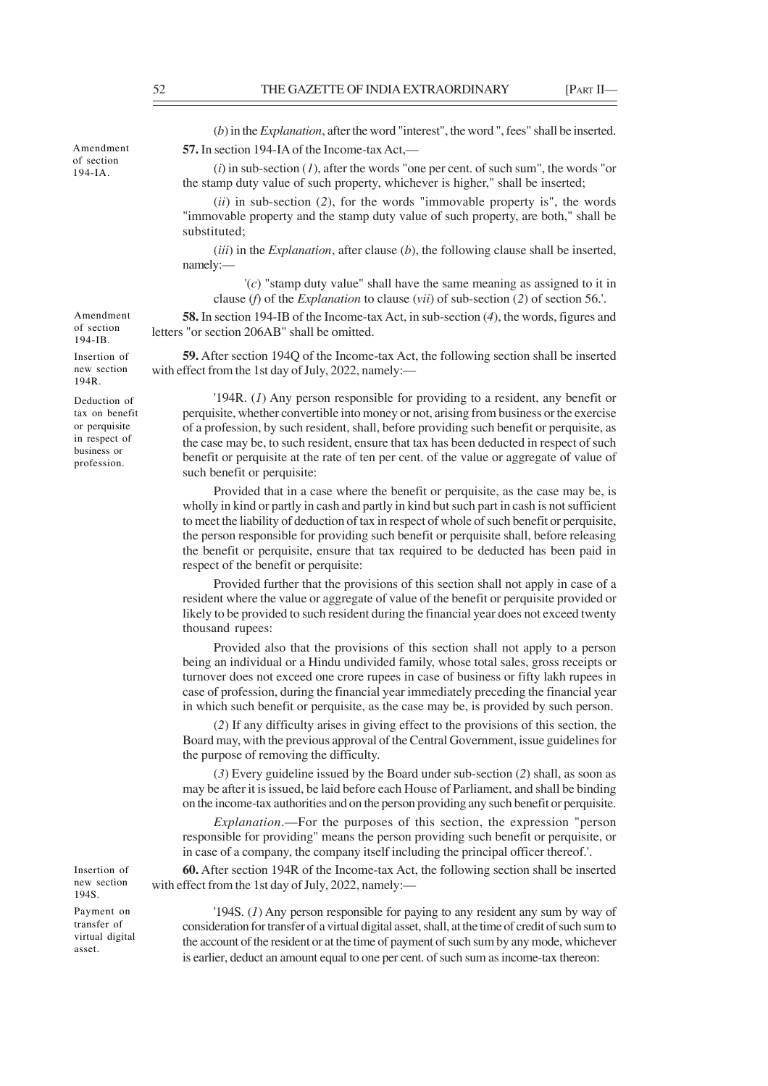(*b*) in the *Explanation*, after the word "interest", the word ", fees" shall be inserted. **57.** In section 194-IA of the Income-tax Act,—

(*i*) in sub-section (*1*), after the words "one per cent. of such sum", the words "or the stamp duty value of such property, whichever is higher," shall be inserted;

(*ii*) in sub-section (*2*), for the words "immovable property is", the words "immovable property and the stamp duty value of such property, are both," shall be substituted;

(*iii*) in the *Explanation*, after clause (*b*), the following clause shall be inserted, namely:—

'(*c*) "stamp duty value" shall have the same meaning as assigned to it in clause (*f*) of the *Explanation* to clause (*vii*) of sub-section (*2*) of section 56.'.

**58.** In section 194-IB of the Income-tax Act, in sub-section (*4*), the words, figures and letters "or section 206AB" shall be omitted.

**59.** After section 194Q of the Income-tax Act, the following section shall be inserted with effect from the 1st day of July, 2022, namely:—

'194R. (*1*) Any person responsible for providing to a resident, any benefit or perquisite, whether convertible into money or not, arising from business or the exercise of a profession, by such resident, shall, before providing such benefit or perquisite, as the case may be, to such resident, ensure that tax has been deducted in respect of such benefit or perquisite at the rate of ten per cent. of the value or aggregate of value of such benefit or perquisite:

Provided that in a case where the benefit or perquisite, as the case may be, is wholly in kind or partly in cash and partly in kind but such part in cash is not sufficient to meet the liability of deduction of tax in respect of whole of such benefit or perquisite, the person responsible for providing such benefit or perquisite shall, before releasing the benefit or perquisite, ensure that tax required to be deducted has been paid in respect of the benefit or perquisite:

Provided further that the provisions of this section shall not apply in case of a resident where the value or aggregate of value of the benefit or perquisite provided or likely to be provided to such resident during the financial year does not exceed twenty thousand rupees:

Provided also that the provisions of this section shall not apply to a person being an individual or a Hindu undivided family, whose total sales, gross receipts or turnover does not exceed one crore rupees in case of business or fifty lakh rupees in case of profession, during the financial year immediately preceding the financial year in which such benefit or perquisite, as the case may be, is provided by such person.

(*2*) If any difficulty arises in giving effect to the provisions of this section, the Board may, with the previous approval of the Central Government, issue guidelines for the purpose of removing the difficulty.

(*3*) Every guideline issued by the Board under sub-section (*2*) shall, as soon as may be after it is issued, be laid before each House of Parliament, and shall be binding on the income-tax authorities and on the person providing any such benefit or perquisite.

*Explanation*.—For the purposes of this section, the expression "person responsible for providing" means the person providing such benefit or perquisite, or in case of a company, the company itself including the principal officer thereof.'.

**60.** After section 194R of the Income-tax Act, the following section shall be inserted with effect from the 1st day of July, 2022, namely:—

Payment on transfer of virtual digital asset.

Insertion of new section 194S.

> '194S. (*1*) Any person responsible for paying to any resident any sum by way of consideration for transfer of a virtual digital asset, shall, at the time of credit of such sum to the account of the resident or at the time of payment of such sum by any mode, whichever is earlier, deduct an amount equal to one per cent. of such sum as income-tax thereon:

Amendment of section 194-IB.

Amendment of section 194-IA.

Insertion of new section 194R.

Deduction of tax on benefit or perquisite in respect of business or profession.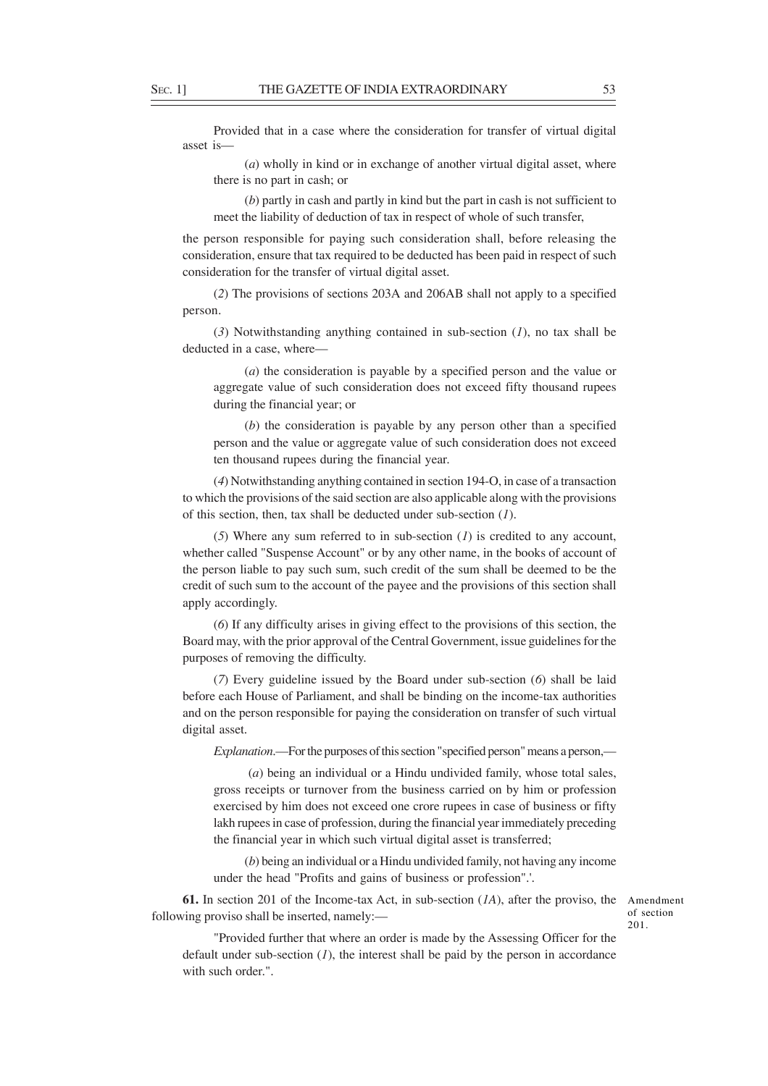Provided that in a case where the consideration for transfer of virtual digital asset is—

(*a*) wholly in kind or in exchange of another virtual digital asset, where there is no part in cash; or

(*b*) partly in cash and partly in kind but the part in cash is not sufficient to meet the liability of deduction of tax in respect of whole of such transfer,

the person responsible for paying such consideration shall, before releasing the consideration, ensure that tax required to be deducted has been paid in respect of such consideration for the transfer of virtual digital asset.

(*2*) The provisions of sections 203A and 206AB shall not apply to a specified person.

(*3*) Notwithstanding anything contained in sub-section (*1*), no tax shall be deducted in a case, where—

(*a*) the consideration is payable by a specified person and the value or aggregate value of such consideration does not exceed fifty thousand rupees during the financial year; or

(*b*) the consideration is payable by any person other than a specified person and the value or aggregate value of such consideration does not exceed ten thousand rupees during the financial year.

(*4*) Notwithstanding anything contained in section 194-O, in case of a transaction to which the provisions of the said section are also applicable along with the provisions of this section, then, tax shall be deducted under sub-section (*1*).

(*5*) Where any sum referred to in sub-section (*1*) is credited to any account, whether called "Suspense Account" or by any other name, in the books of account of the person liable to pay such sum, such credit of the sum shall be deemed to be the credit of such sum to the account of the payee and the provisions of this section shall apply accordingly.

(*6*) If any difficulty arises in giving effect to the provisions of this section, the Board may, with the prior approval of the Central Government, issue guidelines for the purposes of removing the difficulty.

(*7*) Every guideline issued by the Board under sub-section (*6*) shall be laid before each House of Parliament, and shall be binding on the income-tax authorities and on the person responsible for paying the consideration on transfer of such virtual digital asset.

*Explanation*.—For the purposes of this section "specified person" means a person,—

 (*a*) being an individual or a Hindu undivided family, whose total sales, gross receipts or turnover from the business carried on by him or profession exercised by him does not exceed one crore rupees in case of business or fifty lakh rupees in case of profession, during the financial year immediately preceding the financial year in which such virtual digital asset is transferred;

(*b*) being an individual or a Hindu undivided family, not having any income under the head "Profits and gains of business or profession".'.

**61.** In section 201 of the Income-tax Act, in sub-section (*1A*), after the proviso, the following proviso shall be inserted, namely:—

Amendment of section 201.

"Provided further that where an order is made by the Assessing Officer for the default under sub-section (*1*), the interest shall be paid by the person in accordance with such order."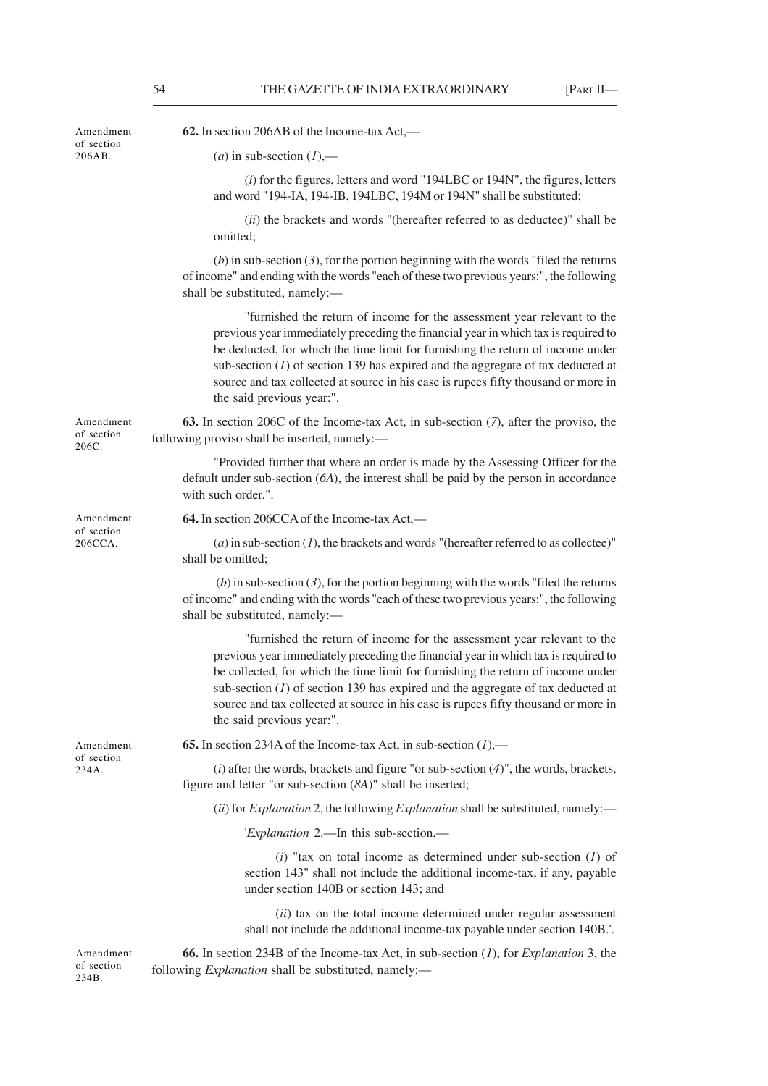| Amendment<br>of section<br>206AB. | 62. In section 206AB of the Income-tax Act,—                                                                                                                                                                                                                                                                                                                                                                                                              |
|-----------------------------------|-----------------------------------------------------------------------------------------------------------------------------------------------------------------------------------------------------------------------------------------------------------------------------------------------------------------------------------------------------------------------------------------------------------------------------------------------------------|
|                                   | ( <i>a</i> ) in sub-section $(1)$ ,—                                                                                                                                                                                                                                                                                                                                                                                                                      |
|                                   | $(i)$ for the figures, letters and word "194LBC or 194N", the figures, letters<br>and word "194-IA, 194-IB, 194LBC, 194M or 194N" shall be substituted;                                                                                                                                                                                                                                                                                                   |
|                                   | (ii) the brackets and words "(hereafter referred to as deductee)" shall be<br>omitted;                                                                                                                                                                                                                                                                                                                                                                    |
|                                   | $(b)$ in sub-section (3), for the portion beginning with the words "filed the returns"<br>of income" and ending with the words "each of these two previous years:", the following<br>shall be substituted, namely:-                                                                                                                                                                                                                                       |
|                                   | "furnished the return of income for the assessment year relevant to the<br>previous year immediately preceding the financial year in which tax is required to<br>be deducted, for which the time limit for furnishing the return of income under<br>sub-section $(I)$ of section 139 has expired and the aggregate of tax deducted at<br>source and tax collected at source in his case is rupees fifty thousand or more in<br>the said previous year:".  |
| Amendment<br>of section<br>206C.  | 63. In section 206C of the Income-tax Act, in sub-section (7), after the proviso, the<br>following proviso shall be inserted, namely:-                                                                                                                                                                                                                                                                                                                    |
|                                   | "Provided further that where an order is made by the Assessing Officer for the<br>default under sub-section $(6A)$ , the interest shall be paid by the person in accordance<br>with such order.".                                                                                                                                                                                                                                                         |
| Amendment                         | 64. In section 206CCA of the Income-tax Act,—                                                                                                                                                                                                                                                                                                                                                                                                             |
| of section<br>206CCA.             | $(a)$ in sub-section (1), the brackets and words "(hereafter referred to as collectee)"<br>shall be omitted;                                                                                                                                                                                                                                                                                                                                              |
|                                   | (b) in sub-section $(3)$ , for the portion beginning with the words "filed the returns<br>of income" and ending with the words "each of these two previous years:", the following<br>shall be substituted, namely:-                                                                                                                                                                                                                                       |
|                                   | "furnished the return of income for the assessment year relevant to the<br>previous year immediately preceding the financial year in which tax is required to<br>be collected, for which the time limit for furnishing the return of income under<br>sub-section $(1)$ of section 139 has expired and the aggregate of tax deducted at<br>source and tax collected at source in his case is rupees fifty thousand or more in<br>the said previous year:". |
| Amendment                         | <b>65.</b> In section 234A of the Income-tax Act, in sub-section $(l)$ ,—                                                                                                                                                                                                                                                                                                                                                                                 |
| of section<br>234A.               | $(i)$ after the words, brackets and figure "or sub-section $(4)$ ", the words, brackets,<br>figure and letter "or sub-section (8A)" shall be inserted;                                                                                                                                                                                                                                                                                                    |
|                                   | $(ii)$ for <i>Explanation</i> 2, the following <i>Explanation</i> shall be substituted, namely:—                                                                                                                                                                                                                                                                                                                                                          |
|                                   | 'Explanation 2.—In this sub-section,—                                                                                                                                                                                                                                                                                                                                                                                                                     |
|                                   | $(i)$ "tax on total income as determined under sub-section $(I)$ of<br>section 143" shall not include the additional income-tax, if any, payable<br>under section 140B or section 143; and                                                                                                                                                                                                                                                                |
|                                   | (ii) tax on the total income determined under regular assessment<br>shall not include the additional income-tax payable under section 140B.'.                                                                                                                                                                                                                                                                                                             |
| Amendment<br>of section<br>234B.  | <b>66.</b> In section 234B of the Income-tax Act, in sub-section $(I)$ , for <i>Explanation</i> 3, the<br>following <i>Explanation</i> shall be substituted, namely:-                                                                                                                                                                                                                                                                                     |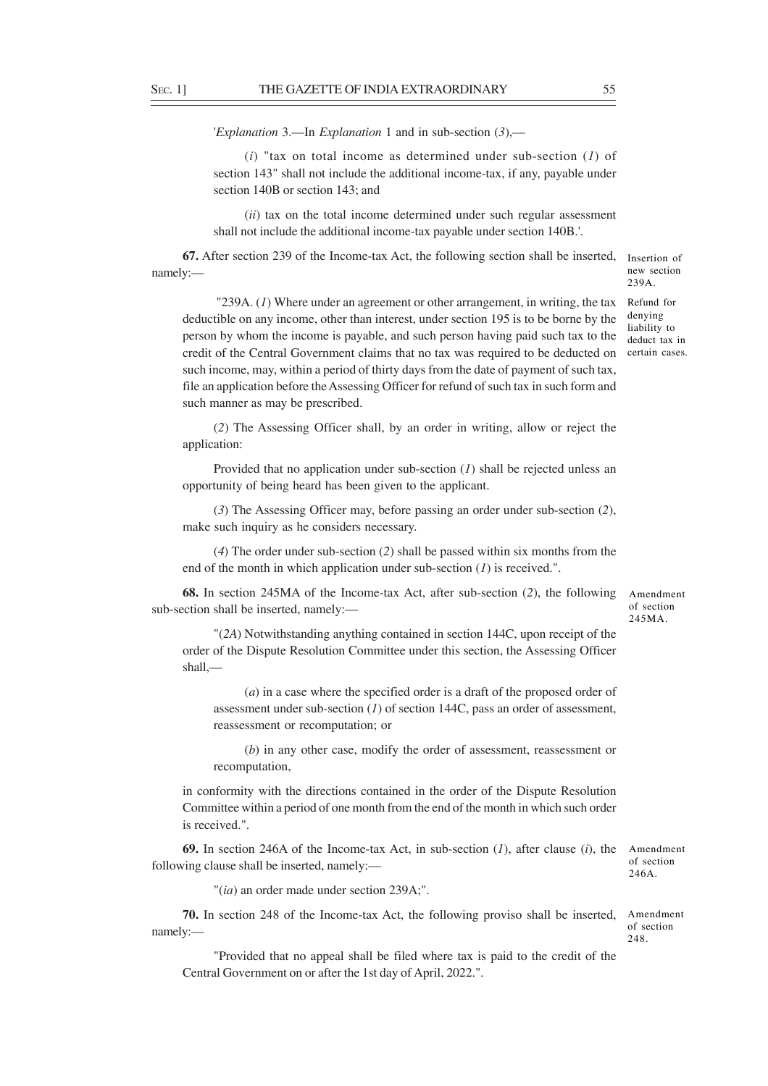'*Explanation* 3.—In *Explanation* 1 and in sub-section (*3*),—

(*i*) "tax on total income as determined under sub-section (*1*) of section 143" shall not include the additional income-tax, if any, payable under section 140B or section 143; and

(*ii*) tax on the total income determined under such regular assessment shall not include the additional income-tax payable under section 140B.'.

**67.** After section 239 of the Income-tax Act, the following section shall be inserted, namely:—

 "239A. (*1*) Where under an agreement or other arrangement, in writing, the tax deductible on any income, other than interest, under section 195 is to be borne by the person by whom the income is payable, and such person having paid such tax to the credit of the Central Government claims that no tax was required to be deducted on such income, may, within a period of thirty days from the date of payment of such tax, file an application before the Assessing Officer for refund of such tax in such form and such manner as may be prescribed.

(*2*) The Assessing Officer shall, by an order in writing, allow or reject the application:

Provided that no application under sub-section (*1*) shall be rejected unless an opportunity of being heard has been given to the applicant.

(*3*) The Assessing Officer may, before passing an order under sub-section (*2*), make such inquiry as he considers necessary.

(*4*) The order under sub-section (*2*) shall be passed within six months from the end of the month in which application under sub-section (*1*) is received.".

**68.** In section 245MA of the Income-tax Act, after sub-section (*2*), the following sub-section shall be inserted, namely:—

"(*2A*) Notwithstanding anything contained in section 144C, upon receipt of the order of the Dispute Resolution Committee under this section, the Assessing Officer shall,—

(*a*) in a case where the specified order is a draft of the proposed order of assessment under sub-section (*1*) of section 144C, pass an order of assessment, reassessment or recomputation; or

(*b*) in any other case, modify the order of assessment, reassessment or recomputation,

in conformity with the directions contained in the order of the Dispute Resolution Committee within a period of one month from the end of the month in which such order is received.".

**69.** In section 246A of the Income-tax Act, in sub-section (*1*), after clause (*i*), the following clause shall be inserted, namely:—

Amendment of section 246A.

Amendment of section 245MA.

"(*ia*) an order made under section 239A;".

**70.** In section 248 of the Income-tax Act, the following proviso shall be inserted, Amendment namely: of section 248.

"Provided that no appeal shall be filed where tax is paid to the credit of the Central Government on or after the 1st day of April, 2022.".

new section 239A. Refund for

Insertion of

denying liability to deduct tax in certain cases.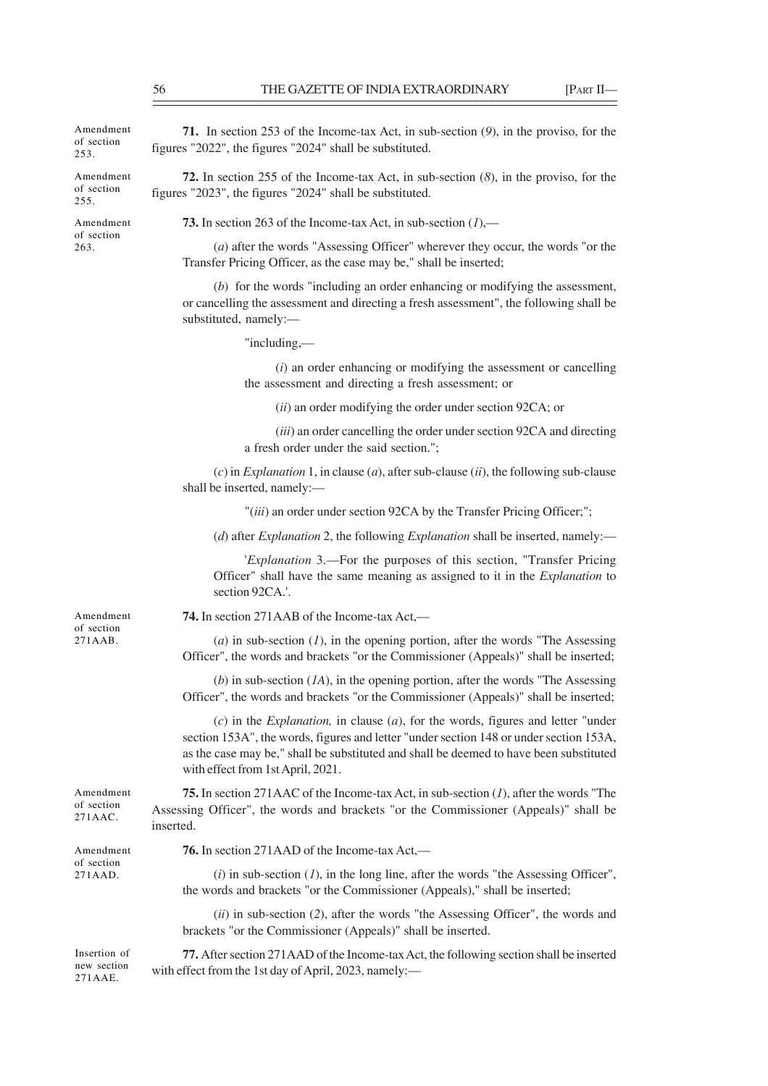Amendment of section 253.

Amendment of section 255.

Amendment of section 263.

**71.** In section 253 of the Income-tax Act, in sub-section (*9*), in the proviso, for the figures "2022", the figures "2024" shall be substituted.

**72.** In section 255 of the Income-tax Act, in sub-section (*8*), in the proviso, for the figures "2023", the figures "2024" shall be substituted.

**73.** In section 263 of the Income-tax Act, in sub-section (*1*),—

(*a*) after the words "Assessing Officer" wherever they occur, the words "or the Transfer Pricing Officer, as the case may be," shall be inserted;

(*b*) for the words "including an order enhancing or modifying the assessment, or cancelling the assessment and directing a fresh assessment", the following shall be substituted, namely:—

"including,—

(*i*) an order enhancing or modifying the assessment or cancelling the assessment and directing a fresh assessment; or

(*ii*) an order modifying the order under section 92CA; or

(*iii*) an order cancelling the order under section 92CA and directing a fresh order under the said section.";

(*c*) in *Explanation* 1, in clause (*a*), after sub-clause (*ii*), the following sub-clause shall be inserted, namely:—

"(*iii*) an order under section 92CA by the Transfer Pricing Officer;";

(*d*) after *Explanation* 2, the following *Explanation* shall be inserted, namely:—

'*Explanation* 3.—For the purposes of this section, "Transfer Pricing Officer" shall have the same meaning as assigned to it in the *Explanation* to section 92CA.'.

Amendment of section

**74.** In section 271AAB of the Income-tax Act,—

(*a*) in sub-section (*1*), in the opening portion, after the words "The Assessing Officer", the words and brackets "or the Commissioner (Appeals)" shall be inserted;

(*b*) in sub-section (*1A*), in the opening portion, after the words "The Assessing Officer", the words and brackets "or the Commissioner (Appeals)" shall be inserted;

(*c*) in the *Explanation,* in clause (*a*), for the words, figures and letter "under section 153A", the words, figures and letter "under section 148 or under section 153A, as the case may be," shall be substituted and shall be deemed to have been substituted with effect from 1st April, 2021.

**75.** In section 271AAC of the Income-tax Act, in sub-section (*1*), after the words "The Assessing Officer", the words and brackets "or the Commissioner (Appeals)" shall be inserted. Amendment of section 271AAC.

**76.** In section 271AAD of the Income-tax Act,—  $(i)$  in sub-section  $(I)$ , in the long line, after the words "the Assessing Officer", the words and brackets "or the Commissioner (Appeals)," shall be inserted; (*ii*) in sub-section (*2*), after the words "the Assessing Officer", the words and brackets "or the Commissioner (Appeals)" shall be inserted. **77.** After section 271AAD of the Income-tax Act, the following section shall be inserted Amendment of section 271AAD. Insertion of

with effect from the 1st day of April, 2023, namely: new section

271AAE.

271AAB.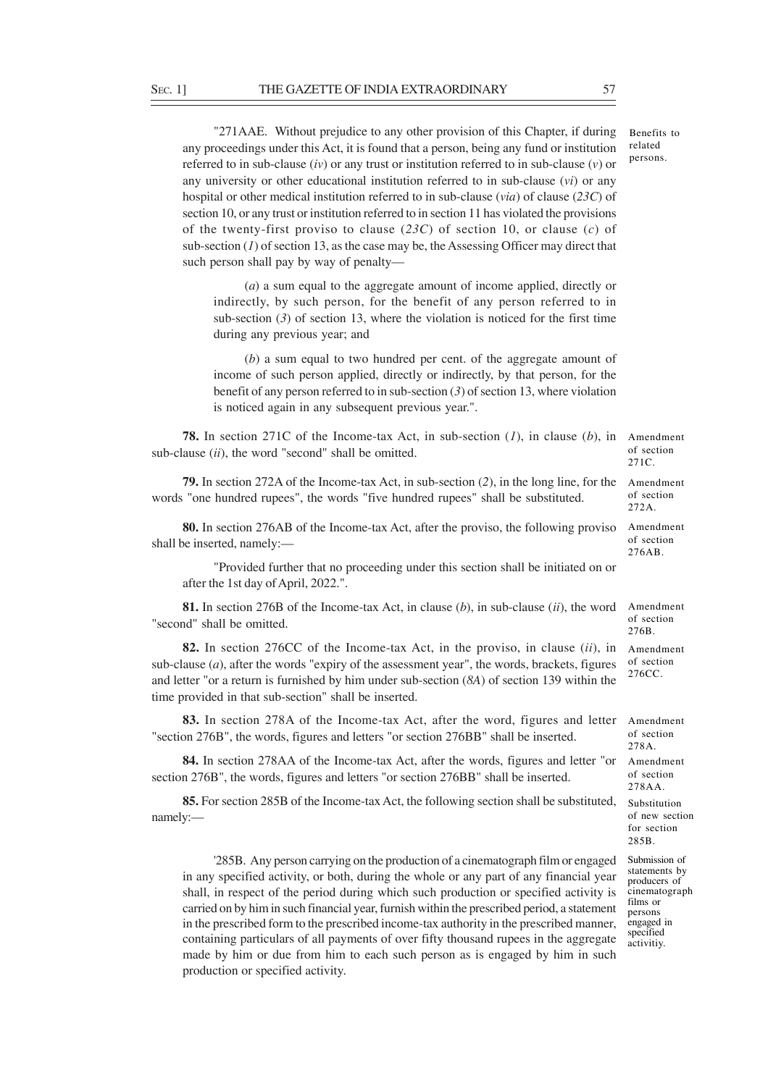"271AAE. Without prejudice to any other provision of this Chapter, if during any proceedings under this Act, it is found that a person, being any fund or institution referred to in sub-clause (*iv*) or any trust or institution referred to in sub-clause (*v*) or any university or other educational institution referred to in sub-clause (*vi*) or any hospital or other medical institution referred to in sub-clause (*via*) of clause (*23C*) of section 10, or any trust or institution referred to in section 11 has violated the provisions of the twenty-first proviso to clause (*23C*) of section 10, or clause (*c*) of sub-section (*1*) of section 13, as the case may be, the Assessing Officer may direct that such person shall pay by way of penalty— Benefits to related persons.

(*a*) a sum equal to the aggregate amount of income applied, directly or indirectly, by such person, for the benefit of any person referred to in sub-section  $(3)$  of section 13, where the violation is noticed for the first time during any previous year; and

(*b*) a sum equal to two hundred per cent. of the aggregate amount of income of such person applied, directly or indirectly, by that person, for the benefit of any person referred to in sub-section (*3*) of section 13, where violation is noticed again in any subsequent previous year.".

**78.** In section 271C of the Income-tax Act, in sub-section (*1*), in clause (*b*), in Amendment sub-clause (*ii*), the word "second" shall be omitted.

**79.** In section 272A of the Income-tax Act, in sub-section (*2*), in the long line, for the words "one hundred rupees", the words "five hundred rupees" shall be substituted.

**80.** In section 276AB of the Income-tax Act, after the proviso, the following proviso shall be inserted, namely:—

"Provided further that no proceeding under this section shall be initiated on or after the 1st day of April, 2022.".

**81.** In section 276B of the Income-tax Act, in clause (*b*), in sub-clause (*ii*), the word "second" shall be omitted.

**82.** In section 276CC of the Income-tax Act, in the proviso, in clause (*ii*), in sub-clause (*a*), after the words "expiry of the assessment year", the words, brackets, figures and letter "or a return is furnished by him under sub-section (*8A*) of section 139 within the time provided in that sub-section" shall be inserted.

**83.** In section 278A of the Income-tax Act, after the word, figures and letter "section 276B", the words, figures and letters "or section 276BB" shall be inserted.

**84.** In section 278AA of the Income-tax Act, after the words, figures and letter "or section 276B", the words, figures and letters "or section 276BB" shall be inserted.

**85.** For section 285B of the Income-tax Act, the following section shall be substituted, namely:—

'285B. Any person carrying on the production of a cinematograph film or engaged in any specified activity, or both, during the whole or any part of any financial year shall, in respect of the period during which such production or specified activity is carried on by him in such financial year, furnish within the prescribed period, a statement in the prescribed form to the prescribed income-tax authority in the prescribed manner, containing particulars of all payments of over fifty thousand rupees in the aggregate made by him or due from him to each such person as is engaged by him in such production or specified activity.

of section 271C.

Amendment of section 272A.

Amendment of section 276AB.

Amendment of section 276B.

Amendment of section 276CC.

Amendment of section 278A. Amendment

of section 278AA.

Substitution of new section for section 285B.

Submission of statements by producers of cinematograph films or persons engaged in specified activitiy.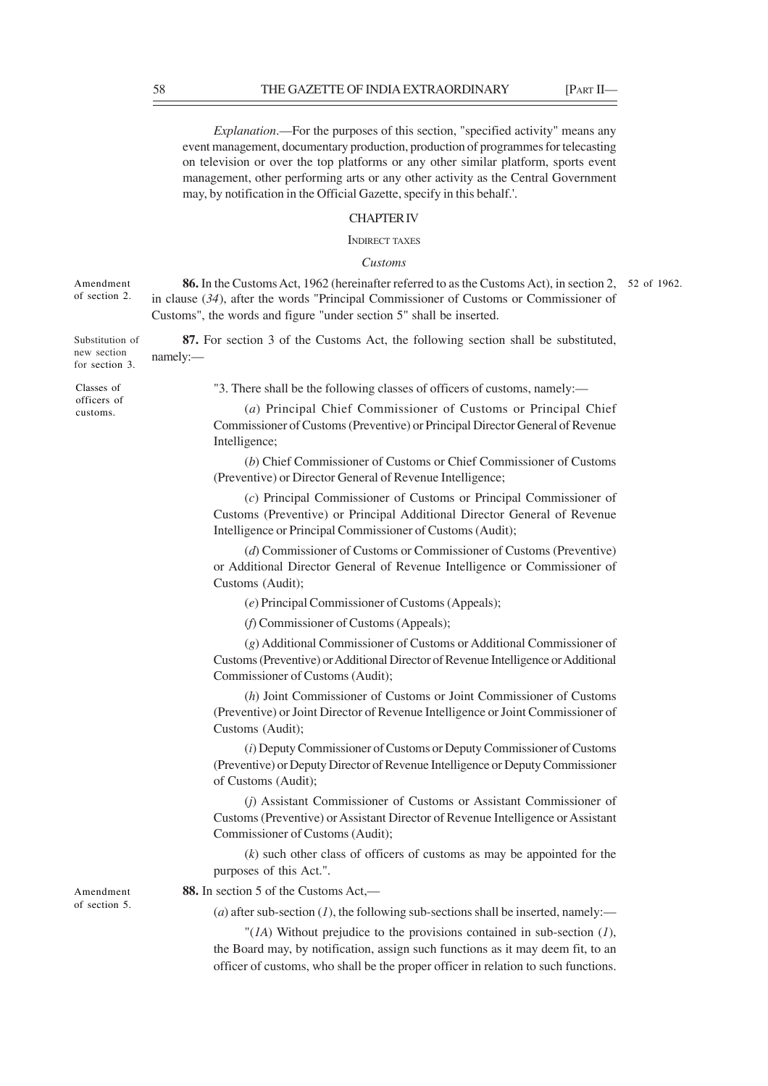*Explanation*.—For the purposes of this section, "specified activity" means any event management, documentary production, production of programmes for telecasting on television or over the top platforms or any other similar platform, sports event management, other performing arts or any other activity as the Central Government may, by notification in the Official Gazette, specify in this behalf.'.

# CHAPTER IV

#### INDIRECT TAXES

## *Customs*

**86.** In the Customs Act, 1962 (hereinafter referred to as the Customs Act), in section 2, 52 of 1962. in clause (*34*), after the words "Principal Commissioner of Customs or Commissioner of Customs", the words and figure "under section 5" shall be inserted. Amendment of section 2.

**87.** For section 3 of the Customs Act, the following section shall be substituted, namely:— Substitution of new section for section 3.

Classes of officers of customs.

"3. There shall be the following classes of officers of customs, namely:—

(*a*) Principal Chief Commissioner of Customs or Principal Chief Commissioner of Customs (Preventive) or Principal Director General of Revenue Intelligence;

(*b*) Chief Commissioner of Customs or Chief Commissioner of Customs (Preventive) or Director General of Revenue Intelligence;

(*c*) Principal Commissioner of Customs or Principal Commissioner of Customs (Preventive) or Principal Additional Director General of Revenue Intelligence or Principal Commissioner of Customs (Audit);

(*d*) Commissioner of Customs or Commissioner of Customs (Preventive) or Additional Director General of Revenue Intelligence or Commissioner of Customs (Audit);

(*e*) Principal Commissioner of Customs (Appeals);

(*f*) Commissioner of Customs (Appeals);

(*g*) Additional Commissioner of Customs or Additional Commissioner of Customs (Preventive) or Additional Director of Revenue Intelligence or Additional Commissioner of Customs (Audit);

(*h*) Joint Commissioner of Customs or Joint Commissioner of Customs (Preventive) or Joint Director of Revenue Intelligence or Joint Commissioner of Customs (Audit);

(*i*) Deputy Commissioner of Customs or Deputy Commissioner of Customs (Preventive) or Deputy Director of Revenue Intelligence or Deputy Commissioner of Customs (Audit);

(*j*) Assistant Commissioner of Customs or Assistant Commissioner of Customs (Preventive) or Assistant Director of Revenue Intelligence or Assistant Commissioner of Customs (Audit);

(*k*) such other class of officers of customs as may be appointed for the purposes of this Act.".

Amendment of section 5.

(*a*) after sub-section (*l*), the following sub-sections shall be inserted, namely:—

**88.** In section 5 of the Customs Act,—

"(*1A*) Without prejudice to the provisions contained in sub-section (*1*), the Board may, by notification, assign such functions as it may deem fit, to an officer of customs, who shall be the proper officer in relation to such functions.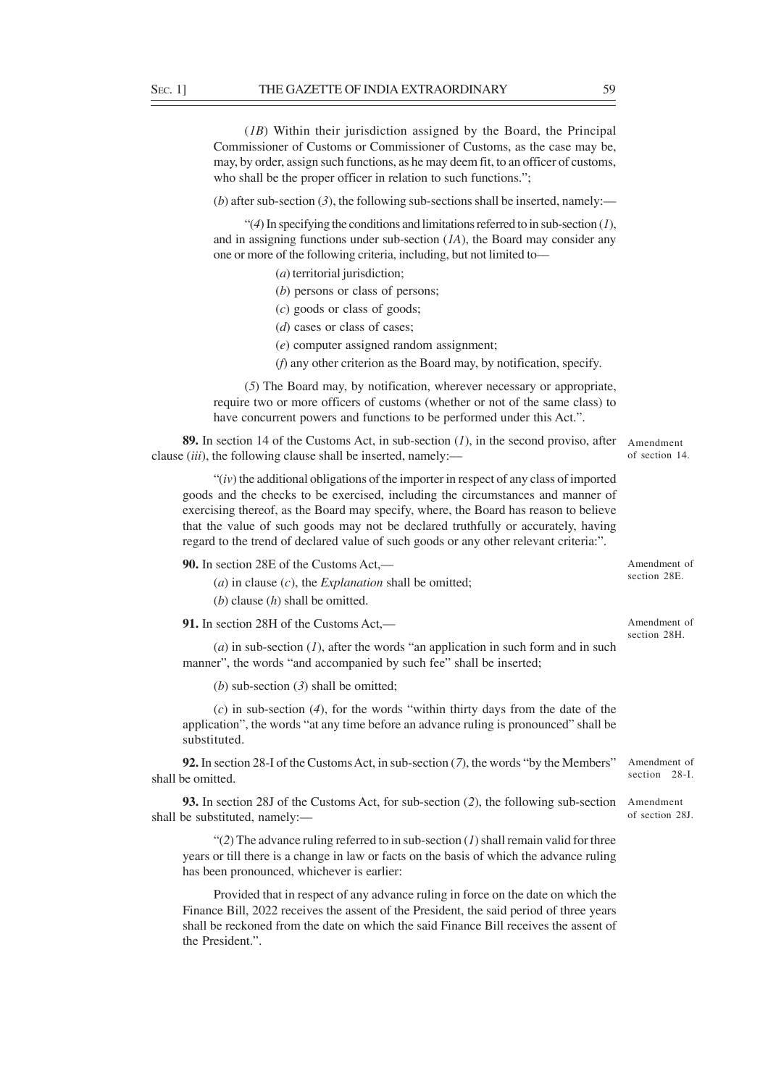(*1B*) Within their jurisdiction assigned by the Board, the Principal Commissioner of Customs or Commissioner of Customs, as the case may be, may, by order, assign such functions, as he may deem fit, to an officer of customs, who shall be the proper officer in relation to such functions.";

(*b*) after sub-section (3), the following sub-sections shall be inserted, namely:—

"(*4*) In specifying the conditions and limitations referred to in sub-section (*1*), and in assigning functions under sub-section (*1A*), the Board may consider any one or more of the following criteria, including, but not limited to––

(*a*) territorial jurisdiction;

- (*b*) persons or class of persons;
- (*c*) goods or class of goods;
- (*d*) cases or class of cases;
- (*e*) computer assigned random assignment;
- (*f*) any other criterion as the Board may, by notification, specify.

(*5*) The Board may, by notification, wherever necessary or appropriate, require two or more officers of customs (whether or not of the same class) to have concurrent powers and functions to be performed under this Act.".

Amendment of section 14. **89.** In section 14 of the Customs Act, in sub-section (*1*), in the second proviso, after clause (*iii*), the following clause shall be inserted, namely:––

"(*iv*) the additional obligations of the importer in respect of any class of imported goods and the checks to be exercised, including the circumstances and manner of exercising thereof, as the Board may specify, where, the Board has reason to believe that the value of such goods may not be declared truthfully or accurately, having regard to the trend of declared value of such goods or any other relevant criteria:".

**90.** In section 28E of the Customs Act,––

(*a*) in clause (*c*), the *Explanation* shall be omitted; (*b*) clause (*h*) shall be omitted.

**91.** In section 28H of the Customs Act,––

(*a*) in sub-section (*1*), after the words "an application in such form and in such manner", the words "and accompanied by such fee" shall be inserted;

(*b*) sub-section (*3*) shall be omitted;

(*c*) in sub-section (*4*), for the words "within thirty days from the date of the application", the words "at any time before an advance ruling is pronounced" shall be substituted.

**92.** In section 28-I of the Customs Act, in sub-section (*7*), the words "by the Members" shall be omitted.

**93.** In section 28J of the Customs Act, for sub-section (*2*), the following sub-section Amendment shall be substituted, namely:––

"(*2*) The advance ruling referred to in sub-section (*1*) shall remain valid for three years or till there is a change in law or facts on the basis of which the advance ruling has been pronounced, whichever is earlier:

Provided that in respect of any advance ruling in force on the date on which the Finance Bill, 2022 receives the assent of the President, the said period of three years shall be reckoned from the date on which the said Finance Bill receives the assent of the President.".

Amendment of section 28E.

Amendment of section 28H.

Amendment of section 28-I.

of section 28J.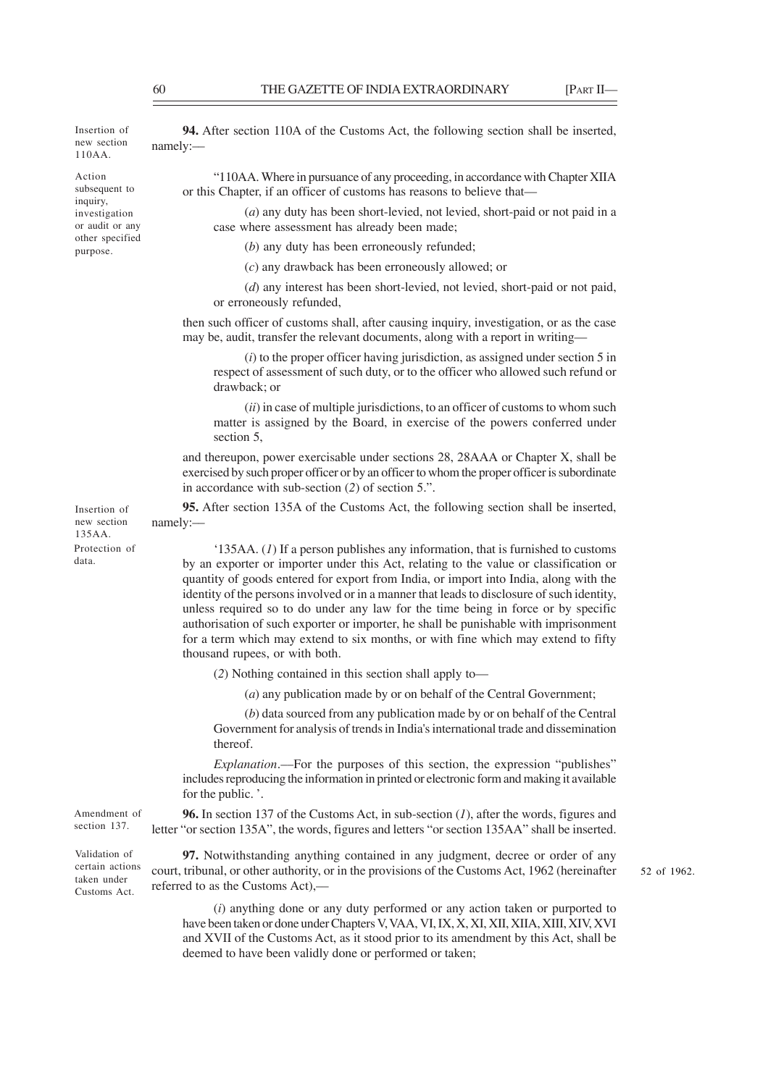Insertion of new section 110AA.

Action subsequent to inquiry, investigation or audit or any other specified purpose.

Insertion of new section 135AA.

Protection of data.

**94.** After section 110A of the Customs Act, the following section shall be inserted, namely:––

"110AA. Where in pursuance of any proceeding, in accordance with Chapter XIIA or this Chapter, if an officer of customs has reasons to believe that––

(*a*) any duty has been short-levied, not levied, short-paid or not paid in a case where assessment has already been made;

(*b*) any duty has been erroneously refunded;

(*c*) any drawback has been erroneously allowed; or

(*d*) any interest has been short-levied, not levied, short-paid or not paid, or erroneously refunded,

then such officer of customs shall, after causing inquiry, investigation, or as the case may be, audit, transfer the relevant documents, along with a report in writing—

(*i*) to the proper officer having jurisdiction, as assigned under section 5 in respect of assessment of such duty, or to the officer who allowed such refund or drawback; or

(*ii*) in case of multiple jurisdictions, to an officer of customs to whom such matter is assigned by the Board, in exercise of the powers conferred under section 5,

and thereupon, power exercisable under sections 28, 28AAA or Chapter X, shall be exercised by such proper officer or by an officer to whom the proper officer is subordinate in accordance with sub-section (*2*) of section 5.".

**95.** After section 135A of the Customs Act, the following section shall be inserted, namely:––

'135AA. (*1*) If a person publishes any information, that is furnished to customs by an exporter or importer under this Act, relating to the value or classification or quantity of goods entered for export from India, or import into India, along with the identity of the persons involved or in a manner that leads to disclosure of such identity, unless required so to do under any law for the time being in force or by specific authorisation of such exporter or importer, he shall be punishable with imprisonment for a term which may extend to six months, or with fine which may extend to fifty thousand rupees, or with both.

(*2*) Nothing contained in this section shall apply to—

(*a*) any publication made by or on behalf of the Central Government;

(*b*) data sourced from any publication made by or on behalf of the Central Government for analysis of trends in India's international trade and dissemination thereof.

*Explanation*.—For the purposes of this section, the expression "publishes" includes reproducing the information in printed or electronic form and making it available for the public. '.

**96.** In section 137 of the Customs Act, in sub-section (*1*), after the words, figures and letter "or section 135A", the words, figures and letters "or section 135AA" shall be inserted. Amendment of section 137.

Validation of certain actions taken under Customs Act.

**97.** Notwithstanding anything contained in any judgment, decree or order of any court, tribunal, or other authority, or in the provisions of the Customs Act, 1962 (hereinafter referred to as the Customs Act),––

52 of 1962.

(*i*) anything done or any duty performed or any action taken or purported to have been taken or done under Chapters V, VAA, VI, IX, X, XI, XII, XIIA, XIII, XIV, XVI and XVII of the Customs Act, as it stood prior to its amendment by this Act, shall be deemed to have been validly done or performed or taken;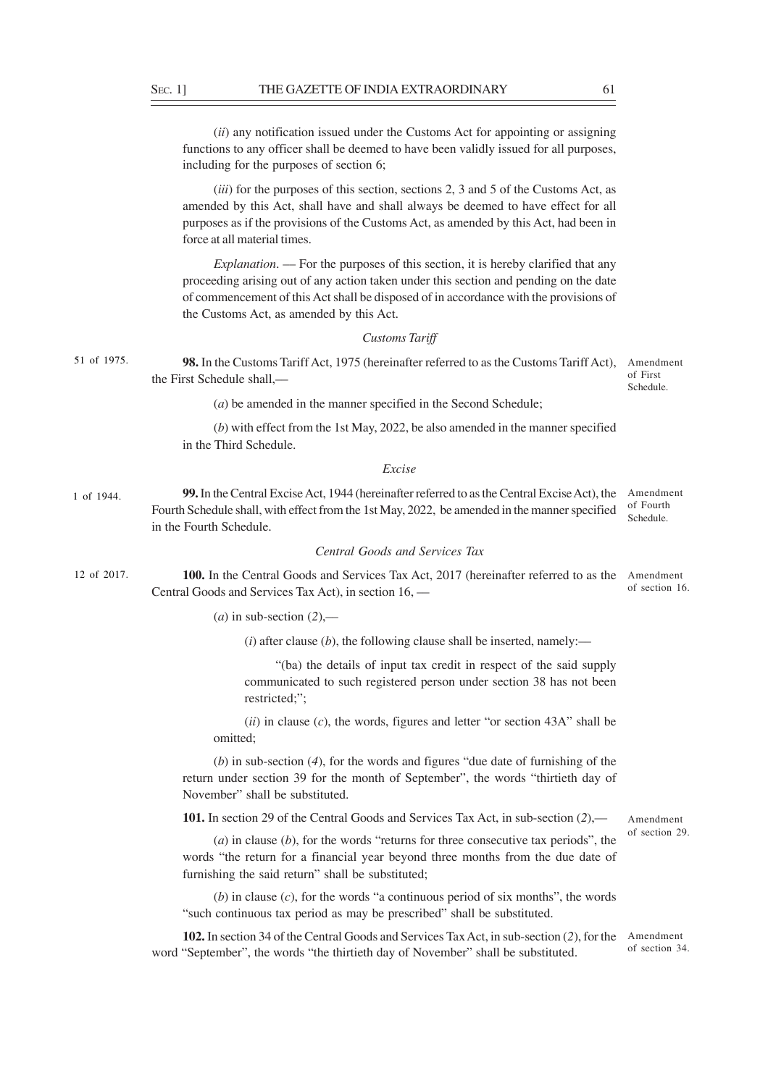(*ii*) any notification issued under the Customs Act for appointing or assigning functions to any officer shall be deemed to have been validly issued for all purposes, including for the purposes of section 6;

(*iii*) for the purposes of this section, sections 2, 3 and 5 of the Customs Act, as amended by this Act, shall have and shall always be deemed to have effect for all purposes as if the provisions of the Customs Act, as amended by this Act, had been in force at all material times.

*Explanation*. –– For the purposes of this section, it is hereby clarified that any proceeding arising out of any action taken under this section and pending on the date of commencement of this Act shall be disposed of in accordance with the provisions of the Customs Act, as amended by this Act.

#### *Customs Tariff*

**98.** In the Customs Tariff Act, 1975 (hereinafter referred to as the Customs Tariff Act), Amendment the First Schedule shall,–– 51 of 1975.

of First Schedule.

(*a*) be amended in the manner specified in the Second Schedule;

(*b*) with effect from the 1st May, 2022, be also amended in the manner specified in the Third Schedule.

#### *Excise*

**99.** In the Central Excise Act, 1944 (hereinafter referred to as the Central Excise Act), the Amendment Fourth Schedule shall, with effect from the 1st May, 2022, be amended in the manner specified in the Fourth Schedule. of Fourth Schedule. 1 of 1944.

## *Central Goods and Services Tax*

**100.** In the Central Goods and Services Tax Act, 2017 (hereinafter referred to as the Amendment Central Goods and Services Tax Act), in section 16, –– of section 16. 12 of 2017.

 $(a)$  in sub-section  $(2)$ ,—

 $(i)$  after clause  $(b)$ , the following clause shall be inserted, namely:—

"(ba) the details of input tax credit in respect of the said supply communicated to such registered person under section 38 has not been restricted;";

(*ii*) in clause (*c*), the words, figures and letter "or section 43A" shall be omitted;

(*b*) in sub-section (*4*), for the words and figures "due date of furnishing of the return under section 39 for the month of September", the words "thirtieth day of November" shall be substituted.

**101.** In section 29 of the Central Goods and Services Tax Act, in sub-section (*2*),––

(*a*) in clause (*b*), for the words "returns for three consecutive tax periods", the words "the return for a financial year beyond three months from the due date of furnishing the said return" shall be substituted;

(*b*) in clause (*c*), for the words "a continuous period of six months", the words "such continuous tax period as may be prescribed" shall be substituted.

**102.** In section 34 of the Central Goods and Services Tax Act, in sub-section (*2*), for the word "September", the words "the thirtieth day of November" shall be substituted. Amendment of section 34.

Amendment of section 29.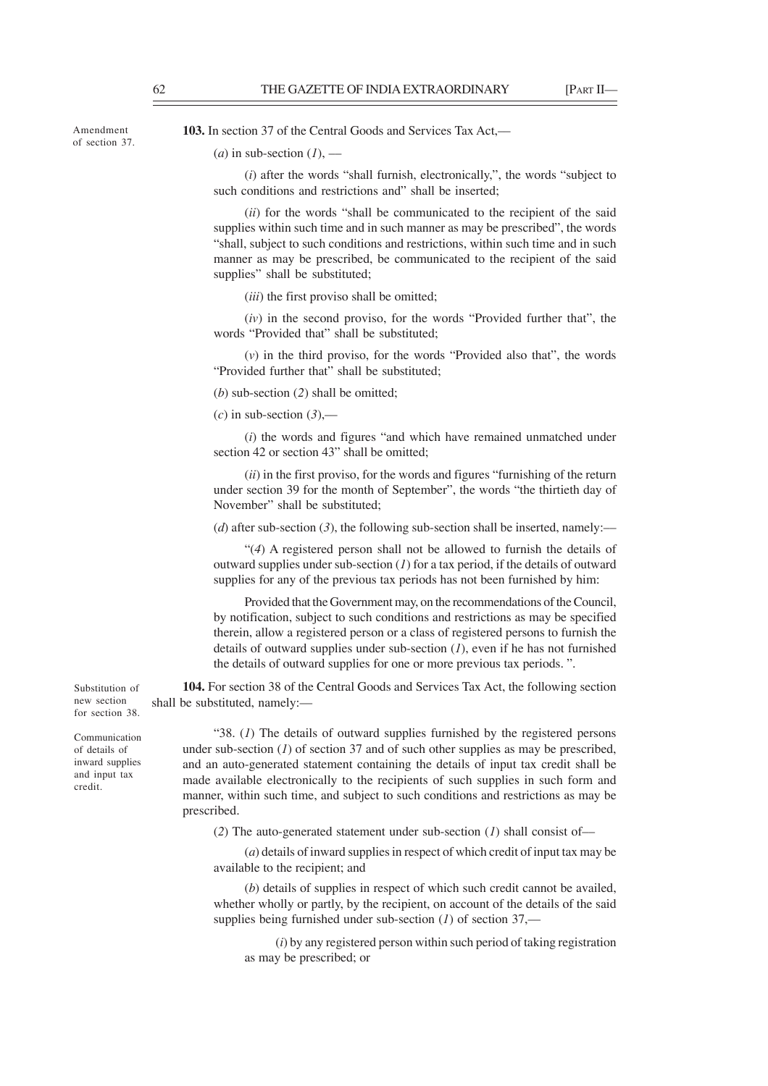Amendment of section 37. **103.** In section 37 of the Central Goods and Services Tax Act,—

# (*a*) in sub-section  $(I)$ , —

(*i*) after the words "shall furnish, electronically,", the words "subject to such conditions and restrictions and" shall be inserted;

(*ii*) for the words "shall be communicated to the recipient of the said supplies within such time and in such manner as may be prescribed", the words "shall, subject to such conditions and restrictions, within such time and in such manner as may be prescribed, be communicated to the recipient of the said supplies" shall be substituted;

(*iii*) the first proviso shall be omitted;

(*iv*) in the second proviso, for the words "Provided further that", the words "Provided that" shall be substituted;

(*v*) in the third proviso, for the words "Provided also that", the words "Provided further that" shall be substituted;

(*b*) sub-section (*2*) shall be omitted;

 $(c)$  in sub-section  $(3)$ ,—

(*i*) the words and figures "and which have remained unmatched under section 42 or section 43" shall be omitted;

(*ii*) in the first proviso, for the words and figures "furnishing of the return under section 39 for the month of September", the words "the thirtieth day of November" shall be substituted;

(*d*) after sub-section (3), the following sub-section shall be inserted, namely:—

"(*4*) A registered person shall not be allowed to furnish the details of outward supplies under sub-section (*1*) for a tax period, if the details of outward supplies for any of the previous tax periods has not been furnished by him:

Provided that the Government may, on the recommendations of the Council, by notification, subject to such conditions and restrictions as may be specified therein, allow a registered person or a class of registered persons to furnish the details of outward supplies under sub-section (*1*), even if he has not furnished the details of outward supplies for one or more previous tax periods. ".

**104.** For section 38 of the Central Goods and Services Tax Act, the following section shall be substituted, namely:––

"38. (*1*) The details of outward supplies furnished by the registered persons under sub-section  $(1)$  of section 37 and of such other supplies as may be prescribed, and an auto-generated statement containing the details of input tax credit shall be made available electronically to the recipients of such supplies in such form and manner, within such time, and subject to such conditions and restrictions as may be prescribed.

(*2*) The auto-generated statement under sub-section (*1*) shall consist of––

(*a*) details of inward supplies in respect of which credit of input tax may be available to the recipient; and

(*b*) details of supplies in respect of which such credit cannot be availed, whether wholly or partly, by the recipient, on account of the details of the said supplies being furnished under sub-section (*1*) of section 37,––

(*i*) by any registered person within such period of taking registration as may be prescribed; or

Substitution of new section for section 38.

Communication of details of inward supplies and input tax credit.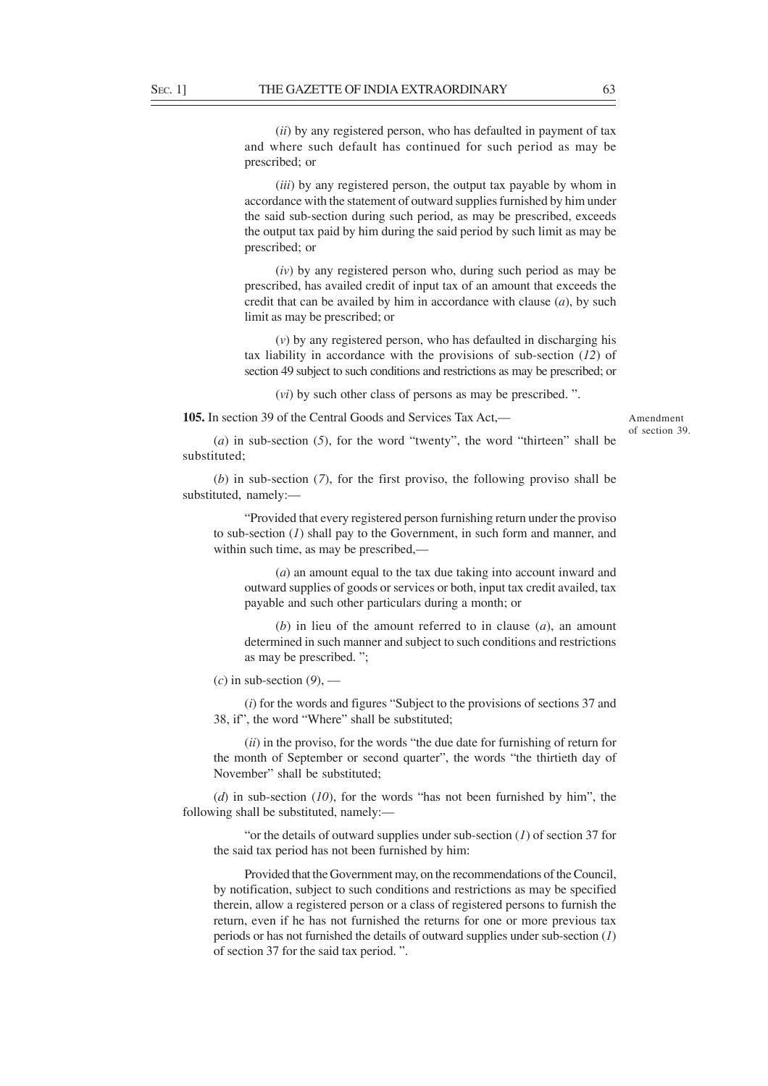(*ii*) by any registered person, who has defaulted in payment of tax and where such default has continued for such period as may be prescribed; or

(*iii*) by any registered person, the output tax payable by whom in accordance with the statement of outward supplies furnished by him under the said sub-section during such period, as may be prescribed, exceeds the output tax paid by him during the said period by such limit as may be prescribed; or

(*iv*) by any registered person who, during such period as may be prescribed, has availed credit of input tax of an amount that exceeds the credit that can be availed by him in accordance with clause (*a*), by such limit as may be prescribed; or

(*v*) by any registered person, who has defaulted in discharging his tax liability in accordance with the provisions of sub-section (*12*) of section 49 subject to such conditions and restrictions as may be prescribed; or

(*vi*) by such other class of persons as may be prescribed. ".

**105.** In section 39 of the Central Goods and Services Tax Act,––

Amendment of section 39.

(*a*) in sub-section (*5*), for the word "twenty", the word "thirteen" shall be substituted;

(*b*) in sub-section (*7*), for the first proviso, the following proviso shall be substituted, namely:––

"Provided that every registered person furnishing return under the proviso to sub-section (*1*) shall pay to the Government, in such form and manner, and within such time, as may be prescribed,––

(*a*) an amount equal to the tax due taking into account inward and outward supplies of goods or services or both, input tax credit availed, tax payable and such other particulars during a month; or

(*b*) in lieu of the amount referred to in clause (*a*), an amount determined in such manner and subject to such conditions and restrictions as may be prescribed. ";

 $(c)$  in sub-section  $(9)$ , —

(*i*) for the words and figures "Subject to the provisions of sections 37 and 38, if", the word "Where" shall be substituted;

(*ii*) in the proviso, for the words "the due date for furnishing of return for the month of September or second quarter", the words "the thirtieth day of November" shall be substituted;

(*d*) in sub-section (*10*), for the words "has not been furnished by him", the following shall be substituted, namely:––

"or the details of outward supplies under sub-section (*1*) of section 37 for the said tax period has not been furnished by him:

Provided that the Government may, on the recommendations of the Council, by notification, subject to such conditions and restrictions as may be specified therein, allow a registered person or a class of registered persons to furnish the return, even if he has not furnished the returns for one or more previous tax periods or has not furnished the details of outward supplies under sub-section (*1*) of section 37 for the said tax period. ".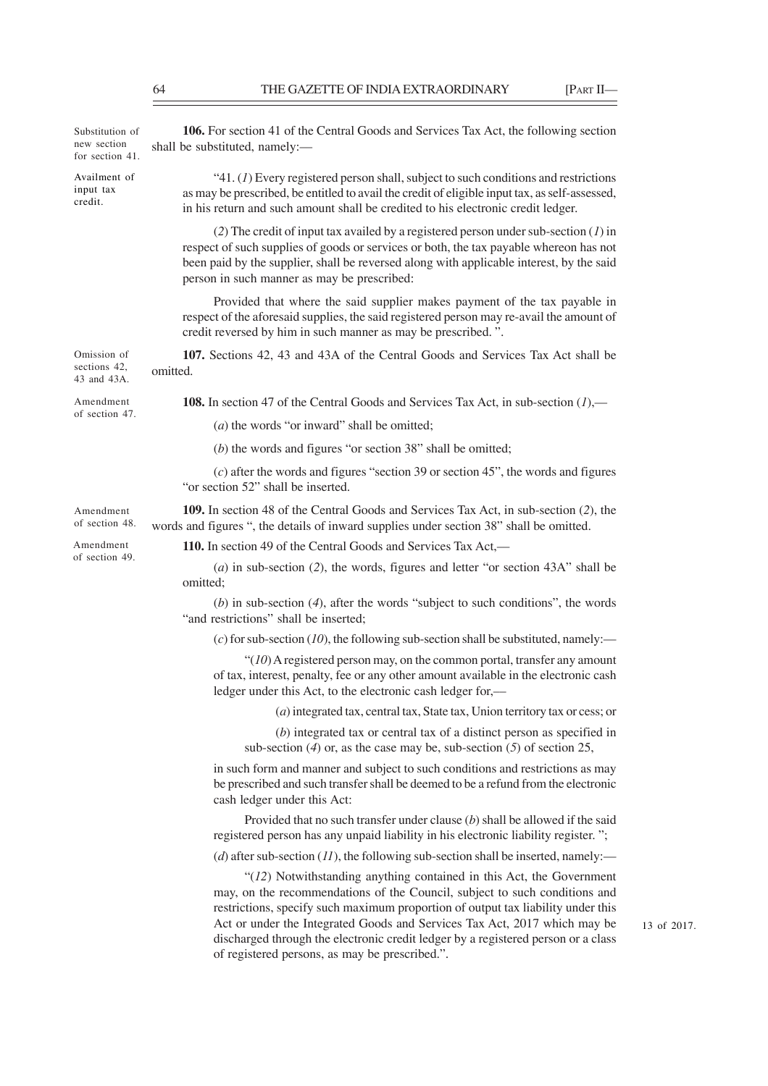| Substitution of<br>new section<br>for section 41. | 106. For section 41 of the Central Goods and Services Tax Act, the following section<br>shall be substituted, namely:-                                                                                                                                                                                                     |  |  |
|---------------------------------------------------|----------------------------------------------------------------------------------------------------------------------------------------------------------------------------------------------------------------------------------------------------------------------------------------------------------------------------|--|--|
| Availment of<br>input tax<br>credit.              | "41. $(I)$ Every registered person shall, subject to such conditions and restrictions<br>as may be prescribed, be entitled to avail the credit of eligible input tax, as self-assessed,<br>in his return and such amount shall be credited to his electronic credit ledger.                                                |  |  |
|                                                   | (2) The credit of input tax availed by a registered person under sub-section $(I)$ in<br>respect of such supplies of goods or services or both, the tax payable whereon has not<br>been paid by the supplier, shall be reversed along with applicable interest, by the said<br>person in such manner as may be prescribed: |  |  |
|                                                   | Provided that where the said supplier makes payment of the tax payable in<br>respect of the aforesaid supplies, the said registered person may re-avail the amount of<br>credit reversed by him in such manner as may be prescribed.".                                                                                     |  |  |
| Omission of<br>sections 42,<br>43 and 43A.        | 107. Sections 42, 43 and 43A of the Central Goods and Services Tax Act shall be<br>omitted.                                                                                                                                                                                                                                |  |  |
| Amendment                                         | <b>108.</b> In section 47 of the Central Goods and Services Tax Act, in sub-section $(l)$ ,—                                                                                                                                                                                                                               |  |  |
| of section 47.                                    | $(a)$ the words "or inward" shall be omitted;                                                                                                                                                                                                                                                                              |  |  |
|                                                   | $(b)$ the words and figures "or section 38" shall be omitted;                                                                                                                                                                                                                                                              |  |  |
|                                                   | $(c)$ after the words and figures "section 39 or section 45", the words and figures<br>"or section 52" shall be inserted.                                                                                                                                                                                                  |  |  |
| Amendment<br>of section 48.                       | 109. In section 48 of the Central Goods and Services Tax Act, in sub-section (2), the<br>words and figures ", the details of inward supplies under section 38" shall be omitted.                                                                                                                                           |  |  |
| Amendment<br>of section 49.                       | 110. In section 49 of the Central Goods and Services Tax Act,—                                                                                                                                                                                                                                                             |  |  |
|                                                   | $(a)$ in sub-section (2), the words, figures and letter "or section 43A" shall be<br>omitted;                                                                                                                                                                                                                              |  |  |
|                                                   | $(b)$ in sub-section $(4)$ , after the words "subject to such conditions", the words<br>"and restrictions" shall be inserted;                                                                                                                                                                                              |  |  |
|                                                   | (c) for sub-section (10), the following sub-section shall be substituted, namely:—                                                                                                                                                                                                                                         |  |  |
|                                                   | " $(10)$ A registered person may, on the common portal, transfer any amount<br>of tax, interest, penalty, fee or any other amount available in the electronic cash<br>ledger under this Act, to the electronic cash ledger for,-                                                                                           |  |  |
|                                                   | $(a)$ integrated tax, central tax, State tax, Union territory tax or cess; or                                                                                                                                                                                                                                              |  |  |
|                                                   | $(b)$ integrated tax or central tax of a distinct person as specified in<br>sub-section $(4)$ or, as the case may be, sub-section $(5)$ of section $25$ ,                                                                                                                                                                  |  |  |
|                                                   | in such form and manner and subject to such conditions and restrictions as may<br>be prescribed and such transfer shall be deemed to be a refund from the electronic<br>cash ledger under this Act:                                                                                                                        |  |  |
|                                                   | Provided that no such transfer under clause $(b)$ shall be allowed if the said<br>registered person has any unpaid liability in his electronic liability register.";                                                                                                                                                       |  |  |
|                                                   | (d) after sub-section (11), the following sub-section shall be inserted, namely:—                                                                                                                                                                                                                                          |  |  |
|                                                   | $\lq(12)$ Notwithstanding anything contained in this Act, the Government<br>may, on the recommendations of the Council, subject to such conditions and<br>restrictions, specify such maximum proportion of output tax liability under this<br>Act or under the Integrated Goods and Services Tax Act, 2017 which may be    |  |  |

discharged through the electronic credit ledger by a registered person or a class

of registered persons, as may be prescribed.".

13 of 2017.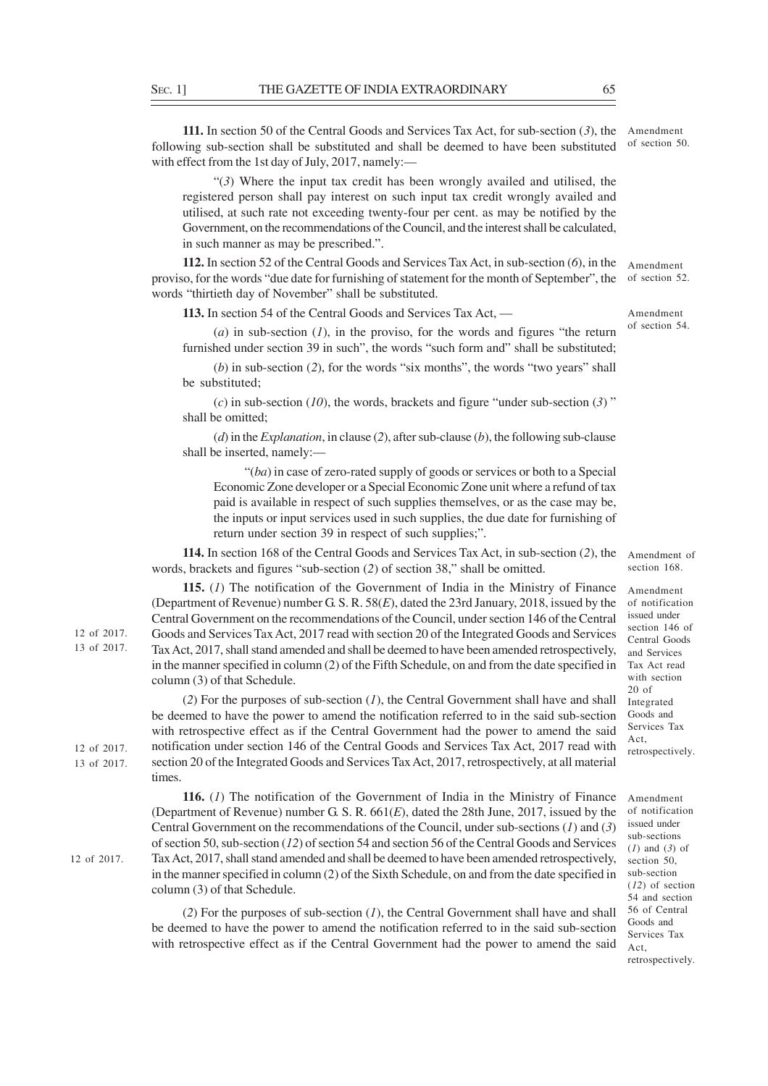**111.** In section 50 of the Central Goods and Services Tax Act, for sub-section (*3*), the following sub-section shall be substituted and shall be deemed to have been substituted of section 50. with effect from the 1st day of July, 2017, namely:-Amendment

"(*3*) Where the input tax credit has been wrongly availed and utilised, the registered person shall pay interest on such input tax credit wrongly availed and utilised, at such rate not exceeding twenty-four per cent. as may be notified by the Government, on the recommendations of the Council, and the interest shall be calculated, in such manner as may be prescribed.".

**112.** In section 52 of the Central Goods and Services Tax Act, in sub-section (*6*), in the proviso, for the words "due date for furnishing of statement for the month of September", the words "thirtieth day of November" shall be substituted. Amendment of section 52.

**113.** In section 54 of the Central Goods and Services Tax Act, ––

(*a*) in sub-section (*1*), in the proviso, for the words and figures "the return furnished under section 39 in such", the words "such form and" shall be substituted:

(*b*) in sub-section (*2*), for the words "six months", the words "two years" shall be substituted;

(*c*) in sub-section (*10*), the words, brackets and figure "under sub-section (*3*) " shall be omitted;

(*d*) in the *Explanation*, in clause (*2*), after sub-clause (*b*), the following sub-clause shall be inserted, namely:––

"(*ba*) in case of zero-rated supply of goods or services or both to a Special Economic Zone developer or a Special Economic Zone unit where a refund of tax paid is available in respect of such supplies themselves, or as the case may be, the inputs or input services used in such supplies, the due date for furnishing of return under section 39 in respect of such supplies;".

**114.** In section 168 of the Central Goods and Services Tax Act, in sub-section (*2*), the words, brackets and figures "sub-section (*2*) of section 38," shall be omitted.

**115.** (*1*) The notification of the Government of India in the Ministry of Finance (Department of Revenue) number G. S. R. 58(*E*), dated the 23rd January, 2018, issued by the Central Government on the recommendations of the Council, under section 146 of the Central Goods and Services Tax Act, 2017 read with section 20 of the Integrated Goods and Services Tax Act, 2017, shall stand amended and shall be deemed to have been amended retrospectively, in the manner specified in column (2) of the Fifth Schedule, on and from the date specified in column (3) of that Schedule.

(*2*) For the purposes of sub-section (*1*), the Central Government shall have and shall be deemed to have the power to amend the notification referred to in the said sub-section with retrospective effect as if the Central Government had the power to amend the said notification under section 146 of the Central Goods and Services Tax Act, 2017 read with section 20 of the Integrated Goods and Services Tax Act, 2017, retrospectively, at all material times.

**116.** (*1*) The notification of the Government of India in the Ministry of Finance (Department of Revenue) number G. S. R. 661(*E*), dated the 28th June, 2017, issued by the Central Government on the recommendations of the Council, under sub-sections (*1*) and (*3*) of section 50, sub-section (*12*) of section 54 and section 56 of the Central Goods and Services Tax Act, 2017, shall stand amended and shall be deemed to have been amended retrospectively, in the manner specified in column (2) of the Sixth Schedule, on and from the date specified in column (3) of that Schedule.

(*2*) For the purposes of sub-section (*1*), the Central Government shall have and shall be deemed to have the power to amend the notification referred to in the said sub-section with retrospective effect as if the Central Government had the power to amend the said

Amendment of section 168.

Amendment of notification issued under section 146 of Central Goods and Services Tax Act read with section 20 of Integrated Goods and Services Tax Act, retrospectively.

Amendment of notification issued under sub-sections (*1*) and (*3*) of section 50, sub-section (*12*) of section 54 and section 56 of Central Goods and Services Tax Act, retrospectively.

12 of 2017. 13 of 2017.

12 of 2017. 13 of 2017.

12 of 2017.

of section 54.

Amendment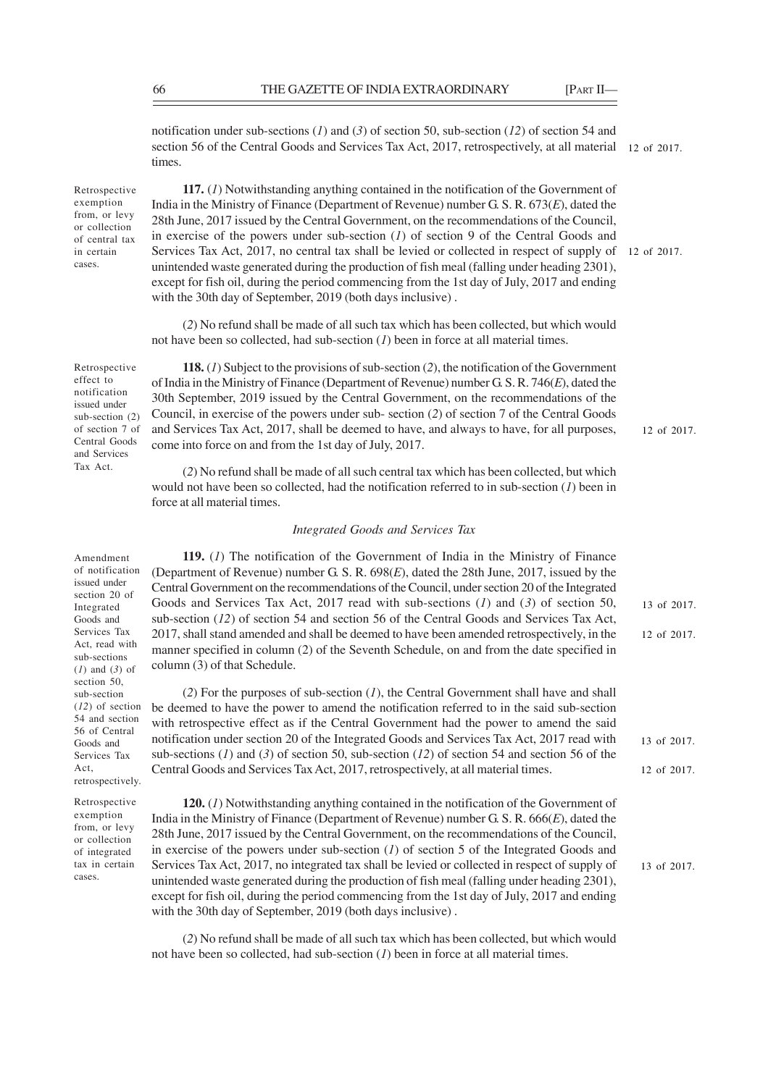notification under sub-sections (*1*) and (*3*) of section 50, sub-section (*12*) of section 54 and section 56 of the Central Goods and Services Tax Act, 2017, retrospectively, at all material times. 12 of 2017.

Retrospective exemption from, or levy or collection of central tax in certain cases.

**117.** (*1*) Notwithstanding anything contained in the notification of the Government of India in the Ministry of Finance (Department of Revenue) number G. S. R. 673(*E*), dated the 28th June, 2017 issued by the Central Government, on the recommendations of the Council, in exercise of the powers under sub-section (*1*) of section 9 of the Central Goods and Services Tax Act, 2017, no central tax shall be levied or collected in respect of supply of 12 of 2017. unintended waste generated during the production of fish meal (falling under heading 2301), except for fish oil, during the period commencing from the 1st day of July, 2017 and ending with the 30th day of September, 2019 (both days inclusive) .

(*2*) No refund shall be made of all such tax which has been collected, but which would not have been so collected, had sub-section (*1*) been in force at all material times.

Retrospective effect to notification issued under sub-section (2) of section 7 of Central Goods and Services Tax Act.

Amendment of notification issued under section 20 of Integrated Goods and Services Tax Act, read with sub-sections (*1*) and (*3*) of section 50. sub-section (*12*) of section 54 and section 56 of Central Goods and Services Tax Act, retrospectively.

Retrospective exemption from, or levy or collection of integrated tax in certain cases.

**118.** (*1*) Subject to the provisions of sub-section (*2*), the notification of the Government of India in the Ministry of Finance (Department of Revenue) number G. S. R. 746(*E*), dated the 30th September, 2019 issued by the Central Government, on the recommendations of the Council, in exercise of the powers under sub- section (*2*) of section 7 of the Central Goods and Services Tax Act, 2017, shall be deemed to have, and always to have, for all purposes, come into force on and from the 1st day of July, 2017.

(*2*) No refund shall be made of all such central tax which has been collected, but which would not have been so collected, had the notification referred to in sub-section (*1*) been in force at all material times.

# *Integrated Goods and Services Tax*

**119.** (*1*) The notification of the Government of India in the Ministry of Finance (Department of Revenue) number G. S. R. 698(*E*), dated the 28th June, 2017, issued by the Central Government on the recommendations of the Council, under section 20 of the Integrated Goods and Services Tax Act, 2017 read with sub-sections (*1*) and (*3*) of section 50, sub-section (*12*) of section 54 and section 56 of the Central Goods and Services Tax Act, 2017, shall stand amended and shall be deemed to have been amended retrospectively, in the manner specified in column (2) of the Seventh Schedule, on and from the date specified in column (3) of that Schedule. 12 of 2017. 13 of 2017.

(*2*) For the purposes of sub-section (*1*), the Central Government shall have and shall be deemed to have the power to amend the notification referred to in the said sub-section with retrospective effect as if the Central Government had the power to amend the said notification under section 20 of the Integrated Goods and Services Tax Act, 2017 read with sub-sections (*1*) and (*3*) of section 50, sub-section (*12*) of section 54 and section 56 of the Central Goods and Services Tax Act, 2017, retrospectively, at all material times. 13 of 2017. 12 of 2017.

**120.** (*1*) Notwithstanding anything contained in the notification of the Government of India in the Ministry of Finance (Department of Revenue) number G. S. R. 666(*E*), dated the 28th June, 2017 issued by the Central Government, on the recommendations of the Council, in exercise of the powers under sub-section (*1*) of section 5 of the Integrated Goods and Services Tax Act, 2017, no integrated tax shall be levied or collected in respect of supply of unintended waste generated during the production of fish meal (falling under heading 2301), except for fish oil, during the period commencing from the 1st day of July, 2017 and ending with the 30th day of September, 2019 (both days inclusive) .

(*2*) No refund shall be made of all such tax which has been collected, but which would not have been so collected, had sub-section (*1*) been in force at all material times.

12 of 2017.

13 of 2017.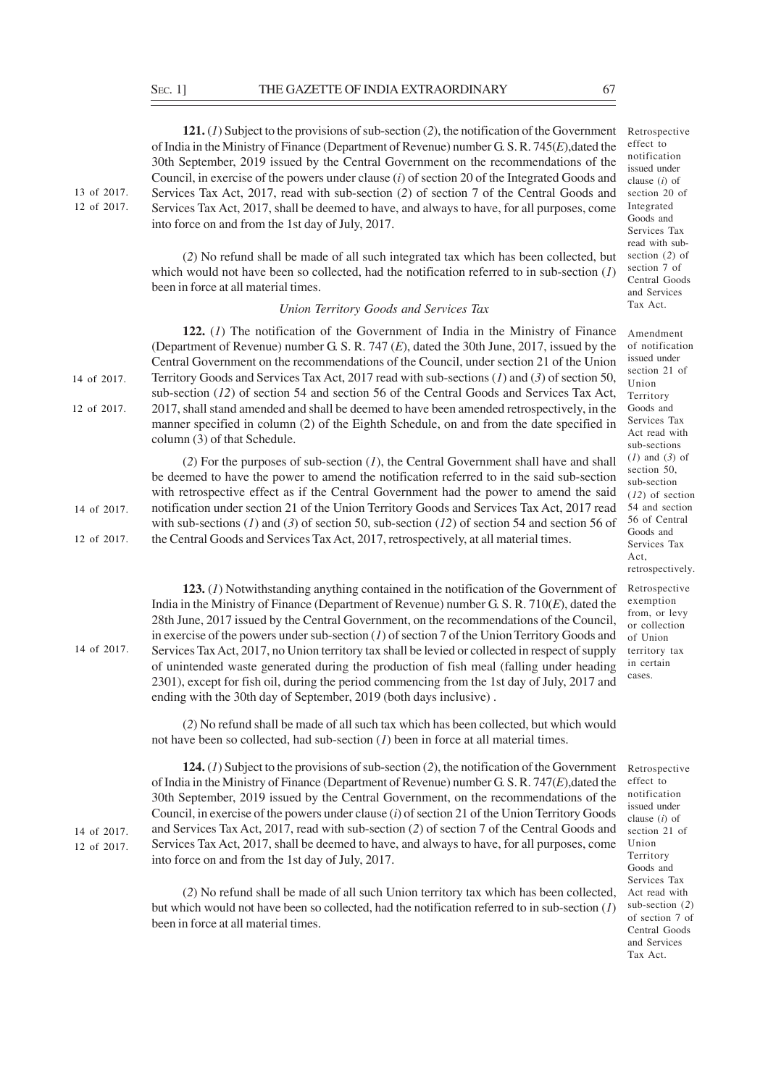13 of 2017. 12 of 2017.

14 of 2017.

14 of 2017. 12 of 2017.

**121.** (*1*) Subject to the provisions of sub-section (*2*), the notification of the Government of India in the Ministry of Finance (Department of Revenue) number G. S. R. 745(*E*),dated the 30th September, 2019 issued by the Central Government on the recommendations of the Council, in exercise of the powers under clause (*i*) of section 20 of the Integrated Goods and Services Tax Act, 2017, read with sub-section (*2*) of section 7 of the Central Goods and Services Tax Act, 2017, shall be deemed to have, and always to have, for all purposes, come into force on and from the 1st day of July, 2017.

effect to notification issued under clause (*i*) of section 20 of Integrated Goods and Services Tax read with subsection (*2*) of section 7 of Central Goods and Services Tax Act.

Retrospective

Amendment of notification issued under section 21 of Union Territory Goods and Services Tax Act read with sub-sections (*1*) and (*3*) of section 50, sub-section (*12*) of section 54 and section 56 of Central Goods and Services Tax Act, retrospectively.

Retrospective exemption from, or levy or collection of Union territory tax in certain cases.

Retrospective effect to notification issued under clause (*i*) of section 21 of Union

Services Tax Act read with sub-section (*2*) of section 7 of Central Goods and Services Tax Act.

(*2*) No refund shall be made of all such integrated tax which has been collected, but which would not have been so collected, had the notification referred to in sub-section (*1*) been in force at all material times.

#### *Union Territory Goods and Services Tax*

**122.** (*1*) The notification of the Government of India in the Ministry of Finance (Department of Revenue) number G. S. R. 747 (*E*), dated the 30th June, 2017, issued by the Central Government on the recommendations of the Council, under section 21 of the Union Territory Goods and Services Tax Act, 2017 read with sub-sections (*1*) and (*3*) of section 50, sub-section (*12*) of section 54 and section 56 of the Central Goods and Services Tax Act, 2017, shall stand amended and shall be deemed to have been amended retrospectively, in the manner specified in column (2) of the Eighth Schedule, on and from the date specified in column (3) of that Schedule. 14 of 2017. 12 of 2017.

(*2*) For the purposes of sub-section (*1*), the Central Government shall have and shall be deemed to have the power to amend the notification referred to in the said sub-section with retrospective effect as if the Central Government had the power to amend the said notification under section 21 of the Union Territory Goods and Services Tax Act, 2017 read with sub-sections (*1*) and (*3*) of section 50, sub-section (*12*) of section 54 and section 56 of the Central Goods and Services Tax Act, 2017, retrospectively, at all material times. 14 of 2017. 12 of 2017.

> **123.** (*1*) Notwithstanding anything contained in the notification of the Government of India in the Ministry of Finance (Department of Revenue) number G. S. R. 710(*E*), dated the 28th June, 2017 issued by the Central Government, on the recommendations of the Council, in exercise of the powers under sub-section (*1*) of section 7 of the Union Territory Goods and Services Tax Act, 2017, no Union territory tax shall be levied or collected in respect of supply of unintended waste generated during the production of fish meal (falling under heading 2301), except for fish oil, during the period commencing from the 1st day of July, 2017 and ending with the 30th day of September, 2019 (both days inclusive) .

> (*2*) No refund shall be made of all such tax which has been collected, but which would not have been so collected, had sub-section (*1*) been in force at all material times.

**124.** (*1*) Subject to the provisions of sub-section (*2*), the notification of the Government of India in the Ministry of Finance (Department of Revenue) number G. S. R. 747(*E*),dated the 30th September, 2019 issued by the Central Government, on the recommendations of the Council, in exercise of the powers under clause (*i*) of section 21 of the Union Territory Goods and Services Tax Act, 2017, read with sub-section (*2*) of section 7 of the Central Goods and Services Tax Act, 2017, shall be deemed to have, and always to have, for all purposes, come into force on and from the 1st day of July, 2017. Territory Goods and

(*2*) No refund shall be made of all such Union territory tax which has been collected, but which would not have been so collected, had the notification referred to in sub-section (*1*) been in force at all material times.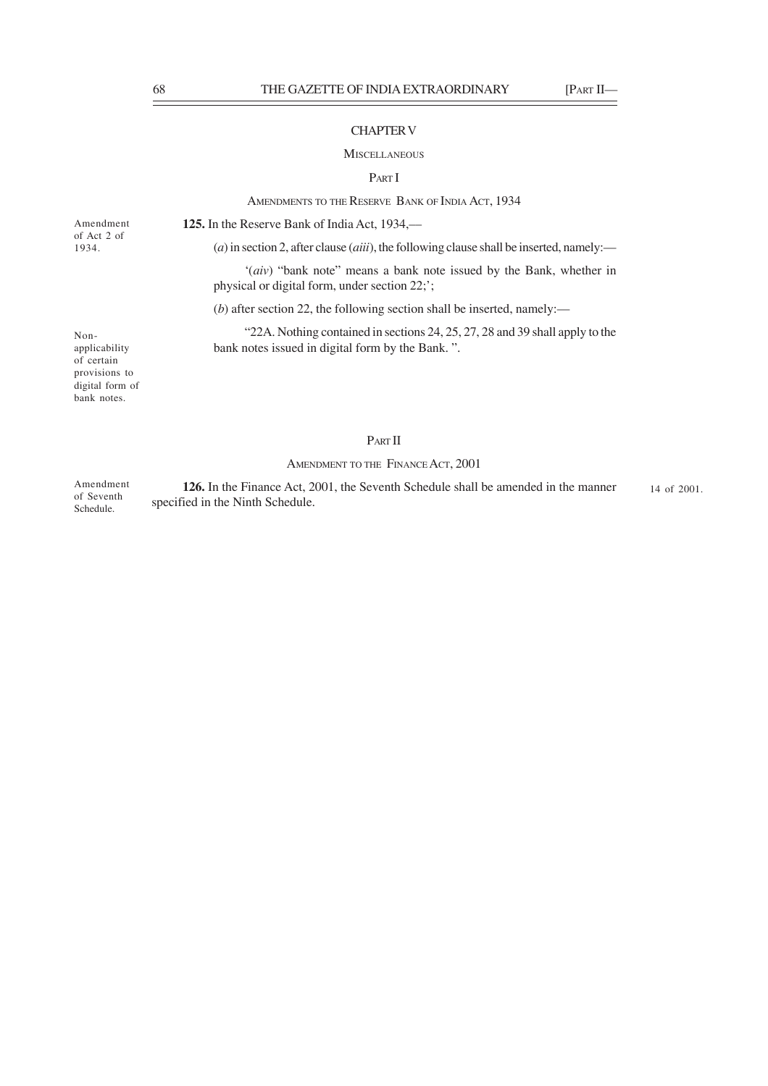# CHAPTER V

#### **MISCELLANEOUS**

## PART I

AMENDMENTS TO THE RESERVE BANK OF INDIA ACT, 1934

Amendment of Act 2 of 1934.

**125.** In the Reserve Bank of India Act, 1934,––

(*a*) in section 2, after clause (*aiii*), the following clause shall be inserted, namely:—

'(*aiv*) "bank note" means a bank note issued by the Bank, whether in physical or digital form, under section 22;';

(*b*) after section 22, the following section shall be inserted, namely:––

"22A. Nothing contained in sections 24, 25, 27, 28 and 39 shall apply to the bank notes issued in digital form by the Bank. ".

Nonapplicability of certain provisions to digital form of bank notes.

# PART II

# AMENDMENT TO THE FINANCE ACT, 2001

**126.** In the Finance Act, 2001, the Seventh Schedule shall be amended in the manner specified in the Ninth Schedule. Amendment of Seventh Schedule. 14 of 2001.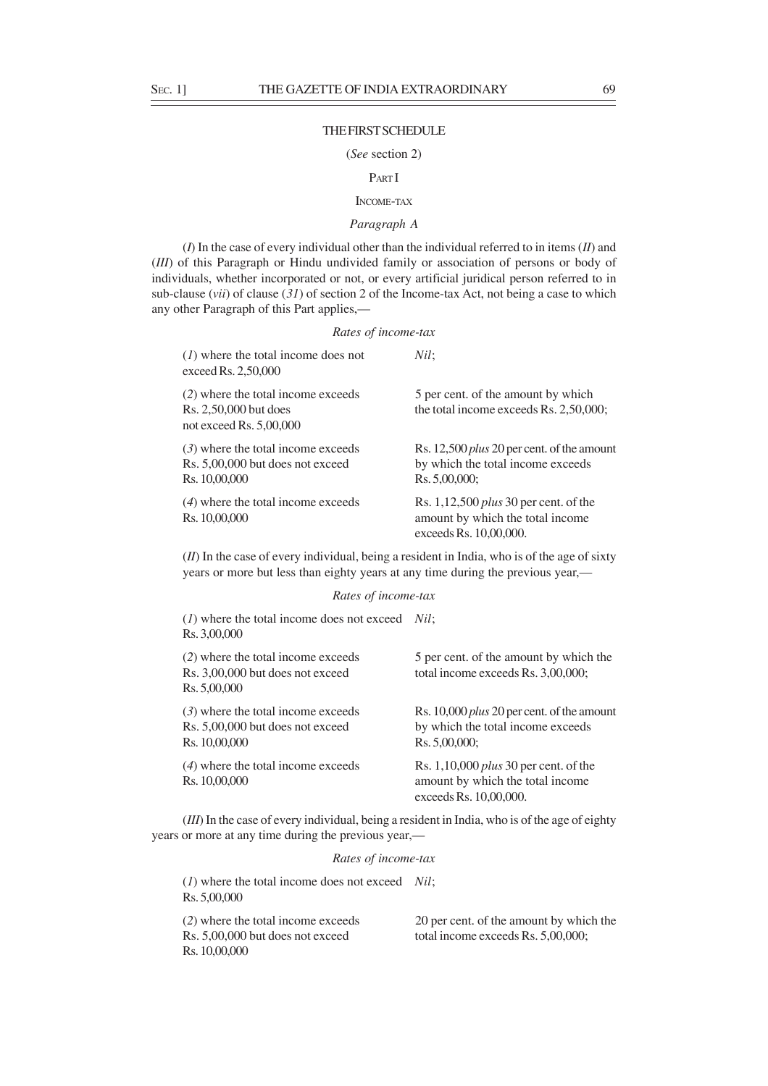#### THE FIRST SCHEDULE

## (*See* section 2)

# PART I

# INCOME-TAX

# *Paragraph A*

(*I*) In the case of every individual other than the individual referred to in items (*II*) and (*III*) of this Paragraph or Hindu undivided family or association of persons or body of individuals, whether incorporated or not, or every artificial juridical person referred to in sub-clause (*vii*) of clause (*31*) of section 2 of the Income-tax Act, not being a case to which any other Paragraph of this Part applies,—

# *Rates of income-tax* (*1*) where the total income does not *Nil*; exceed Rs. 2,50,000 (2) where the total income exceeds 5 per cent. of the amount by which Rs. 2,50,000 but does the total income exceeds Rs. 2,50,000; not exceed Rs. 5,00,000 (*3*) where the total income exceeds Rs. 12,500 *plus* 20 per cent. of the amount Rs. 5,00,000 but does not exceed by which the total income exceeds Rs. 10,00,000 Rs. 5,00,000; (*4*) where the total income exceeds Rs. 1,12,500 *plus* 30 per cent. of the Rs. 10,00,000 amount by which the total income exceeds Rs. 10,00,000.

(*II*) In the case of every individual, being a resident in India, who is of the age of sixty years or more but less than eighty years at any time during the previous year,—

## *Rates of income-tax*

| $(l)$ where the total income does not exceed <i>Nil</i> ;<br>Rs. 3,00,000                 |                                                                                                         |
|-------------------------------------------------------------------------------------------|---------------------------------------------------------------------------------------------------------|
| (2) where the total income exceeds<br>Rs. 3,00,000 but does not exceed<br>Rs. 5,00,000    | 5 per cent. of the amount by which the<br>total income exceeds Rs. 3,00,000;                            |
| $(3)$ where the total income exceeds<br>Rs. 5,00,000 but does not exceed<br>Rs. 10,00,000 | Rs. 10,000 <i>plus</i> 20 per cent. of the amount<br>by which the total income exceeds<br>Rs. 5,00,000; |
| $(4)$ where the total income exceeds<br>Rs. 10,00,000                                     | Rs. $1,10,000$ plus 30 per cent. of the<br>amount by which the total income.<br>exceeds Rs. 10,00,000.  |

(*III*) In the case of every individual, being a resident in India, who is of the age of eighty years or more at any time during the previous year,—

# *Rates of income-tax*

(*1*) where the total income does not exceed *Nil*; Rs. 5,00,000

Rs. 5,00,000 but does not exceed total income exceeds Rs. 5,00,000; Rs. 10,00,000

(*2*) where the total income exceeds 20 per cent. of the amount by which the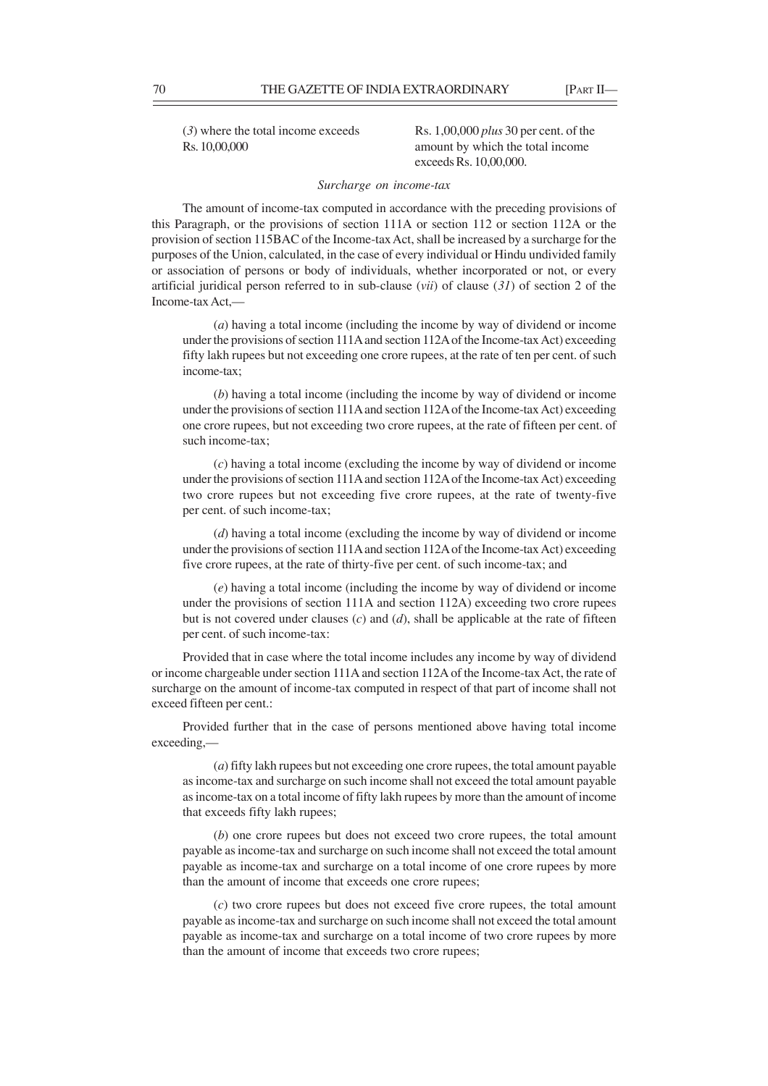Rs. 10,00,000 amount by which the total income

(*3*) where the total income exceeds Rs. 1,00,000 *plus* 30 per cent. of the exceeds Rs. 10,00,000.

## *Surcharge on income-tax*

The amount of income-tax computed in accordance with the preceding provisions of this Paragraph, or the provisions of section 111A or section 112 or section 112A or the provision of section 115BAC of the Income-tax Act, shall be increased by a surcharge for the purposes of the Union, calculated, in the case of every individual or Hindu undivided family or association of persons or body of individuals, whether incorporated or not, or every artificial juridical person referred to in sub-clause (*vii*) of clause (*31*) of section 2 of the Income-tax Act,—

(*a*) having a total income (including the income by way of dividend or income under the provisions of section 111A and section 112A of the Income-tax Act) exceeding fifty lakh rupees but not exceeding one crore rupees, at the rate of ten per cent. of such income-tax;

(*b*) having a total income (including the income by way of dividend or income under the provisions of section 111A and section 112A of the Income-tax Act) exceeding one crore rupees, but not exceeding two crore rupees, at the rate of fifteen per cent. of such income-tax;

(*c*) having a total income (excluding the income by way of dividend or income under the provisions of section 111A and section 112A of the Income-tax Act) exceeding two crore rupees but not exceeding five crore rupees, at the rate of twenty-five per cent. of such income-tax;

(*d*) having a total income (excluding the income by way of dividend or income under the provisions of section 111A and section 112A of the Income-tax Act) exceeding five crore rupees, at the rate of thirty-five per cent. of such income-tax; and

(*e*) having a total income (including the income by way of dividend or income under the provisions of section 111A and section 112A) exceeding two crore rupees but is not covered under clauses (*c*) and (*d*), shall be applicable at the rate of fifteen per cent. of such income-tax:

Provided that in case where the total income includes any income by way of dividend or income chargeable under section 111A and section 112A of the Income-tax Act, the rate of surcharge on the amount of income-tax computed in respect of that part of income shall not exceed fifteen per cent.:

Provided further that in the case of persons mentioned above having total income exceeding,—

(*a*) fifty lakh rupees but not exceeding one crore rupees, the total amount payable as income-tax and surcharge on such income shall not exceed the total amount payable as income-tax on a total income of fifty lakh rupees by more than the amount of income that exceeds fifty lakh rupees;

(*b*) one crore rupees but does not exceed two crore rupees, the total amount payable as income-tax and surcharge on such income shall not exceed the total amount payable as income-tax and surcharge on a total income of one crore rupees by more than the amount of income that exceeds one crore rupees;

(*c*) two crore rupees but does not exceed five crore rupees, the total amount payable as income-tax and surcharge on such income shall not exceed the total amount payable as income-tax and surcharge on a total income of two crore rupees by more than the amount of income that exceeds two crore rupees;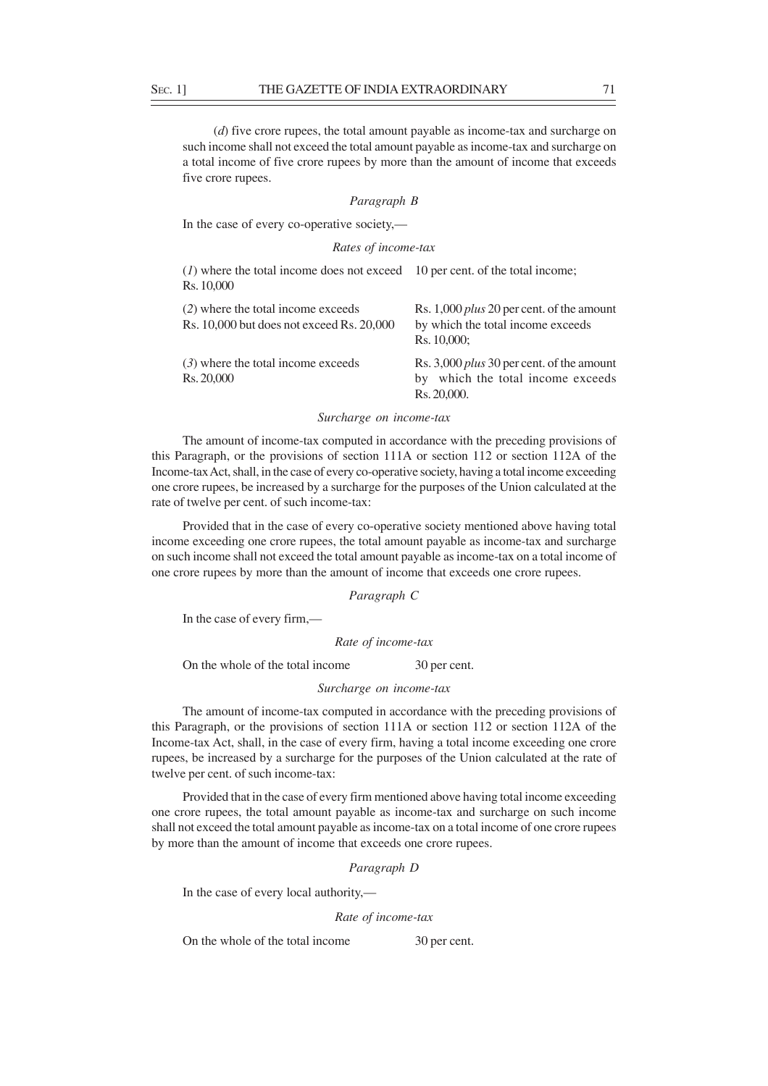(*d*) five crore rupees, the total amount payable as income-tax and surcharge on such income shall not exceed the total amount payable as income-tax and surcharge on a total income of five crore rupees by more than the amount of income that exceeds five crore rupees.

## *Paragraph B*

In the case of every co-operative society,—

## *Rates of income-tax*

| (1) where the total income does not exceed 10 per cent. of the total income;<br>Rs. 10,000 |                                                                                                         |
|--------------------------------------------------------------------------------------------|---------------------------------------------------------------------------------------------------------|
| (2) where the total income exceeds<br>Rs. 10,000 but does not exceed Rs. 20,000            | Rs. 1,000 <i>plus</i> 20 per cent. of the amount<br>by which the total income exceeds<br>Rs. 10,000;    |
| $(3)$ where the total income exceeds<br>Rs. 20,000                                         | Rs. 3,000 <i>plus</i> 30 per cent. of the amount<br>which the total income exceeds<br>by<br>Rs. 20,000. |

## *Surcharge on income-tax*

The amount of income-tax computed in accordance with the preceding provisions of this Paragraph, or the provisions of section 111A or section 112 or section 112A of the Income-tax Act, shall, in the case of every co-operative society, having a total income exceeding one crore rupees, be increased by a surcharge for the purposes of the Union calculated at the rate of twelve per cent. of such income-tax:

Provided that in the case of every co-operative society mentioned above having total income exceeding one crore rupees, the total amount payable as income-tax and surcharge on such income shall not exceed the total amount payable as income-tax on a total income of one crore rupees by more than the amount of income that exceeds one crore rupees.

#### *Paragraph C*

In the case of every firm,—

*Rate of income-tax*

On the whole of the total income 30 per cent.

*Surcharge on income-tax*

The amount of income-tax computed in accordance with the preceding provisions of this Paragraph, or the provisions of section 111A or section 112 or section 112A of the Income-tax Act, shall, in the case of every firm, having a total income exceeding one crore rupees, be increased by a surcharge for the purposes of the Union calculated at the rate of twelve per cent. of such income-tax:

Provided that in the case of every firm mentioned above having total income exceeding one crore rupees, the total amount payable as income-tax and surcharge on such income shall not exceed the total amount payable as income-tax on a total income of one crore rupees by more than the amount of income that exceeds one crore rupees.

*Paragraph D*

In the case of every local authority,—

*Rate of income-tax*

On the whole of the total income 30 per cent.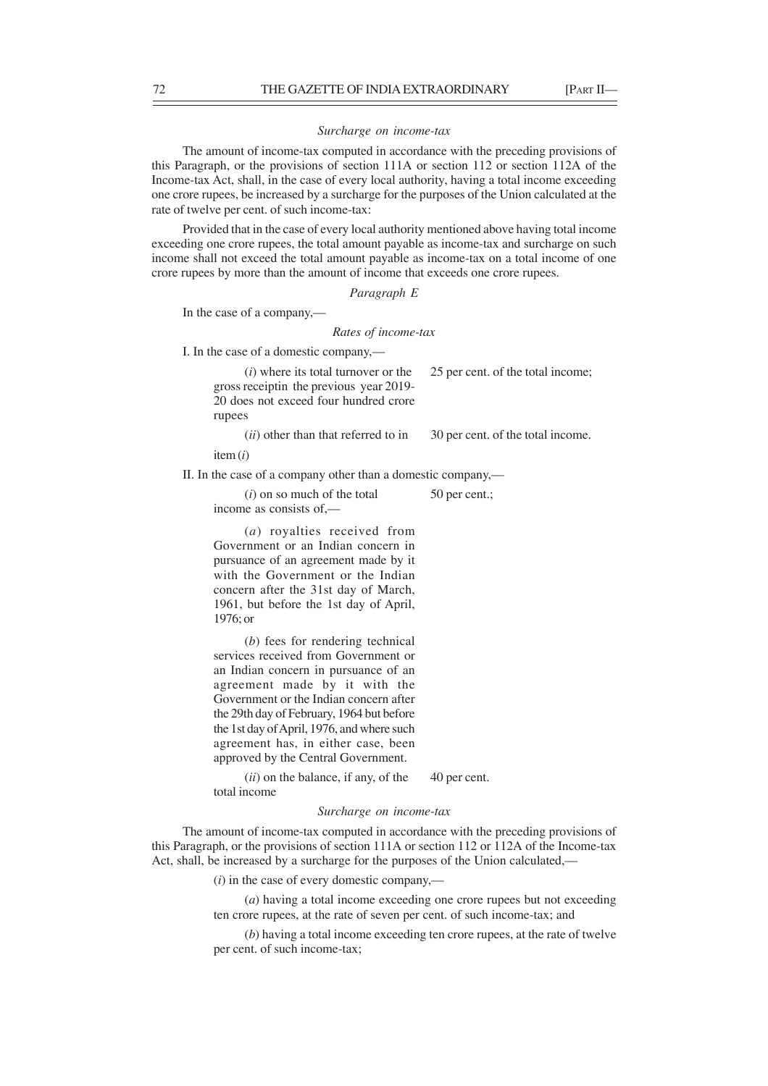# *Surcharge on income-tax*

The amount of income-tax computed in accordance with the preceding provisions of this Paragraph, or the provisions of section 111A or section 112 or section 112A of the Income-tax Act, shall, in the case of every local authority, having a total income exceeding one crore rupees, be increased by a surcharge for the purposes of the Union calculated at the rate of twelve per cent. of such income-tax:

Provided that in the case of every local authority mentioned above having total income exceeding one crore rupees, the total amount payable as income-tax and surcharge on such income shall not exceed the total amount payable as income-tax on a total income of one crore rupees by more than the amount of income that exceeds one crore rupees.

*Paragraph E*

In the case of a company,—

## *Rates of income-tax*

I. In the case of a domestic company,—

 $(i)$  where its total turnover or the  $25$  per cent. of the total income; gross receiptin the previous year 2019- 20 does not exceed four hundred crore rupees

(*ii*) other than that referred to in 30 per cent. of the total income.

item (*i*)

II. In the case of a company other than a domestic company,—

 $(i)$  on so much of the total  $50$  per cent.;

income as consists of,—

(*a*) royalties received from Government or an Indian concern in pursuance of an agreement made by it with the Government or the Indian concern after the 31st day of March, 1961, but before the 1st day of April, 1976; or

(*b*) fees for rendering technical services received from Government or an Indian concern in pursuance of an agreement made by it with the Government or the Indian concern after the 29th day of February, 1964 but before the 1st day of April, 1976, and where such agreement has, in either case, been approved by the Central Government.

 $(iii)$  on the balance, if any, of the  $40$  per cent. total income

*Surcharge on income-tax*

The amount of income-tax computed in accordance with the preceding provisions of this Paragraph, or the provisions of section 111A or section 112 or 112A of the Income-tax Act, shall, be increased by a surcharge for the purposes of the Union calculated,—

(*i*) in the case of every domestic company,––

(*a*) having a total income exceeding one crore rupees but not exceeding ten crore rupees, at the rate of seven per cent. of such income-tax; and

(*b*) having a total income exceeding ten crore rupees, at the rate of twelve per cent. of such income-tax;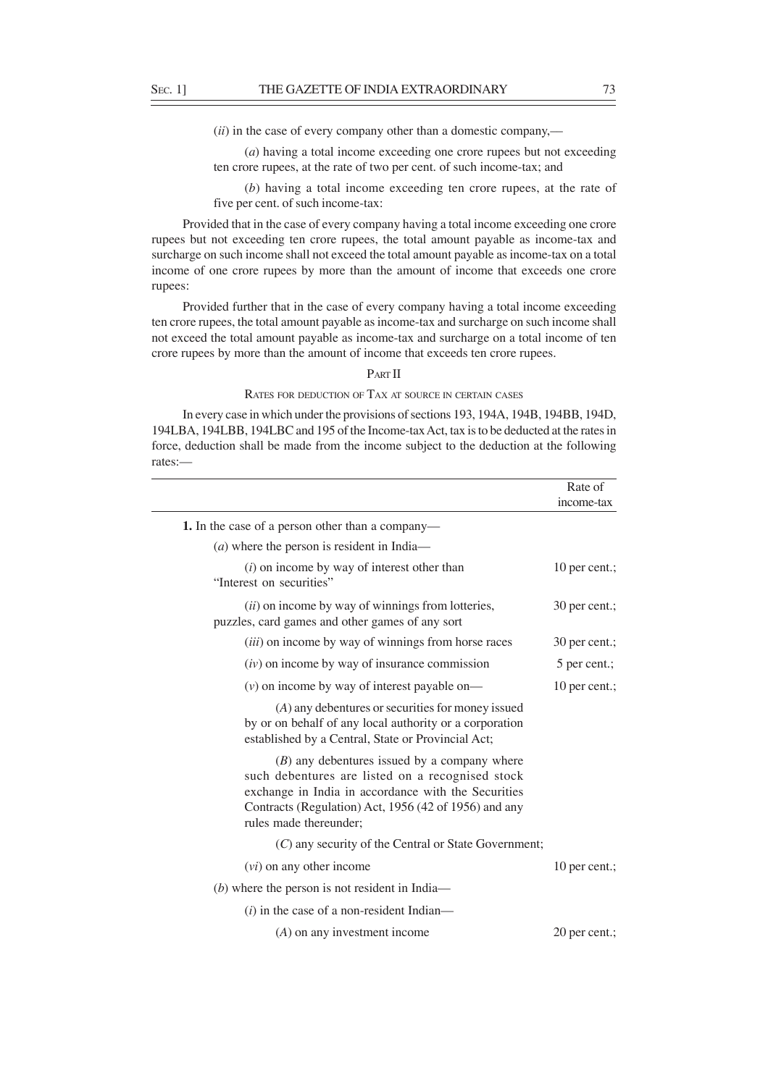(*ii*) in the case of every company other than a domestic company,––

(*a*) having a total income exceeding one crore rupees but not exceeding ten crore rupees, at the rate of two per cent. of such income-tax; and

(*b*) having a total income exceeding ten crore rupees, at the rate of five per cent. of such income-tax:

Provided that in the case of every company having a total income exceeding one crore rupees but not exceeding ten crore rupees, the total amount payable as income-tax and surcharge on such income shall not exceed the total amount payable as income-tax on a total income of one crore rupees by more than the amount of income that exceeds one crore rupees:

Provided further that in the case of every company having a total income exceeding ten crore rupees, the total amount payable as income-tax and surcharge on such income shall not exceed the total amount payable as income-tax and surcharge on a total income of ten crore rupees by more than the amount of income that exceeds ten crore rupees.

# PART II

# RATES FOR DEDUCTION OF TAX AT SOURCE IN CERTAIN CASES

In every case in which under the provisions of sections 193, 194A, 194B, 194BB, 194D, 194LBA, 194LBB, 194LBC and 195 of the Income-tax Act, tax is to be deducted at the rates in force, deduction shall be made from the income subject to the deduction at the following rates:—

| Rate of<br>income-tax |
|-----------------------|
|                       |
|                       |
| 10 per cent.;         |
| 30 per cent.;         |
| 30 per cent.;         |
| 5 per cent.;          |
| 10 per cent.;         |
|                       |
|                       |
|                       |
| 10 per cent.;         |
|                       |
|                       |
| 20 per cent.;         |
|                       |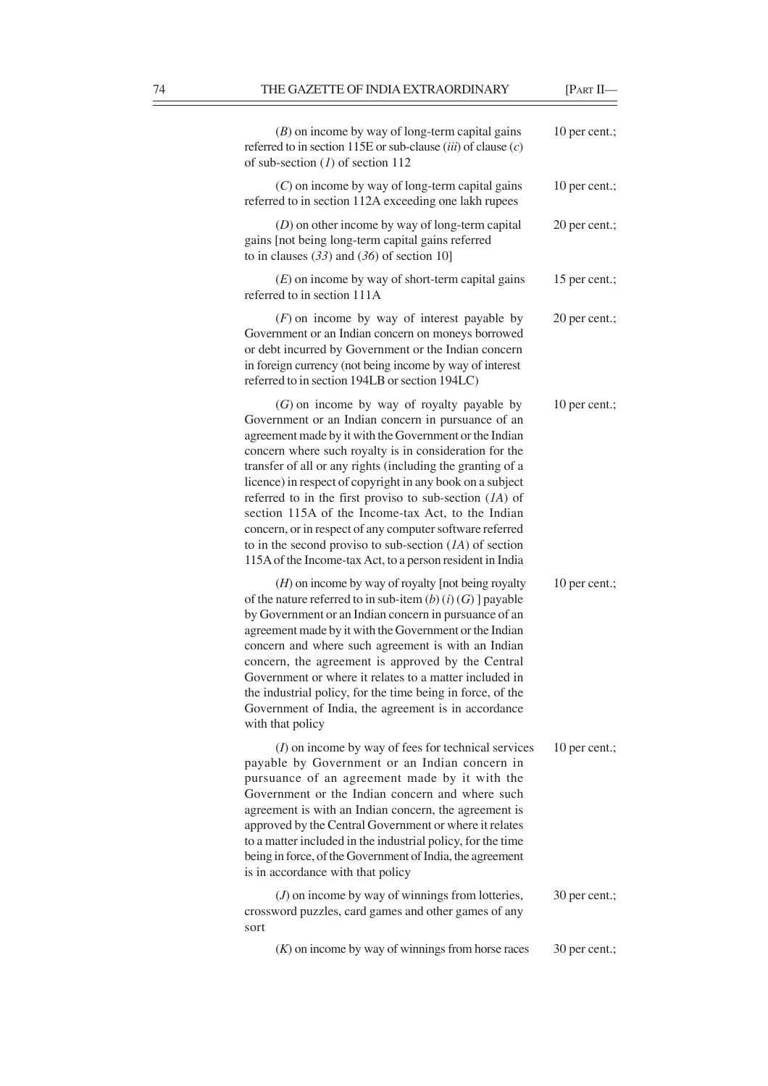÷

| $(B)$ on income by way of long-term capital gains<br>referred to in section 115E or sub-clause $(iii)$ of clause $(c)$<br>of sub-section $(I)$ of section 112                                                                                                                                                                                                                                                                                                                                                                                                                                                                                             | 10 per cent.; |
|-----------------------------------------------------------------------------------------------------------------------------------------------------------------------------------------------------------------------------------------------------------------------------------------------------------------------------------------------------------------------------------------------------------------------------------------------------------------------------------------------------------------------------------------------------------------------------------------------------------------------------------------------------------|---------------|
| $(C)$ on income by way of long-term capital gains<br>referred to in section 112A exceeding one lakh rupees                                                                                                                                                                                                                                                                                                                                                                                                                                                                                                                                                | 10 per cent.; |
| $(D)$ on other income by way of long-term capital<br>gains [not being long-term capital gains referred<br>to in clauses $(33)$ and $(36)$ of section 10]                                                                                                                                                                                                                                                                                                                                                                                                                                                                                                  | 20 per cent.; |
| $(E)$ on income by way of short-term capital gains<br>referred to in section 111A                                                                                                                                                                                                                                                                                                                                                                                                                                                                                                                                                                         | 15 per cent.; |
| $(F)$ on income by way of interest payable by<br>Government or an Indian concern on moneys borrowed<br>or debt incurred by Government or the Indian concern<br>in foreign currency (not being income by way of interest<br>referred to in section 194LB or section 194LC)                                                                                                                                                                                                                                                                                                                                                                                 | 20 per cent.; |
| $(G)$ on income by way of royalty payable by<br>Government or an Indian concern in pursuance of an<br>agreement made by it with the Government or the Indian<br>concern where such royalty is in consideration for the<br>transfer of all or any rights (including the granting of a<br>licence) in respect of copyright in any book on a subject<br>referred to in the first proviso to sub-section $(1A)$ of<br>section 115A of the Income-tax Act, to the Indian<br>concern, or in respect of any computer software referred<br>to in the second proviso to sub-section $(1A)$ of section<br>115A of the Income-tax Act, to a person resident in India | 10 per cent.; |
| $(H)$ on income by way of royalty [not being royalty<br>of the nature referred to in sub-item $(b)$ $(i)$ $(G)$ ] payable<br>by Government or an Indian concern in pursuance of an<br>agreement made by it with the Government or the Indian<br>concern and where such agreement is with an Indian<br>concern, the agreement is approved by the Central<br>Government or where it relates to a matter included in<br>the industrial policy, for the time being in force, of the<br>Government of India, the agreement is in accordance<br>with that policy                                                                                                | 10 per cent.; |
| $(I)$ on income by way of fees for technical services<br>payable by Government or an Indian concern in<br>pursuance of an agreement made by it with the<br>Government or the Indian concern and where such<br>agreement is with an Indian concern, the agreement is<br>approved by the Central Government or where it relates<br>to a matter included in the industrial policy, for the time<br>being in force, of the Government of India, the agreement<br>is in accordance with that policy                                                                                                                                                            | 10 per cent.; |
| $(J)$ on income by way of winnings from lotteries,<br>crossword puzzles, card games and other games of any<br>sort                                                                                                                                                                                                                                                                                                                                                                                                                                                                                                                                        | 30 per cent.; |
| $(K)$ on income by way of winnings from horse races                                                                                                                                                                                                                                                                                                                                                                                                                                                                                                                                                                                                       | 30 per cent.; |
|                                                                                                                                                                                                                                                                                                                                                                                                                                                                                                                                                                                                                                                           |               |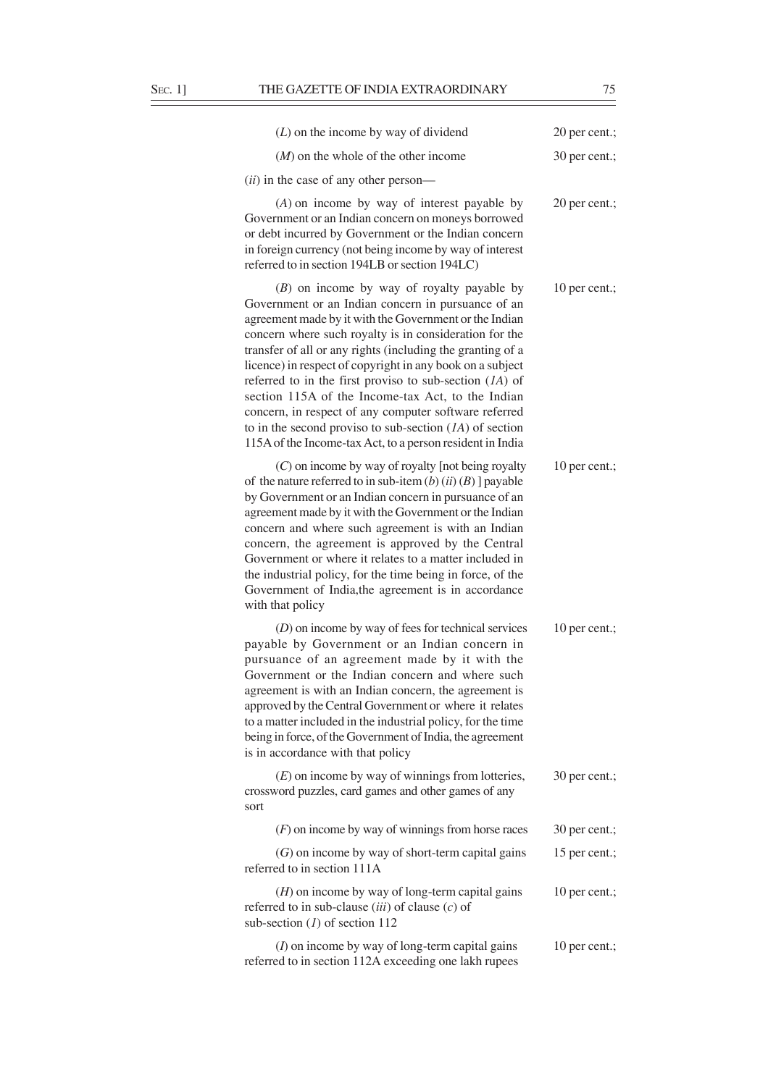| $(L)$ on the income by way of dividend                                                                                                                                                                                                                                                                                                                                                                                                                                                                                                                                                                                                                 | 20 per cent.; |
|--------------------------------------------------------------------------------------------------------------------------------------------------------------------------------------------------------------------------------------------------------------------------------------------------------------------------------------------------------------------------------------------------------------------------------------------------------------------------------------------------------------------------------------------------------------------------------------------------------------------------------------------------------|---------------|
| $(M)$ on the whole of the other income                                                                                                                                                                                                                                                                                                                                                                                                                                                                                                                                                                                                                 | 30 per cent.; |
| $(ii)$ in the case of any other person—                                                                                                                                                                                                                                                                                                                                                                                                                                                                                                                                                                                                                |               |
| $(A)$ on income by way of interest payable by<br>Government or an Indian concern on moneys borrowed<br>or debt incurred by Government or the Indian concern<br>in foreign currency (not being income by way of interest<br>referred to in section 194LB or section 194LC)                                                                                                                                                                                                                                                                                                                                                                              | 20 per cent.; |
| $(B)$ on income by way of royalty payable by<br>Government or an Indian concern in pursuance of an<br>agreement made by it with the Government or the Indian<br>concern where such royalty is in consideration for the<br>transfer of all or any rights (including the granting of a<br>licence) in respect of copyright in any book on a subject<br>referred to in the first proviso to sub-section $(IA)$ of<br>section 115A of the Income-tax Act, to the Indian<br>concern, in respect of any computer software referred<br>to in the second proviso to sub-section $(IA)$ of section<br>115A of the Income-tax Act, to a person resident in India | 10 per cent.; |
| $(C)$ on income by way of royalty [not being royalty<br>of the nature referred to in sub-item $(b)$ $(ii)$ $(B)$ ] payable<br>by Government or an Indian concern in pursuance of an<br>agreement made by it with the Government or the Indian<br>concern and where such agreement is with an Indian<br>concern, the agreement is approved by the Central<br>Government or where it relates to a matter included in<br>the industrial policy, for the time being in force, of the<br>Government of India, the agreement is in accordance<br>with that policy                                                                                            | 10 per cent.; |
| $(D)$ on income by way of fees for technical services<br>payable by Government or an Indian concern in<br>pursuance of an agreement made by it with the<br>Government or the Indian concern and where such<br>agreement is with an Indian concern, the agreement is<br>approved by the Central Government or where it relates<br>to a matter included in the industrial policy, for the time<br>being in force, of the Government of India, the agreement<br>is in accordance with that policy                                                                                                                                                         | 10 per cent.; |
| $(E)$ on income by way of winnings from lotteries,<br>crossword puzzles, card games and other games of any<br>sort                                                                                                                                                                                                                                                                                                                                                                                                                                                                                                                                     | 30 per cent.; |
| $(F)$ on income by way of winnings from horse races                                                                                                                                                                                                                                                                                                                                                                                                                                                                                                                                                                                                    | 30 per cent.; |
| $(G)$ on income by way of short-term capital gains<br>referred to in section 111A                                                                                                                                                                                                                                                                                                                                                                                                                                                                                                                                                                      | 15 per cent.; |
| $(H)$ on income by way of long-term capital gains<br>referred to in sub-clause $(iii)$ of clause $(c)$ of<br>sub-section $(l)$ of section 112                                                                                                                                                                                                                                                                                                                                                                                                                                                                                                          | 10 per cent.; |
| $(I)$ on income by way of long-term capital gains<br>referred to in section 112A exceeding one lakh rupees                                                                                                                                                                                                                                                                                                                                                                                                                                                                                                                                             | 10 per cent.; |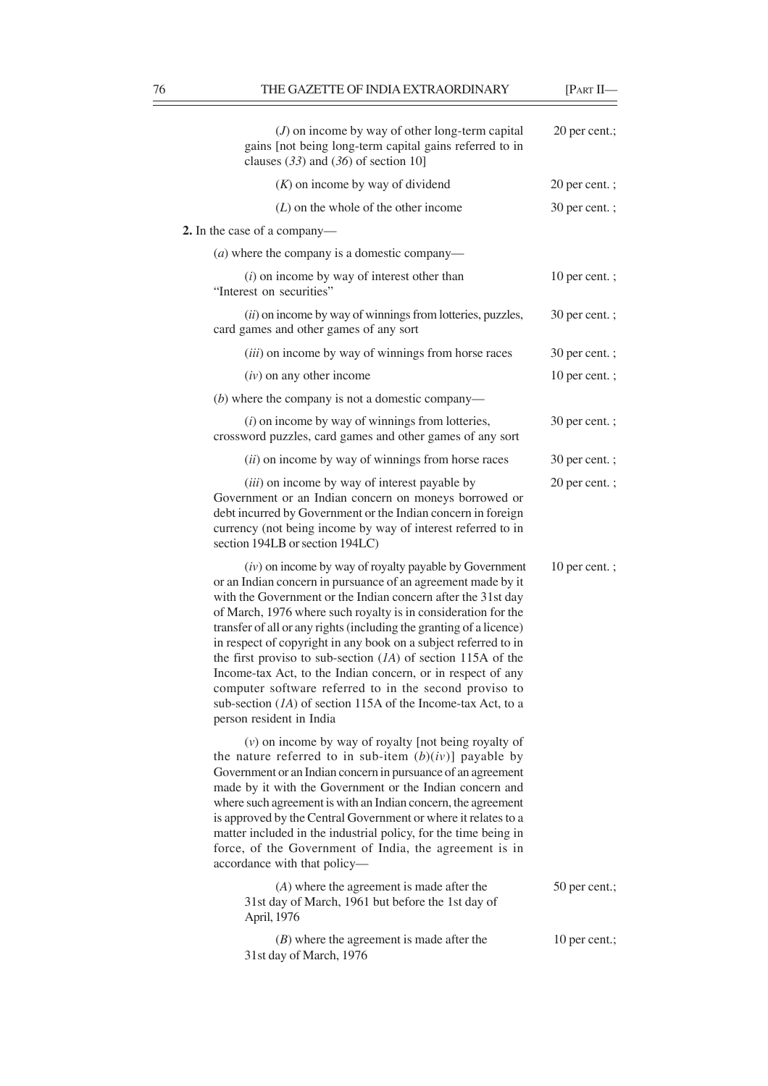÷

| $(J)$ on income by way of other long-term capital<br>gains [not being long-term capital gains referred to in<br>clauses $(33)$ and $(36)$ of section 10]                                                                                                                                                                                                                                                                                                                                                                                                                                                                                                                                     | 20 per cent.; |
|----------------------------------------------------------------------------------------------------------------------------------------------------------------------------------------------------------------------------------------------------------------------------------------------------------------------------------------------------------------------------------------------------------------------------------------------------------------------------------------------------------------------------------------------------------------------------------------------------------------------------------------------------------------------------------------------|---------------|
| $(K)$ on income by way of dividend                                                                                                                                                                                                                                                                                                                                                                                                                                                                                                                                                                                                                                                           | 20 per cent.; |
| $(L)$ on the whole of the other income                                                                                                                                                                                                                                                                                                                                                                                                                                                                                                                                                                                                                                                       | 30 per cent.; |
| 2. In the case of a company—                                                                                                                                                                                                                                                                                                                                                                                                                                                                                                                                                                                                                                                                 |               |
| $(a)$ where the company is a domestic company—                                                                                                                                                                                                                                                                                                                                                                                                                                                                                                                                                                                                                                               |               |
| $(i)$ on income by way of interest other than<br>"Interest on securities"                                                                                                                                                                                                                                                                                                                                                                                                                                                                                                                                                                                                                    | 10 per cent.; |
| (ii) on income by way of winnings from lotteries, puzzles,<br>card games and other games of any sort                                                                                                                                                                                                                                                                                                                                                                                                                                                                                                                                                                                         | 30 per cent.; |
| (iii) on income by way of winnings from horse races                                                                                                                                                                                                                                                                                                                                                                                                                                                                                                                                                                                                                                          | 30 per cent.; |
| $(iv)$ on any other income                                                                                                                                                                                                                                                                                                                                                                                                                                                                                                                                                                                                                                                                   | 10 per cent.; |
| $(b)$ where the company is not a domestic company—                                                                                                                                                                                                                                                                                                                                                                                                                                                                                                                                                                                                                                           |               |
| $(i)$ on income by way of winnings from lotteries,<br>crossword puzzles, card games and other games of any sort                                                                                                                                                                                                                                                                                                                                                                                                                                                                                                                                                                              | 30 per cent.; |
| (ii) on income by way of winnings from horse races                                                                                                                                                                                                                                                                                                                                                                                                                                                                                                                                                                                                                                           | 30 per cent.; |
| (iii) on income by way of interest payable by<br>Government or an Indian concern on moneys borrowed or<br>debt incurred by Government or the Indian concern in foreign<br>currency (not being income by way of interest referred to in<br>section 194LB or section 194LC)                                                                                                                                                                                                                                                                                                                                                                                                                    | 20 per cent.; |
| $(iv)$ on income by way of royalty payable by Government<br>or an Indian concern in pursuance of an agreement made by it<br>with the Government or the Indian concern after the 31st day<br>of March, 1976 where such royalty is in consideration for the<br>transfer of all or any rights (including the granting of a licence)<br>in respect of copyright in any book on a subject referred to in<br>the first proviso to sub-section $(1A)$ of section 115A of the<br>Income-tax Act, to the Indian concern, or in respect of any<br>computer software referred to in the second proviso to<br>sub-section $(1A)$ of section 115A of the Income-tax Act, to a<br>person resident in India | 10 per cent.; |
| $(v)$ on income by way of royalty [not being royalty of<br>the nature referred to in sub-item $(b)(iv)$ ] payable by<br>Government or an Indian concern in pursuance of an agreement<br>made by it with the Government or the Indian concern and<br>where such agreement is with an Indian concern, the agreement<br>is approved by the Central Government or where it relates to a<br>matter included in the industrial policy, for the time being in<br>force, of the Government of India, the agreement is in<br>accordance with that policy-                                                                                                                                             |               |
| $(A)$ where the agreement is made after the<br>31st day of March, 1961 but before the 1st day of<br>April, 1976                                                                                                                                                                                                                                                                                                                                                                                                                                                                                                                                                                              | 50 per cent.; |
| $(B)$ where the agreement is made after the<br>31st day of March, 1976                                                                                                                                                                                                                                                                                                                                                                                                                                                                                                                                                                                                                       | 10 per cent.; |
|                                                                                                                                                                                                                                                                                                                                                                                                                                                                                                                                                                                                                                                                                              |               |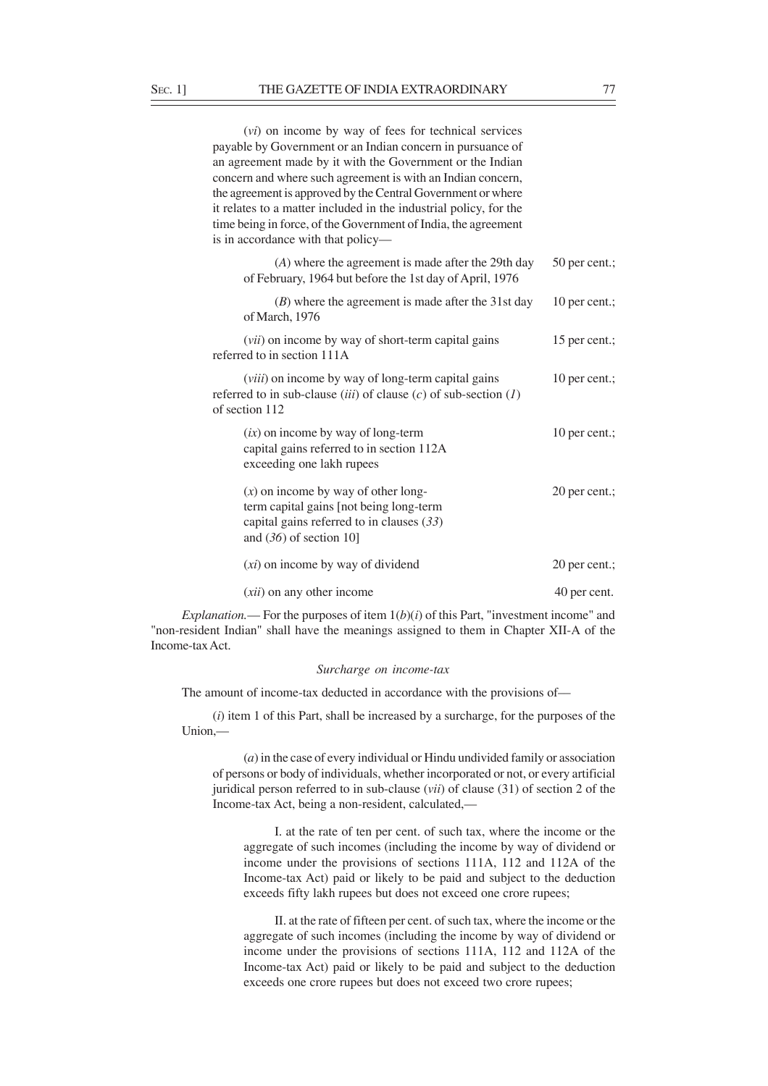| (vi) on income by way of fees for technical services                                                            |                 |
|-----------------------------------------------------------------------------------------------------------------|-----------------|
| payable by Government or an Indian concern in pursuance of                                                      |                 |
| an agreement made by it with the Government or the Indian                                                       |                 |
| concern and where such agreement is with an Indian concern,                                                     |                 |
| the agreement is approved by the Central Government or where                                                    |                 |
| it relates to a matter included in the industrial policy, for the                                               |                 |
| time being in force, of the Government of India, the agreement                                                  |                 |
| is in accordance with that policy—                                                                              |                 |
| $(A)$ where the agreement is made after the 29th day<br>of February, 1964 but before the 1st day of April, 1976 | $50$ per cent.: |
| $(B)$ where the agreement is made after the 31st day                                                            | 10 per cent.;   |

of March, 1976 (*vii*) on income by way of short-term capital gains 15 per cent.; referred to in section 111A (*viii*) on income by way of long-term capital gains 10 per cent.; referred to in sub-clause (*iii*) of clause (*c*) of sub-section (*1*) of section 112  $(ix)$  on income by way of long-term 10 per cent.; capital gains referred to in section 112A exceeding one lakh rupees (*x*) on income by way of other long- 20 per cent.; term capital gains [not being long-term

| capital gains referred to in clauses $(33)$<br>and $(36)$ of section 10] |               |
|--------------------------------------------------------------------------|---------------|
| $(xi)$ on income by way of dividend                                      | 20 per cent.: |
| ( <i>xii</i> ) on any other income                                       | 40 per cent.  |

*Explanation.*— For the purposes of item  $1(b)(i)$  of this Part, "investment income" and "non-resident Indian" shall have the meanings assigned to them in Chapter XII-A of the Income-tax Act.

# *Surcharge on income-tax*

The amount of income-tax deducted in accordance with the provisions of—

(*i*) item 1 of this Part, shall be increased by a surcharge, for the purposes of the Union,—

(*a*) in the case of every individual or Hindu undivided family or association of persons or body of individuals, whether incorporated or not, or every artificial juridical person referred to in sub-clause (*vii*) of clause (31) of section 2 of the Income-tax Act, being a non-resident, calculated,––

I. at the rate of ten per cent. of such tax, where the income or the aggregate of such incomes (including the income by way of dividend or income under the provisions of sections 111A, 112 and 112A of the Income-tax Act) paid or likely to be paid and subject to the deduction exceeds fifty lakh rupees but does not exceed one crore rupees;

II. at the rate of fifteen per cent. of such tax, where the income or the aggregate of such incomes (including the income by way of dividend or income under the provisions of sections 111A, 112 and 112A of the Income-tax Act) paid or likely to be paid and subject to the deduction exceeds one crore rupees but does not exceed two crore rupees;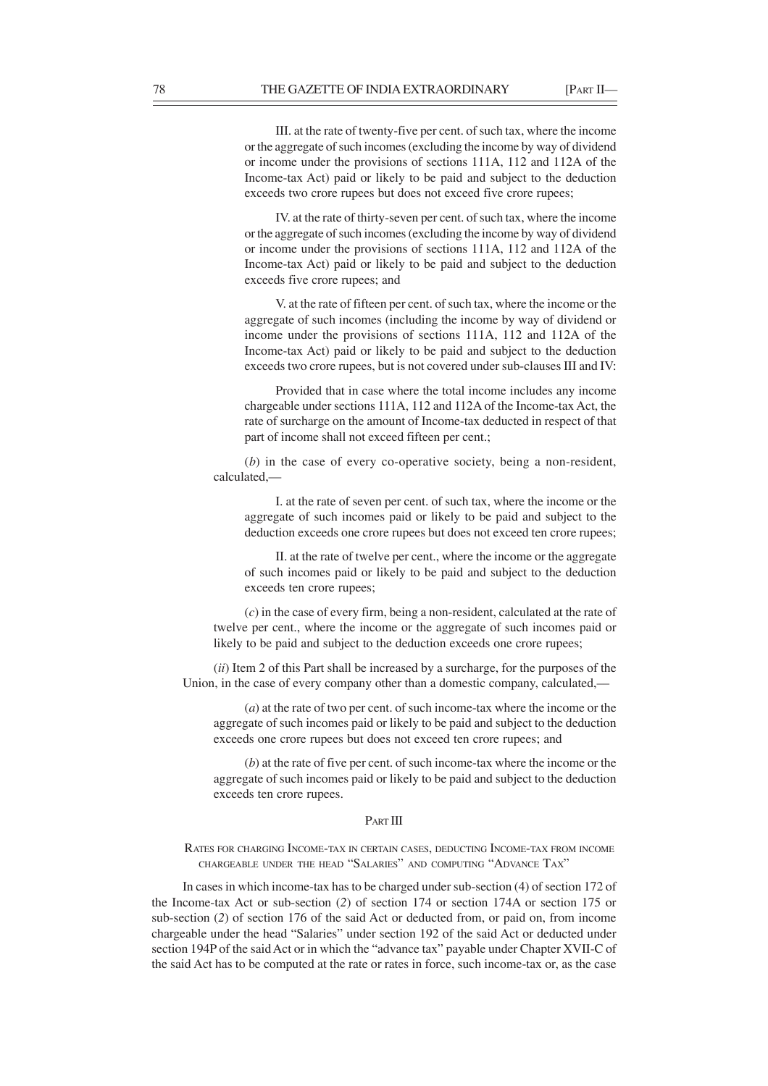III. at the rate of twenty-five per cent. of such tax, where the income or the aggregate of such incomes (excluding the income by way of dividend or income under the provisions of sections 111A, 112 and 112A of the Income-tax Act) paid or likely to be paid and subject to the deduction exceeds two crore rupees but does not exceed five crore rupees;

IV. at the rate of thirty-seven per cent. of such tax, where the income or the aggregate of such incomes (excluding the income by way of dividend or income under the provisions of sections 111A, 112 and 112A of the Income-tax Act) paid or likely to be paid and subject to the deduction exceeds five crore rupees; and

V. at the rate of fifteen per cent. of such tax, where the income or the aggregate of such incomes (including the income by way of dividend or income under the provisions of sections 111A, 112 and 112A of the Income-tax Act) paid or likely to be paid and subject to the deduction exceeds two crore rupees, but is not covered under sub-clauses III and IV:

Provided that in case where the total income includes any income chargeable under sections 111A, 112 and 112A of the Income-tax Act, the rate of surcharge on the amount of Income-tax deducted in respect of that part of income shall not exceed fifteen per cent.;

(*b*) in the case of every co-operative society, being a non-resident, calculated,—

I. at the rate of seven per cent. of such tax, where the income or the aggregate of such incomes paid or likely to be paid and subject to the deduction exceeds one crore rupees but does not exceed ten crore rupees;

II. at the rate of twelve per cent., where the income or the aggregate of such incomes paid or likely to be paid and subject to the deduction exceeds ten crore rupees;

(*c*) in the case of every firm, being a non-resident, calculated at the rate of twelve per cent., where the income or the aggregate of such incomes paid or likely to be paid and subject to the deduction exceeds one crore rupees;

(*ii*) Item 2 of this Part shall be increased by a surcharge, for the purposes of the Union, in the case of every company other than a domestic company, calculated,––

(*a*) at the rate of two per cent. of such income-tax where the income or the aggregate of such incomes paid or likely to be paid and subject to the deduction exceeds one crore rupees but does not exceed ten crore rupees; and

(*b*) at the rate of five per cent. of such income-tax where the income or the aggregate of such incomes paid or likely to be paid and subject to the deduction exceeds ten crore rupees.

#### PART III

RATES FOR CHARGING INCOME-TAX IN CERTAIN CASES, DEDUCTING INCOME-TAX FROM INCOME CHARGEABLE UNDER THE HEAD "SALARIES" AND COMPUTING "ADVANCE TAX"

In cases in which income-tax has to be charged under sub-section (4) of section 172 of the Income-tax Act or sub-section (*2*) of section 174 or section 174A or section 175 or sub-section (*2*) of section 176 of the said Act or deducted from, or paid on, from income chargeable under the head "Salaries" under section 192 of the said Act or deducted under section 194P of the said Act or in which the "advance tax" payable under Chapter XVII-C of the said Act has to be computed at the rate or rates in force, such income-tax or, as the case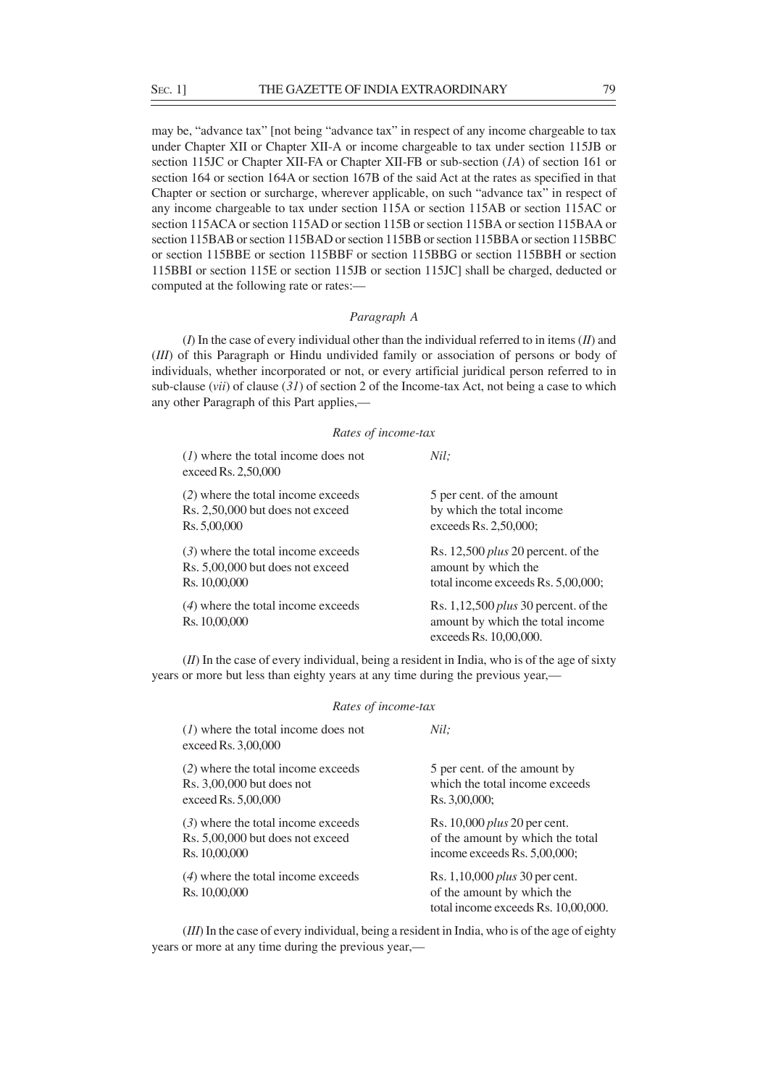may be, "advance tax" [not being "advance tax" in respect of any income chargeable to tax under Chapter XII or Chapter XII-A or income chargeable to tax under section 115JB or section 115JC or Chapter XII-FA or Chapter XII-FB or sub-section (*1A*) of section 161 or section 164 or section 164A or section 167B of the said Act at the rates as specified in that Chapter or section or surcharge, wherever applicable, on such "advance tax" in respect of any income chargeable to tax under section 115A or section 115AB or section 115AC or section 115ACA or section 115AD or section 115B or section 115BA or section 115BAA or section 115BAB or section 115BAD or section 115BB or section 115BBA or section 115BBC or section 115BBE or section 115BBF or section 115BBG or section 115BBH or section 115BBI or section 115E or section 115JB or section 115JC] shall be charged, deducted or computed at the following rate or rates:—

# *Paragraph A*

(*I*) In the case of every individual other than the individual referred to in items (*II*) and (*III*) of this Paragraph or Hindu undivided family or association of persons or body of individuals, whether incorporated or not, or every artificial juridical person referred to in sub-clause (*vii*) of clause (*31*) of section 2 of the Income-tax Act, not being a case to which any other Paragraph of this Part applies,—

## *Rates of income-tax*

| $(1)$ where the total income does not<br>exceed Rs. 2,50,000 | Nil:                                                                                                 |
|--------------------------------------------------------------|------------------------------------------------------------------------------------------------------|
| (2) where the total income exceeds                           | 5 per cent. of the amount                                                                            |
| Rs. 2,50,000 but does not exceed                             | by which the total income                                                                            |
| Rs. 5,00,000                                                 | exceeds Rs. 2,50,000;                                                                                |
| $(3)$ where the total income exceeds                         | Rs. 12,500 <i>plus</i> 20 percent. of the                                                            |
| Rs. 5,00,000 but does not exceed                             | amount by which the                                                                                  |
| Rs. 10,00,000                                                | total income exceeds Rs. 5,00,000;                                                                   |
| $(4)$ where the total income exceeds<br>Rs. 10,00,000        | Rs. $1,12,500$ plus 30 percent. of the<br>amount by which the total income<br>exceeds Rs. 10,00,000. |

(*II*) In the case of every individual, being a resident in India, who is of the age of sixty years or more but less than eighty years at any time during the previous year,—

| Rates of income-tax                                                                       |                                                                                                            |  |
|-------------------------------------------------------------------------------------------|------------------------------------------------------------------------------------------------------------|--|
| $(1)$ where the total income does not<br>exceed Rs. 3,00,000                              | Nil:                                                                                                       |  |
| (2) where the total income exceeds<br>$Rs. 3,00,000$ but does not<br>exceed Rs. 5,00,000  | 5 per cent. of the amount by<br>which the total income exceeds<br>Rs. 3,00,000;                            |  |
| $(3)$ where the total income exceeds<br>Rs. 5,00,000 but does not exceed<br>Rs. 10,00,000 | Rs. 10,000 <i>plus</i> 20 per cent.<br>of the amount by which the total<br>income exceeds Rs. 5,00,000;    |  |
| $(4)$ where the total income exceeds<br>Rs. 10,00,000                                     | Rs. 1,10,000 <i>plus</i> 30 per cent.<br>of the amount by which the<br>total income exceeds Rs. 10,00,000. |  |

(*III*) In the case of every individual, being a resident in India, who is of the age of eighty years or more at any time during the previous year,—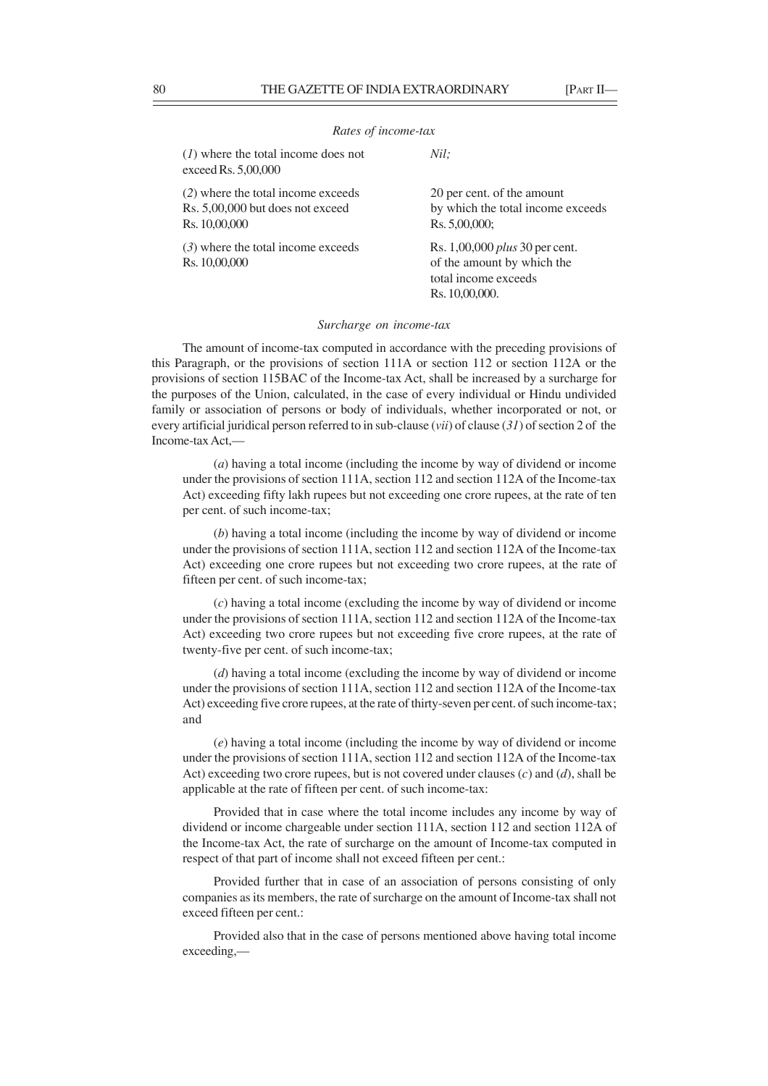#### *Rates of income-tax*

(*1*) where the total income does not *Nil;*

| exceed Rs. 5,00,000                                                                     |                                                                                                               |
|-----------------------------------------------------------------------------------------|---------------------------------------------------------------------------------------------------------------|
| (2) where the total income exceeds<br>Rs. 5,00,000 but does not exceed<br>Rs. 10,00,000 | 20 per cent. of the amount<br>by which the total income exceeds<br>Rs. 5,00,000;                              |
| $(3)$ where the total income exceeds<br>Rs. 10,00,000                                   | Rs. 1,00,000 <i>plus</i> 30 per cent.<br>of the amount by which the<br>total income exceeds<br>Rs. 10,00,000. |

*Surcharge on income-tax*

The amount of income-tax computed in accordance with the preceding provisions of this Paragraph, or the provisions of section 111A or section 112 or section 112A or the provisions of section 115BAC of the Income-tax Act, shall be increased by a surcharge for the purposes of the Union, calculated, in the case of every individual or Hindu undivided family or association of persons or body of individuals, whether incorporated or not, or every artificial juridical person referred to in sub-clause (*vii*) of clause (*31*) of section 2 of the Income-tax Act,—

(*a*) having a total income (including the income by way of dividend or income under the provisions of section 111A, section 112 and section 112A of the Income-tax Act) exceeding fifty lakh rupees but not exceeding one crore rupees, at the rate of ten per cent. of such income-tax;

(*b*) having a total income (including the income by way of dividend or income under the provisions of section 111A, section 112 and section 112A of the Income-tax Act) exceeding one crore rupees but not exceeding two crore rupees, at the rate of fifteen per cent. of such income-tax;

(*c*) having a total income (excluding the income by way of dividend or income under the provisions of section 111A, section 112 and section 112A of the Income-tax Act) exceeding two crore rupees but not exceeding five crore rupees, at the rate of twenty-five per cent. of such income-tax;

(*d*) having a total income (excluding the income by way of dividend or income under the provisions of section 111A, section 112 and section 112A of the Income-tax Act) exceeding five crore rupees, at the rate of thirty-seven per cent. of such income-tax; and

(*e*) having a total income (including the income by way of dividend or income under the provisions of section 111A, section 112 and section 112A of the Income-tax Act) exceeding two crore rupees, but is not covered under clauses (*c*) and (*d*), shall be applicable at the rate of fifteen per cent. of such income-tax:

Provided that in case where the total income includes any income by way of dividend or income chargeable under section 111A, section 112 and section 112A of the Income-tax Act, the rate of surcharge on the amount of Income-tax computed in respect of that part of income shall not exceed fifteen per cent.:

Provided further that in case of an association of persons consisting of only companies as its members, the rate of surcharge on the amount of Income-tax shall not exceed fifteen per cent.:

Provided also that in the case of persons mentioned above having total income exceeding,—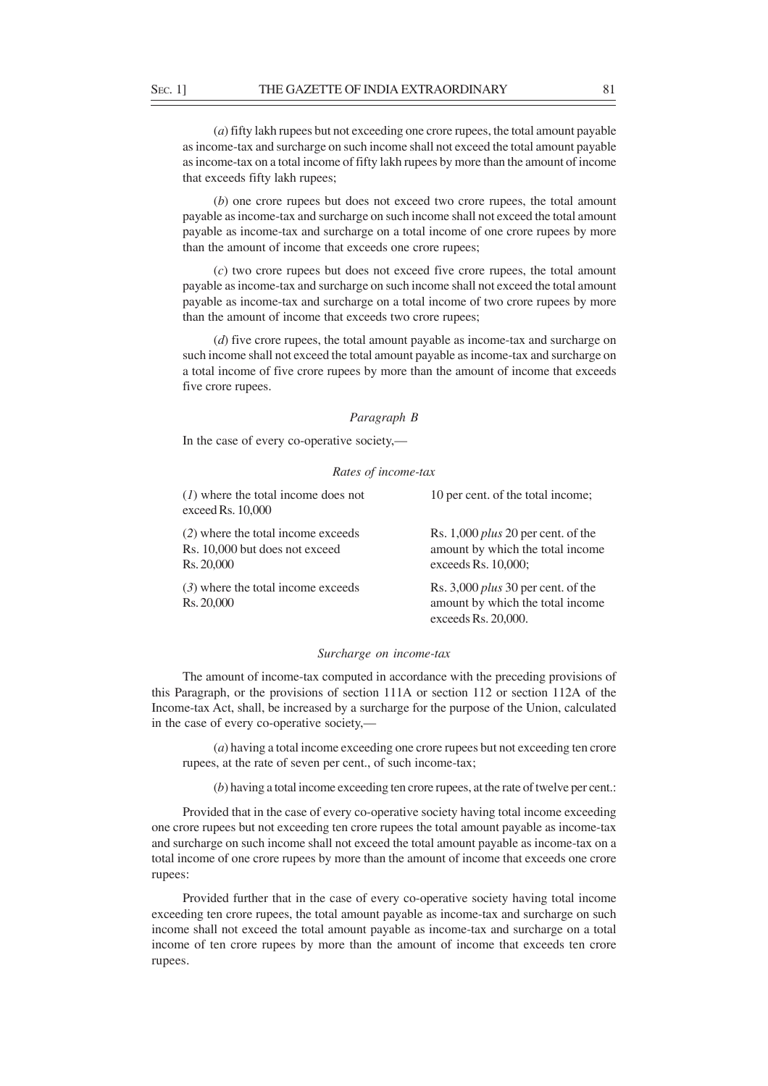(*a*) fifty lakh rupees but not exceeding one crore rupees, the total amount payable as income-tax and surcharge on such income shall not exceed the total amount payable as income-tax on a total income of fifty lakh rupees by more than the amount of income that exceeds fifty lakh rupees;

(*b*) one crore rupees but does not exceed two crore rupees, the total amount payable as income-tax and surcharge on such income shall not exceed the total amount payable as income-tax and surcharge on a total income of one crore rupees by more than the amount of income that exceeds one crore rupees;

(*c*) two crore rupees but does not exceed five crore rupees, the total amount payable as income-tax and surcharge on such income shall not exceed the total amount payable as income-tax and surcharge on a total income of two crore rupees by more than the amount of income that exceeds two crore rupees;

(*d*) five crore rupees, the total amount payable as income-tax and surcharge on such income shall not exceed the total amount payable as income-tax and surcharge on a total income of five crore rupees by more than the amount of income that exceeds five crore rupees.

### *Paragraph B*

In the case of every co-operative society,—

# *Rates of income-tax*

| $(1)$ where the total income does not<br>exceed Rs. 10,000                         | 10 per cent. of the total income;                                                                    |
|------------------------------------------------------------------------------------|------------------------------------------------------------------------------------------------------|
| (2) where the total income exceeds<br>Rs. 10,000 but does not exceed<br>Rs. 20,000 | Rs. 1,000 <i>plus</i> 20 per cent. of the<br>amount by which the total income<br>exceeds Rs. 10,000; |
| $(3)$ where the total income exceeds<br>Rs. 20,000                                 | Rs. 3,000 <i>plus</i> 30 per cent. of the<br>amount by which the total income<br>exceeds Rs. 20,000. |

### *Surcharge on income-tax*

The amount of income-tax computed in accordance with the preceding provisions of this Paragraph, or the provisions of section 111A or section 112 or section 112A of the Income-tax Act, shall, be increased by a surcharge for the purpose of the Union, calculated in the case of every co-operative society,––

(*a*) having a total income exceeding one crore rupees but not exceeding ten crore rupees, at the rate of seven per cent., of such income-tax;

(*b*) having a total income exceeding ten crore rupees, at the rate of twelve per cent.:

Provided that in the case of every co-operative society having total income exceeding one crore rupees but not exceeding ten crore rupees the total amount payable as income-tax and surcharge on such income shall not exceed the total amount payable as income-tax on a total income of one crore rupees by more than the amount of income that exceeds one crore rupees:

Provided further that in the case of every co-operative society having total income exceeding ten crore rupees, the total amount payable as income-tax and surcharge on such income shall not exceed the total amount payable as income-tax and surcharge on a total income of ten crore rupees by more than the amount of income that exceeds ten crore rupees.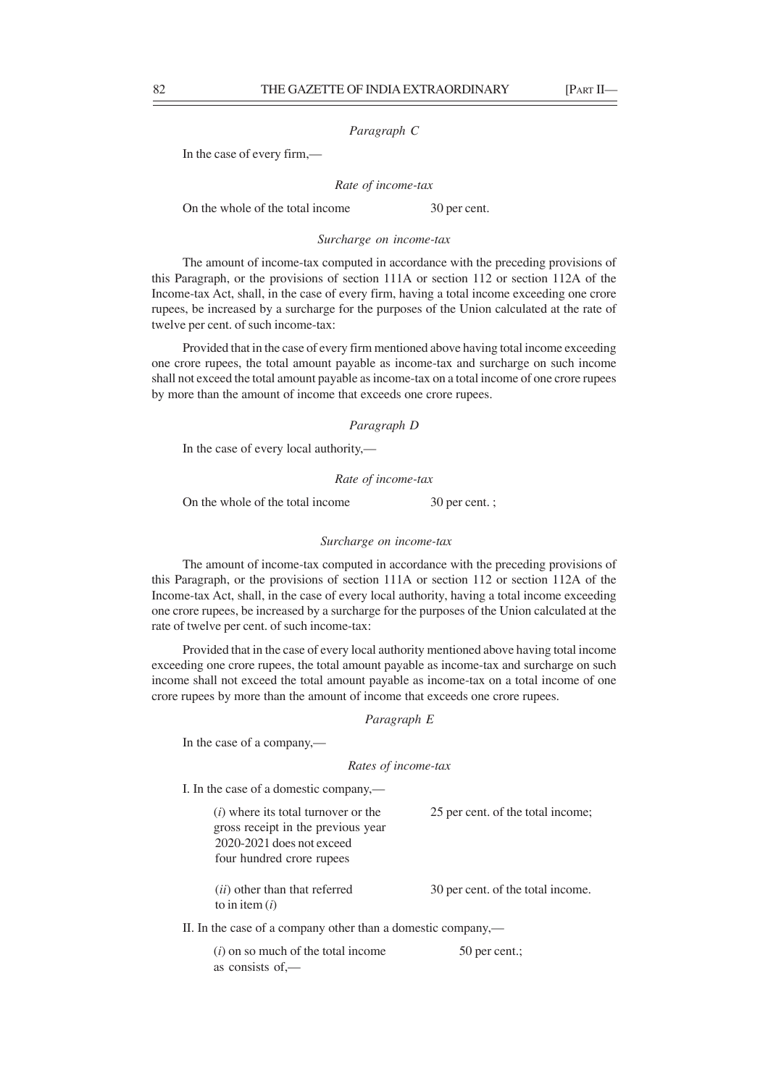## *Paragraph C*

In the case of every firm,—

*Rate of income-tax*

On the whole of the total income 30 per cent.

# *Surcharge on income-tax*

The amount of income-tax computed in accordance with the preceding provisions of this Paragraph, or the provisions of section 111A or section 112 or section 112A of the Income-tax Act, shall, in the case of every firm, having a total income exceeding one crore rupees, be increased by a surcharge for the purposes of the Union calculated at the rate of twelve per cent. of such income-tax:

Provided that in the case of every firm mentioned above having total income exceeding one crore rupees, the total amount payable as income-tax and surcharge on such income shall not exceed the total amount payable as income-tax on a total income of one crore rupees by more than the amount of income that exceeds one crore rupees.

### *Paragraph D*

In the case of every local authority,—

## *Rate of income-tax*

On the whole of the total income 30 per cent. ;

## *Surcharge on income-tax*

The amount of income-tax computed in accordance with the preceding provisions of this Paragraph, or the provisions of section 111A or section 112 or section 112A of the Income-tax Act, shall, in the case of every local authority, having a total income exceeding one crore rupees, be increased by a surcharge for the purposes of the Union calculated at the rate of twelve per cent. of such income-tax:

Provided that in the case of every local authority mentioned above having total income exceeding one crore rupees, the total amount payable as income-tax and surcharge on such income shall not exceed the total amount payable as income-tax on a total income of one crore rupees by more than the amount of income that exceeds one crore rupees.

# *Paragraph E*

In the case of a company,—

#### *Rates of income-tax*

I. In the case of a domestic company,—

| ( <i>i</i> ) where its total turnover or the             | 25 per cent. of the total income; |
|----------------------------------------------------------|-----------------------------------|
| gross receipt in the previous year                       |                                   |
| 2020-2021 does not exceed                                |                                   |
| four hundred crore rupees                                |                                   |
| <i>(ii)</i> other than that referred<br>to in item $(i)$ | 30 per cent. of the total income. |

II. In the case of a company other than a domestic company,—

| $(i)$ on so much of the total income    | $50$ per cent.; |
|-----------------------------------------|-----------------|
| as consists of $\overline{\phantom{a}}$ |                 |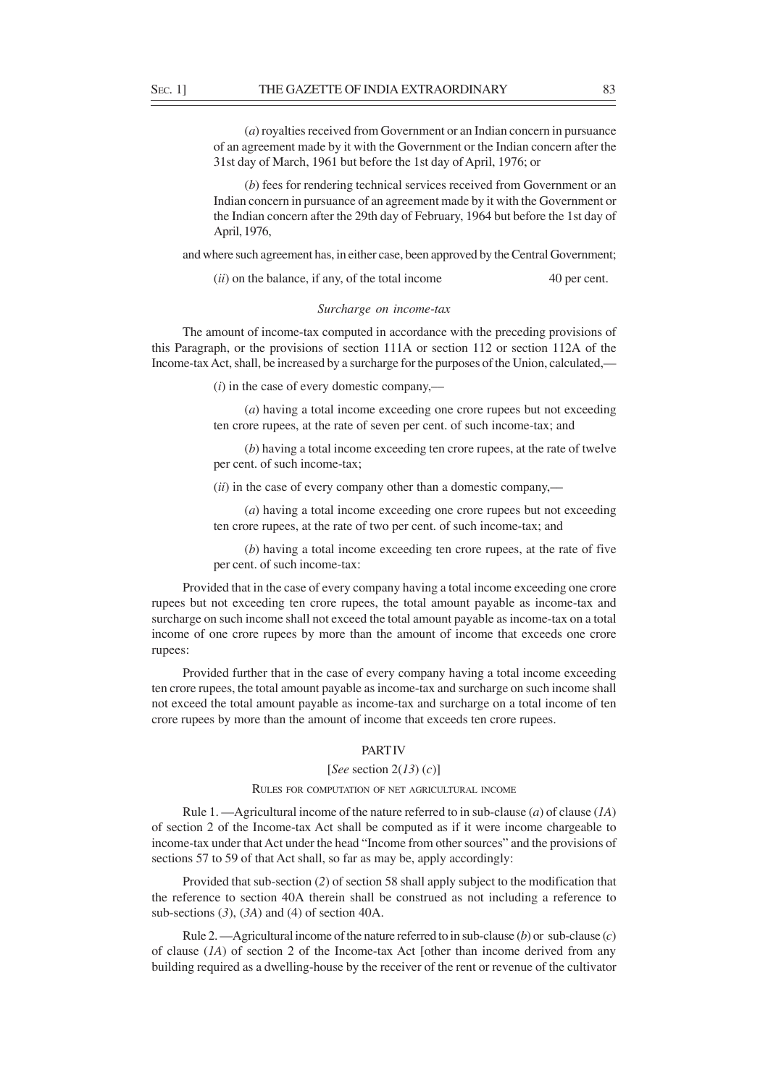(*a*) royalties received from Government or an Indian concern in pursuance of an agreement made by it with the Government or the Indian concern after the 31st day of March, 1961 but before the 1st day of April, 1976; or

(*b*) fees for rendering technical services received from Government or an Indian concern in pursuance of an agreement made by it with the Government or the Indian concern after the 29th day of February, 1964 but before the 1st day of April, 1976,

and where such agreement has, in either case, been approved by the Central Government;

(*ii*) on the balance, if any, of the total income 40 per cent.

# *Surcharge on income-tax*

The amount of income-tax computed in accordance with the preceding provisions of this Paragraph, or the provisions of section 111A or section 112 or section 112A of the Income-tax Act, shall, be increased by a surcharge for the purposes of the Union, calculated,—

(*i*) in the case of every domestic company,––

(*a*) having a total income exceeding one crore rupees but not exceeding ten crore rupees, at the rate of seven per cent. of such income-tax; and

(*b*) having a total income exceeding ten crore rupees, at the rate of twelve per cent. of such income-tax;

(*ii*) in the case of every company other than a domestic company,––

(*a*) having a total income exceeding one crore rupees but not exceeding ten crore rupees, at the rate of two per cent. of such income-tax; and

(*b*) having a total income exceeding ten crore rupees, at the rate of five per cent. of such income-tax:

Provided that in the case of every company having a total income exceeding one crore rupees but not exceeding ten crore rupees, the total amount payable as income-tax and surcharge on such income shall not exceed the total amount payable as income-tax on a total income of one crore rupees by more than the amount of income that exceeds one crore rupees:

Provided further that in the case of every company having a total income exceeding ten crore rupees, the total amount payable as income-tax and surcharge on such income shall not exceed the total amount payable as income-tax and surcharge on a total income of ten crore rupees by more than the amount of income that exceeds ten crore rupees.

# **PART IV**

# [*See* section 2(*13*) (*c*)]

## RULES FOR COMPUTATION OF NET AGRICULTURAL INCOME

Rule 1. —Agricultural income of the nature referred to in sub-clause (*a*) of clause (*1A*) of section 2 of the Income-tax Act shall be computed as if it were income chargeable to income-tax under that Act under the head "Income from other sources" and the provisions of sections 57 to 59 of that Act shall, so far as may be, apply accordingly:

Provided that sub-section (*2*) of section 58 shall apply subject to the modification that the reference to section 40A therein shall be construed as not including a reference to sub-sections (*3*), (*3A*) and (4) of section 40A.

Rule 2. —Agricultural income of the nature referred to in sub-clause (*b*) or sub-clause (*c*) of clause (*1A*) of section 2 of the Income-tax Act [other than income derived from any building required as a dwelling-house by the receiver of the rent or revenue of the cultivator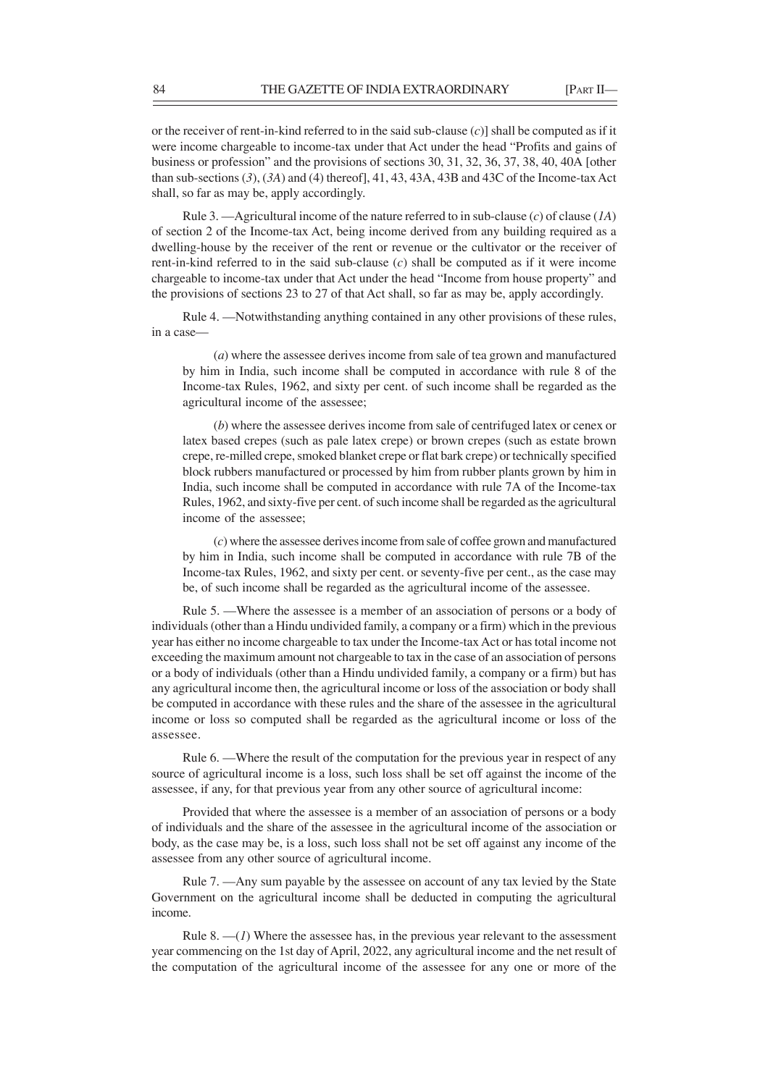or the receiver of rent-in-kind referred to in the said sub-clause (*c*)] shall be computed as if it were income chargeable to income-tax under that Act under the head "Profits and gains of business or profession" and the provisions of sections 30, 31, 32, 36, 37, 38, 40, 40A [other than sub-sections (*3*), (*3A*) and (4) thereof], 41, 43, 43A, 43B and 43C of the Income-tax Act shall, so far as may be, apply accordingly.

Rule 3. —Agricultural income of the nature referred to in sub-clause (*c*) of clause (*1A*) of section 2 of the Income-tax Act, being income derived from any building required as a dwelling-house by the receiver of the rent or revenue or the cultivator or the receiver of rent-in-kind referred to in the said sub-clause (*c*) shall be computed as if it were income chargeable to income-tax under that Act under the head "Income from house property" and the provisions of sections 23 to 27 of that Act shall, so far as may be, apply accordingly.

Rule 4. —Notwithstanding anything contained in any other provisions of these rules, in a case—

(*a*) where the assessee derives income from sale of tea grown and manufactured by him in India, such income shall be computed in accordance with rule 8 of the Income-tax Rules, 1962, and sixty per cent. of such income shall be regarded as the agricultural income of the assessee;

(*b*) where the assessee derives income from sale of centrifuged latex or cenex or latex based crepes (such as pale latex crepe) or brown crepes (such as estate brown crepe, re-milled crepe, smoked blanket crepe or flat bark crepe) or technically specified block rubbers manufactured or processed by him from rubber plants grown by him in India, such income shall be computed in accordance with rule 7A of the Income-tax Rules, 1962, and sixty-five per cent. of such income shall be regarded as the agricultural income of the assessee;

(*c*) where the assessee derives income from sale of coffee grown and manufactured by him in India, such income shall be computed in accordance with rule 7B of the Income-tax Rules, 1962, and sixty per cent. or seventy-five per cent., as the case may be, of such income shall be regarded as the agricultural income of the assessee.

Rule 5. —Where the assessee is a member of an association of persons or a body of individuals (other than a Hindu undivided family, a company or a firm) which in the previous year has either no income chargeable to tax under the Income-tax Act or has total income not exceeding the maximum amount not chargeable to tax in the case of an association of persons or a body of individuals (other than a Hindu undivided family, a company or a firm) but has any agricultural income then, the agricultural income or loss of the association or body shall be computed in accordance with these rules and the share of the assessee in the agricultural income or loss so computed shall be regarded as the agricultural income or loss of the assessee.

Rule 6. —Where the result of the computation for the previous year in respect of any source of agricultural income is a loss, such loss shall be set off against the income of the assessee, if any, for that previous year from any other source of agricultural income:

Provided that where the assessee is a member of an association of persons or a body of individuals and the share of the assessee in the agricultural income of the association or body, as the case may be, is a loss, such loss shall not be set off against any income of the assessee from any other source of agricultural income.

Rule 7. —Any sum payable by the assessee on account of any tax levied by the State Government on the agricultural income shall be deducted in computing the agricultural income.

Rule 8.  $-(1)$  Where the assessee has, in the previous year relevant to the assessment year commencing on the 1st day of April, 2022, any agricultural income and the net result of the computation of the agricultural income of the assessee for any one or more of the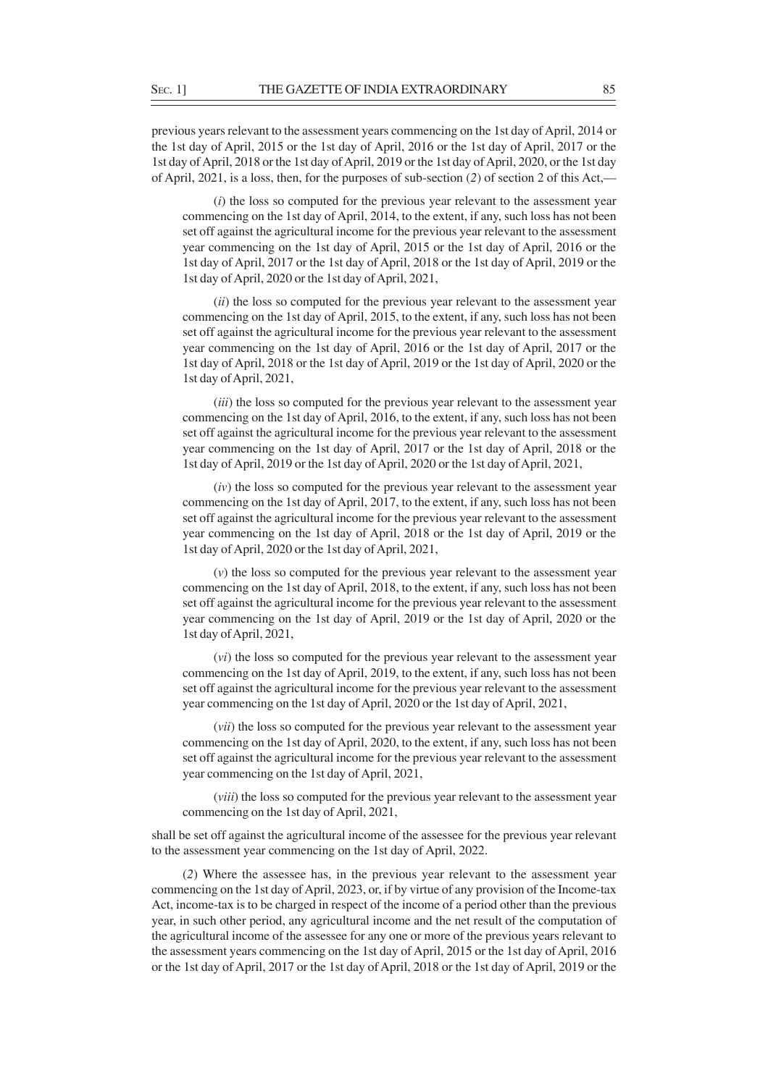previous years relevant to the assessment years commencing on the 1st day of April, 2014 or the 1st day of April, 2015 or the 1st day of April, 2016 or the 1st day of April, 2017 or the 1st day of April, 2018 or the 1st day of April, 2019 or the 1st day of April, 2020, or the 1st day of April, 2021, is a loss, then, for the purposes of sub-section (*2*) of section 2 of this Act,––

(*i*) the loss so computed for the previous year relevant to the assessment year commencing on the 1st day of April, 2014, to the extent, if any, such loss has not been set off against the agricultural income for the previous year relevant to the assessment year commencing on the 1st day of April, 2015 or the 1st day of April, 2016 or the 1st day of April, 2017 or the 1st day of April, 2018 or the 1st day of April, 2019 or the 1st day of April, 2020 or the 1st day of April, 2021,

(*ii*) the loss so computed for the previous year relevant to the assessment year commencing on the 1st day of April, 2015, to the extent, if any, such loss has not been set off against the agricultural income for the previous year relevant to the assessment year commencing on the 1st day of April, 2016 or the 1st day of April, 2017 or the 1st day of April, 2018 or the 1st day of April, 2019 or the 1st day of April, 2020 or the 1st day of April, 2021,

(*iii*) the loss so computed for the previous year relevant to the assessment year commencing on the 1st day of April, 2016, to the extent, if any, such loss has not been set off against the agricultural income for the previous year relevant to the assessment year commencing on the 1st day of April, 2017 or the 1st day of April, 2018 or the 1st day of April, 2019 or the 1st day of April, 2020 or the 1st day of April, 2021,

(*iv*) the loss so computed for the previous year relevant to the assessment year commencing on the 1st day of April, 2017, to the extent, if any, such loss has not been set off against the agricultural income for the previous year relevant to the assessment year commencing on the 1st day of April, 2018 or the 1st day of April, 2019 or the 1st day of April, 2020 or the 1st day of April, 2021,

(*v*) the loss so computed for the previous year relevant to the assessment year commencing on the 1st day of April, 2018, to the extent, if any, such loss has not been set off against the agricultural income for the previous year relevant to the assessment year commencing on the 1st day of April, 2019 or the 1st day of April, 2020 or the 1st day of April, 2021,

(*vi*) the loss so computed for the previous year relevant to the assessment year commencing on the 1st day of April, 2019, to the extent, if any, such loss has not been set off against the agricultural income for the previous year relevant to the assessment year commencing on the 1st day of April, 2020 or the 1st day of April, 2021,

(*vii*) the loss so computed for the previous year relevant to the assessment year commencing on the 1st day of April, 2020, to the extent, if any, such loss has not been set off against the agricultural income for the previous year relevant to the assessment year commencing on the 1st day of April, 2021,

(*viii*) the loss so computed for the previous year relevant to the assessment year commencing on the 1st day of April, 2021,

shall be set off against the agricultural income of the assessee for the previous year relevant to the assessment year commencing on the 1st day of April, 2022.

(*2*) Where the assessee has, in the previous year relevant to the assessment year commencing on the 1st day of April, 2023, or, if by virtue of any provision of the Income-tax Act, income-tax is to be charged in respect of the income of a period other than the previous year, in such other period, any agricultural income and the net result of the computation of the agricultural income of the assessee for any one or more of the previous years relevant to the assessment years commencing on the 1st day of April, 2015 or the 1st day of April, 2016 or the 1st day of April, 2017 or the 1st day of April, 2018 or the 1st day of April, 2019 or the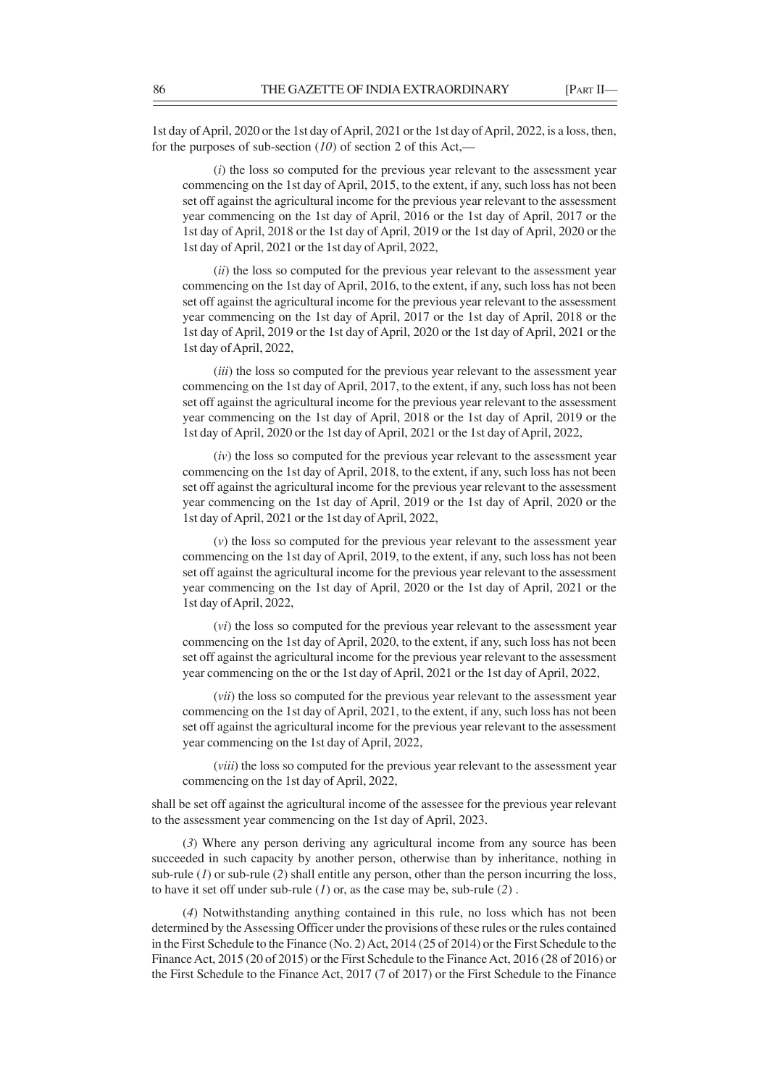1st day of April, 2020 or the 1st day of April, 2021 or the 1st day of April, 2022, is a loss, then, for the purposes of sub-section (*10*) of section 2 of this Act,––

(*i*) the loss so computed for the previous year relevant to the assessment year commencing on the 1st day of April, 2015, to the extent, if any, such loss has not been set off against the agricultural income for the previous year relevant to the assessment year commencing on the 1st day of April, 2016 or the 1st day of April, 2017 or the 1st day of April, 2018 or the 1st day of April, 2019 or the 1st day of April, 2020 or the 1st day of April, 2021 or the 1st day of April, 2022,

(*ii*) the loss so computed for the previous year relevant to the assessment year commencing on the 1st day of April, 2016, to the extent, if any, such loss has not been set off against the agricultural income for the previous year relevant to the assessment year commencing on the 1st day of April, 2017 or the 1st day of April, 2018 or the 1st day of April, 2019 or the 1st day of April, 2020 or the 1st day of April, 2021 or the 1st day of April, 2022,

(*iii*) the loss so computed for the previous year relevant to the assessment year commencing on the 1st day of April, 2017, to the extent, if any, such loss has not been set off against the agricultural income for the previous year relevant to the assessment year commencing on the 1st day of April, 2018 or the 1st day of April, 2019 or the 1st day of April, 2020 or the 1st day of April, 2021 or the 1st day of April, 2022,

(*iv*) the loss so computed for the previous year relevant to the assessment year commencing on the 1st day of April, 2018, to the extent, if any, such loss has not been set off against the agricultural income for the previous year relevant to the assessment year commencing on the 1st day of April, 2019 or the 1st day of April, 2020 or the 1st day of April, 2021 or the 1st day of April, 2022,

(*v*) the loss so computed for the previous year relevant to the assessment year commencing on the 1st day of April, 2019, to the extent, if any, such loss has not been set off against the agricultural income for the previous year relevant to the assessment year commencing on the 1st day of April, 2020 or the 1st day of April, 2021 or the 1st day of April, 2022,

(*vi*) the loss so computed for the previous year relevant to the assessment year commencing on the 1st day of April, 2020, to the extent, if any, such loss has not been set off against the agricultural income for the previous year relevant to the assessment year commencing on the or the 1st day of April, 2021 or the 1st day of April, 2022,

(*vii*) the loss so computed for the previous year relevant to the assessment year commencing on the 1st day of April, 2021, to the extent, if any, such loss has not been set off against the agricultural income for the previous year relevant to the assessment year commencing on the 1st day of April, 2022,

(*viii*) the loss so computed for the previous year relevant to the assessment year commencing on the 1st day of April, 2022,

shall be set off against the agricultural income of the assessee for the previous year relevant to the assessment year commencing on the 1st day of April, 2023.

(*3*) Where any person deriving any agricultural income from any source has been succeeded in such capacity by another person, otherwise than by inheritance, nothing in sub-rule  $(1)$  or sub-rule  $(2)$  shall entitle any person, other than the person incurring the loss, to have it set off under sub-rule (*1*) or, as the case may be, sub-rule (*2*) .

(*4*) Notwithstanding anything contained in this rule, no loss which has not been determined by the Assessing Officer under the provisions of these rules or the rules contained in the First Schedule to the Finance (No. 2) Act, 2014 (25 of 2014) or the First Schedule to the Finance Act, 2015 (20 of 2015) or the First Schedule to the Finance Act, 2016 (28 of 2016) or the First Schedule to the Finance Act, 2017 (7 of 2017) or the First Schedule to the Finance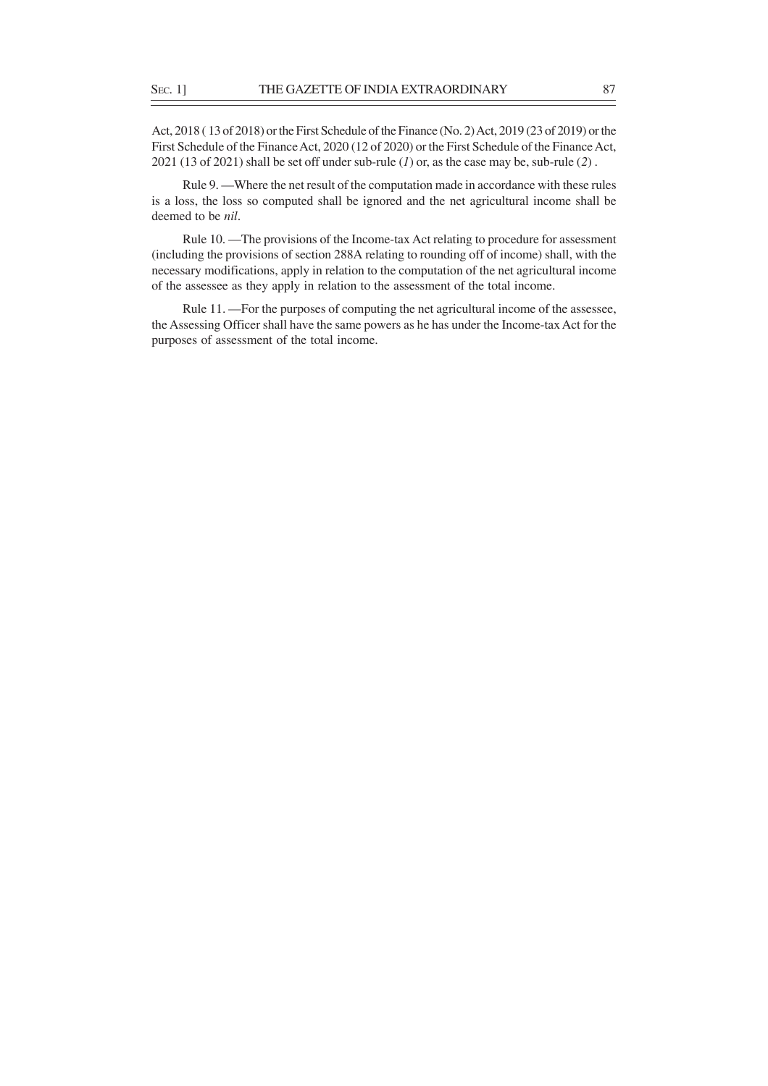Act, 2018 ( 13 of 2018) or the First Schedule of the Finance (No. 2) Act, 2019 (23 of 2019) or the First Schedule of the Finance Act, 2020 (12 of 2020) or the First Schedule of the Finance Act, 2021 (13 of 2021) shall be set off under sub-rule (*1*) or, as the case may be, sub-rule (*2*) .

Rule 9. —Where the net result of the computation made in accordance with these rules is a loss, the loss so computed shall be ignored and the net agricultural income shall be deemed to be *nil*.

Rule 10. —The provisions of the Income-tax Act relating to procedure for assessment (including the provisions of section 288A relating to rounding off of income) shall, with the necessary modifications, apply in relation to the computation of the net agricultural income of the assessee as they apply in relation to the assessment of the total income.

Rule 11. —For the purposes of computing the net agricultural income of the assessee, the Assessing Officer shall have the same powers as he has under the Income-tax Act for the purposes of assessment of the total income.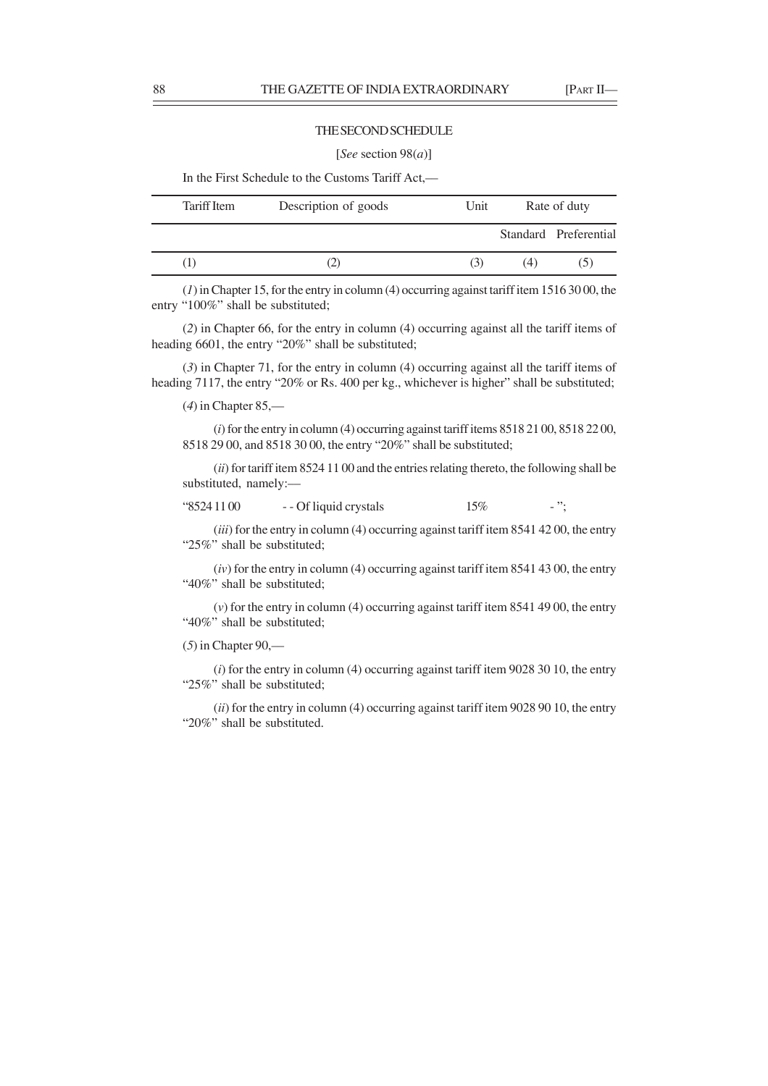# THE SECOND SCHEDULE

#### [*See* section 98(*a*)]

In the First Schedule to the Customs Tariff Act,––

| Tariff Item | Description of goods | Unit | Rate of duty |                       |
|-------------|----------------------|------|--------------|-----------------------|
|             |                      |      |              | Standard Preferential |
|             |                      | (3)  | (4)          | (5)                   |

(*1*) in Chapter 15, for the entry in column (4) occurring against tariff item 1516 30 00, the entry "100%" shall be substituted;

(*2*) in Chapter 66, for the entry in column (4) occurring against all the tariff items of heading 6601, the entry "20%" shall be substituted;

(*3*) in Chapter 71, for the entry in column (4) occurring against all the tariff items of heading 7117, the entry "20% or Rs. 400 per kg., whichever is higher" shall be substituted;

(*4*) in Chapter 85,––

(*i*) for the entry in column (4) occurring against tariff items 8518 21 00, 8518 22 00, 8518 29 00, and 8518 30 00, the entry "20%" shall be substituted;

(*ii*) for tariff item 8524 11 00 and the entries relating thereto, the following shall be substituted, namely:––

# " $85241100$  - - Of liquid crystals 15% - ";

(*iii*) for the entry in column (4) occurring against tariff item 8541 42 00, the entry "25%" shall be substituted;

(*iv*) for the entry in column (4) occurring against tariff item 8541 43 00, the entry "40%" shall be substituted;

(*v*) for the entry in column (4) occurring against tariff item 8541 49 00, the entry "40%" shall be substituted;

(*5*) in Chapter 90,––

(*i*) for the entry in column (4) occurring against tariff item 9028 30 10, the entry "25%" shall be substituted;

(*ii*) for the entry in column (4) occurring against tariff item 9028 90 10, the entry "20%" shall be substituted.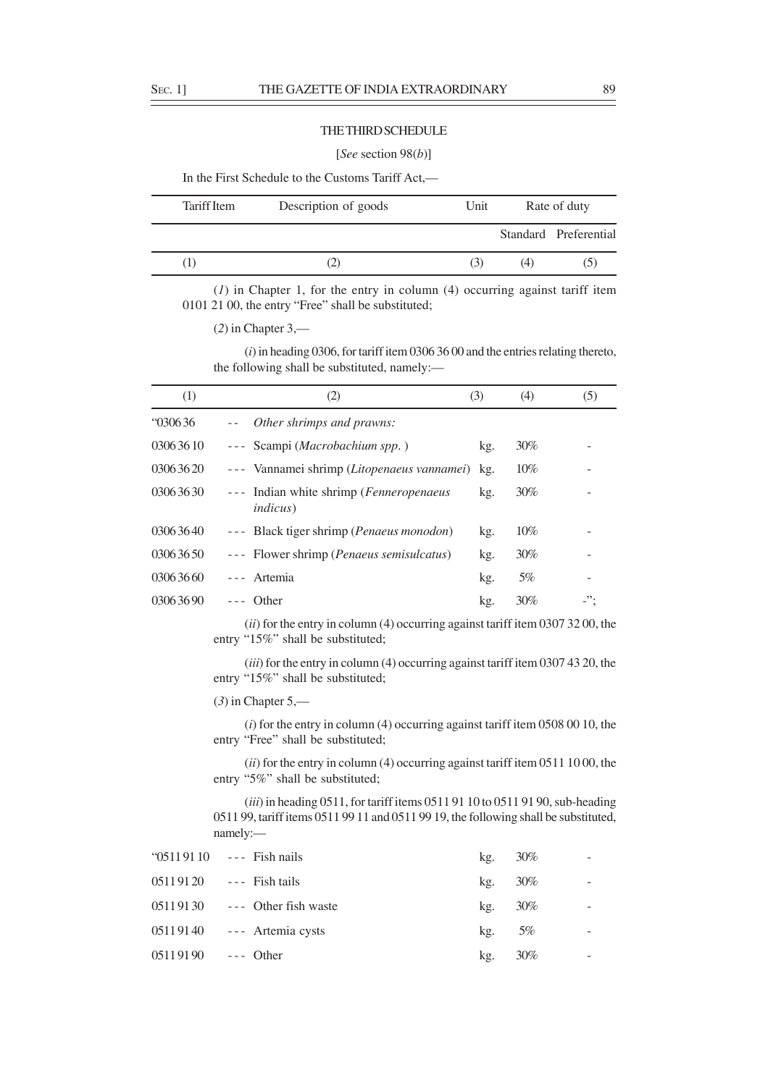## THE THIRD SCHEDULE

## [*See* section 98(*b*)]

In the First Schedule to the Customs Tariff Act,—

| Tariff Item | Description of goods | Unit | Rate of duty |                       |
|-------------|----------------------|------|--------------|-----------------------|
|             |                      |      |              | Standard Preferential |
|             |                      | (3)  | (4)          | (5)                   |

(*1*) in Chapter 1, for the entry in column (4) occurring against tariff item 0101 21 00, the entry "Free" shall be substituted;

(*2*) in Chapter 3,––

(*i*) in heading 0306, for tariff item 0306 36 00 and the entries relating thereto, the following shall be substituted, namely:—

| (1)              | (2)                                                         | (3) | (4)    | (5) |
|------------------|-------------------------------------------------------------|-----|--------|-----|
| $\degree$ 030636 | Other shrimps and prawns:                                   |     |        |     |
| 03063610         | Scampi (Macrobachium spp.)<br>$- - -$                       | kg. | $30\%$ |     |
| 03063620         | --- Vannamei shrimp (Litopenaeus vannamei)                  | kg. | 10%    |     |
| 03063630         | --- Indian white shrimp (Fenneropenaeus<br><i>indicus</i> ) | kg. | $30\%$ |     |
| 03063640         | --- Black tiger shrimp ( <i>Penaeus monodon</i> )           | kg. | 10%    |     |
| 03063650         | --- Flower shrimp ( <i>Penaeus semisulcatus</i> )           | kg. | $30\%$ |     |
| 03063660         | --- Artemia                                                 | kg. | 5%     |     |
| 03063690         | Other                                                       | kg. | 30%    | -"  |

(*ii*) for the entry in column (4) occurring against tariff item 0307 32 00, the entry "15%" shall be substituted;

(*iii*) for the entry in column (4) occurring against tariff item 0307 43 20, the entry "15%" shall be substituted;

(*3*) in Chapter 5,––

(*i*) for the entry in column (4) occurring against tariff item 0508 00 10, the entry "Free" shall be substituted;

(*ii*) for the entry in column (4) occurring against tariff item 0511 10 00, the entry "5%" shall be substituted;

(*iii*) in heading 0511, for tariff items 0511 91 10 to 0511 91 90, sub-heading 0511 99, tariff items 0511 99 11 and 0511 99 19, the following shall be substituted, namely:—

|                      | " $05119110$ --- Fish nails     | kg. | $30\%$ |  |
|----------------------|---------------------------------|-----|--------|--|
|                      | $05119120$ --- Fish tails       | kg. | $30\%$ |  |
|                      | $05119130$ --- Other fish waste | kg. | $30\%$ |  |
|                      | $05119140$ --- Artemia cysts    | kg. | 5%     |  |
| $05119190$ --- Other |                                 | kg. | 30%    |  |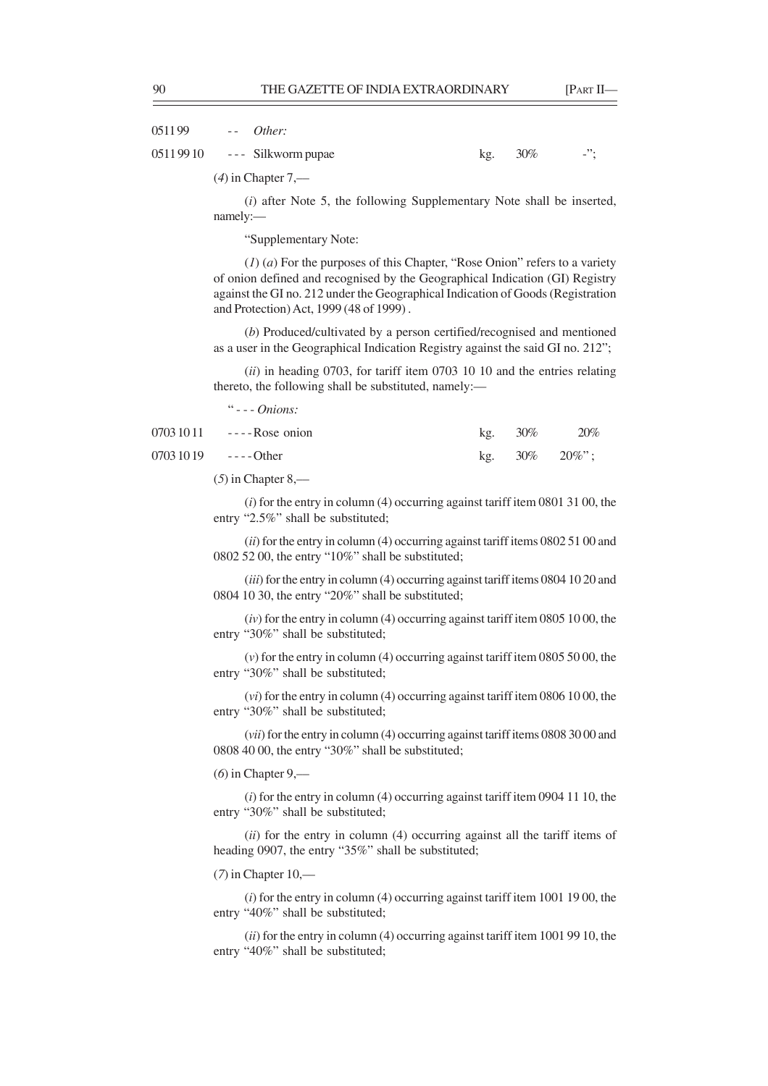0511 99 - - *Other:*

0511 99 10 --- Silkworm pupae kg. 30% -";

(*4*) in Chapter 7,––

(*i*) after Note 5, the following Supplementary Note shall be inserted, namely:—

"Supplementary Note:

(*1*) (*a*) For the purposes of this Chapter, "Rose Onion" refers to a variety of onion defined and recognised by the Geographical Indication (GI) Registry against the GI no. 212 under the Geographical Indication of Goods (Registration and Protection) Act, 1999 (48 of 1999) .

(*b*) Produced/cultivated by a person certified/recognised and mentioned as a user in the Geographical Indication Registry against the said GI no. 212";

(*ii*) in heading 0703, for tariff item 0703 10 10 and the entries relating thereto, the following shall be substituted, namely:—

" - - - *Onions:*

|                      | $07031011$ ----Rose onion | kg. $30\%$ | 20%                  |
|----------------------|---------------------------|------------|----------------------|
| $07031019$ ----Other |                           |            | kg. $30\%$ $20\%$ "; |

(*5*) in Chapter 8,––

(*i*) for the entry in column (4) occurring against tariff item 0801 31 00, the entry "2.5%" shall be substituted;

(*ii*) for the entry in column (4) occurring against tariff items 0802 51 00 and 0802 52 00, the entry "10%" shall be substituted;

(*iii*) for the entry in column (4) occurring against tariff items 0804 10 20 and 0804 10 30, the entry "20%" shall be substituted;

(*iv*) for the entry in column (4) occurring against tariff item 0805 10 00, the entry "30%" shall be substituted;

(*v*) for the entry in column (4) occurring against tariff item 0805 50 00, the entry "30%" shall be substituted;

(*vi*) for the entry in column (4) occurring against tariff item 0806 10 00, the entry "30%" shall be substituted;

(*vii*) for the entry in column (4) occurring against tariff items 0808 30 00 and 0808 40 00, the entry "30%" shall be substituted;

(*6*) in Chapter 9,––

(*i*) for the entry in column (4) occurring against tariff item 0904 11 10, the entry "30%" shall be substituted;

(*ii*) for the entry in column (4) occurring against all the tariff items of heading 0907, the entry "35%" shall be substituted;

(*7*) in Chapter 10,––

(*i*) for the entry in column (4) occurring against tariff item 1001 19 00, the entry "40%" shall be substituted;

(*ii*) for the entry in column (4) occurring against tariff item 1001 99 10, the entry "40%" shall be substituted;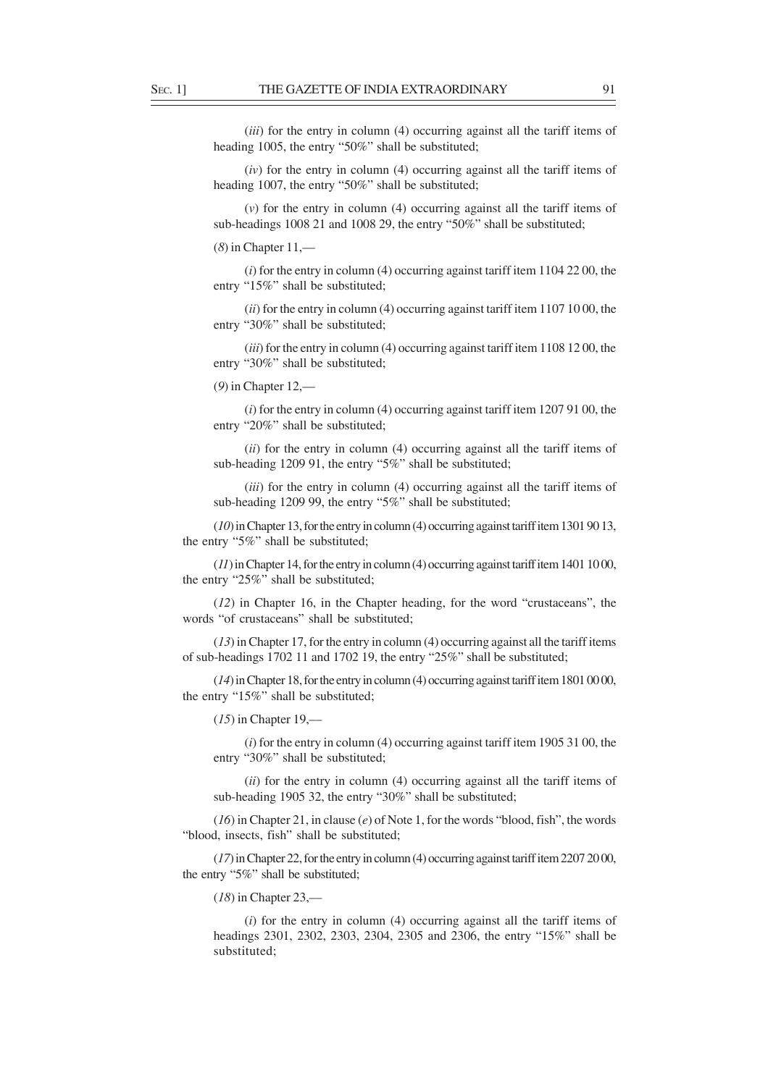(*iii*) for the entry in column (4) occurring against all the tariff items of heading 1005, the entry "50%" shall be substituted;

(*iv*) for the entry in column (4) occurring against all the tariff items of heading 1007, the entry "50%" shall be substituted;

(*v*) for the entry in column (4) occurring against all the tariff items of sub-headings 1008 21 and 1008 29, the entry "50%" shall be substituted;

(*8*) in Chapter 11,––

(*i*) for the entry in column (4) occurring against tariff item 1104 22 00, the entry "15%" shall be substituted;

(*ii*) for the entry in column (4) occurring against tariff item 1107 10 00, the entry "30%" shall be substituted;

(*iii*) for the entry in column (4) occurring against tariff item 1108 12 00, the entry "30%" shall be substituted;

(*9*) in Chapter 12,––

(*i*) for the entry in column (4) occurring against tariff item 1207 91 00, the entry "20%" shall be substituted;

(*ii*) for the entry in column (4) occurring against all the tariff items of sub-heading 1209 91, the entry "5%" shall be substituted;

(*iii*) for the entry in column (4) occurring against all the tariff items of sub-heading 1209 99, the entry "5%" shall be substituted;

(*10*) in Chapter 13, for the entry in column (4) occurring against tariff item 1301 90 13, the entry "5%" shall be substituted;

(*11*) in Chapter 14, for the entry in column (4) occurring against tariff item 1401 10 00, the entry "25%" shall be substituted;

(*12*) in Chapter 16, in the Chapter heading, for the word "crustaceans", the words "of crustaceans" shall be substituted;

(*13*) in Chapter 17, for the entry in column (4) occurring against all the tariff items of sub-headings 1702 11 and 1702 19, the entry "25%" shall be substituted;

(*14*) in Chapter 18, for the entry in column (4) occurring against tariff item 1801 00 00, the entry "15%" shall be substituted;

(*15*) in Chapter 19,––

(*i*) for the entry in column (4) occurring against tariff item 1905 31 00, the entry "30%" shall be substituted;

(*ii*) for the entry in column (4) occurring against all the tariff items of sub-heading 1905 32, the entry "30%" shall be substituted;

(*16*) in Chapter 21, in clause (*e*) of Note 1, for the words "blood, fish", the words "blood, insects, fish" shall be substituted;

(*17*) in Chapter 22, for the entry in column (4) occurring against tariff item 2207 20 00, the entry "5%" shall be substituted;

(*18*) in Chapter 23,––

(*i*) for the entry in column (4) occurring against all the tariff items of headings 2301, 2302, 2303, 2304, 2305 and 2306, the entry "15%" shall be substituted;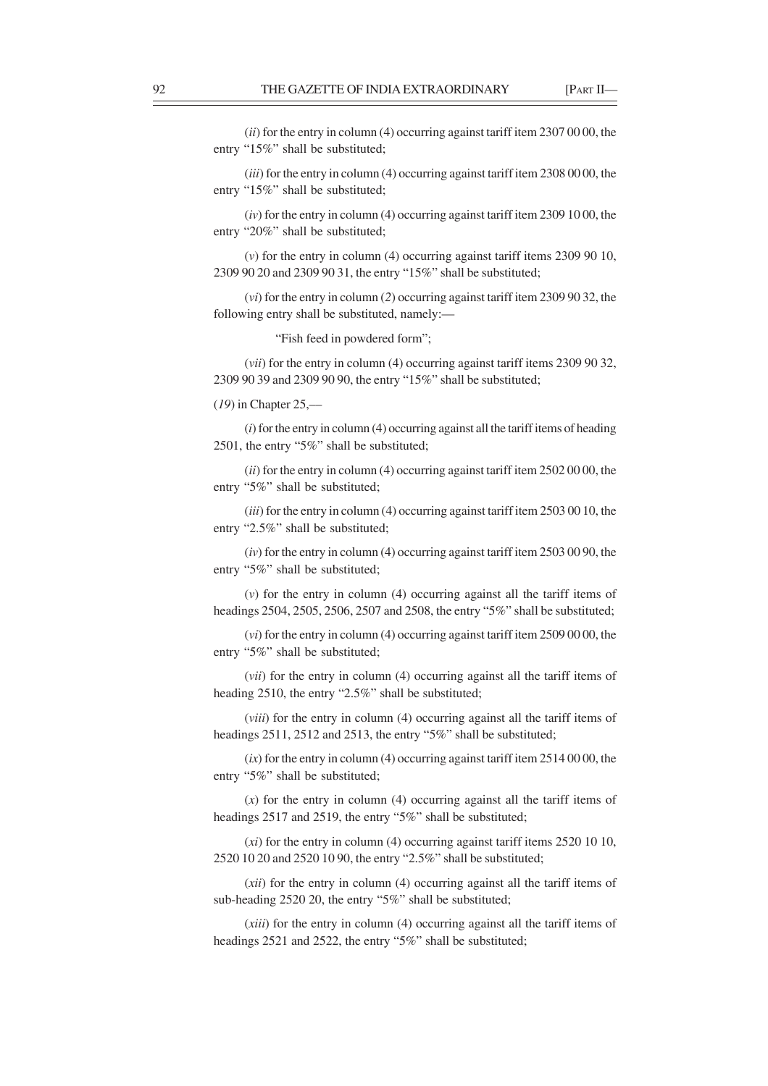(*ii*) for the entry in column (4) occurring against tariff item 2307 00 00, the entry "15%" shall be substituted;

(*iii*) for the entry in column (4) occurring against tariff item 2308 00 00, the entry "15%" shall be substituted;

(*iv*) for the entry in column (4) occurring against tariff item 2309 10 00, the entry "20%" shall be substituted;

(*v*) for the entry in column (4) occurring against tariff items 2309 90 10, 2309 90 20 and 2309 90 31, the entry "15%" shall be substituted;

(*vi*) for the entry in column (*2*) occurring against tariff item 2309 90 32, the following entry shall be substituted, namely:—

"Fish feed in powdered form";

(*vii*) for the entry in column (4) occurring against tariff items 2309 90 32, 2309 90 39 and 2309 90 90, the entry "15%" shall be substituted;

# (*19*) in Chapter 25,––

(*i*) for the entry in column (4) occurring against all the tariff items of heading 2501, the entry "5%" shall be substituted;

(*ii*) for the entry in column (4) occurring against tariff item 2502 00 00, the entry "5%" shall be substituted;

(*iii*) for the entry in column (4) occurring against tariff item 2503 00 10, the entry "2.5%" shall be substituted;

(*iv*) for the entry in column (4) occurring against tariff item 2503 00 90, the entry "5%" shall be substituted;

(*v*) for the entry in column (4) occurring against all the tariff items of headings 2504, 2505, 2506, 2507 and 2508, the entry "5%" shall be substituted;

(*vi*) for the entry in column (4) occurring against tariff item 2509 00 00, the entry "5%" shall be substituted;

(*vii*) for the entry in column (4) occurring against all the tariff items of heading 2510, the entry "2.5%" shall be substituted;

(*viii*) for the entry in column (4) occurring against all the tariff items of headings 2511, 2512 and 2513, the entry "5%" shall be substituted;

 $(ix)$  for the entry in column  $(4)$  occurring against tariff item  $25140000$ , the entry "5%" shall be substituted;

(*x*) for the entry in column (4) occurring against all the tariff items of headings 2517 and 2519, the entry "5%" shall be substituted;

(*xi*) for the entry in column (4) occurring against tariff items 2520 10 10, 2520 10 20 and 2520 10 90, the entry "2.5%" shall be substituted;

(*xii*) for the entry in column (4) occurring against all the tariff items of sub-heading 2520 20, the entry "5%" shall be substituted;

(*xiii*) for the entry in column (4) occurring against all the tariff items of headings 2521 and 2522, the entry "5%" shall be substituted;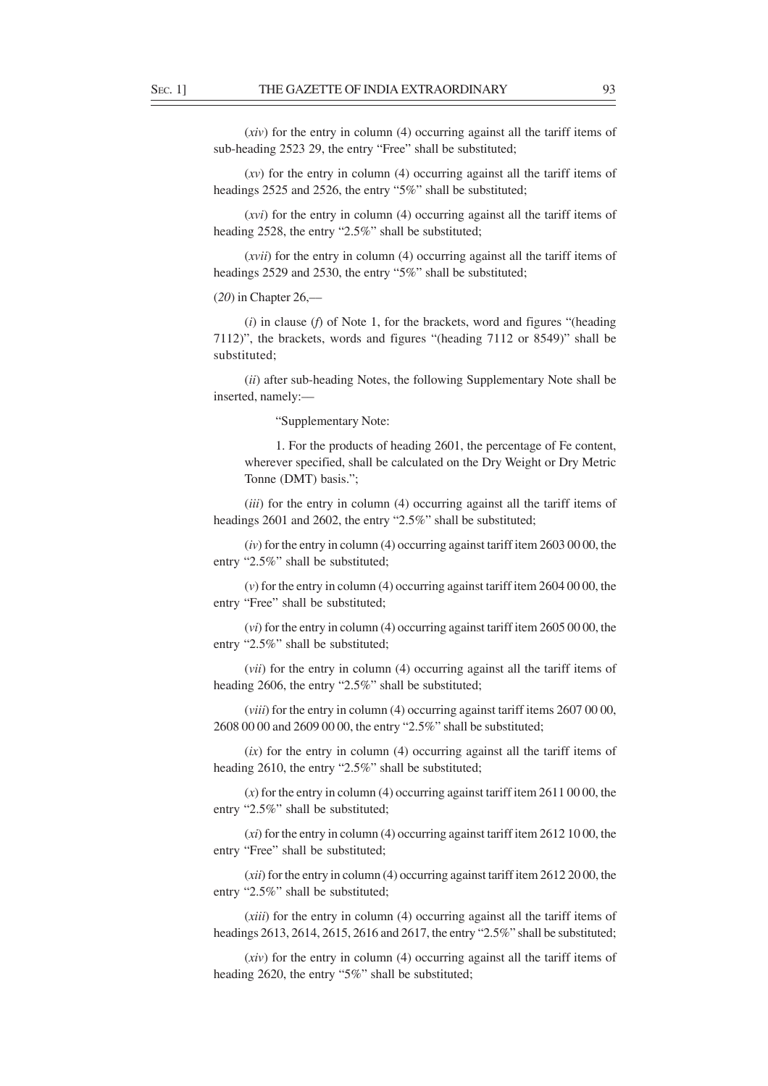(*xiv*) for the entry in column (4) occurring against all the tariff items of sub-heading 2523 29, the entry "Free" shall be substituted;

(*xv*) for the entry in column (4) occurring against all the tariff items of headings 2525 and 2526, the entry "5%" shall be substituted;

(*xvi*) for the entry in column (4) occurring against all the tariff items of heading 2528, the entry "2.5%" shall be substituted;

(*xvii*) for the entry in column (4) occurring against all the tariff items of headings 2529 and 2530, the entry "5%" shall be substituted;

(*20*) in Chapter 26,––

(*i*) in clause (*f*) of Note 1, for the brackets, word and figures "(heading 7112)", the brackets, words and figures "(heading 7112 or 8549)" shall be substituted;

(*ii*) after sub-heading Notes, the following Supplementary Note shall be inserted, namely:––

"Supplementary Note:

1. For the products of heading 2601, the percentage of Fe content, wherever specified, shall be calculated on the Dry Weight or Dry Metric Tonne (DMT) basis.";

(*iii*) for the entry in column (4) occurring against all the tariff items of headings 2601 and 2602, the entry "2.5%" shall be substituted;

(*iv*) for the entry in column (4) occurring against tariff item 2603 00 00, the entry "2.5%" shall be substituted;

(*v*) for the entry in column (4) occurring against tariff item 2604 00 00, the entry "Free" shall be substituted;

(*vi*) for the entry in column (4) occurring against tariff item 2605 00 00, the entry "2.5%" shall be substituted;

(*vii*) for the entry in column (4) occurring against all the tariff items of heading 2606, the entry "2.5%" shall be substituted;

(*viii*) for the entry in column (4) occurring against tariff items 2607 00 00, 2608 00 00 and 2609 00 00, the entry "2.5%" shall be substituted;

(*ix*) for the entry in column (4) occurring against all the tariff items of heading 2610, the entry "2.5%" shall be substituted;

(*x*) for the entry in column (4) occurring against tariff item 2611 00 00, the entry "2.5%" shall be substituted;

(*xi*) for the entry in column (4) occurring against tariff item 2612 10 00, the entry "Free" shall be substituted;

(*xii*) for the entry in column (4) occurring against tariff item 2612 20 00, the entry "2.5%" shall be substituted;

(*xiii*) for the entry in column (4) occurring against all the tariff items of headings 2613, 2614, 2615, 2616 and 2617, the entry "2.5%" shall be substituted;

(*xiv*) for the entry in column (4) occurring against all the tariff items of heading 2620, the entry "5%" shall be substituted;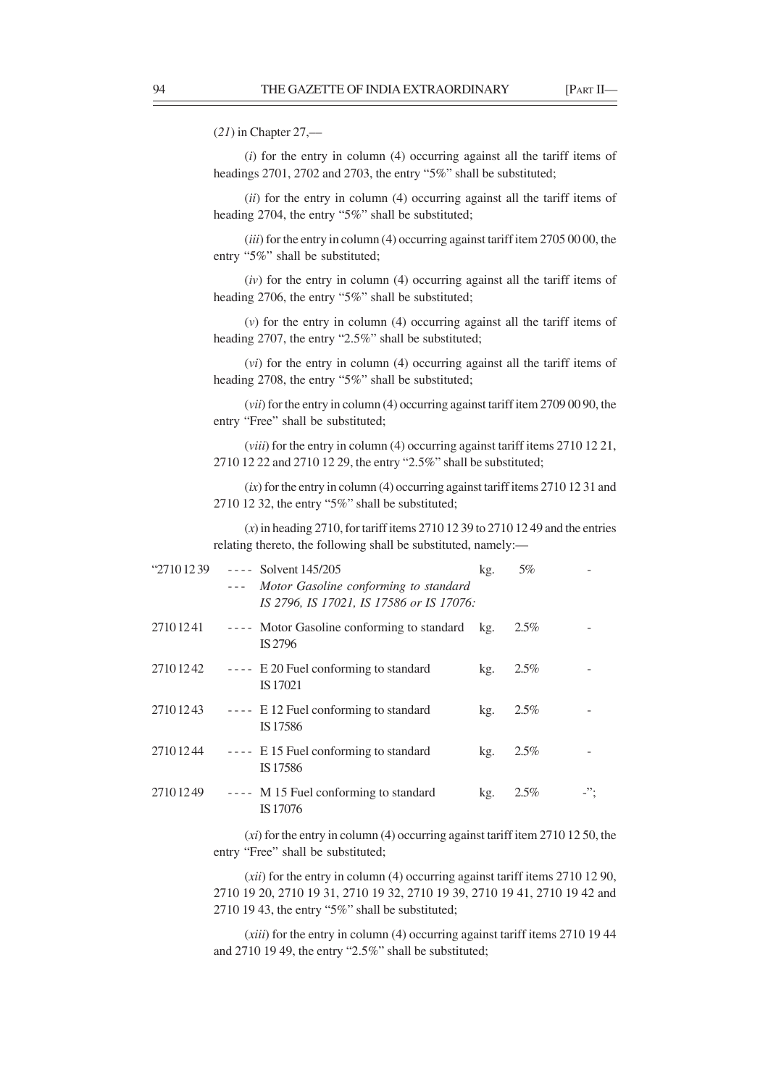(*21*) in Chapter 27,––

(*i*) for the entry in column (4) occurring against all the tariff items of headings 2701, 2702 and 2703, the entry "5%" shall be substituted;

(*ii*) for the entry in column (4) occurring against all the tariff items of heading 2704, the entry "5%" shall be substituted;

(*iii*) for the entry in column (4) occurring against tariff item 2705 00 00, the entry "5%" shall be substituted;

(*iv*) for the entry in column (4) occurring against all the tariff items of heading 2706, the entry "5%" shall be substituted;

(*v*) for the entry in column (4) occurring against all the tariff items of heading 2707, the entry "2.5%" shall be substituted;

(*vi*) for the entry in column (4) occurring against all the tariff items of heading 2708, the entry "5%" shall be substituted;

(*vii*) for the entry in column (4) occurring against tariff item 2709 00 90, the entry "Free" shall be substituted;

(*viii*) for the entry in column (4) occurring against tariff items 2710 12 21, 2710 12 22 and 2710 12 29, the entry "2.5%" shall be substituted;

(*ix*) for the entry in column (4) occurring against tariff items 2710 12 31 and 2710 12 32, the entry "5%" shall be substituted;

(*x*) in heading 2710, for tariff items 2710 12 39 to 2710 12 49 and the entries relating thereto, the following shall be substituted, namely:—

| <sup>27</sup> 101239 | $---$ Solvent 145/205<br>Motor Gasoline conforming to standard<br>IS 2796, IS 17021, IS 17586 or IS 17076: | kg. | 5%      |     |
|----------------------|------------------------------------------------------------------------------------------------------------|-----|---------|-----|
| 27101241             | ---- Motor Gasoline conforming to standard kg.<br>IS 2796                                                  |     | $2.5\%$ |     |
| 2710 12 42           | $--- E 20$ Fuel conforming to standard<br>IS 17021                                                         | kg. | 2.5%    |     |
| 27101243             | $--- E 12$ Fuel conforming to standard<br>IS 17586                                                         | kg. | $2.5\%$ |     |
| 27101244             | $--- E 15$ Fuel conforming to standard<br>IS 17586                                                         | kg. | 2.5%    |     |
| 27101249             | ---- M 15 Fuel conforming to standard<br>IS 17076                                                          | kg. | 2.5%    | -"; |

(*xi*) for the entry in column (4) occurring against tariff item 2710 12 50, the entry "Free" shall be substituted;

(*xii*) for the entry in column (4) occurring against tariff items 2710 12 90, 2710 19 20, 2710 19 31, 2710 19 32, 2710 19 39, 2710 19 41, 2710 19 42 and 2710 19 43, the entry "5%" shall be substituted;

(*xiii*) for the entry in column (4) occurring against tariff items 2710 19 44 and 2710 19 49, the entry "2.5%" shall be substituted;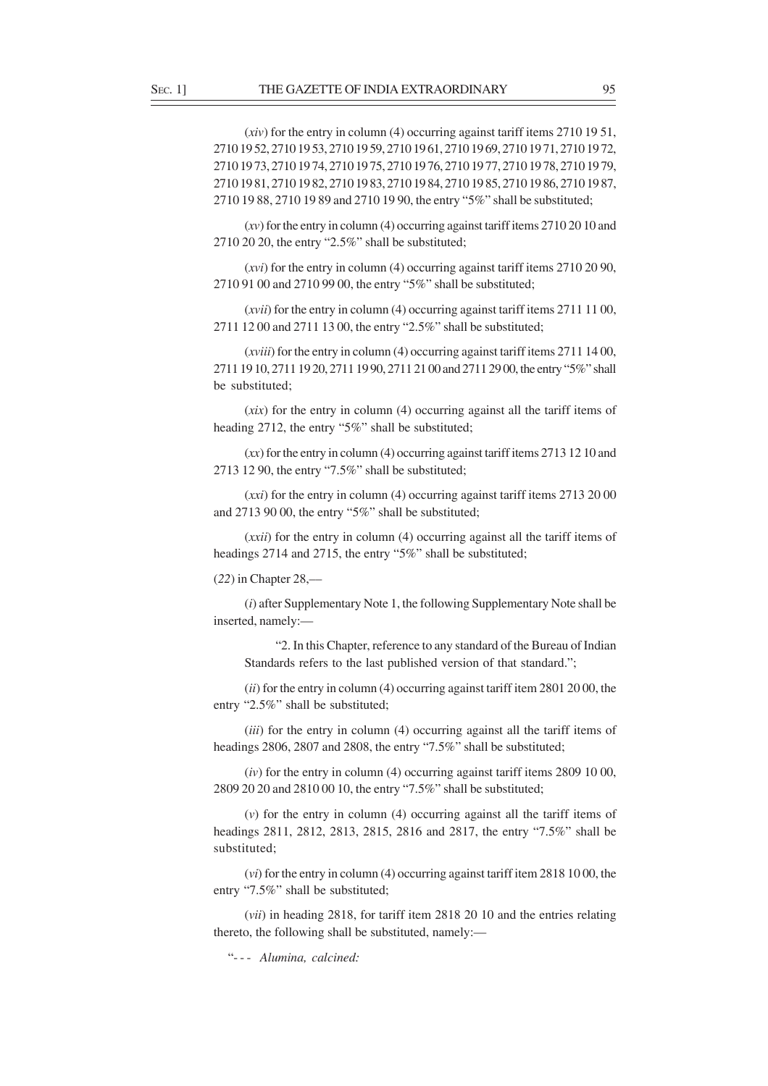(*xiv*) for the entry in column (4) occurring against tariff items 2710 19 51, 2710 19 52, 2710 19 53, 2710 19 59, 2710 19 61, 2710 19 69, 2710 19 71, 2710 19 72, 2710 19 73, 2710 19 74, 2710 19 75, 2710 19 76, 2710 19 77, 2710 19 78, 2710 19 79, 2710 19 81, 2710 19 82, 2710 19 83, 2710 19 84, 2710 19 85, 2710 19 86, 2710 19 87, 2710 19 88, 2710 19 89 and 2710 19 90, the entry "5%" shall be substituted;

(*xv*) for the entry in column (4) occurring against tariff items 2710 20 10 and 2710 20 20, the entry "2.5%" shall be substituted;

(*xvi*) for the entry in column (4) occurring against tariff items 2710 20 90, 2710 91 00 and 2710 99 00, the entry "5%" shall be substituted;

(*xvii*) for the entry in column (4) occurring against tariff items 2711 11 00, 2711 12 00 and 2711 13 00, the entry "2.5%" shall be substituted;

(*xviii*) for the entry in column (4) occurring against tariff items 2711 14 00, 2711 19 10, 2711 19 20, 2711 19 90, 2711 21 00 and 2711 29 00, the entry "5%" shall be substituted;

(*xix*) for the entry in column (4) occurring against all the tariff items of heading 2712, the entry "5%" shall be substituted;

(*xx*) for the entry in column (4) occurring against tariff items 2713 12 10 and 2713 12 90, the entry "7.5%" shall be substituted;

(*xxi*) for the entry in column (4) occurring against tariff items 2713 20 00 and 2713 90 00, the entry "5%" shall be substituted;

(*xxii*) for the entry in column (4) occurring against all the tariff items of headings 2714 and 2715, the entry "5%" shall be substituted;

(*22*) in Chapter 28,––

(*i*) after Supplementary Note 1, the following Supplementary Note shall be inserted, namely:—

"2. In this Chapter, reference to any standard of the Bureau of Indian Standards refers to the last published version of that standard.";

(*ii*) for the entry in column (4) occurring against tariff item 2801 20 00, the entry "2.5%" shall be substituted;

(*iii*) for the entry in column (4) occurring against all the tariff items of headings 2806, 2807 and 2808, the entry "7.5%" shall be substituted;

(*iv*) for the entry in column (4) occurring against tariff items 2809 10 00, 2809 20 20 and 2810 00 10, the entry "7.5%" shall be substituted;

(*v*) for the entry in column (4) occurring against all the tariff items of headings 2811, 2812, 2813, 2815, 2816 and 2817, the entry "7.5%" shall be substituted;

(*vi*) for the entry in column (4) occurring against tariff item 2818 10 00, the entry "7.5%" shall be substituted;

(*vii*) in heading 2818, for tariff item 2818 20 10 and the entries relating thereto, the following shall be substituted, namely:—

"- - - *Alumina, calcined:*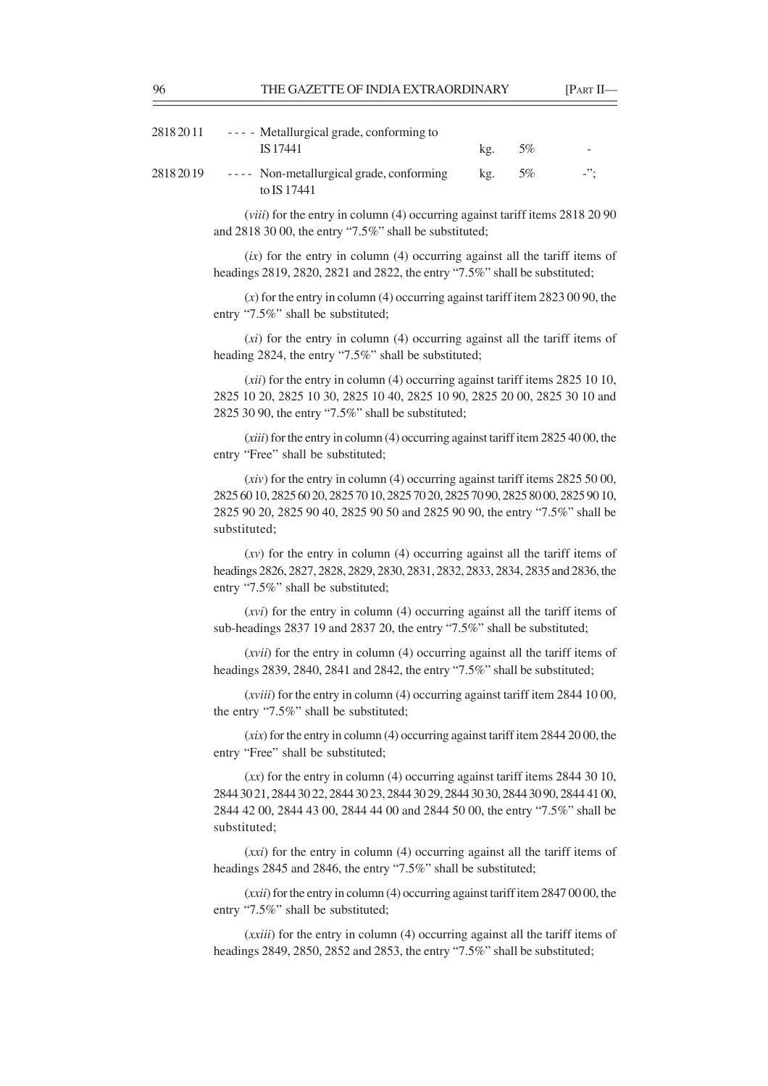| 2818 20 11 | --- Metallurgical grade, conforming to                  |     |    |         |
|------------|---------------------------------------------------------|-----|----|---------|
|            | IS 17441                                                | kg. | 5% |         |
| 2818 20 19 | ---- Non-metallurgical grade, conforming<br>to IS 17441 | kg. | 5% | $-$ '': |

(*viii*) for the entry in column (4) occurring against tariff items 2818 20 90 and 2818 30 00, the entry "7.5%" shall be substituted;

(*ix*) for the entry in column (4) occurring against all the tariff items of headings 2819, 2820, 2821 and 2822, the entry "7.5%" shall be substituted;

(*x*) for the entry in column (4) occurring against tariff item 2823 00 90, the entry "7.5%" shall be substituted;

(*xi*) for the entry in column (4) occurring against all the tariff items of heading 2824, the entry "7.5%" shall be substituted;

(*xii*) for the entry in column (4) occurring against tariff items 2825 10 10, 2825 10 20, 2825 10 30, 2825 10 40, 2825 10 90, 2825 20 00, 2825 30 10 and 2825 30 90, the entry "7.5%" shall be substituted;

(*xiii*) for the entry in column (4) occurring against tariff item 2825 40 00, the entry "Free" shall be substituted;

(*xiv*) for the entry in column (4) occurring against tariff items 2825 50 00, 2825 60 10, 2825 60 20, 2825 70 10, 2825 70 20, 2825 70 90, 2825 80 00, 2825 90 10, 2825 90 20, 2825 90 40, 2825 90 50 and 2825 90 90, the entry "7.5%" shall be substituted;

(*xv*) for the entry in column (4) occurring against all the tariff items of headings 2826, 2827, 2828, 2829, 2830, 2831, 2832, 2833, 2834, 2835 and 2836, the entry "7.5%" shall be substituted;

(*xvi*) for the entry in column (4) occurring against all the tariff items of sub-headings 2837 19 and 2837 20, the entry "7.5%" shall be substituted;

(*xvii*) for the entry in column (4) occurring against all the tariff items of headings 2839, 2840, 2841 and 2842, the entry "7.5%" shall be substituted;

(*xviii*) for the entry in column (4) occurring against tariff item 2844 10 00, the entry "7.5%" shall be substituted;

(*xix*) for the entry in column (4) occurring against tariff item 2844 20 00, the entry "Free" shall be substituted;

(*xx*) for the entry in column (4) occurring against tariff items 2844 30 10, 2844 30 21, 2844 30 22, 2844 30 23, 2844 30 29, 2844 30 30, 2844 30 90, 2844 41 00, 2844 42 00, 2844 43 00, 2844 44 00 and 2844 50 00, the entry "7.5%" shall be substituted;

(*xxi*) for the entry in column (4) occurring against all the tariff items of headings 2845 and 2846, the entry "7.5%" shall be substituted;

(*xxii*) for the entry in column (4) occurring against tariff item 2847 00 00, the entry "7.5%" shall be substituted;

(*xxiii*) for the entry in column (4) occurring against all the tariff items of headings 2849, 2850, 2852 and 2853, the entry "7.5%" shall be substituted;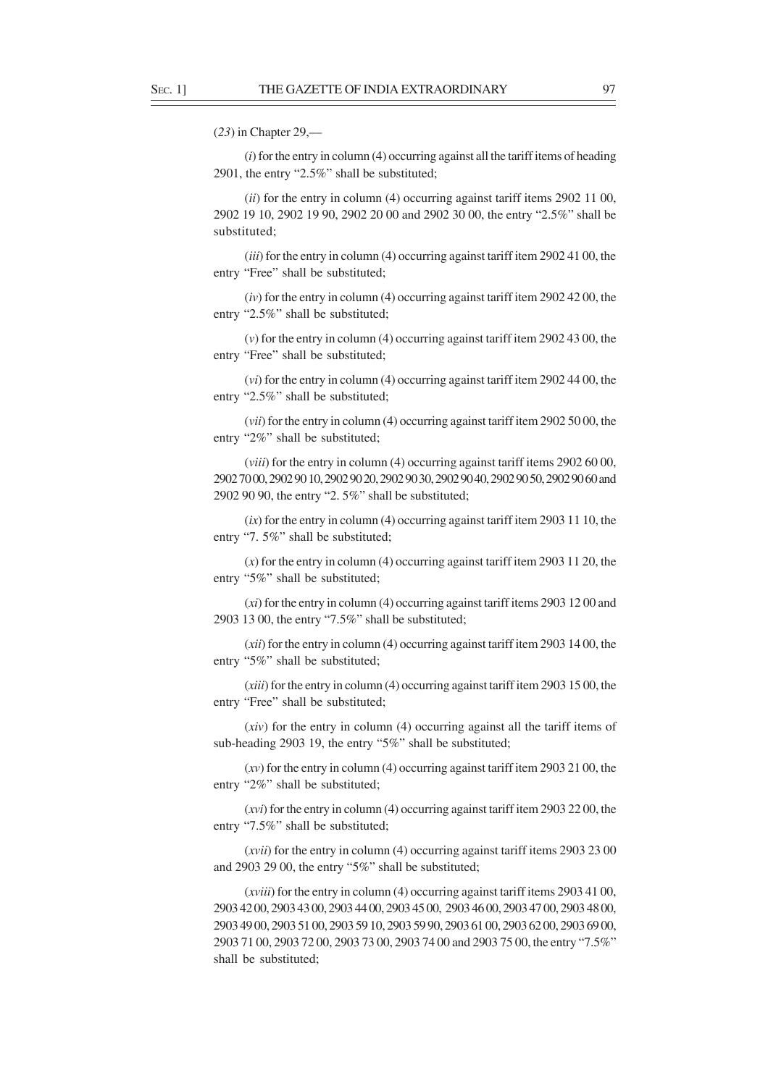(*23*) in Chapter 29,––

(*i*) for the entry in column (4) occurring against all the tariff items of heading 2901, the entry "2.5%" shall be substituted;

(*ii*) for the entry in column (4) occurring against tariff items 2902 11 00, 2902 19 10, 2902 19 90, 2902 20 00 and 2902 30 00, the entry "2.5%" shall be substituted;

(*iii*) for the entry in column (4) occurring against tariff item 2902 41 00, the entry "Free" shall be substituted;

(*iv*) for the entry in column (4) occurring against tariff item 2902 42 00, the entry "2.5%" shall be substituted;

(*v*) for the entry in column (4) occurring against tariff item 2902 43 00, the entry "Free" shall be substituted;

(*vi*) for the entry in column (4) occurring against tariff item 2902 44 00, the entry "2.5%" shall be substituted;

(*vii*) for the entry in column (4) occurring against tariff item 2902 50 00, the entry "2%" shall be substituted;

(*viii*) for the entry in column (4) occurring against tariff items 2902 60 00, 2902 70 00, 2902 90 10, 2902 90 20, 2902 90 30, 2902 90 40, 2902 90 50, 2902 90 60 and 2902 90 90, the entry "2. 5%" shall be substituted;

(*ix*) for the entry in column (4) occurring against tariff item 2903 11 10, the entry "7. 5%" shall be substituted;

(*x*) for the entry in column (4) occurring against tariff item 2903 11 20, the entry "5%" shall be substituted;

(*xi*) for the entry in column (4) occurring against tariff items 2903 12 00 and 2903 13 00, the entry "7.5%" shall be substituted;

(*xii*) for the entry in column (4) occurring against tariff item 2903 14 00, the entry "5%" shall be substituted;

(*xiii*) for the entry in column (4) occurring against tariff item 2903 15 00, the entry "Free" shall be substituted;

(*xiv*) for the entry in column (4) occurring against all the tariff items of sub-heading 2903 19, the entry "5%" shall be substituted;

(*xv*) for the entry in column (4) occurring against tariff item 2903 21 00, the entry "2%" shall be substituted;

(*xvi*) for the entry in column (4) occurring against tariff item 2903 22 00, the entry "7.5%" shall be substituted;

(*xvii*) for the entry in column (4) occurring against tariff items 2903 23 00 and 2903 29 00, the entry "5%" shall be substituted;

(*xviii*) for the entry in column (4) occurring against tariff items 2903 41 00, 2903 42 00, 2903 43 00, 2903 44 00, 2903 45 00, 2903 46 00, 2903 47 00, 2903 48 00, 2903 49 00, 2903 51 00, 2903 59 10, 2903 59 90, 2903 61 00, 2903 62 00, 2903 69 00, 2903 71 00, 2903 72 00, 2903 73 00, 2903 74 00 and 2903 75 00, the entry "7.5%" shall be substituted;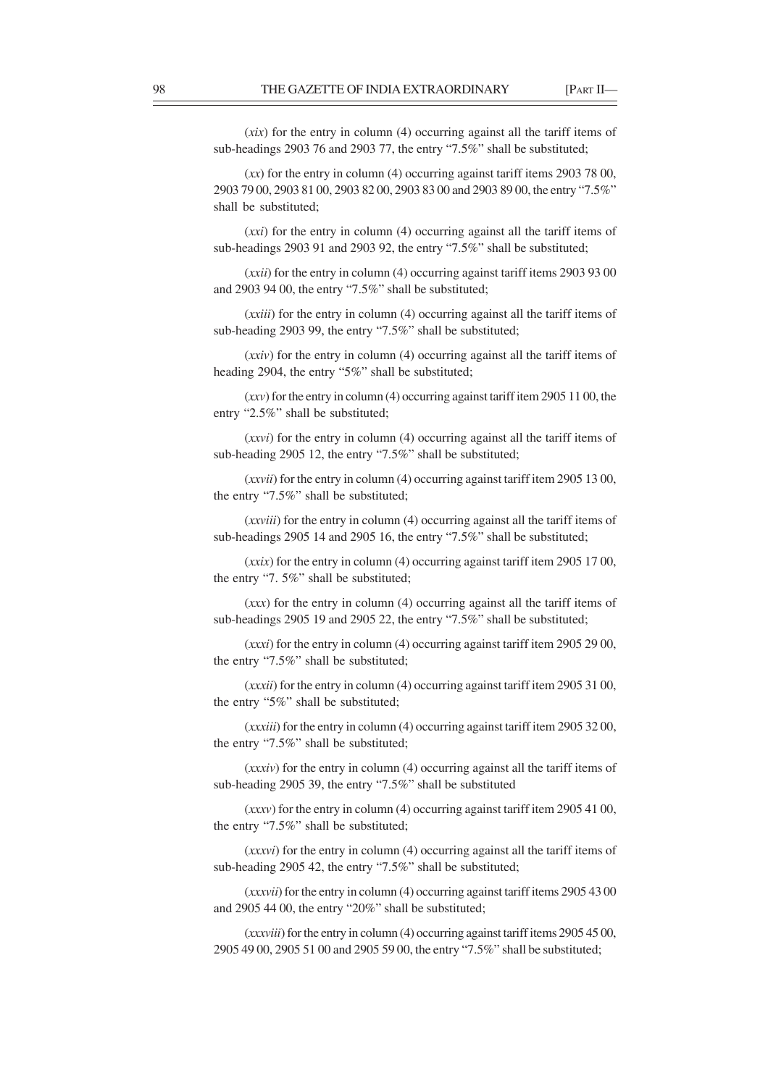(*xix*) for the entry in column (4) occurring against all the tariff items of sub-headings 2903 76 and 2903 77, the entry "7.5%" shall be substituted;

(*xx*) for the entry in column (4) occurring against tariff items 2903 78 00, 2903 79 00, 2903 81 00, 2903 82 00, 2903 83 00 and 2903 89 00, the entry "7.5%" shall be substituted;

(*xxi*) for the entry in column (4) occurring against all the tariff items of sub-headings 2903 91 and 2903 92, the entry "7.5%" shall be substituted;

(*xxii*) for the entry in column (4) occurring against tariff items 2903 93 00 and 2903 94 00, the entry "7.5%" shall be substituted;

(*xxiii*) for the entry in column (4) occurring against all the tariff items of sub-heading 2903 99, the entry "7.5%" shall be substituted;

(*xxiv*) for the entry in column (4) occurring against all the tariff items of heading 2904, the entry "5%" shall be substituted;

(*xxv*) for the entry in column (4) occurring against tariff item 2905 11 00, the entry "2.5%" shall be substituted;

(*xxvi*) for the entry in column (4) occurring against all the tariff items of sub-heading 2905 12, the entry "7.5%" shall be substituted;

(*xxvii*) for the entry in column (4) occurring against tariff item 2905 13 00, the entry "7.5%" shall be substituted;

(*xxviii*) for the entry in column (4) occurring against all the tariff items of sub-headings 2905 14 and 2905 16, the entry "7.5%" shall be substituted;

(*xxix*) for the entry in column (4) occurring against tariff item 2905 17 00, the entry "7. 5%" shall be substituted;

(*xxx*) for the entry in column (4) occurring against all the tariff items of sub-headings 2905 19 and 2905 22, the entry "7.5%" shall be substituted;

(*xxxi*) for the entry in column (4) occurring against tariff item 2905 29 00, the entry "7.5%" shall be substituted;

(*xxxii*) for the entry in column (4) occurring against tariff item 2905 31 00, the entry "5%" shall be substituted;

(*xxxiii*) for the entry in column (4) occurring against tariff item 2905 32 00, the entry "7.5%" shall be substituted;

(*xxxiv*) for the entry in column (4) occurring against all the tariff items of sub-heading 2905 39, the entry "7.5%" shall be substituted

(*xxxv*) for the entry in column (4) occurring against tariff item 2905 41 00, the entry "7.5%" shall be substituted;

(*xxxvi*) for the entry in column (4) occurring against all the tariff items of sub-heading 2905 42, the entry "7.5%" shall be substituted;

(*xxxvii*) for the entry in column (4) occurring against tariff items 2905 43 00 and 2905 44 00, the entry "20%" shall be substituted;

(*xxxviii*) for the entry in column (4) occurring against tariff items 2905 45 00, 2905 49 00, 2905 51 00 and 2905 59 00, the entry "7.5%" shall be substituted;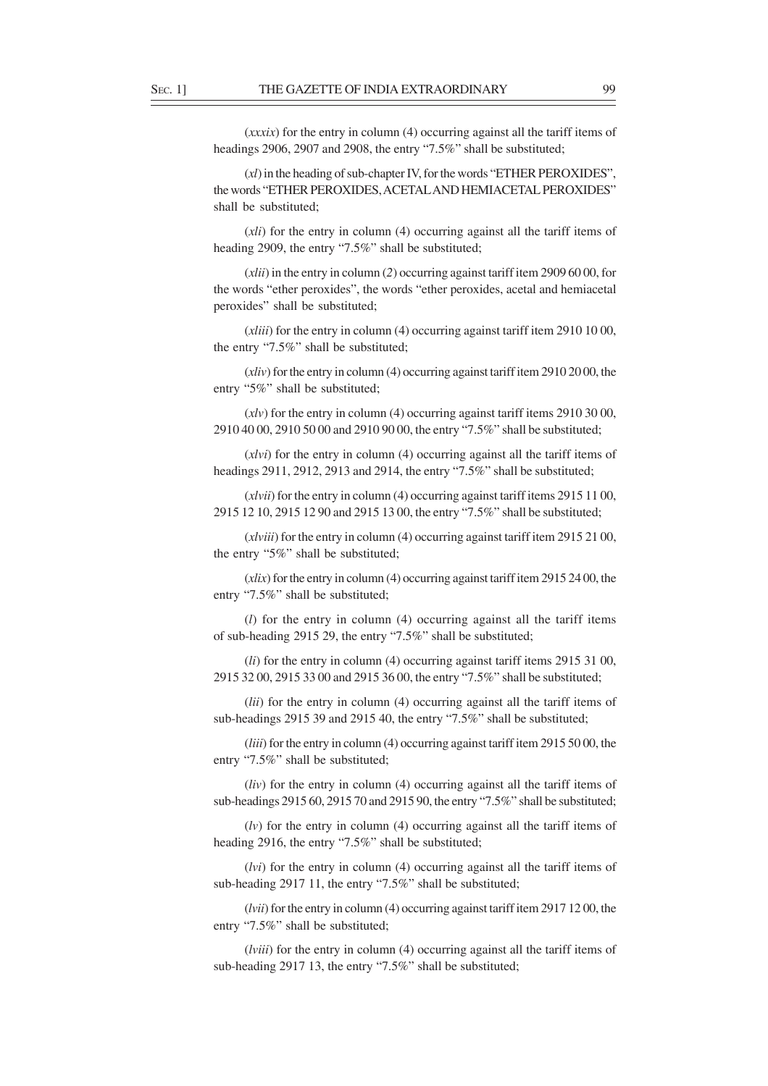(*xxxix*) for the entry in column (4) occurring against all the tariff items of headings 2906, 2907 and 2908, the entry "7.5%" shall be substituted;

(*xl*) in the heading of sub-chapter IV, for the words "ETHER PEROXIDES", the words "ETHER PEROXIDES, ACETAL AND HEMIACETAL PEROXIDES" shall be substituted;

(*xli*) for the entry in column (4) occurring against all the tariff items of heading 2909, the entry "7.5%" shall be substituted;

(*xlii*) in the entry in column (*2*) occurring against tariff item 2909 60 00, for the words "ether peroxides", the words "ether peroxides, acetal and hemiacetal peroxides" shall be substituted;

(*xliii*) for the entry in column (4) occurring against tariff item 2910 10 00, the entry "7.5%" shall be substituted;

(*xliv*) for the entry in column (4) occurring against tariff item 2910 20 00, the entry "5%" shall be substituted;

(*xlv*) for the entry in column (4) occurring against tariff items 2910 30 00, 2910 40 00, 2910 50 00 and 2910 90 00, the entry "7.5%" shall be substituted;

(*xlvi*) for the entry in column (4) occurring against all the tariff items of headings 2911, 2912, 2913 and 2914, the entry "7.5%" shall be substituted;

(*xlvii*) for the entry in column (4) occurring against tariff items 2915 11 00, 2915 12 10, 2915 12 90 and 2915 13 00, the entry "7.5%" shall be substituted;

(*xlviii*) for the entry in column (4) occurring against tariff item 2915 21 00, the entry "5%" shall be substituted;

(*xlix*) for the entry in column (4) occurring against tariff item 2915 24 00, the entry "7.5%" shall be substituted;

(*l*) for the entry in column (4) occurring against all the tariff items of sub-heading 2915 29, the entry "7.5%" shall be substituted;

(*li*) for the entry in column (4) occurring against tariff items 2915 31 00, 2915 32 00, 2915 33 00 and 2915 36 00, the entry "7.5%" shall be substituted;

(*lii*) for the entry in column (4) occurring against all the tariff items of sub-headings 2915 39 and 2915 40, the entry "7.5%" shall be substituted;

(*liii*) for the entry in column (4) occurring against tariff item 2915 50 00, the entry "7.5%" shall be substituted:

(*liv*) for the entry in column (4) occurring against all the tariff items of sub-headings 2915 60, 2915 70 and 2915 90, the entry "7.5%" shall be substituted;

(*lv*) for the entry in column (4) occurring against all the tariff items of heading 2916, the entry "7.5%" shall be substituted;

(*lvi*) for the entry in column (4) occurring against all the tariff items of sub-heading 2917 11, the entry "7.5%" shall be substituted;

(*lvii*) for the entry in column (4) occurring against tariff item 2917 12 00, the entry "7.5%" shall be substituted;

(*lviii*) for the entry in column (4) occurring against all the tariff items of sub-heading 2917 13, the entry "7.5%" shall be substituted;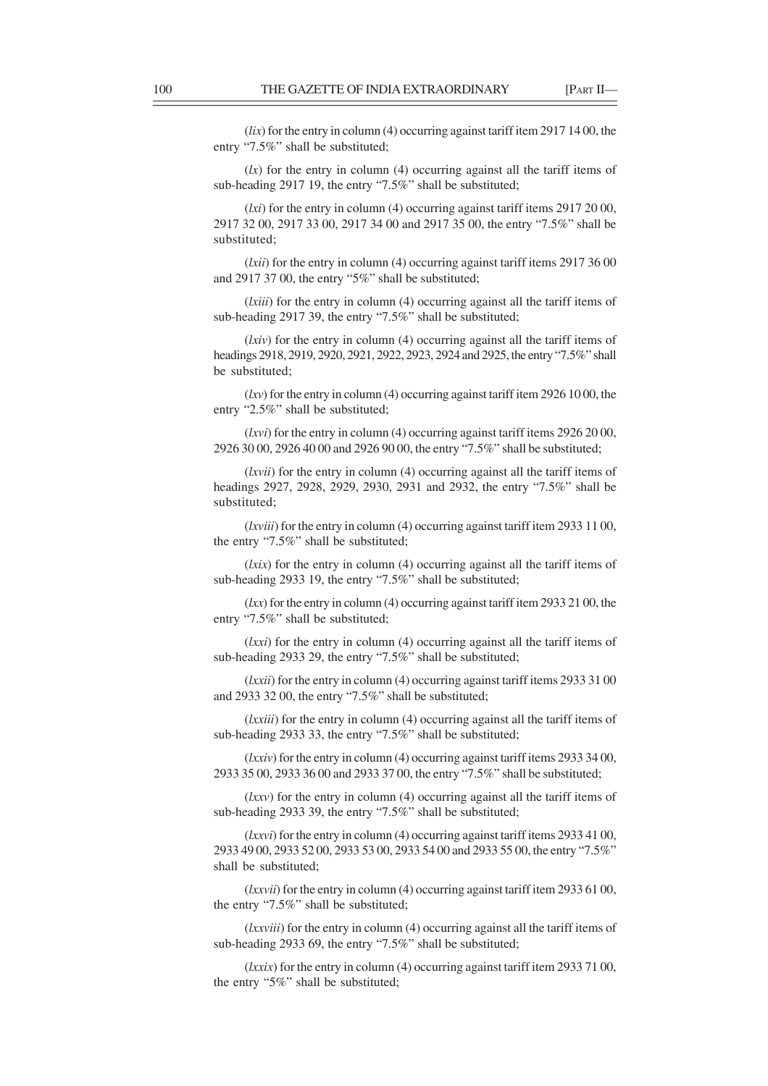(*lix*) for the entry in column (4) occurring against tariff item 2917 14 00, the entry "7.5%" shall be substituted;

 $(lx)$  for the entry in column (4) occurring against all the tariff items of sub-heading 2917 19, the entry "7.5%" shall be substituted;

(*lxi*) for the entry in column (4) occurring against tariff items 2917 20 00, 2917 32 00, 2917 33 00, 2917 34 00 and 2917 35 00, the entry "7.5%" shall be substituted;

(*lxii*) for the entry in column (4) occurring against tariff items 2917 36 00 and 2917 37 00, the entry "5%" shall be substituted;

(*lxiii*) for the entry in column (4) occurring against all the tariff items of sub-heading 2917 39, the entry "7.5%" shall be substituted;

(*lxiv*) for the entry in column (4) occurring against all the tariff items of headings 2918, 2919, 2920, 2921, 2922, 2923, 2924 and 2925, the entry "7.5%" shall be substituted;

(*lxv*) for the entry in column (4) occurring against tariff item 2926 10 00, the entry "2.5%" shall be substituted;

(*lxvi*) for the entry in column (4) occurring against tariff items 2926 20 00, 2926 30 00, 2926 40 00 and 2926 90 00, the entry "7.5%" shall be substituted;

(*lxvii*) for the entry in column (4) occurring against all the tariff items of headings 2927, 2928, 2929, 2930, 2931 and 2932, the entry "7.5%" shall be substituted;

(*lxviii*) for the entry in column (4) occurring against tariff item 2933 11 00, the entry "7.5%" shall be substituted;

(*lxix*) for the entry in column (4) occurring against all the tariff items of sub-heading 2933 19, the entry "7.5%" shall be substituted;

(*lxx*) for the entry in column (4) occurring against tariff item 2933 21 00, the entry "7.5%" shall be substituted;

(*lxxi*) for the entry in column (4) occurring against all the tariff items of sub-heading 2933 29, the entry "7.5%" shall be substituted;

(*lxxii*) for the entry in column (4) occurring against tariff items 2933 31 00 and 2933 32 00, the entry "7.5%" shall be substituted;

(*lxxiii*) for the entry in column (4) occurring against all the tariff items of sub-heading 2933 33, the entry "7.5%" shall be substituted;

(*lxxiv*) for the entry in column (4) occurring against tariff items 2933 34 00, 2933 35 00, 2933 36 00 and 2933 37 00, the entry "7.5%" shall be substituted;

(*lxxv*) for the entry in column (4) occurring against all the tariff items of sub-heading 2933 39, the entry "7.5%" shall be substituted;

(*lxxvi*) for the entry in column (4) occurring against tariff items 2933 41 00, 2933 49 00, 2933 52 00, 2933 53 00, 2933 54 00 and 2933 55 00, the entry "7.5%" shall be substituted;

(*lxxvii*) for the entry in column (4) occurring against tariff item 2933 61 00, the entry "7.5%" shall be substituted;

(*lxxviii*) for the entry in column (4) occurring against all the tariff items of sub-heading 2933 69, the entry "7.5%" shall be substituted;

(*lxxix*) for the entry in column (4) occurring against tariff item 2933 71 00, the entry "5%" shall be substituted;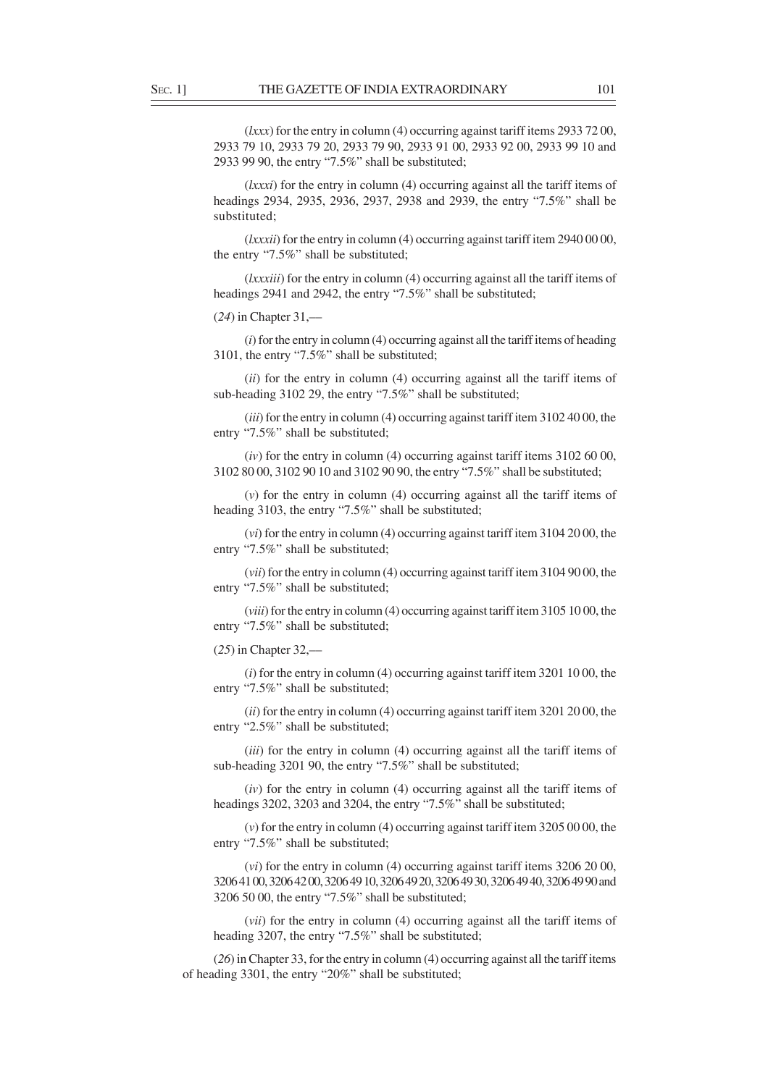(*lxxx*) for the entry in column (4) occurring against tariff items 2933 72 00, 2933 79 10, 2933 79 20, 2933 79 90, 2933 91 00, 2933 92 00, 2933 99 10 and 2933 99 90, the entry "7.5%" shall be substituted;

(*lxxxi*) for the entry in column (4) occurring against all the tariff items of headings 2934, 2935, 2936, 2937, 2938 and 2939, the entry "7.5%" shall be substituted;

(*lxxxii*) for the entry in column (4) occurring against tariff item 2940 00 00, the entry "7.5%" shall be substituted;

(*lxxxiii*) for the entry in column (4) occurring against all the tariff items of headings 2941 and 2942, the entry "7.5%" shall be substituted;

(*24*) in Chapter 31,––

(*i*) for the entry in column (4) occurring against all the tariff items of heading 3101, the entry "7.5%" shall be substituted;

(*ii*) for the entry in column (4) occurring against all the tariff items of sub-heading 3102 29, the entry "7.5%" shall be substituted;

(*iii*) for the entry in column (4) occurring against tariff item 3102 40 00, the entry "7.5%" shall be substituted;

(*iv*) for the entry in column (4) occurring against tariff items 3102 60 00, 3102 80 00, 3102 90 10 and 3102 90 90, the entry "7.5%" shall be substituted;

(*v*) for the entry in column (4) occurring against all the tariff items of heading 3103, the entry "7.5%" shall be substituted;

(*vi*) for the entry in column (4) occurring against tariff item 3104 20 00, the entry "7.5%" shall be substituted;

(*vii*) for the entry in column (4) occurring against tariff item 3104 90 00, the entry "7.5%" shall be substituted;

(*viii*) for the entry in column (4) occurring against tariff item 3105 10 00, the entry "7.5%" shall be substituted;

(*25*) in Chapter 32,––

(*i*) for the entry in column (4) occurring against tariff item 3201 10 00, the entry "7.5%" shall be substituted;

(*ii*) for the entry in column (4) occurring against tariff item 3201 20 00, the entry "2.5%" shall be substituted;

(*iii*) for the entry in column (4) occurring against all the tariff items of sub-heading 3201 90, the entry "7.5%" shall be substituted;

(*iv*) for the entry in column (4) occurring against all the tariff items of headings 3202, 3203 and 3204, the entry "7.5%" shall be substituted;

(*v*) for the entry in column (4) occurring against tariff item 3205 00 00, the entry "7.5%" shall be substituted;

(*vi*) for the entry in column (4) occurring against tariff items 3206 20 00, 3206 41 00, 3206 42 00, 3206 49 10, 3206 49 20, 3206 49 30, 3206 49 40, 3206 49 90 and 3206 50 00, the entry "7.5%" shall be substituted;

(*vii*) for the entry in column (4) occurring against all the tariff items of heading 3207, the entry "7.5%" shall be substituted;

(*26*) in Chapter 33, for the entry in column (4) occurring against all the tariff items of heading 3301, the entry "20%" shall be substituted;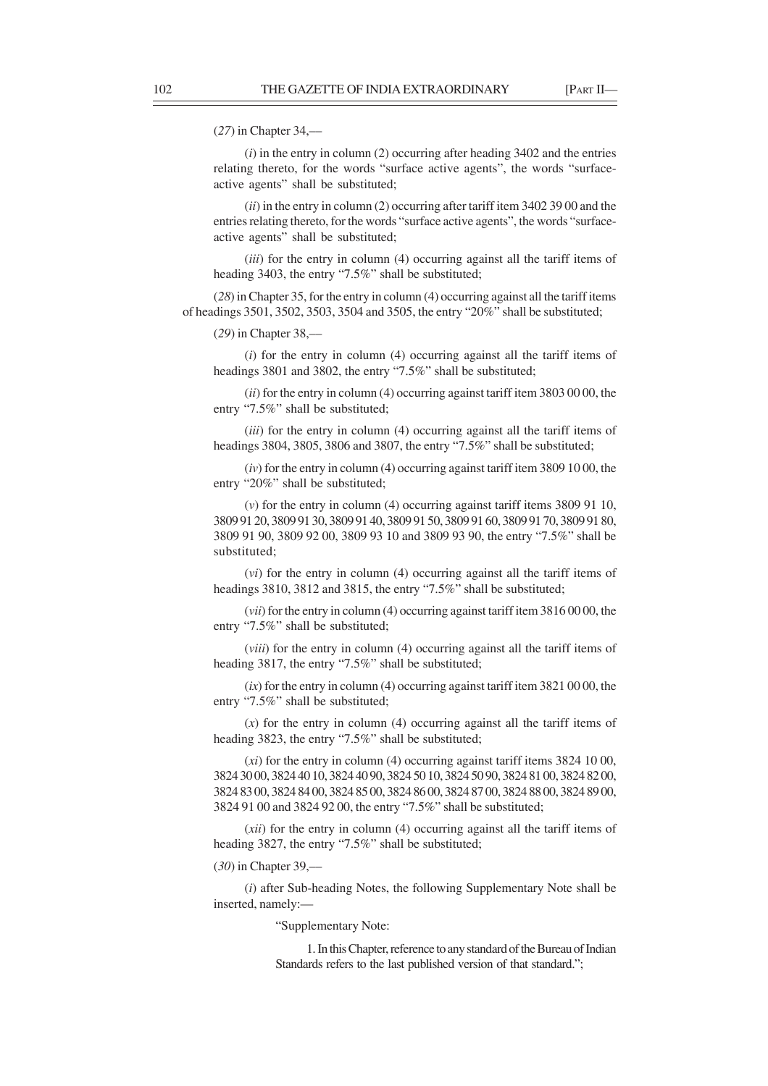# (*27*) in Chapter 34,––

(*i*) in the entry in column (2) occurring after heading 3402 and the entries relating thereto, for the words "surface active agents", the words "surfaceactive agents" shall be substituted;

(*ii*) in the entry in column (2) occurring after tariff item 3402 39 00 and the entries relating thereto, for the words "surface active agents", the words "surfaceactive agents" shall be substituted;

(*iii*) for the entry in column (4) occurring against all the tariff items of heading 3403, the entry "7.5%" shall be substituted;

(*28*) in Chapter 35, for the entry in column (4) occurring against all the tariff items of headings 3501, 3502, 3503, 3504 and 3505, the entry "20%" shall be substituted;

(*29*) in Chapter 38,––

(*i*) for the entry in column (4) occurring against all the tariff items of headings 3801 and 3802, the entry "7.5%" shall be substituted;

(*ii*) for the entry in column (4) occurring against tariff item 3803 00 00, the entry "7.5%" shall be substituted;

(*iii*) for the entry in column (4) occurring against all the tariff items of headings 3804, 3805, 3806 and 3807, the entry "7.5%" shall be substituted:

(*iv*) for the entry in column (4) occurring against tariff item 3809 10 00, the entry "20%" shall be substituted;

(*v*) for the entry in column (4) occurring against tariff items 3809 91 10, 3809 91 20, 3809 91 30, 3809 91 40, 3809 91 50, 3809 91 60, 3809 91 70, 3809 91 80, 3809 91 90, 3809 92 00, 3809 93 10 and 3809 93 90, the entry "7.5%" shall be substituted;

(*vi*) for the entry in column (4) occurring against all the tariff items of headings 3810, 3812 and 3815, the entry "7.5%" shall be substituted;

(*vii*) for the entry in column (4) occurring against tariff item 3816 00 00, the entry "7.5%" shall be substituted;

(*viii*) for the entry in column (4) occurring against all the tariff items of heading 3817, the entry "7.5%" shall be substituted;

(*ix*) for the entry in column (4) occurring against tariff item 3821 00 00, the entry "7.5%" shall be substituted;

(*x*) for the entry in column (4) occurring against all the tariff items of heading 3823, the entry "7.5%" shall be substituted;

(*xi*) for the entry in column (4) occurring against tariff items 3824 10 00, 3824 30 00, 3824 40 10, 3824 40 90, 3824 50 10, 3824 50 90, 3824 81 00, 3824 82 00, 3824 83 00, 3824 84 00, 3824 85 00, 3824 86 00, 3824 87 00, 3824 88 00, 3824 89 00, 3824 91 00 and 3824 92 00, the entry "7.5%" shall be substituted;

(*xii*) for the entry in column (4) occurring against all the tariff items of heading 3827, the entry "7.5%" shall be substituted;

(*30*) in Chapter 39,––

(*i*) after Sub-heading Notes, the following Supplementary Note shall be inserted, namely:—

"Supplementary Note:

1. In this Chapter, reference to any standard of the Bureau of Indian Standards refers to the last published version of that standard.";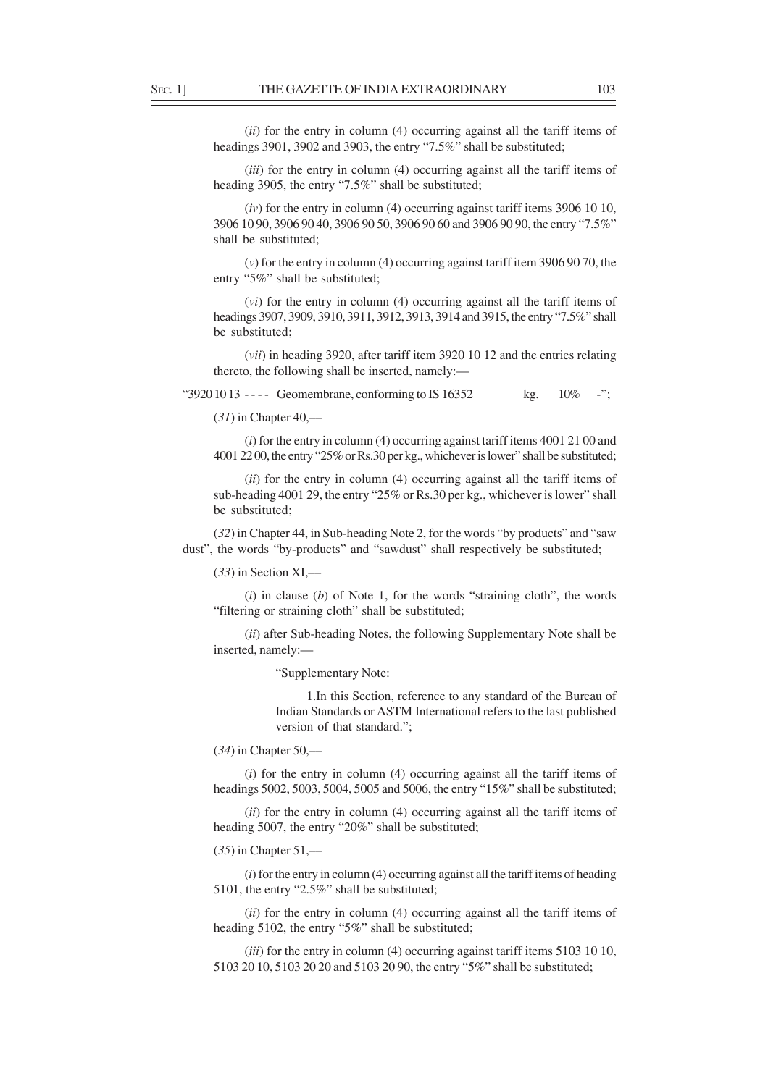(*ii*) for the entry in column (4) occurring against all the tariff items of headings 3901, 3902 and 3903, the entry "7.5%" shall be substituted;

(*iii*) for the entry in column (4) occurring against all the tariff items of heading 3905, the entry "7.5%" shall be substituted;

(*iv*) for the entry in column (4) occurring against tariff items 3906 10 10, 3906 10 90, 3906 90 40, 3906 90 50, 3906 90 60 and 3906 90 90, the entry "7.5%" shall be substituted;

(*v*) for the entry in column (4) occurring against tariff item 3906 90 70, the entry "5%" shall be substituted;

(*vi*) for the entry in column (4) occurring against all the tariff items of headings 3907, 3909, 3910, 3911, 3912, 3913, 3914 and 3915, the entry "7.5%" shall be substituted;

(*vii*) in heading 3920, after tariff item 3920 10 12 and the entries relating thereto, the following shall be inserted, namely:—

" $39201013$  ---- Geomembrane, conforming to IS 16352 kg. 10% -";

(*31*) in Chapter 40,––

(*i*) for the entry in column (4) occurring against tariff items 4001 21 00 and 4001 22 00, the entry "25% or Rs.30 per kg., whichever is lower" shall be substituted;

(*ii*) for the entry in column (4) occurring against all the tariff items of sub-heading 4001 29, the entry "25% or Rs.30 per kg., whichever is lower" shall be substituted;

(*32*) in Chapter 44, in Sub-heading Note 2, for the words "by products" and "saw dust", the words "by-products" and "sawdust" shall respectively be substituted;

(*33*) in Section XI,––

(*i*) in clause (*b*) of Note 1, for the words "straining cloth", the words "filtering or straining cloth" shall be substituted;

(*ii*) after Sub-heading Notes, the following Supplementary Note shall be inserted, namely:—

"Supplementary Note:

1.In this Section, reference to any standard of the Bureau of Indian Standards or ASTM International refers to the last published version of that standard.";

(*34*) in Chapter 50,––

(*i*) for the entry in column (4) occurring against all the tariff items of headings 5002, 5003, 5004, 5005 and 5006, the entry "15%" shall be substituted;

(*ii*) for the entry in column (4) occurring against all the tariff items of heading 5007, the entry "20%" shall be substituted;

# (*35*) in Chapter 51,––

(*i*) for the entry in column (4) occurring against all the tariff items of heading 5101, the entry "2.5%" shall be substituted;

(*ii*) for the entry in column (4) occurring against all the tariff items of heading 5102, the entry "5%" shall be substituted;

(*iii*) for the entry in column (4) occurring against tariff items 5103 10 10, 5103 20 10, 5103 20 20 and 5103 20 90, the entry "5%" shall be substituted;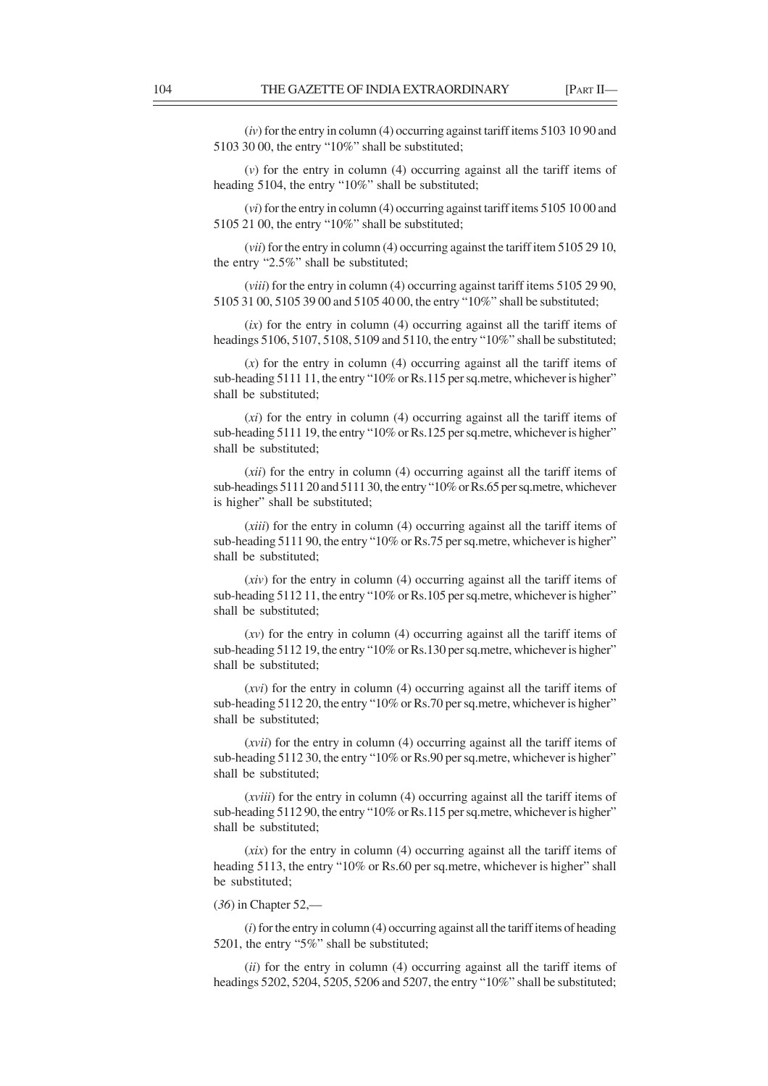(*iv*) for the entry in column (4) occurring against tariff items 5103 10 90 and 5103 30 00, the entry "10%" shall be substituted;

(*v*) for the entry in column (4) occurring against all the tariff items of heading 5104, the entry "10%" shall be substituted;

(*vi*) for the entry in column (4) occurring against tariff items 5105 10 00 and 5105 21 00, the entry "10%" shall be substituted;

(*vii*) for the entry in column (4) occurring against the tariff item 5105 29 10, the entry "2.5%" shall be substituted;

(*viii*) for the entry in column (4) occurring against tariff items 5105 29 90, 5105 31 00, 5105 39 00 and 5105 40 00, the entry "10%" shall be substituted;

(*ix*) for the entry in column (4) occurring against all the tariff items of headings 5106, 5107, 5108, 5109 and 5110, the entry "10%" shall be substituted;

(*x*) for the entry in column (4) occurring against all the tariff items of sub-heading 5111 11, the entry "10% or Rs.115 per sq.metre, whichever is higher" shall be substituted;

(*xi*) for the entry in column (4) occurring against all the tariff items of sub-heading 5111 19, the entry "10% or Rs.125 per sq.metre, whichever is higher" shall be substituted;

(*xii*) for the entry in column (4) occurring against all the tariff items of sub-headings 5111 20 and 5111 30, the entry "10% or Rs.65 per sq.metre, whichever is higher" shall be substituted;

(*xiii*) for the entry in column (4) occurring against all the tariff items of sub-heading 5111 90, the entry "10% or Rs.75 per sq.metre, whichever is higher" shall be substituted;

(*xiv*) for the entry in column (4) occurring against all the tariff items of sub-heading 5112 11, the entry "10% or Rs.105 per sq.metre, whichever is higher" shall be substituted;

(*xv*) for the entry in column (4) occurring against all the tariff items of sub-heading 5112 19, the entry "10% or Rs.130 per sq.metre, whichever is higher" shall be substituted;

(*xvi*) for the entry in column (4) occurring against all the tariff items of sub-heading 5112 20, the entry "10% or Rs.70 per sq.metre, whichever is higher" shall be substituted;

(*xvii*) for the entry in column (4) occurring against all the tariff items of sub-heading 5112 30, the entry "10% or Rs.90 per sq.metre, whichever is higher" shall be substituted;

(*xviii*) for the entry in column (4) occurring against all the tariff items of sub-heading 5112 90, the entry "10% or Rs.115 per sq.metre, whichever is higher" shall be substituted;

(*xix*) for the entry in column (4) occurring against all the tariff items of heading 5113, the entry "10% or Rs.60 per sq.metre, whichever is higher" shall be substituted;

# (*36*) in Chapter 52,––

(*i*) for the entry in column (4) occurring against all the tariff items of heading 5201, the entry "5%" shall be substituted;

(*ii*) for the entry in column (4) occurring against all the tariff items of headings 5202, 5204, 5205, 5206 and 5207, the entry "10%" shall be substituted;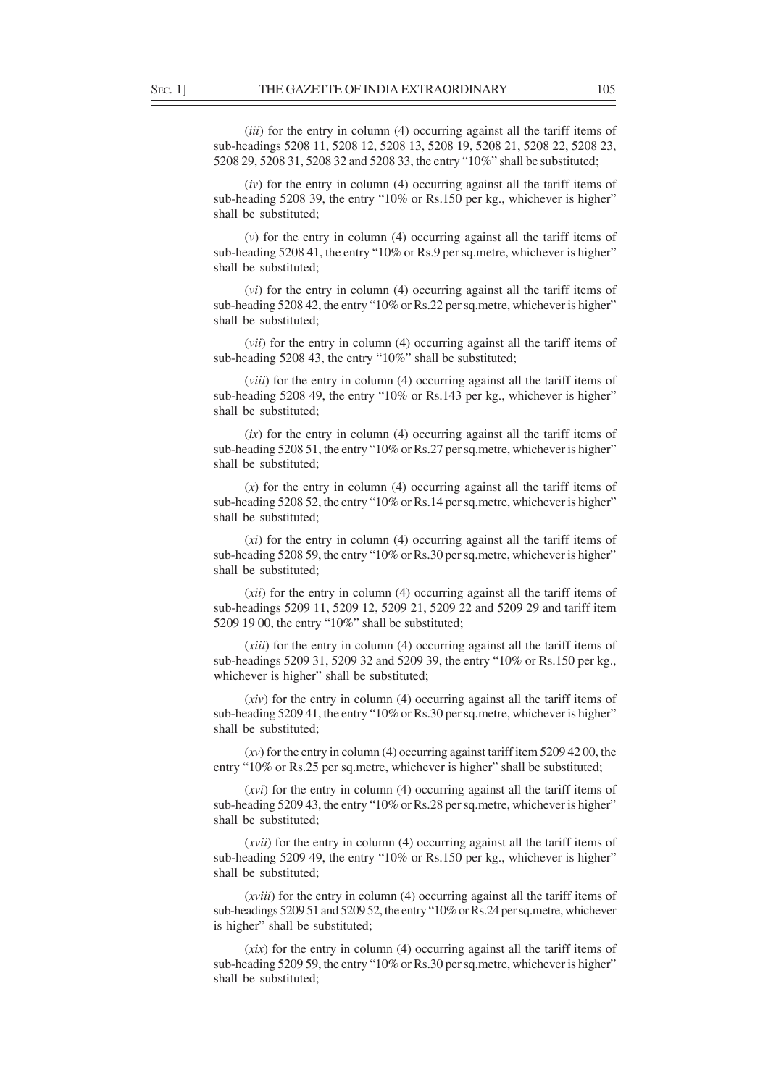(*iii*) for the entry in column (4) occurring against all the tariff items of sub-headings 5208 11, 5208 12, 5208 13, 5208 19, 5208 21, 5208 22, 5208 23, 5208 29, 5208 31, 5208 32 and 5208 33, the entry "10%" shall be substituted;

(*iv*) for the entry in column (4) occurring against all the tariff items of sub-heading 5208 39, the entry "10% or Rs.150 per kg., whichever is higher" shall be substituted;

(*v*) for the entry in column (4) occurring against all the tariff items of sub-heading 5208 41, the entry "10% or Rs.9 per sq.metre, whichever is higher" shall be substituted;

(*vi*) for the entry in column (4) occurring against all the tariff items of sub-heading 5208 42, the entry "10% or Rs.22 per sq.metre, whichever is higher" shall be substituted;

(*vii*) for the entry in column (4) occurring against all the tariff items of sub-heading 5208 43, the entry "10%" shall be substituted;

(*viii*) for the entry in column (4) occurring against all the tariff items of sub-heading 5208 49, the entry "10% or Rs.143 per kg., whichever is higher" shall be substituted;

(*ix*) for the entry in column (4) occurring against all the tariff items of sub-heading 5208 51, the entry "10% or Rs.27 per sq.metre, whichever is higher" shall be substituted;

(*x*) for the entry in column (4) occurring against all the tariff items of sub-heading 5208 52, the entry "10% or Rs.14 per sq.metre, whichever is higher" shall be substituted;

(*xi*) for the entry in column (4) occurring against all the tariff items of sub-heading 5208 59, the entry "10% or Rs.30 per sq.metre, whichever is higher" shall be substituted;

(*xii*) for the entry in column (4) occurring against all the tariff items of sub-headings 5209 11, 5209 12, 5209 21, 5209 22 and 5209 29 and tariff item 5209 19 00, the entry "10%" shall be substituted;

(*xiii*) for the entry in column (4) occurring against all the tariff items of sub-headings 5209 31, 5209 32 and 5209 39, the entry "10% or Rs.150 per kg., whichever is higher" shall be substituted;

(*xiv*) for the entry in column (4) occurring against all the tariff items of sub-heading 5209 41, the entry "10% or Rs.30 per sq.metre, whichever is higher" shall be substituted;

(*xv*) for the entry in column (4) occurring against tariff item 5209 42 00, the entry "10% or Rs.25 per sq.metre, whichever is higher" shall be substituted;

(*xvi*) for the entry in column (4) occurring against all the tariff items of sub-heading 5209 43, the entry "10% or Rs.28 per sq.metre, whichever is higher" shall be substituted;

(*xvii*) for the entry in column (4) occurring against all the tariff items of sub-heading 5209 49, the entry "10% or Rs.150 per kg., whichever is higher" shall be substituted;

(*xviii*) for the entry in column (4) occurring against all the tariff items of sub-headings 5209 51 and 5209 52, the entry "10% or Rs.24 per sq.metre, whichever is higher" shall be substituted;

(*xix*) for the entry in column (4) occurring against all the tariff items of sub-heading 5209 59, the entry "10% or Rs.30 per sq.metre, whichever is higher" shall be substituted;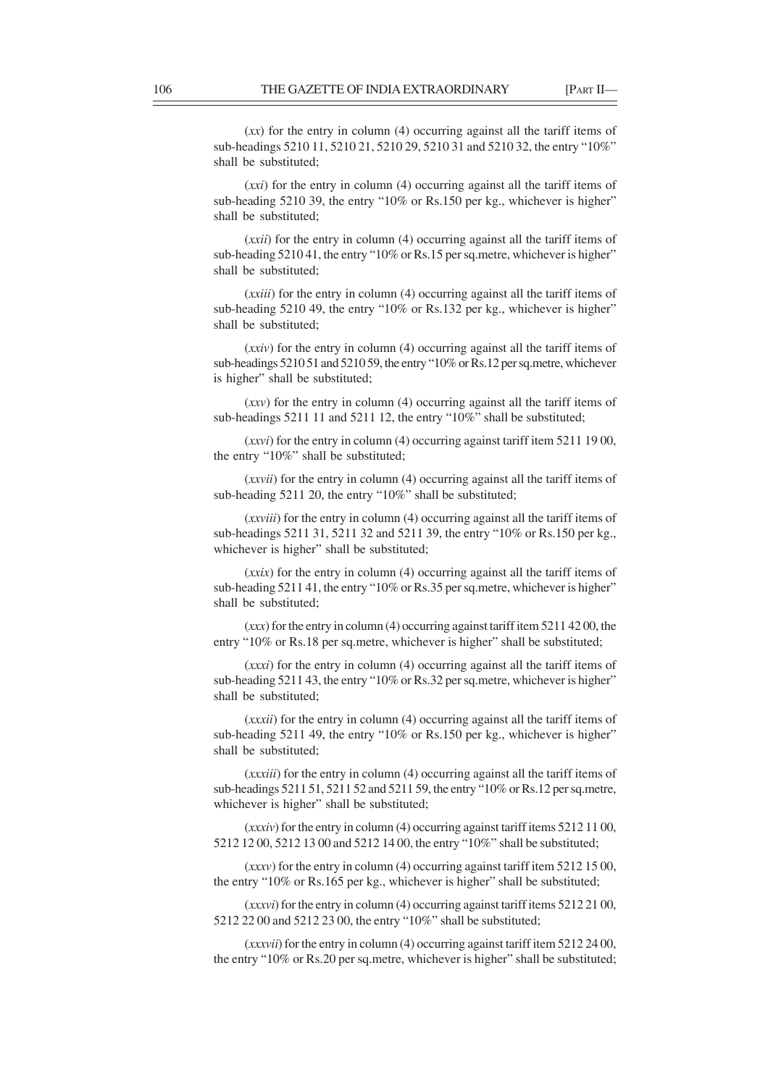(*xx*) for the entry in column (4) occurring against all the tariff items of sub-headings 5210 11, 5210 21, 5210 29, 5210 31 and 5210 32, the entry "10%" shall be substituted;

(*xxi*) for the entry in column (4) occurring against all the tariff items of sub-heading 5210 39, the entry "10% or Rs.150 per kg., whichever is higher" shall be substituted;

(*xxii*) for the entry in column (4) occurring against all the tariff items of sub-heading 5210 41, the entry "10% or Rs.15 per sq.metre, whichever is higher" shall be substituted;

(*xxiii*) for the entry in column (4) occurring against all the tariff items of sub-heading 5210 49, the entry "10% or Rs.132 per kg., whichever is higher" shall be substituted;

(*xxiv*) for the entry in column (4) occurring against all the tariff items of sub-headings 5210 51 and 5210 59, the entry "10% or Rs.12 per sq.metre, whichever is higher" shall be substituted;

(*xxv*) for the entry in column (4) occurring against all the tariff items of sub-headings 5211 11 and 5211 12, the entry "10%" shall be substituted;

(*xxvi*) for the entry in column (4) occurring against tariff item 5211 19 00, the entry "10%" shall be substituted;

(*xxvii*) for the entry in column (4) occurring against all the tariff items of sub-heading 5211 20, the entry "10%" shall be substituted;

(*xxviii*) for the entry in column (4) occurring against all the tariff items of sub-headings 5211 31, 5211 32 and 5211 39, the entry "10% or Rs.150 per kg., whichever is higher" shall be substituted;

(*xxix*) for the entry in column (4) occurring against all the tariff items of sub-heading 5211 41, the entry "10% or Rs.35 per sq.metre, whichever is higher" shall be substituted;

(*xxx*) for the entry in column (4) occurring against tariff item 5211 42 00, the entry "10% or Rs.18 per sq.metre, whichever is higher" shall be substituted;

(*xxxi*) for the entry in column (4) occurring against all the tariff items of sub-heading 5211 43, the entry "10% or Rs.32 per sq.metre, whichever is higher" shall be substituted;

(*xxxii*) for the entry in column (4) occurring against all the tariff items of sub-heading 5211 49, the entry "10% or Rs.150 per kg., whichever is higher" shall be substituted;

(*xxxiii*) for the entry in column (4) occurring against all the tariff items of sub-headings 5211 51, 5211 52 and 5211 59, the entry "10% or Rs.12 per sq.metre, whichever is higher" shall be substituted;

(*xxxiv*) for the entry in column (4) occurring against tariff items 5212 11 00, 5212 12 00, 5212 13 00 and 5212 14 00, the entry "10%" shall be substituted;

(*xxxv*) for the entry in column (4) occurring against tariff item 5212 15 00, the entry "10% or Rs.165 per kg., whichever is higher" shall be substituted;

(*xxxvi*) for the entry in column (4) occurring against tariff items 5212 21 00, 5212 22 00 and 5212 23 00, the entry "10%" shall be substituted;

(*xxxvii*) for the entry in column (4) occurring against tariff item 5212 24 00, the entry "10% or Rs.20 per sq.metre, whichever is higher" shall be substituted;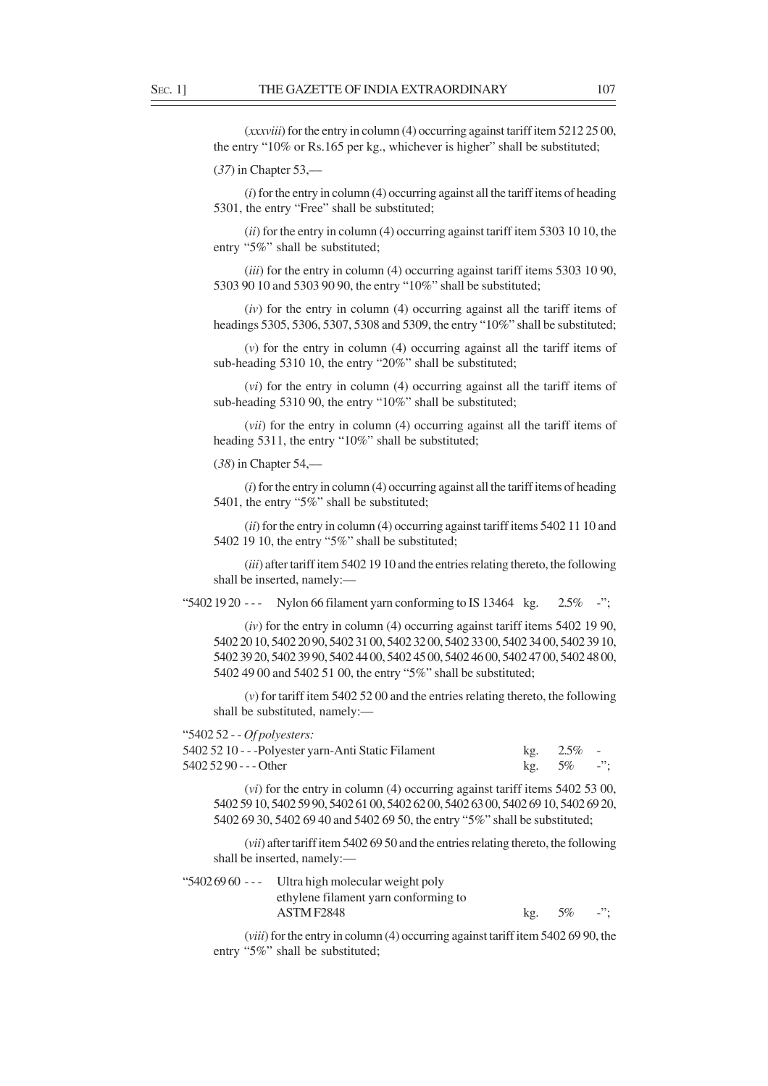(*xxxviii*) for the entry in column (4) occurring against tariff item 5212 25 00, the entry "10% or Rs.165 per kg., whichever is higher" shall be substituted;

(*37*) in Chapter 53,––

(*i*) for the entry in column (4) occurring against all the tariff items of heading 5301, the entry "Free" shall be substituted;

(*ii*) for the entry in column (4) occurring against tariff item 5303 10 10, the entry "5%" shall be substituted;

(*iii*) for the entry in column (4) occurring against tariff items 5303 10 90, 5303 90 10 and 5303 90 90, the entry "10%" shall be substituted;

(*iv*) for the entry in column (4) occurring against all the tariff items of headings 5305, 5306, 5307, 5308 and 5309, the entry "10%" shall be substituted;

(*v*) for the entry in column (4) occurring against all the tariff items of sub-heading 5310 10, the entry "20%" shall be substituted;

(*vi*) for the entry in column (4) occurring against all the tariff items of sub-heading 5310 90, the entry "10%" shall be substituted;

(*vii*) for the entry in column (4) occurring against all the tariff items of heading 5311, the entry "10%" shall be substituted;

(*38*) in Chapter 54,––

(*i*) for the entry in column (4) occurring against all the tariff items of heading 5401, the entry "5%" shall be substituted;

(*ii*) for the entry in column (4) occurring against tariff items 5402 11 10 and 5402 19 10, the entry "5%" shall be substituted;

(*iii*) after tariff item 5402 19 10 and the entries relating thereto, the following shall be inserted, namely:—

"5402 19 20 --- Nylon 66 filament yarn conforming to IS 13464 kg.  $2.5\%$  -";

(*iv*) for the entry in column (4) occurring against tariff items 5402 19 90, 5402 20 10, 5402 20 90, 5402 31 00, 5402 32 00, 5402 33 00, 5402 34 00, 5402 39 10, 5402 39 20, 5402 39 90, 5402 44 00, 5402 45 00, 5402 46 00, 5402 47 00, 5402 48 00, 5402 49 00 and 5402 51 00, the entry "5%" shall be substituted;

(*v*) for tariff item 5402 52 00 and the entries relating thereto, the following shall be substituted, namely:—

"5402 52 - - *Of polyesters:* 5402 52 10 - - -Polyester yarn-Anti Static Filament kg. 2.5% - 5402 52 90 - - - Other kg. 5% -";

(*vi*) for the entry in column (4) occurring against tariff items 5402 53 00, 5402 59 10, 5402 59 90, 5402 61 00, 5402 62 00, 5402 63 00, 5402 69 10, 5402 69 20, 5402 69 30, 5402 69 40 and 5402 69 50, the entry "5%" shall be substituted;

(*vii*) after tariff item 5402 69 50 and the entries relating thereto, the following shall be inserted, namely:—

| "5402 69 60 --- Ultra high molecular weight poly |               |  |
|--------------------------------------------------|---------------|--|
| ethylene filament varn conforming to             |               |  |
| ASTM F2848                                       | kg. $5\%$ -": |  |

(*viii*) for the entry in column (4) occurring against tariff item 5402 69 90, the entry "5%" shall be substituted;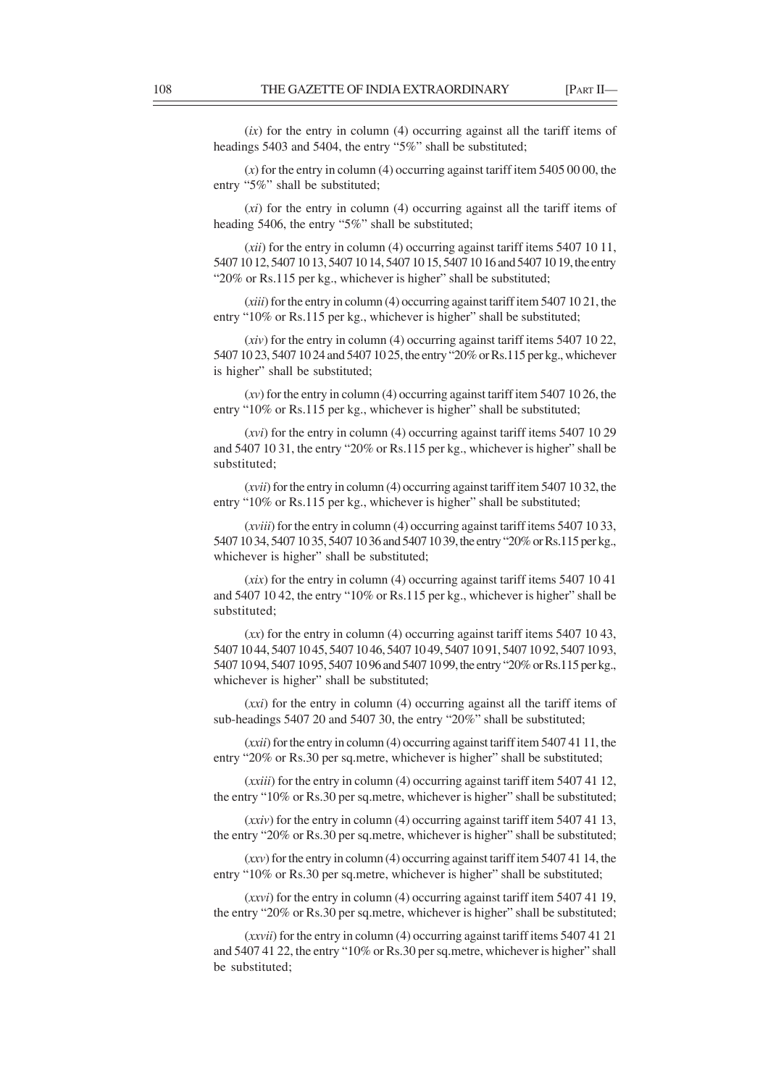(*ix*) for the entry in column (4) occurring against all the tariff items of headings 5403 and 5404, the entry "5%" shall be substituted;

(*x*) for the entry in column (4) occurring against tariff item 5405 00 00, the entry "5%" shall be substituted;

(*xi*) for the entry in column (4) occurring against all the tariff items of heading 5406, the entry "5%" shall be substituted;

(*xii*) for the entry in column (4) occurring against tariff items 5407 10 11, 5407 10 12, 5407 10 13, 5407 10 14, 5407 10 15, 5407 10 16 and 5407 10 19, the entry "20% or Rs.115 per kg., whichever is higher" shall be substituted;

(*xiii*) for the entry in column (4) occurring against tariff item 5407 10 21, the entry "10% or Rs.115 per kg., whichever is higher" shall be substituted;

(*xiv*) for the entry in column (4) occurring against tariff items 5407 10 22, 5407 10 23, 5407 10 24 and 5407 10 25, the entry "20% or Rs.115 per kg., whichever is higher" shall be substituted;

(*xv*) for the entry in column (4) occurring against tariff item 5407 10 26, the entry "10% or Rs.115 per kg., whichever is higher" shall be substituted;

(*xvi*) for the entry in column (4) occurring against tariff items 5407 10 29 and 5407 10 31, the entry "20% or Rs.115 per kg., whichever is higher" shall be substituted;

(*xvii*) for the entry in column (4) occurring against tariff item 5407 10 32, the entry "10% or Rs.115 per kg., whichever is higher" shall be substituted;

(*xviii*) for the entry in column (4) occurring against tariff items 5407 10 33, 5407 10 34, 5407 10 35, 5407 10 36 and 5407 10 39, the entry "20% or Rs.115 per kg., whichever is higher" shall be substituted;

(*xix*) for the entry in column (4) occurring against tariff items 5407 10 41 and 5407 10 42, the entry "10% or Rs.115 per kg., whichever is higher" shall be substituted;

(*xx*) for the entry in column (4) occurring against tariff items 5407 10 43, 5407 10 44, 5407 10 45, 5407 10 46, 5407 10 49, 5407 10 91, 5407 10 92, 5407 10 93, 5407 10 94, 5407 10 95, 5407 10 96 and 5407 10 99, the entry "20% or Rs.115 per kg., whichever is higher" shall be substituted;

(*xxi*) for the entry in column (4) occurring against all the tariff items of sub-headings 5407 20 and 5407 30, the entry "20%" shall be substituted;

(*xxii*) for the entry in column (4) occurring against tariff item 5407 41 11, the entry "20% or Rs.30 per sq.metre, whichever is higher" shall be substituted;

(*xxiii*) for the entry in column (4) occurring against tariff item 5407 41 12, the entry "10% or Rs.30 per sq.metre, whichever is higher" shall be substituted;

(*xxiv*) for the entry in column (4) occurring against tariff item 5407 41 13, the entry "20% or Rs.30 per sq.metre, whichever is higher" shall be substituted;

(*xxv*) for the entry in column (4) occurring against tariff item 5407 41 14, the entry "10% or Rs.30 per sq.metre, whichever is higher" shall be substituted;

(*xxvi*) for the entry in column (4) occurring against tariff item 5407 41 19, the entry "20% or Rs.30 per sq.metre, whichever is higher" shall be substituted;

(*xxvii*) for the entry in column (4) occurring against tariff items 5407 41 21 and 5407 41 22, the entry "10% or Rs.30 per sq.metre, whichever is higher" shall be substituted;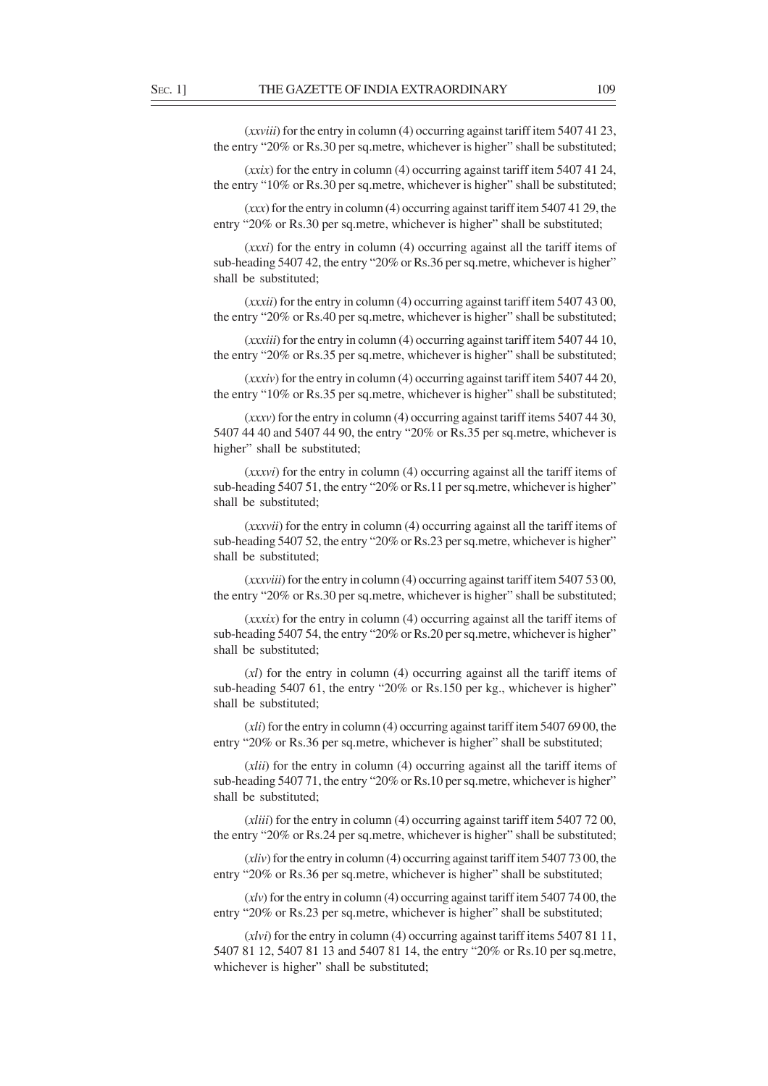(*xxviii*) for the entry in column (4) occurring against tariff item 5407 41 23, the entry "20% or Rs.30 per sq.metre, whichever is higher" shall be substituted;

(*xxix*) for the entry in column (4) occurring against tariff item 5407 41 24, the entry "10% or Rs.30 per sq.metre, whichever is higher" shall be substituted;

(*xxx*) for the entry in column (4) occurring against tariff item 5407 41 29, the entry "20% or Rs.30 per sq.metre, whichever is higher" shall be substituted;

(*xxxi*) for the entry in column (4) occurring against all the tariff items of sub-heading 5407 42, the entry "20% or Rs.36 per sq.metre, whichever is higher" shall be substituted;

(*xxxii*) for the entry in column (4) occurring against tariff item 5407 43 00, the entry "20% or Rs.40 per sq.metre, whichever is higher" shall be substituted;

(*xxxiii*) for the entry in column (4) occurring against tariff item 5407 44 10, the entry "20% or Rs.35 per sq.metre, whichever is higher" shall be substituted;

(*xxxiv*) for the entry in column (4) occurring against tariff item 5407 44 20, the entry "10% or Rs.35 per sq.metre, whichever is higher" shall be substituted;

(*xxxv*) for the entry in column (4) occurring against tariff items 5407 44 30, 5407 44 40 and 5407 44 90, the entry "20% or Rs.35 per sq.metre, whichever is higher" shall be substituted;

(*xxxvi*) for the entry in column (4) occurring against all the tariff items of sub-heading 5407 51, the entry "20% or Rs.11 per sq.metre, whichever is higher" shall be substituted;

(*xxxvii*) for the entry in column (4) occurring against all the tariff items of sub-heading 5407 52, the entry "20% or Rs.23 per sq.metre, whichever is higher" shall be substituted;

(*xxxviii*) for the entry in column (4) occurring against tariff item 5407 53 00, the entry "20% or Rs.30 per sq.metre, whichever is higher" shall be substituted;

(*xxxix*) for the entry in column (4) occurring against all the tariff items of sub-heading 5407 54, the entry "20% or Rs.20 per sq.metre, whichever is higher" shall be substituted;

(*xl*) for the entry in column (4) occurring against all the tariff items of sub-heading 5407 61, the entry "20% or Rs.150 per kg., whichever is higher" shall be substituted;

(*xli*) for the entry in column (4) occurring against tariff item 5407 69 00, the entry "20% or Rs.36 per sq.metre, whichever is higher" shall be substituted;

(*xlii*) for the entry in column (4) occurring against all the tariff items of sub-heading 5407 71, the entry "20% or Rs.10 per sq.metre, whichever is higher" shall be substituted;

(*xliii*) for the entry in column (4) occurring against tariff item 5407 72 00, the entry "20% or Rs.24 per sq.metre, whichever is higher" shall be substituted;

(*xliv*) for the entry in column (4) occurring against tariff item 5407 73 00, the entry "20% or Rs.36 per sq.metre, whichever is higher" shall be substituted;

(*xlv*) for the entry in column (4) occurring against tariff item 5407 74 00, the entry "20% or Rs.23 per sq.metre, whichever is higher" shall be substituted;

(*xlvi*) for the entry in column (4) occurring against tariff items 5407 81 11, 5407 81 12, 5407 81 13 and 5407 81 14, the entry "20% or Rs.10 per sq.metre, whichever is higher" shall be substituted;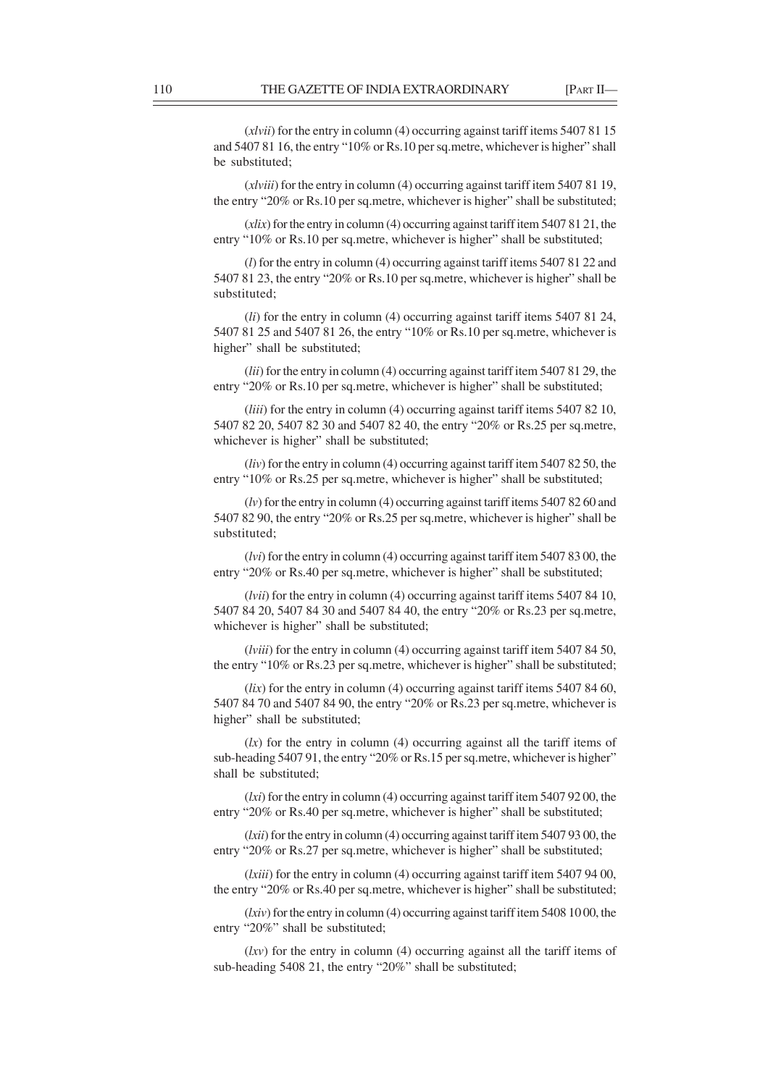(*xlvii*) for the entry in column (4) occurring against tariff items 5407 81 15 and 5407 81 16, the entry "10% or Rs.10 per sq.metre, whichever is higher" shall be substituted;

(*xlviii*) for the entry in column (4) occurring against tariff item 5407 81 19, the entry "20% or Rs.10 per sq.metre, whichever is higher" shall be substituted;

(*xlix*) for the entry in column (4) occurring against tariff item 5407 81 21, the entry "10% or Rs.10 per sq.metre, whichever is higher" shall be substituted;

(*l*) for the entry in column (4) occurring against tariff items 5407 81 22 and 5407 81 23, the entry "20% or Rs.10 per sq.metre, whichever is higher" shall be substituted;

(*li*) for the entry in column (4) occurring against tariff items 5407 81 24, 5407 81 25 and 5407 81 26, the entry "10% or Rs.10 per sq.metre, whichever is higher" shall be substituted;

(*lii*) for the entry in column (4) occurring against tariff item 5407 81 29, the entry "20% or Rs.10 per sq.metre, whichever is higher" shall be substituted;

(*liii*) for the entry in column (4) occurring against tariff items 5407 82 10, 5407 82 20, 5407 82 30 and 5407 82 40, the entry "20% or Rs.25 per sq.metre, whichever is higher" shall be substituted;

(*liv*) for the entry in column (4) occurring against tariff item 5407 82 50, the entry "10% or Rs.25 per sq.metre, whichever is higher" shall be substituted;

(*lv*) for the entry in column (4) occurring against tariff items 5407 82 60 and 5407 82 90, the entry "20% or Rs.25 per sq.metre, whichever is higher" shall be substituted;

(*lvi*) for the entry in column (4) occurring against tariff item 5407 83 00, the entry "20% or Rs.40 per sq.metre, whichever is higher" shall be substituted;

(*lvii*) for the entry in column (4) occurring against tariff items 5407 84 10, 5407 84 20, 5407 84 30 and 5407 84 40, the entry "20% or Rs.23 per sq.metre, whichever is higher" shall be substituted;

(*lviii*) for the entry in column (4) occurring against tariff item 5407 84 50, the entry "10% or Rs.23 per sq.metre, whichever is higher" shall be substituted;

(*lix*) for the entry in column (4) occurring against tariff items 5407 84 60, 5407 84 70 and 5407 84 90, the entry "20% or Rs.23 per sq.metre, whichever is higher" shall be substituted;

 $(lx)$  for the entry in column (4) occurring against all the tariff items of sub-heading 5407 91, the entry "20% or Rs.15 per sq.metre, whichever is higher" shall be substituted;

(*lxi*) for the entry in column (4) occurring against tariff item 5407 92 00, the entry "20% or Rs.40 per sq.metre, whichever is higher" shall be substituted;

(*lxii*) for the entry in column (4) occurring against tariff item 5407 93 00, the entry "20% or Rs.27 per sq.metre, whichever is higher" shall be substituted;

(*lxiii*) for the entry in column (4) occurring against tariff item 5407 94 00, the entry "20% or Rs.40 per sq.metre, whichever is higher" shall be substituted;

(*lxiv*) for the entry in column (4) occurring against tariff item 5408 10 00, the entry "20%" shall be substituted;

(*lxv*) for the entry in column (4) occurring against all the tariff items of sub-heading 5408 21, the entry "20%" shall be substituted;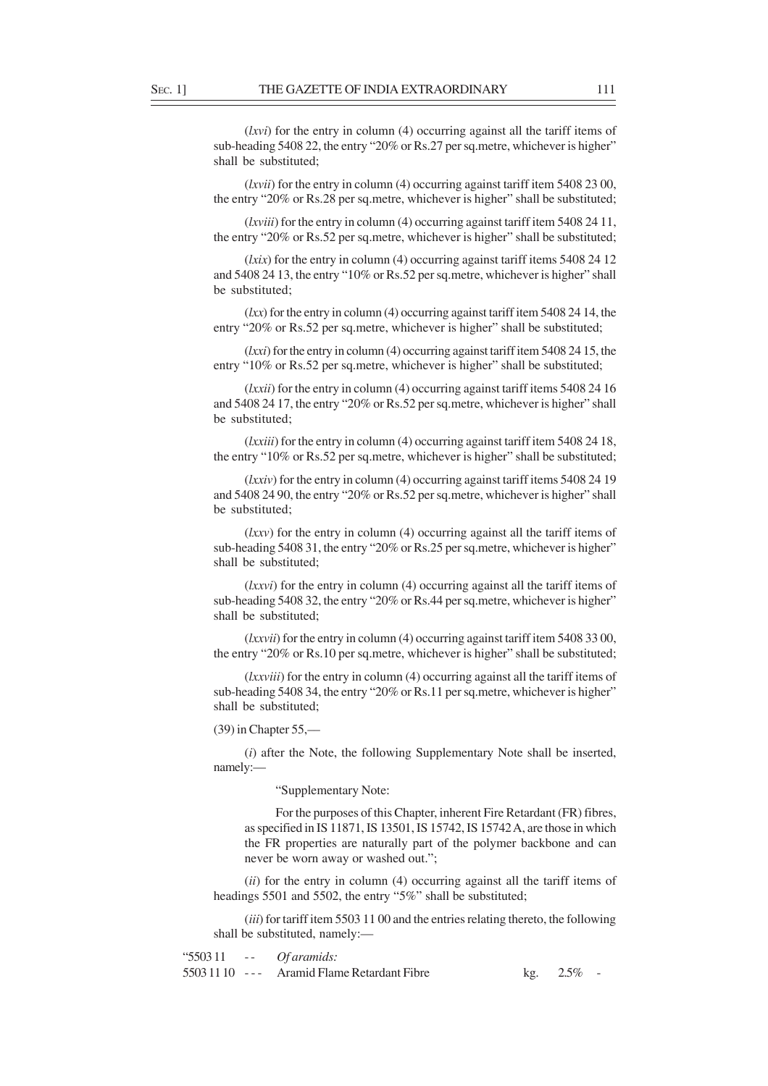(*lxvi*) for the entry in column (4) occurring against all the tariff items of sub-heading 5408 22, the entry "20% or Rs.27 per sq.metre, whichever is higher" shall be substituted;

(*lxvii*) for the entry in column (4) occurring against tariff item 5408 23 00, the entry "20% or Rs.28 per sq.metre, whichever is higher" shall be substituted;

(*lxviii*) for the entry in column (4) occurring against tariff item 5408 24 11, the entry "20% or Rs.52 per sq.metre, whichever is higher" shall be substituted;

(*lxix*) for the entry in column (4) occurring against tariff items 5408 24 12 and 5408 24 13, the entry "10% or Rs.52 per sq.metre, whichever is higher" shall be substituted;

(*lxx*) for the entry in column (4) occurring against tariff item 5408 24 14, the entry "20% or Rs.52 per sq.metre, whichever is higher" shall be substituted;

(*lxxi*) for the entry in column (4) occurring against tariff item 5408 24 15, the entry "10% or Rs.52 per sq.metre, whichever is higher" shall be substituted;

(*lxxii*) for the entry in column (4) occurring against tariff items 5408 24 16 and 5408 24 17, the entry "20% or Rs.52 per sq.metre, whichever is higher" shall be substituted;

(*lxxiii*) for the entry in column (4) occurring against tariff item 5408 24 18, the entry "10% or Rs.52 per sq.metre, whichever is higher" shall be substituted;

(*lxxiv*) for the entry in column (4) occurring against tariff items 5408 24 19 and 5408 24 90, the entry "20% or Rs.52 per sq.metre, whichever is higher" shall be substituted;

(*lxxv*) for the entry in column (4) occurring against all the tariff items of sub-heading 5408 31, the entry "20% or Rs.25 per sq.metre, whichever is higher" shall be substituted;

(*lxxvi*) for the entry in column (4) occurring against all the tariff items of sub-heading 5408 32, the entry "20% or Rs.44 per sq.metre, whichever is higher" shall be substituted;

(*lxxvii*) for the entry in column (4) occurring against tariff item 5408 33 00, the entry "20% or Rs.10 per sq.metre, whichever is higher" shall be substituted;

(*lxxviii*) for the entry in column (4) occurring against all the tariff items of sub-heading 5408 34, the entry "20% or Rs.11 per sq.metre, whichever is higher" shall be substituted;

(39) in Chapter 55,––

(*i*) after the Note, the following Supplementary Note shall be inserted, namely:—

"Supplementary Note:

For the purposes of this Chapter, inherent Fire Retardant (FR) fibres, as specified in IS 11871, IS 13501, IS 15742, IS 15742 A, are those in which the FR properties are naturally part of the polymer backbone and can never be worn away or washed out.";

(*ii*) for the entry in column (4) occurring against all the tariff items of headings 5501 and 5502, the entry "5%" shall be substituted;

(*iii*) for tariff item 5503 11 00 and the entries relating thereto, the following shall be substituted, namely:—

"5503 11 - - *Of aramids:* 5503 11 10 - - - Aramid Flame Retardant Fibre kg. 2.5% -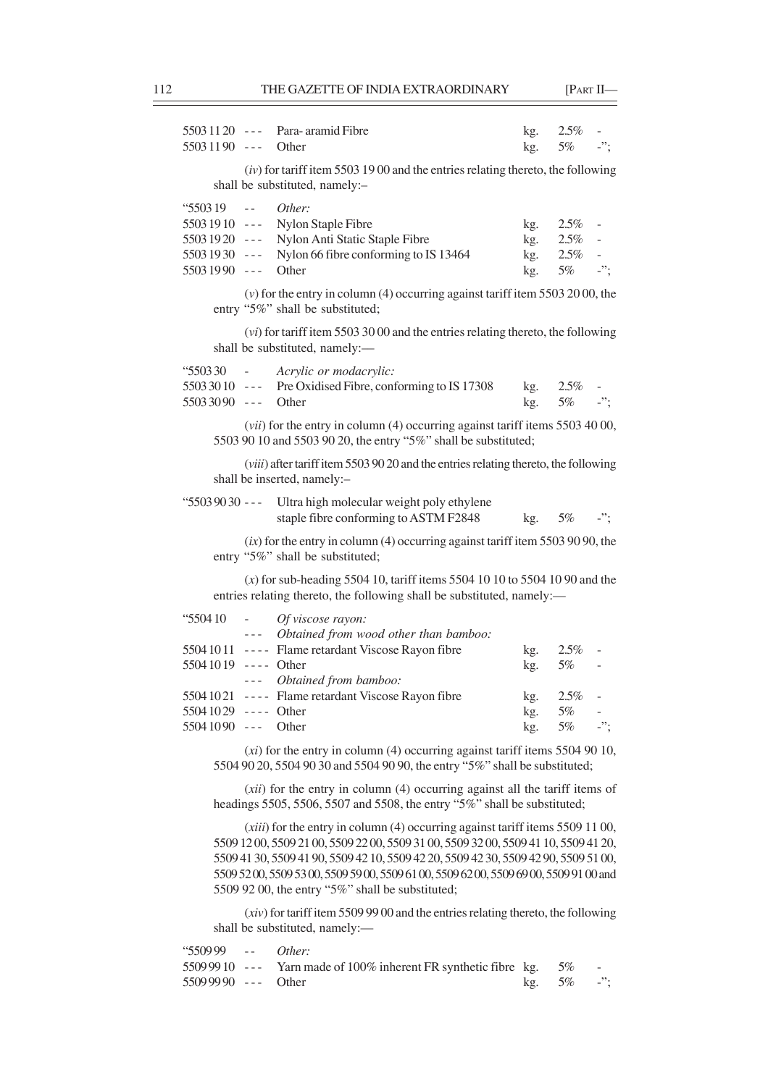| $55031120$ ---<br>$55031190$ ---                                                      |                          | Para-aramid Fibre<br>Other                                                                                                                                                                                        | kg.<br>kg.                      | 2.5%<br>5%                                                                                                                                                                                                                                                                                                                               | $\sim$<br>$\cdot$ ";                                               |  |  |  |  |  |  |
|---------------------------------------------------------------------------------------|--------------------------|-------------------------------------------------------------------------------------------------------------------------------------------------------------------------------------------------------------------|---------------------------------|------------------------------------------------------------------------------------------------------------------------------------------------------------------------------------------------------------------------------------------------------------------------------------------------------------------------------------------|--------------------------------------------------------------------|--|--|--|--|--|--|
|                                                                                       |                          | $(iv)$ for tariff item 5503 1900 and the entries relating thereto, the following<br>shall be substituted, namely:-                                                                                                |                                 |                                                                                                                                                                                                                                                                                                                                          |                                                                    |  |  |  |  |  |  |
| <b>"550319</b><br>$55031910$ ---<br>$55031920$ ---<br>$55031930$ ---<br>5503 1990 --- | $\omega = 1$             | Other:<br>Nylon Staple Fibre<br>Nylon Anti Static Staple Fibre<br>Nylon 66 fibre conforming to IS 13464<br>Other                                                                                                  | kg.<br>kg.<br>kg.<br>kg.        | 2.5%<br>2.5%<br>2.5%<br>5%                                                                                                                                                                                                                                                                                                               | $\overline{\phantom{a}}$<br>$\blacksquare$<br>$\sim$<br>$\cdot$ "; |  |  |  |  |  |  |
|                                                                                       |                          | $(v)$ for the entry in column (4) occurring against tariff item 5503 2000, the<br>entry "5%" shall be substituted;                                                                                                |                                 |                                                                                                                                                                                                                                                                                                                                          |                                                                    |  |  |  |  |  |  |
|                                                                                       |                          | $(vi)$ for tariff item 5503 30 00 and the entries relating thereto, the following<br>shall be substituted, namely:-                                                                                               |                                 |                                                                                                                                                                                                                                                                                                                                          |                                                                    |  |  |  |  |  |  |
| <b>"550330</b><br>$55033010$ ---<br>$55033090$ ---                                    | $\omega_{\rm{max}}$      | Acrylic or modacrylic:<br>Pre Oxidised Fibre, conforming to IS 17308<br>Other                                                                                                                                     | kg.<br>kg.                      | $2.5\%$<br>5%                                                                                                                                                                                                                                                                                                                            | $-$ ";                                                             |  |  |  |  |  |  |
|                                                                                       |                          | (vii) for the entry in column (4) occurring against tariff items 5503 40 00,<br>5503 90 10 and 5503 90 20, the entry "5%" shall be substituted;                                                                   |                                 |                                                                                                                                                                                                                                                                                                                                          |                                                                    |  |  |  |  |  |  |
|                                                                                       |                          | (viii) after tariff item 5503 90 20 and the entries relating thereto, the following<br>shall be inserted, namely:-                                                                                                |                                 |                                                                                                                                                                                                                                                                                                                                          |                                                                    |  |  |  |  |  |  |
| $"55039030 --$                                                                        |                          | Ultra high molecular weight poly ethylene<br>staple fibre conforming to ASTM F2848                                                                                                                                | kg.                             | 5%                                                                                                                                                                                                                                                                                                                                       | $-$ ";                                                             |  |  |  |  |  |  |
|                                                                                       |                          | $(ix)$ for the entry in column (4) occurring against tariff item 5503 90 90, the<br>entry "5%" shall be substituted;                                                                                              |                                 |                                                                                                                                                                                                                                                                                                                                          |                                                                    |  |  |  |  |  |  |
|                                                                                       |                          | $(x)$ for sub-heading 5504 10, tariff items 5504 10 10 to 5504 10 90 and the<br>entries relating thereto, the following shall be substituted, namely:-                                                            |                                 |                                                                                                                                                                                                                                                                                                                                          |                                                                    |  |  |  |  |  |  |
| "550410<br>$55041019$ ---- Other<br>$55041029$ ---- Other<br>$55041090$ ---           | $\overline{\phantom{a}}$ | Of viscose rayon:<br>--- Obtained from wood other than bamboo:<br>5504 10 11 ---- Flame retardant Viscose Rayon fibre<br>--- Obtained from bamboo:<br>5504 1021 ---- Flame retardant Viscose Rayon fibre<br>Other | kg.<br>kg.<br>kg.<br>kg.<br>kg. | $2.5\%$<br>5%<br>2.5%<br>5%<br>5%                                                                                                                                                                                                                                                                                                        | $\overline{\phantom{a}}$<br>$\qquad \qquad -$<br>$\sim$<br>-";     |  |  |  |  |  |  |
|                                                                                       |                          | $(xi)$ for the entry in column (4) occurring against tariff items 5504 90 10,<br>5504 90 20, 5504 90 30 and 5504 90 90, the entry "5%" shall be substituted;                                                      |                                 |                                                                                                                                                                                                                                                                                                                                          |                                                                    |  |  |  |  |  |  |
|                                                                                       |                          | (xii) for the entry in column (4) occurring against all the tariff items of                                                                                                                                       |                                 |                                                                                                                                                                                                                                                                                                                                          |                                                                    |  |  |  |  |  |  |
|                                                                                       |                          | 5509 52 00, 5509 53 00, 5509 59 00, 5509 61 00, 5509 62 00, 5509 69 00, 5509 91 00 and                                                                                                                            |                                 | headings 5505, 5506, 5507 and 5508, the entry "5%" shall be substituted;<br>$(xiii)$ for the entry in column (4) occurring against tariff items 5509 11 00,<br>5509 12 00, 5509 21 00, 5509 22 00, 5509 31 00, 5509 32 00, 5509 41 10, 5509 41 20,<br>5509 41 30, 5509 41 90, 5509 42 10, 5509 42 20, 5509 42 30, 5509 42 90, 5509 5100, |                                                                    |  |  |  |  |  |  |

(*xiv*) for tariff item 5509 99 00 and the entries relating thereto, the following shall be substituted, namely:—

| "550999 -- Other:    |                                                                                 |               |  |
|----------------------|---------------------------------------------------------------------------------|---------------|--|
|                      | 5509 99 10 $\,$ - - $\,$ Yarn made of 100% inherent FR synthetic fibre kg. 5% - |               |  |
| $55099990$ --- Other |                                                                                 | kg. $5\%$ -"; |  |

5509 92 00, the entry "5%" shall be substituted;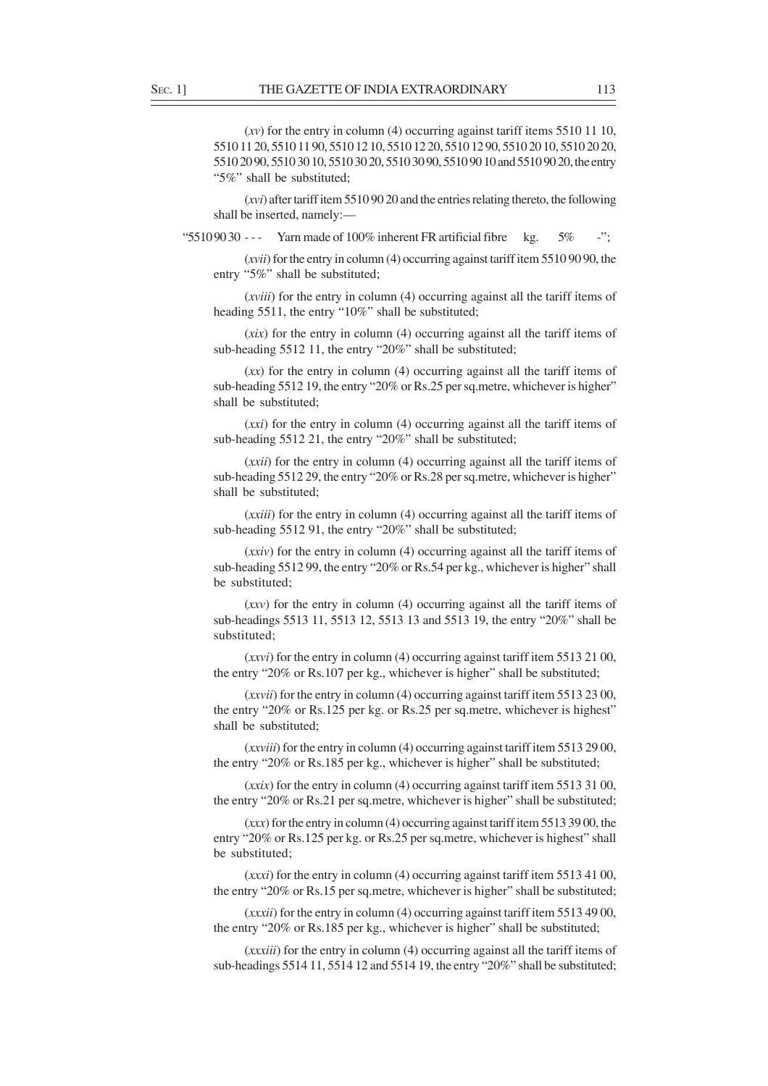(*xv*) for the entry in column (4) occurring against tariff items 5510 11 10, 5510 11 20, 5510 11 90, 5510 12 10, 5510 12 20, 5510 12 90, 5510 20 10, 5510 20 20, 5510 20 90, 5510 30 10, 5510 30 20, 5510 30 90, 5510 90 10 and 5510 90 20, the entry "5%" shall be substituted;

(*xvi*) after tariff item 5510 90 20 and the entries relating thereto, the following shall be inserted, namely:—

"5510.9030 --- Yarn made of 100% inherent FR artificial fibre kg.  $5\%$  -";

(*xvii*) for the entry in column (4) occurring against tariff item 5510 90 90, the entry "5%" shall be substituted;

(*xviii*) for the entry in column (4) occurring against all the tariff items of heading 5511, the entry "10%" shall be substituted;

(*xix*) for the entry in column (4) occurring against all the tariff items of sub-heading 5512 11, the entry "20%" shall be substituted;

(*xx*) for the entry in column (4) occurring against all the tariff items of sub-heading 5512 19, the entry "20% or Rs.25 per sq.metre, whichever is higher" shall be substituted;

(*xxi*) for the entry in column (4) occurring against all the tariff items of sub-heading 5512 21, the entry "20%" shall be substituted;

(*xxii*) for the entry in column (4) occurring against all the tariff items of sub-heading 5512 29, the entry "20% or Rs.28 per sq.metre, whichever is higher" shall be substituted;

(*xxiii*) for the entry in column (4) occurring against all the tariff items of sub-heading 5512 91, the entry "20%" shall be substituted;

(*xxiv*) for the entry in column (4) occurring against all the tariff items of sub-heading 5512 99, the entry "20% or Rs.54 per kg., whichever is higher" shall be substituted;

(*xxv*) for the entry in column (4) occurring against all the tariff items of sub-headings 5513 11, 5513 12, 5513 13 and 5513 19, the entry "20%" shall be substituted;

(*xxvi*) for the entry in column (4) occurring against tariff item 5513 21 00, the entry "20% or Rs.107 per kg., whichever is higher" shall be substituted;

(*xxvii*) for the entry in column (4) occurring against tariff item 5513 23 00, the entry "20% or Rs.125 per kg. or Rs.25 per sq.metre, whichever is highest" shall be substituted;

(*xxviii*) for the entry in column (4) occurring against tariff item 5513 29 00, the entry "20% or Rs.185 per kg., whichever is higher" shall be substituted;

(*xxix*) for the entry in column (4) occurring against tariff item 5513 31 00, the entry "20% or Rs.21 per sq.metre, whichever is higher" shall be substituted;

(*xxx*) for the entry in column (4) occurring against tariff item 5513 39 00, the entry "20% or Rs.125 per kg. or Rs.25 per sq.metre, whichever is highest" shall be substituted;

(*xxxi*) for the entry in column (4) occurring against tariff item 5513 41 00, the entry "20% or Rs.15 per sq.metre, whichever is higher" shall be substituted;

(*xxxii*) for the entry in column (4) occurring against tariff item 5513 49 00, the entry "20% or Rs.185 per kg., whichever is higher" shall be substituted;

(*xxxiii*) for the entry in column (4) occurring against all the tariff items of sub-headings 5514 11, 5514 12 and 5514 19, the entry "20%" shall be substituted;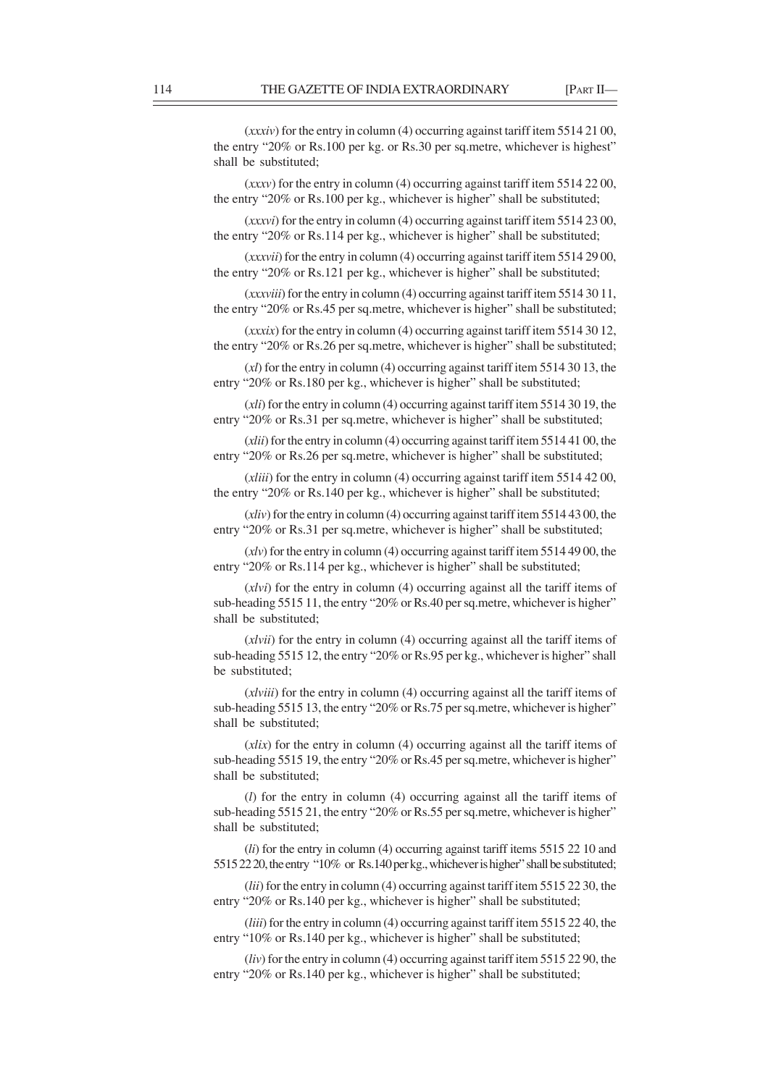(*xxxiv*) for the entry in column (4) occurring against tariff item 5514 21 00, the entry "20% or Rs.100 per kg. or Rs.30 per sq.metre, whichever is highest" shall be substituted;

(*xxxv*) for the entry in column (4) occurring against tariff item 5514 22 00, the entry "20% or Rs.100 per kg., whichever is higher" shall be substituted;

(*xxxvi*) for the entry in column (4) occurring against tariff item 5514 23 00, the entry "20% or Rs.114 per kg., whichever is higher" shall be substituted;

(*xxxvii*) for the entry in column (4) occurring against tariff item 5514 29 00, the entry "20% or Rs.121 per kg., whichever is higher" shall be substituted;

(*xxxviii*) for the entry in column (4) occurring against tariff item 5514 30 11, the entry "20% or Rs.45 per sq.metre, whichever is higher" shall be substituted;

(*xxxix*) for the entry in column (4) occurring against tariff item 5514 30 12, the entry "20% or Rs.26 per sq.metre, whichever is higher" shall be substituted;

(*xl*) for the entry in column (4) occurring against tariff item 5514 30 13, the entry "20% or Rs.180 per kg., whichever is higher" shall be substituted;

(*xli*) for the entry in column (4) occurring against tariff item 5514 30 19, the entry "20% or Rs.31 per sq.metre, whichever is higher" shall be substituted;

(*xlii*) for the entry in column (4) occurring against tariff item 5514 41 00, the entry "20% or Rs.26 per sq.metre, whichever is higher" shall be substituted;

(*xliii*) for the entry in column (4) occurring against tariff item 5514 42 00, the entry "20% or Rs.140 per kg., whichever is higher" shall be substituted;

(*xliv*) for the entry in column (4) occurring against tariff item 5514 43 00, the entry "20% or Rs.31 per sq.metre, whichever is higher" shall be substituted;

(*xlv*) for the entry in column (4) occurring against tariff item 5514 49 00, the entry "20% or Rs.114 per kg., whichever is higher" shall be substituted;

(*xlvi*) for the entry in column (4) occurring against all the tariff items of sub-heading 5515 11, the entry "20% or Rs.40 per sq.metre, whichever is higher" shall be substituted;

(*xlvii*) for the entry in column (4) occurring against all the tariff items of sub-heading 5515 12, the entry "20% or Rs.95 per kg., whichever is higher" shall be substituted;

(*xlviii*) for the entry in column (4) occurring against all the tariff items of sub-heading 5515 13, the entry "20% or Rs.75 per sq.metre, whichever is higher" shall be substituted;

(*xlix*) for the entry in column (4) occurring against all the tariff items of sub-heading 5515 19, the entry "20% or Rs.45 per sq.metre, whichever is higher" shall be substituted;

(*l*) for the entry in column (4) occurring against all the tariff items of sub-heading 5515 21, the entry "20% or Rs.55 per sq.metre, whichever is higher" shall be substituted;

(*li*) for the entry in column (4) occurring against tariff items 5515 22 10 and 5515 22 20, the entry "10% or Rs.140 per kg., whichever is higher" shall be substituted;

(*lii*) for the entry in column (4) occurring against tariff item 5515 22 30, the entry "20% or Rs.140 per kg., whichever is higher" shall be substituted:

(*liii*) for the entry in column (4) occurring against tariff item 5515 22 40, the entry "10% or Rs.140 per kg., whichever is higher" shall be substituted;

(*liv*) for the entry in column (4) occurring against tariff item 5515 22 90, the entry "20% or Rs.140 per kg., whichever is higher" shall be substituted;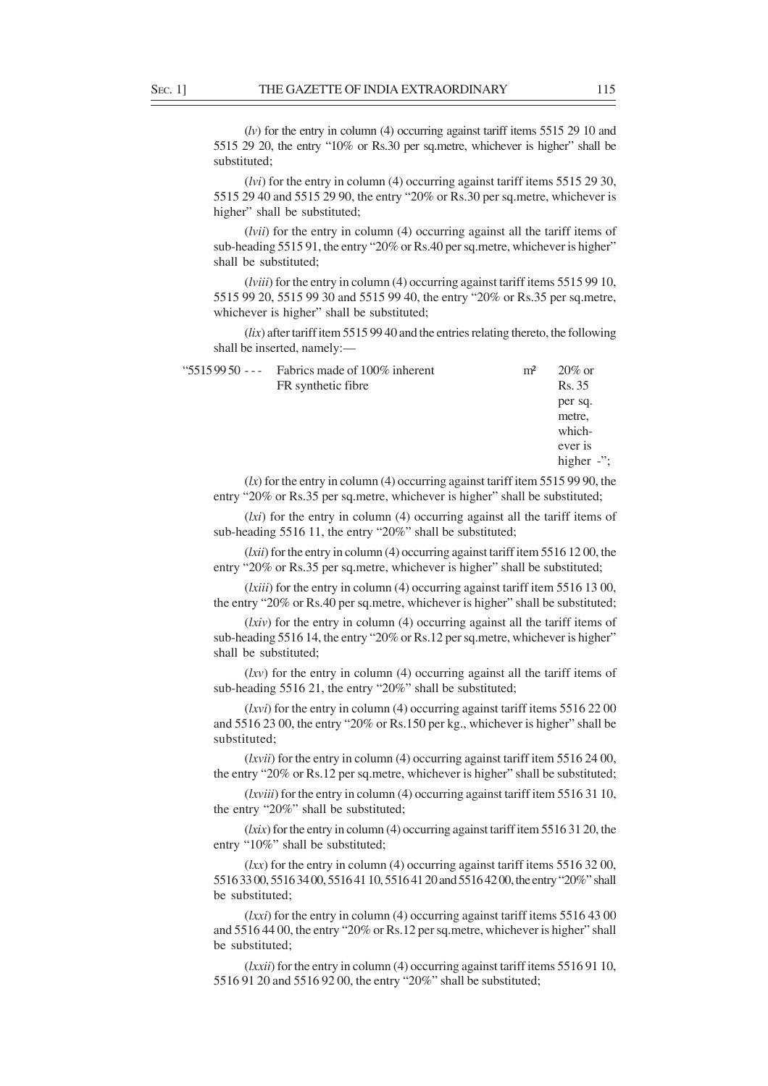(*lv*) for the entry in column (4) occurring against tariff items 5515 29 10 and 5515 29 20, the entry "10% or Rs.30 per sq.metre, whichever is higher" shall be substituted;

(*lvi*) for the entry in column (4) occurring against tariff items 5515 29 30, 5515 29 40 and 5515 29 90, the entry "20% or Rs.30 per sq.metre, whichever is higher" shall be substituted;

(*lvii*) for the entry in column (4) occurring against all the tariff items of sub-heading 5515 91, the entry "20% or Rs.40 per sq.metre, whichever is higher" shall be substituted;

(*lviii*) for the entry in column (4) occurring against tariff items 5515 99 10, 5515 99 20, 5515 99 30 and 5515 99 40, the entry "20% or Rs.35 per sq.metre, whichever is higher" shall be substituted;

(*lix*) after tariff item 5515 99 40 and the entries relating thereto, the following shall be inserted, namely:—

| " $55159950$ --- Fabrics made of 100% inherent | m <sup>2</sup> | $20\%$ or     |
|------------------------------------------------|----------------|---------------|
| FR synthetic fibre                             |                | Rs. 35        |
|                                                |                | per sq.       |
|                                                |                | metre,        |
|                                                |                | which-        |
|                                                |                | ever is       |
|                                                |                | higher $-$ ": |

 $(kx)$  for the entry in column (4) occurring against tariff item 5515 99 90, the entry "20% or Rs.35 per sq.metre, whichever is higher" shall be substituted;

(*lxi*) for the entry in column (4) occurring against all the tariff items of sub-heading 5516 11, the entry "20%" shall be substituted;

(*lxii*) for the entry in column (4) occurring against tariff item 5516 12 00, the entry "20% or Rs.35 per sq.metre, whichever is higher" shall be substituted;

(*lxiii*) for the entry in column (4) occurring against tariff item 5516 13 00, the entry "20% or Rs.40 per sq.metre, whichever is higher" shall be substituted;

(*lxiv*) for the entry in column (4) occurring against all the tariff items of sub-heading 5516 14, the entry "20% or Rs.12 per sq.metre, whichever is higher" shall be substituted;

(*lxv*) for the entry in column (4) occurring against all the tariff items of sub-heading 5516 21, the entry "20%" shall be substituted;

(*lxvi*) for the entry in column (4) occurring against tariff items 5516 22 00 and 5516 23 00, the entry "20% or Rs.150 per kg., whichever is higher" shall be substituted;

(*lxvii*) for the entry in column (4) occurring against tariff item 5516 24 00, the entry "20% or Rs.12 per sq.metre, whichever is higher" shall be substituted;

(*lxviii*) for the entry in column (4) occurring against tariff item 5516 31 10, the entry "20%" shall be substituted;

(*lxix*) for the entry in column (4) occurring against tariff item 5516 31 20, the entry "10%" shall be substituted;

(*lxx*) for the entry in column (4) occurring against tariff items 5516 32 00, 5516 33 00, 5516 34 00, 5516 41 10, 5516 41 20 and 5516 42 00, the entry "20%" shall be substituted;

(*lxxi*) for the entry in column (4) occurring against tariff items 5516 43 00 and 5516 44 00, the entry "20% or Rs.12 per sq.metre, whichever is higher" shall be substituted;

(*lxxii*) for the entry in column (4) occurring against tariff items 5516 91 10, 5516 91 20 and 5516 92 00, the entry "20%" shall be substituted;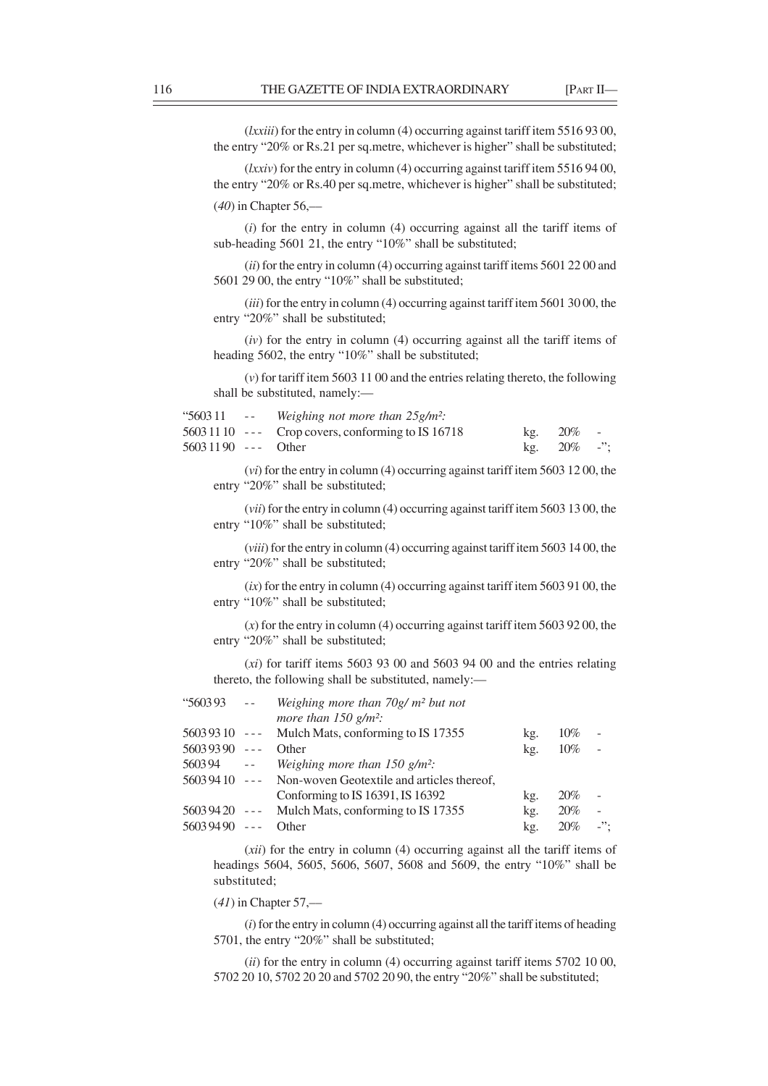(*lxxiii*) for the entry in column (4) occurring against tariff item 5516 93 00, the entry "20% or Rs.21 per sq.metre, whichever is higher" shall be substituted;

(*lxxiv*) for the entry in column (4) occurring against tariff item 5516 94 00, the entry "20% or Rs.40 per sq.metre, whichever is higher" shall be substituted;

(*40*) in Chapter 56,––

(*i*) for the entry in column (4) occurring against all the tariff items of sub-heading 5601 21, the entry "10%" shall be substituted;

(*ii*) for the entry in column (4) occurring against tariff items 5601 22 00 and 5601 29 00, the entry "10%" shall be substituted;

(*iii*) for the entry in column (4) occurring against tariff item 5601 30 00, the entry "20%" shall be substituted;

(*iv*) for the entry in column (4) occurring against all the tariff items of heading 5602, the entry "10%" shall be substituted;

(*v*) for tariff item 5603 11 00 and the entries relating thereto, the following shall be substituted, namely:—

|                      | "5603.11 -- Weighing not more than $25g/m^2$ :     |  |                                           |  |
|----------------------|----------------------------------------------------|--|-------------------------------------------|--|
|                      | $56031110$ --- Crop covers, conforming to IS 16718 |  | $kg. 20\%$ -                              |  |
| $56031190$ --- Other |                                                    |  | kg. $20\%$ -";                            |  |
|                      |                                                    |  | $\sim$ $\sim$ $\sim$ $\sim$ $\sim$ $\sim$ |  |

(*vi*) for the entry in column (4) occurring against tariff item 5603 12 00, the entry "20%" shall be substituted;

(*vii*) for the entry in column (4) occurring against tariff item 5603 13 00, the entry "10%" shall be substituted;

(*viii*) for the entry in column (4) occurring against tariff item 5603 14 00, the entry "20%" shall be substituted;

 $(ix)$  for the entry in column (4) occurring against tariff item 5603 91 00, the entry "10%" shall be substituted;

(*x*) for the entry in column (4) occurring against tariff item 5603 92 00, the entry "20%" shall be substituted;

(*xi*) for tariff items 5603 93 00 and 5603 94 00 and the entries relating thereto, the following shall be substituted, namely:—

| "560393        | $- -$                | Weighing more than $70g/m^2$ but not        |     |        |                            |
|----------------|----------------------|---------------------------------------------|-----|--------|----------------------------|
|                |                      | more than $150$ g/m <sup>2</sup> :          |     |        |                            |
| $56039310$ --- |                      | Mulch Mats, conforming to IS 17355          | kg. | 10%    |                            |
| 56039390       | $\omega = \omega$ .  | Other                                       | kg. | $10\%$ |                            |
| 560394         | $\sim$ $\sim$        | Weighing more than $150$ g/m <sup>2</sup> : |     |        |                            |
| $56039410$ --- |                      | Non-woven Geotextile and articles thereof,  |     |        |                            |
|                |                      | Conforming to IS 16391, IS 16392            | kg. | 20%    |                            |
| $56039420$ --- |                      | Mulch Mats, conforming to IS 17355          | kg. | 20%    |                            |
| 56039490       | $\sim$ $\sim$ $\sim$ | Other                                       | kg. | 20%    | $\overline{\phantom{a}}$ . |
|                |                      |                                             |     |        |                            |

(*xii*) for the entry in column (4) occurring against all the tariff items of headings 5604, 5605, 5606, 5607, 5608 and 5609, the entry "10%" shall be substituted;

(*41*) in Chapter 57,––

(*i*) for the entry in column (4) occurring against all the tariff items of heading 5701, the entry "20%" shall be substituted;

(*ii*) for the entry in column (4) occurring against tariff items 5702 10 00, 5702 20 10, 5702 20 20 and 5702 20 90, the entry "20%" shall be substituted;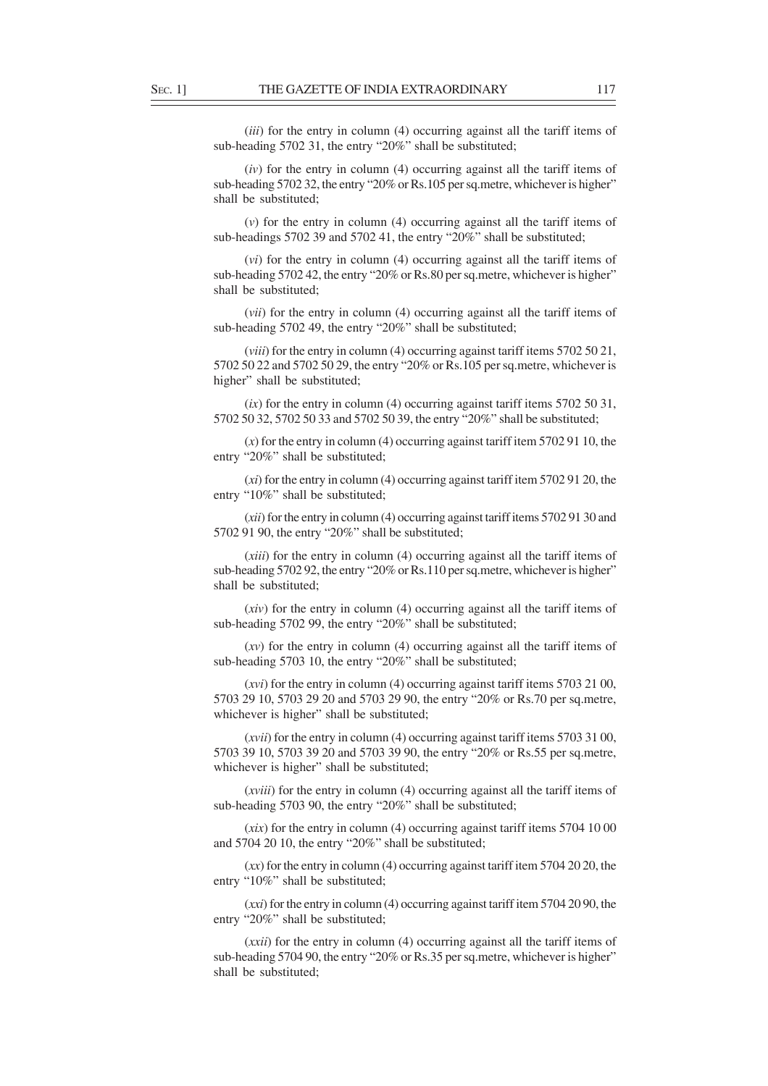(*iii*) for the entry in column (4) occurring against all the tariff items of sub-heading 5702 31, the entry "20%" shall be substituted;

(*iv*) for the entry in column (4) occurring against all the tariff items of sub-heading 5702 32, the entry "20% or Rs.105 per sq.metre, whichever is higher" shall be substituted;

(*v*) for the entry in column (4) occurring against all the tariff items of sub-headings 5702 39 and 5702 41, the entry "20%" shall be substituted;

(*vi*) for the entry in column (4) occurring against all the tariff items of sub-heading 5702 42, the entry "20% or Rs.80 per sq.metre, whichever is higher" shall be substituted;

(*vii*) for the entry in column (4) occurring against all the tariff items of sub-heading 5702 49, the entry "20%" shall be substituted;

(*viii*) for the entry in column (4) occurring against tariff items 5702 50 21, 5702 50 22 and 5702 50 29, the entry "20% or Rs.105 per sq.metre, whichever is higher" shall be substituted;

(*ix*) for the entry in column (4) occurring against tariff items 5702 50 31, 5702 50 32, 5702 50 33 and 5702 50 39, the entry "20%" shall be substituted;

(*x*) for the entry in column (4) occurring against tariff item 5702 91 10, the entry "20%" shall be substituted;

(*xi*) for the entry in column (4) occurring against tariff item 5702 91 20, the entry "10%" shall be substituted;

(*xii*) for the entry in column (4) occurring against tariff items 5702 91 30 and 5702 91 90, the entry "20%" shall be substituted;

(*xiii*) for the entry in column (4) occurring against all the tariff items of sub-heading 5702 92, the entry "20% or Rs.110 per sq.metre, whichever is higher" shall be substituted;

(*xiv*) for the entry in column (4) occurring against all the tariff items of sub-heading 5702 99, the entry "20%" shall be substituted;

(*xv*) for the entry in column (4) occurring against all the tariff items of sub-heading 5703 10, the entry "20%" shall be substituted;

(*xvi*) for the entry in column (4) occurring against tariff items 5703 21 00, 5703 29 10, 5703 29 20 and 5703 29 90, the entry "20% or Rs.70 per sq.metre, whichever is higher" shall be substituted;

(*xvii*) for the entry in column (4) occurring against tariff items 5703 31 00, 5703 39 10, 5703 39 20 and 5703 39 90, the entry "20% or Rs.55 per sq.metre, whichever is higher" shall be substituted;

(*xviii*) for the entry in column (4) occurring against all the tariff items of sub-heading 5703 90, the entry "20%" shall be substituted;

 $(xix)$  for the entry in column (4) occurring against tariff items 5704 10 00 and 5704 20 10, the entry "20%" shall be substituted;

(*xx*) for the entry in column (4) occurring against tariff item 5704 20 20, the entry "10%" shall be substituted;

(*xxi*) for the entry in column (4) occurring against tariff item 5704 20 90, the entry "20%" shall be substituted;

(*xxii*) for the entry in column (4) occurring against all the tariff items of sub-heading 5704 90, the entry "20% or Rs.35 per sq.metre, whichever is higher" shall be substituted;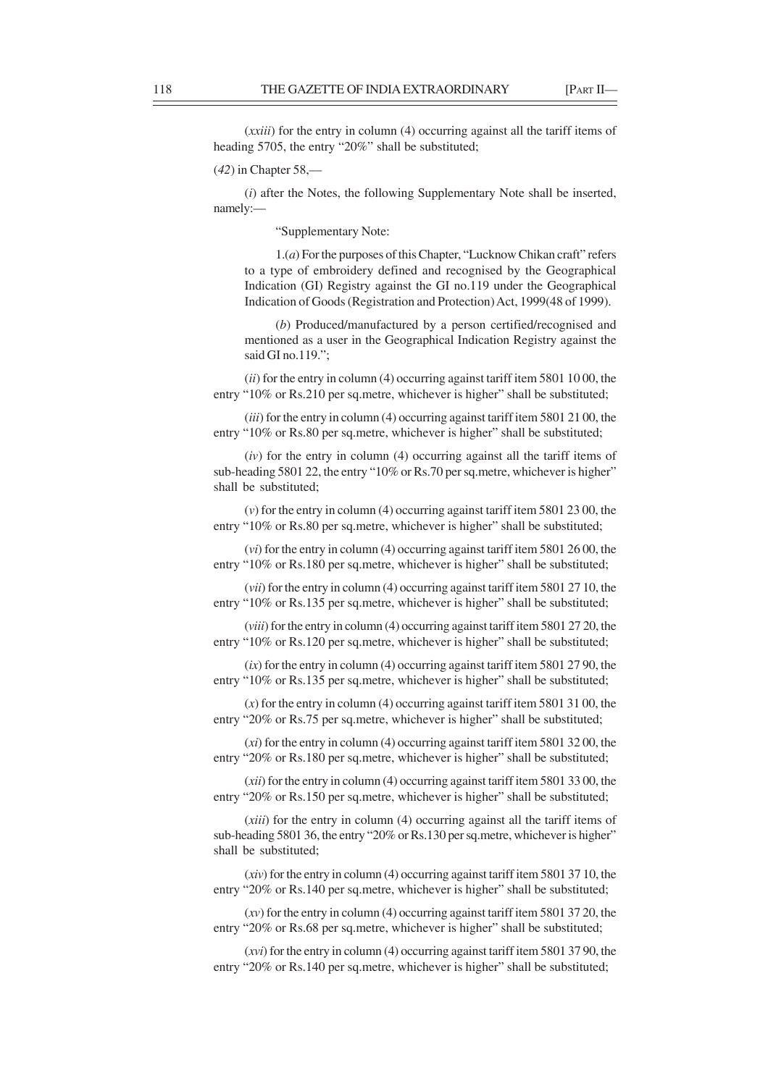(*xxiii*) for the entry in column (4) occurring against all the tariff items of heading 5705, the entry "20%" shall be substituted;

(*42*) in Chapter 58,––

(*i*) after the Notes, the following Supplementary Note shall be inserted, namely:—

"Supplementary Note:

1.(*a*) For the purposes of this Chapter, "Lucknow Chikan craft" refers to a type of embroidery defined and recognised by the Geographical Indication (GI) Registry against the GI no.119 under the Geographical Indication of Goods (Registration and Protection) Act, 1999(48 of 1999).

(*b*) Produced/manufactured by a person certified/recognised and mentioned as a user in the Geographical Indication Registry against the said GI no.119.":

(*ii*) for the entry in column (4) occurring against tariff item 5801 10 00, the entry "10% or Rs.210 per sq.metre, whichever is higher" shall be substituted;

(*iii*) for the entry in column (4) occurring against tariff item 5801 21 00, the entry "10% or Rs.80 per sq.metre, whichever is higher" shall be substituted;

(*iv*) for the entry in column (4) occurring against all the tariff items of sub-heading 5801 22, the entry "10% or Rs.70 per sq.metre, whichever is higher" shall be substituted;

(*v*) for the entry in column (4) occurring against tariff item 5801 23 00, the entry "10% or Rs.80 per sq.metre, whichever is higher" shall be substituted;

(*vi*) for the entry in column (4) occurring against tariff item 5801 26 00, the entry "10% or Rs.180 per sq.metre, whichever is higher" shall be substituted;

(*vii*) for the entry in column (4) occurring against tariff item 5801 27 10, the entry "10% or Rs.135 per sq.metre, whichever is higher" shall be substituted;

(*viii*) for the entry in column (4) occurring against tariff item 5801 27 20, the entry "10% or Rs.120 per sq.metre, whichever is higher" shall be substituted;

(*ix*) for the entry in column (4) occurring against tariff item 5801 27 90, the entry "10% or Rs.135 per sq.metre, whichever is higher" shall be substituted;

(*x*) for the entry in column (4) occurring against tariff item 5801 31 00, the entry "20% or Rs.75 per sq.metre, whichever is higher" shall be substituted;

(*xi*) for the entry in column (4) occurring against tariff item 5801 32 00, the entry "20% or Rs.180 per sq.metre, whichever is higher" shall be substituted;

(*xii*) for the entry in column (4) occurring against tariff item 5801 33 00, the entry "20% or Rs.150 per sq.metre, whichever is higher" shall be substituted;

(*xiii*) for the entry in column (4) occurring against all the tariff items of sub-heading 5801 36, the entry "20% or Rs.130 per sq.metre, whichever is higher" shall be substituted;

(*xiv*) for the entry in column (4) occurring against tariff item 5801 37 10, the entry "20% or Rs.140 per sq.metre, whichever is higher" shall be substituted;

(*xv*) for the entry in column (4) occurring against tariff item 5801 37 20, the entry "20% or Rs.68 per sq.metre, whichever is higher" shall be substituted;

(*xvi*) for the entry in column (4) occurring against tariff item 5801 37 90, the entry "20% or Rs.140 per sq.metre, whichever is higher" shall be substituted;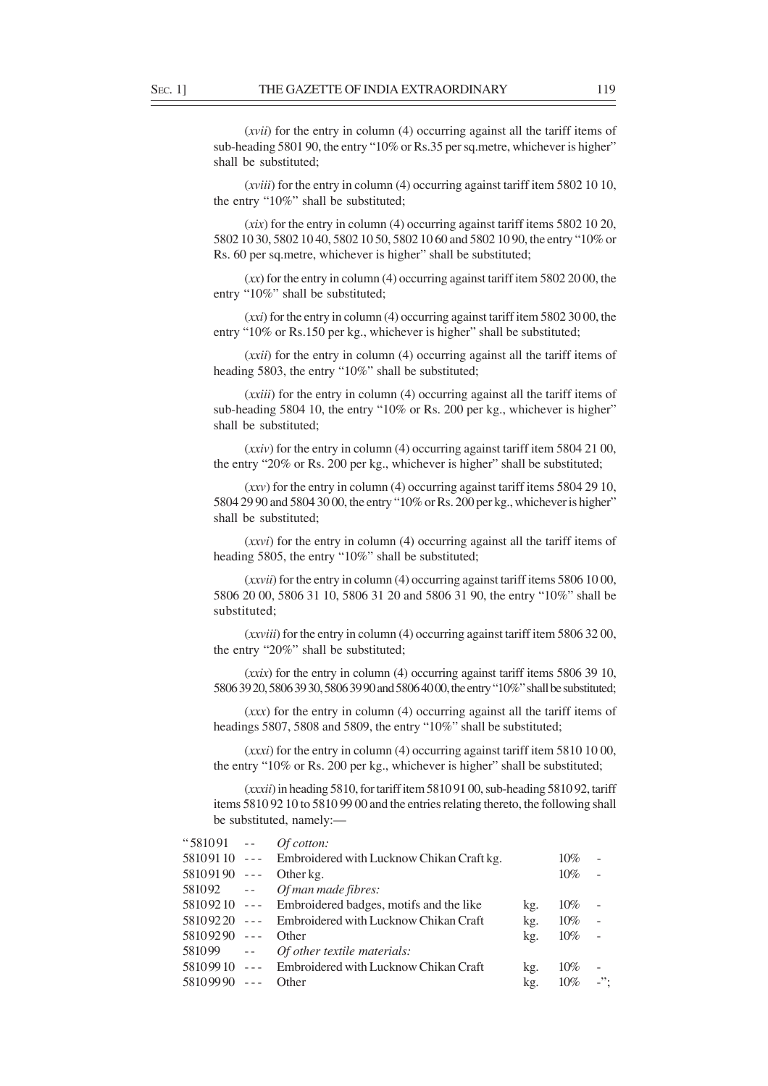(*xvii*) for the entry in column (4) occurring against all the tariff items of sub-heading 5801 90, the entry "10% or Rs.35 per sq.metre, whichever is higher" shall be substituted;

(*xviii*) for the entry in column (4) occurring against tariff item 5802 10 10, the entry "10%" shall be substituted;

 $(xix)$  for the entry in column (4) occurring against tariff items 5802 10 20, 5802 10 30, 5802 10 40, 5802 10 50, 5802 10 60 and 5802 10 90, the entry "10% or Rs. 60 per sq.metre, whichever is higher" shall be substituted;

(*xx*) for the entry in column (4) occurring against tariff item 5802 20 00, the entry "10%" shall be substituted;

(*xxi*) for the entry in column (4) occurring against tariff item 5802 30 00, the entry "10% or Rs.150 per kg., whichever is higher" shall be substituted;

(*xxii*) for the entry in column (4) occurring against all the tariff items of heading 5803, the entry "10%" shall be substituted;

(*xxiii*) for the entry in column (4) occurring against all the tariff items of sub-heading 5804 10, the entry "10% or Rs. 200 per kg., whichever is higher" shall be substituted;

(*xxiv*) for the entry in column (4) occurring against tariff item 5804 21 00, the entry "20% or Rs. 200 per kg., whichever is higher" shall be substituted;

(*xxv*) for the entry in column (4) occurring against tariff items 5804 29 10, 5804 29 90 and 5804 30 00, the entry "10% or Rs. 200 per kg., whichever is higher" shall be substituted;

(*xxvi*) for the entry in column (4) occurring against all the tariff items of heading 5805, the entry "10%" shall be substituted;

(*xxvii*) for the entry in column (4) occurring against tariff items 5806 10 00, 5806 20 00, 5806 31 10, 5806 31 20 and 5806 31 90, the entry "10%" shall be substituted;

(*xxviii*) for the entry in column (4) occurring against tariff item 5806 32 00, the entry "20%" shall be substituted;

(*xxix*) for the entry in column (4) occurring against tariff items 5806 39 10, 5806 39 20, 5806 39 30, 5806 39 90 and 5806 40 00, the entry "10%" shall be substituted;

(*xxx*) for the entry in column (4) occurring against all the tariff items of headings 5807, 5808 and 5809, the entry "10%" shall be substituted;

(*xxxi*) for the entry in column (4) occurring against tariff item 5810 10 00, the entry "10% or Rs. 200 per kg., whichever is higher" shall be substituted;

(*xxxii*) in heading 5810, for tariff item 5810 91 00, sub-heading 5810 92, tariff items 5810 92 10 to 5810 99 00 and the entries relating thereto, the following shall be substituted, namely:—

| $"581091 --$   |                      | <i>Of cotton:</i>                                      |     |        |                            |
|----------------|----------------------|--------------------------------------------------------|-----|--------|----------------------------|
|                |                      | 58109110 --- Embroidered with Lucknow Chikan Craft kg. |     | 10%    |                            |
| $58109190$ --- |                      | Other kg.                                              |     | $10\%$ |                            |
| 581092 --      |                      | Of man made fibres:                                    |     |        |                            |
|                |                      | 58109210 --- Embroidered badges, motifs and the like   | kg. | $10\%$ |                            |
| $58109220$ --- |                      | Embroidered with Lucknow Chikan Craft                  | kg. | $10\%$ | $\sim$                     |
| $58109290$ --- |                      | Other                                                  | kg. | $10\%$ | $\sim$                     |
| 581099 --      |                      | Of other textile materials:                            |     |        |                            |
|                |                      | 58109910 --- Embroidered with Lucknow Chikan Craft     | kg. | 10%    |                            |
| 58109990       | $\sim$ $\sim$ $\sim$ | Other                                                  | kg. | 10%    | $\overline{\phantom{a}}$ . |
|                |                      |                                                        |     |        |                            |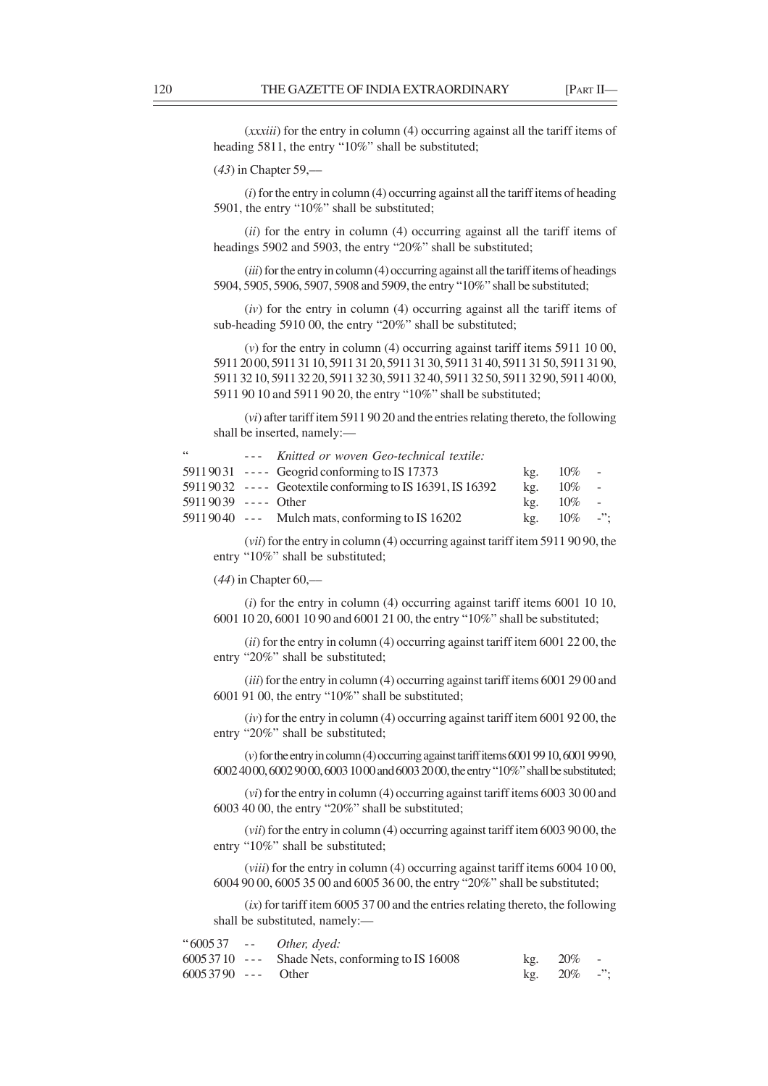(*xxxiii*) for the entry in column (4) occurring against all the tariff items of heading 5811, the entry "10%" shall be substituted;

(*43*) in Chapter 59,––

(*i*) for the entry in column (4) occurring against all the tariff items of heading 5901, the entry "10%" shall be substituted;

(*ii*) for the entry in column (4) occurring against all the tariff items of headings 5902 and 5903, the entry "20%" shall be substituted;

(*iii*) for the entry in column (4) occurring against all the tariff items of headings 5904, 5905, 5906, 5907, 5908 and 5909, the entry "10%" shall be substituted;

(*iv*) for the entry in column (4) occurring against all the tariff items of sub-heading 5910 00, the entry "20%" shall be substituted;

(*v*) for the entry in column (4) occurring against tariff items 5911 10 00, 5911 20 00, 5911 31 10, 5911 31 20, 5911 31 30, 5911 31 40, 5911 31 50, 5911 31 90, 5911 32 10, 5911 32 20, 5911 32 30, 5911 32 40, 5911 32 50, 5911 32 90, 5911 40 00, 5911 90 10 and 5911 90 20, the entry "10%" shall be substituted;

(*vi*) after tariff item 5911 90 20 and the entries relating thereto, the following shall be inserted, namely:—

| 66                    | --- Knitted or woven Geo-technical textile:               |     |            |            |
|-----------------------|-----------------------------------------------------------|-----|------------|------------|
|                       | $59119031$ ---- Geogrid conforming to IS 17373            | kg. | $10\%$ -   |            |
|                       | 59119032 ---- Geotextile conforming to IS 16391, IS 16392 | kg. | $10\%$     | $\sim$ $-$ |
| $59119039$ ---- Other |                                                           | kg. | $10\%$ -   |            |
|                       | $59119040$ --- Mulch mats, conforming to IS 16202         | kg. | $10\%$ -": |            |

(*vii*) for the entry in column (4) occurring against tariff item 5911 90 90, the entry "10%" shall be substituted;

(*44*) in Chapter 60,––

(*i*) for the entry in column (4) occurring against tariff items 6001 10 10, 6001 10 20, 6001 10 90 and 6001 21 00, the entry "10%" shall be substituted;

(*ii*) for the entry in column (4) occurring against tariff item 6001 22 00, the entry "20%" shall be substituted;

(*iii*) for the entry in column (4) occurring against tariff items 6001 29 00 and 6001 91 00, the entry "10%" shall be substituted;

(*iv*) for the entry in column (4) occurring against tariff item 6001 92 00, the entry "20%" shall be substituted;

(*v*) for the entry in column (4) occurring against tariff items 6001 99 10, 6001 99 90, 6002 40 00, 6002 90 00, 6003 10 00 and 6003 20 00, the entry "10%" shall be substituted;

(*vi*) for the entry in column (4) occurring against tariff items 6003 30 00 and 6003 40 00, the entry "20%" shall be substituted;

(*vii*) for the entry in column (4) occurring against tariff item 6003 90 00, the entry "10%" shall be substituted;

(*viii*) for the entry in column (4) occurring against tariff items 6004 10 00, 6004 90 00, 6005 35 00 and 6005 36 00, the entry "20%" shall be substituted;

(*ix*) for tariff item 6005 37 00 and the entries relating thereto, the following shall be substituted, namely:—

|                      | "600537 -- Other, dyed:                           |                |  |
|----------------------|---------------------------------------------------|----------------|--|
|                      | $60053710$ --- Shade Nets, conforming to IS 16008 | $kg. 20\%$ -   |  |
| $60053790$ --- Other |                                                   | kg. $20\%$ -"; |  |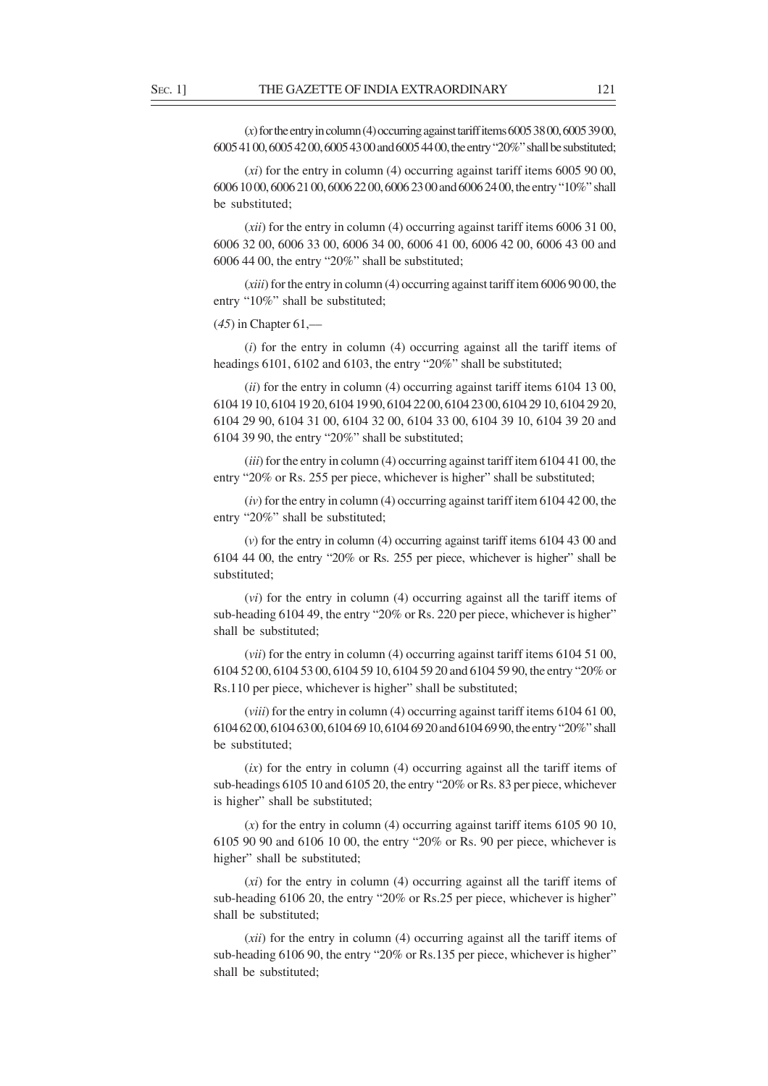$(x)$  for the entry in column (4) occurring against tariff items 6005 38 00, 6005 39 00, 6005 41 00, 6005 42 00, 6005 43 00 and 6005 44 00, the entry "20%" shall be substituted;

(*xi*) for the entry in column (4) occurring against tariff items 6005 90 00, 6006 10 00, 6006 21 00, 6006 22 00, 6006 23 00 and 6006 24 00, the entry "10%" shall be substituted;

(*xii*) for the entry in column (4) occurring against tariff items 6006 31 00, 6006 32 00, 6006 33 00, 6006 34 00, 6006 41 00, 6006 42 00, 6006 43 00 and 6006 44 00, the entry "20%" shall be substituted;

(*xiii*) for the entry in column (4) occurring against tariff item 6006 90 00, the entry "10%" shall be substituted;

(*45*) in Chapter 61,––

(*i*) for the entry in column (4) occurring against all the tariff items of headings 6101, 6102 and 6103, the entry "20%" shall be substituted;

(*ii*) for the entry in column (4) occurring against tariff items 6104 13 00, 6104 19 10, 6104 19 20, 6104 19 90, 6104 22 00, 6104 23 00, 6104 29 10, 6104 29 20, 6104 29 90, 6104 31 00, 6104 32 00, 6104 33 00, 6104 39 10, 6104 39 20 and 6104 39 90, the entry "20%" shall be substituted;

(*iii*) for the entry in column (4) occurring against tariff item 6104 41 00, the entry "20% or Rs. 255 per piece, whichever is higher" shall be substituted;

(*iv*) for the entry in column (4) occurring against tariff item 6104 42 00, the entry "20%" shall be substituted;

(*v*) for the entry in column (4) occurring against tariff items 6104 43 00 and 6104 44 00, the entry "20% or Rs. 255 per piece, whichever is higher" shall be substituted;

(*vi*) for the entry in column (4) occurring against all the tariff items of sub-heading 6104 49, the entry "20% or Rs. 220 per piece, whichever is higher" shall be substituted;

(*vii*) for the entry in column (4) occurring against tariff items 6104 51 00, 6104 52 00, 6104 53 00, 6104 59 10, 6104 59 20 and 6104 59 90, the entry "20% or Rs.110 per piece, whichever is higher" shall be substituted;

(*viii*) for the entry in column (4) occurring against tariff items 6104 61 00, 6104 62 00, 6104 63 00, 6104 69 10, 6104 69 20 and 6104 69 90, the entry "20%" shall be substituted;

(*ix*) for the entry in column (4) occurring against all the tariff items of sub-headings 6105 10 and 6105 20, the entry "20% or Rs. 83 per piece, whichever is higher" shall be substituted;

(*x*) for the entry in column (4) occurring against tariff items 6105 90 10, 6105 90 90 and 6106 10 00, the entry "20% or Rs. 90 per piece, whichever is higher" shall be substituted;

(*xi*) for the entry in column (4) occurring against all the tariff items of sub-heading 6106 20, the entry "20% or Rs.25 per piece, whichever is higher" shall be substituted;

(*xii*) for the entry in column (4) occurring against all the tariff items of sub-heading 6106 90, the entry "20% or Rs.135 per piece, whichever is higher" shall be substituted;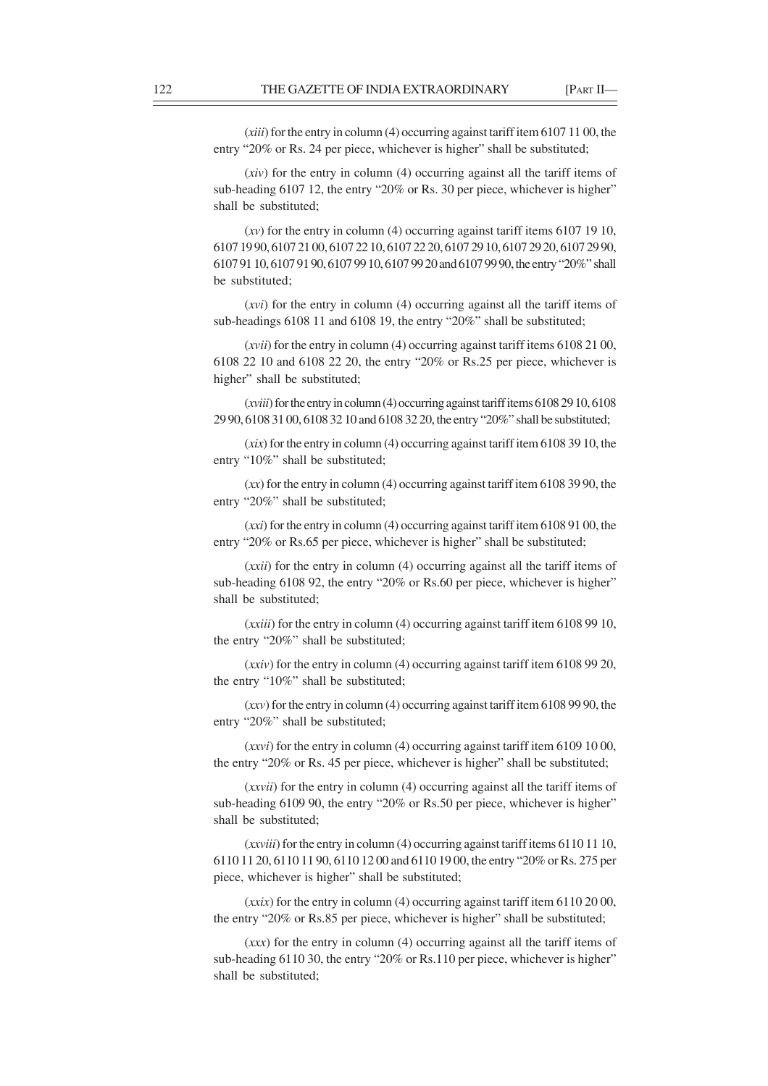(*xiii*) for the entry in column (4) occurring against tariff item 6107 11 00, the entry "20% or Rs. 24 per piece, whichever is higher" shall be substituted;

(*xiv*) for the entry in column (4) occurring against all the tariff items of sub-heading 6107 12, the entry "20% or Rs. 30 per piece, whichever is higher" shall be substituted;

(*xv*) for the entry in column (4) occurring against tariff items 6107 19 10, 6107 19 90, 6107 21 00, 6107 22 10, 6107 22 20, 6107 29 10, 6107 29 20, 6107 29 90, 6107 91 10, 6107 91 90, 6107 99 10, 6107 99 20 and 6107 99 90, the entry "20%" shall be substituted;

(*xvi*) for the entry in column (4) occurring against all the tariff items of sub-headings 6108 11 and 6108 19, the entry "20%" shall be substituted;

(*xvii*) for the entry in column (4) occurring against tariff items 6108 21 00, 6108 22 10 and 6108 22 20, the entry "20% or Rs.25 per piece, whichever is higher" shall be substituted;

(*xviii*) for the entry in column (4) occurring against tariff items 6108 29 10, 6108 29 90, 6108 31 00, 6108 32 10 and 6108 32 20, the entry "20%" shall be substituted;

(*xix*) for the entry in column (4) occurring against tariff item 6108 39 10, the entry "10%" shall be substituted;

(*xx*) for the entry in column (4) occurring against tariff item 6108 39 90, the entry "20%" shall be substituted;

(*xxi*) for the entry in column (4) occurring against tariff item 6108 91 00, the entry "20% or Rs.65 per piece, whichever is higher" shall be substituted;

(*xxii*) for the entry in column (4) occurring against all the tariff items of sub-heading 6108 92, the entry "20% or Rs.60 per piece, whichever is higher" shall be substituted;

(*xxiii*) for the entry in column (4) occurring against tariff item 6108 99 10, the entry "20%" shall be substituted;

(*xxiv*) for the entry in column (4) occurring against tariff item 6108 99 20, the entry "10%" shall be substituted;

(*xxv*) for the entry in column (4) occurring against tariff item 6108 99 90, the entry "20%" shall be substituted;

(*xxvi*) for the entry in column (4) occurring against tariff item 6109 10 00, the entry "20% or Rs. 45 per piece, whichever is higher" shall be substituted;

(*xxvii*) for the entry in column (4) occurring against all the tariff items of sub-heading 6109 90, the entry "20% or Rs.50 per piece, whichever is higher" shall be substituted;

(*xxviii*) for the entry in column (4) occurring against tariff items 6110 11 10, 6110 11 20, 6110 11 90, 6110 12 00 and 6110 19 00, the entry "20% or Rs. 275 per piece, whichever is higher" shall be substituted;

(*xxix*) for the entry in column (4) occurring against tariff item 6110 20 00, the entry "20% or Rs.85 per piece, whichever is higher" shall be substituted;

(*xxx*) for the entry in column (4) occurring against all the tariff items of sub-heading 6110 30, the entry "20% or Rs.110 per piece, whichever is higher" shall be substituted;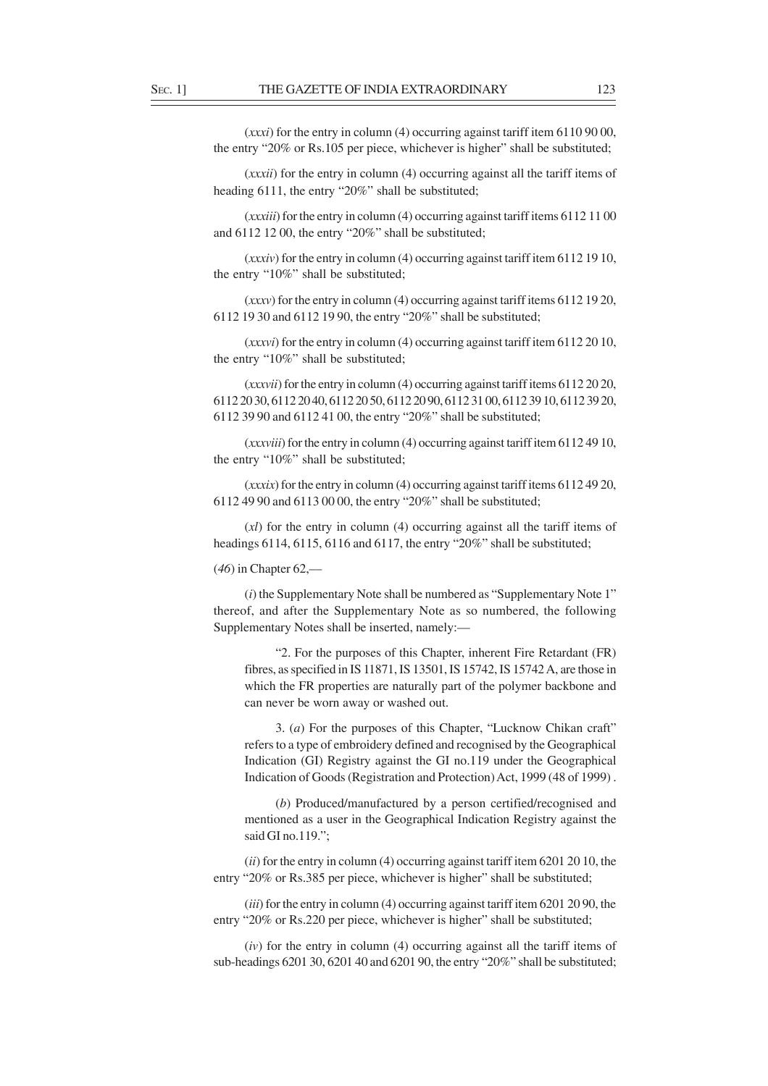(*xxxi*) for the entry in column (4) occurring against tariff item 6110 90 00, the entry "20% or Rs.105 per piece, whichever is higher" shall be substituted;

(*xxxii*) for the entry in column (4) occurring against all the tariff items of heading 6111, the entry "20%" shall be substituted;

(*xxxiii*) for the entry in column (4) occurring against tariff items 6112 11 00 and 6112 12 00, the entry "20%" shall be substituted;

(*xxxiv*) for the entry in column (4) occurring against tariff item 6112 19 10, the entry "10%" shall be substituted;

(*xxxv*) for the entry in column (4) occurring against tariff items 6112 19 20, 6112 19 30 and 6112 19 90, the entry "20%" shall be substituted;

(*xxxvi*) for the entry in column (4) occurring against tariff item 6112 20 10, the entry "10%" shall be substituted;

(*xxxvii*) for the entry in column (4) occurring against tariff items 6112 20 20, 6112 20 30, 6112 20 40, 6112 20 50, 6112 20 90, 6112 31 00, 6112 39 10, 6112 39 20, 6112 39 90 and 6112 41 00, the entry "20%" shall be substituted;

(*xxxviii*) for the entry in column (4) occurring against tariff item 6112 49 10, the entry "10%" shall be substituted;

(*xxxix*) for the entry in column (4) occurring against tariff items 6112 49 20, 6112 49 90 and 6113 00 00, the entry "20%" shall be substituted;

(*xl*) for the entry in column (4) occurring against all the tariff items of headings 6114, 6115, 6116 and 6117, the entry "20%" shall be substituted;

(*46*) in Chapter 62,––

(*i*) the Supplementary Note shall be numbered as "Supplementary Note 1" thereof, and after the Supplementary Note as so numbered, the following Supplementary Notes shall be inserted, namely:—

"2. For the purposes of this Chapter, inherent Fire Retardant (FR) fibres, as specified in IS 11871, IS 13501, IS 15742, IS 15742 A, are those in which the FR properties are naturally part of the polymer backbone and can never be worn away or washed out.

3. (*a*) For the purposes of this Chapter, "Lucknow Chikan craft" refers to a type of embroidery defined and recognised by the Geographical Indication (GI) Registry against the GI no.119 under the Geographical Indication of Goods (Registration and Protection) Act, 1999 (48 of 1999) .

(*b*) Produced/manufactured by a person certified/recognised and mentioned as a user in the Geographical Indication Registry against the said GI no.119.";

(*ii*) for the entry in column (4) occurring against tariff item 6201 20 10, the entry "20% or Rs.385 per piece, whichever is higher" shall be substituted;

(*iii*) for the entry in column (4) occurring against tariff item 6201 20 90, the entry "20% or Rs.220 per piece, whichever is higher" shall be substituted;

(*iv*) for the entry in column (4) occurring against all the tariff items of sub-headings 6201 30, 6201 40 and 6201 90, the entry "20%" shall be substituted;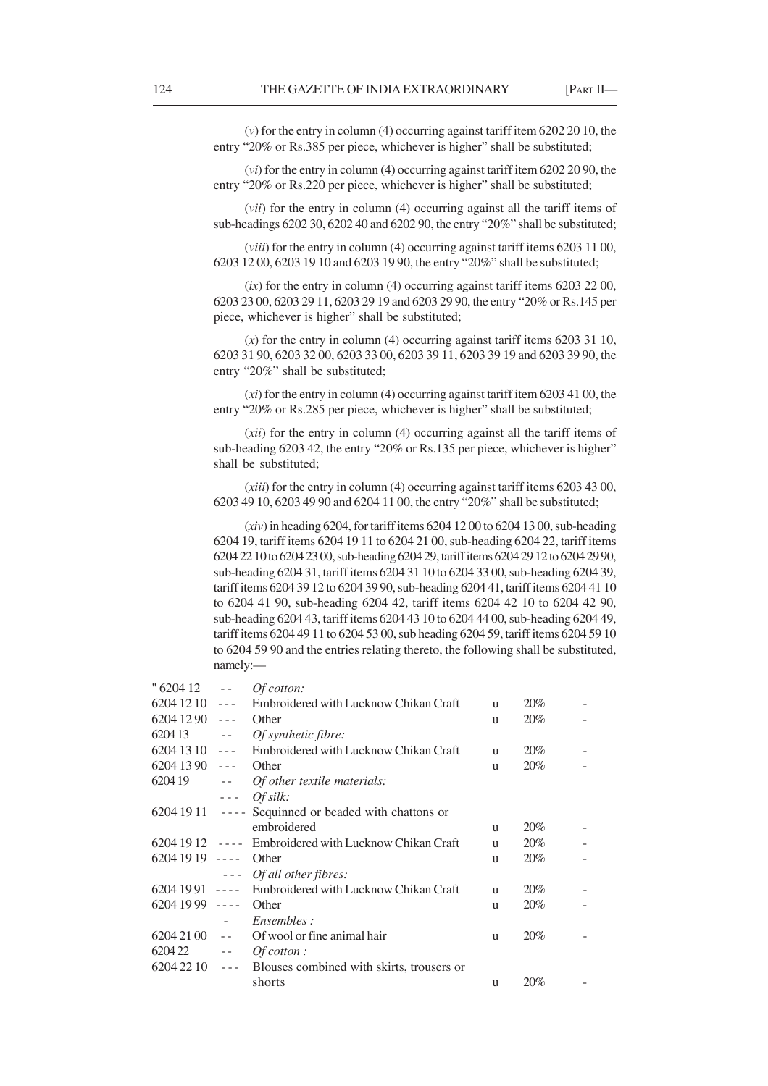(*v*) for the entry in column (4) occurring against tariff item 6202 20 10, the entry "20% or Rs.385 per piece, whichever is higher" shall be substituted;

(*vi*) for the entry in column (4) occurring against tariff item 6202 20 90, the entry "20% or Rs.220 per piece, whichever is higher" shall be substituted;

(*vii*) for the entry in column (4) occurring against all the tariff items of sub-headings 6202 30, 6202 40 and 6202 90, the entry "20%" shall be substituted;

(*viii*) for the entry in column (4) occurring against tariff items 6203 11 00, 6203 12 00, 6203 19 10 and 6203 19 90, the entry "20%" shall be substituted;

(*ix*) for the entry in column (4) occurring against tariff items 6203 22 00, 6203 23 00, 6203 29 11, 6203 29 19 and 6203 29 90, the entry "20% or Rs.145 per piece, whichever is higher" shall be substituted;

(*x*) for the entry in column (4) occurring against tariff items 6203 31 10, 6203 31 90, 6203 32 00, 6203 33 00, 6203 39 11, 6203 39 19 and 6203 39 90, the entry "20%" shall be substituted;

(*xi*) for the entry in column (4) occurring against tariff item 6203 41 00, the entry "20% or Rs.285 per piece, whichever is higher" shall be substituted;

(*xii*) for the entry in column (4) occurring against all the tariff items of sub-heading 6203 42, the entry "20% or Rs.135 per piece, whichever is higher" shall be substituted;

(*xiii*) for the entry in column (4) occurring against tariff items 6203 43 00, 6203 49 10, 6203 49 90 and 6204 11 00, the entry "20%" shall be substituted;

(*xiv*) in heading 6204, for tariff items 6204 12 00 to 6204 13 00, sub-heading 6204 19, tariff items 6204 19 11 to 6204 21 00, sub-heading 6204 22, tariff items 6204 22 10 to 6204 23 00, sub-heading 6204 29, tariff items 6204 29 12 to 6204 29 90, sub-heading 6204 31, tariff items 6204 31 10 to 6204 33 00, sub-heading 6204 39, tariff items 6204 39 12 to 6204 39 90, sub-heading 6204 41, tariff items 6204 41 10 to 6204 41 90, sub-heading 6204 42, tariff items 6204 42 10 to 6204 42 90, sub-heading 6204 43, tariff items 6204 43 10 to 6204 44 00, sub-heading 6204 49, tariff items 6204 49 11 to 6204 53 00, sub heading 6204 59, tariff items 6204 59 10 to 6204 59 90 and the entries relating thereto, the following shall be substituted, namely:—

| " 6204 12       | $\sim$ $\sim$                                                                                                                                                                                                                                                                                                                                                                                | <i>Of cotton:</i>                                    |   |     |  |
|-----------------|----------------------------------------------------------------------------------------------------------------------------------------------------------------------------------------------------------------------------------------------------------------------------------------------------------------------------------------------------------------------------------------------|------------------------------------------------------|---|-----|--|
| 6204 12 10      | $- - -$                                                                                                                                                                                                                                                                                                                                                                                      | Embroidered with Lucknow Chikan Craft                | u | 20% |  |
| 6204 12 90      | $- - -$                                                                                                                                                                                                                                                                                                                                                                                      | Other                                                | u | 20% |  |
| 620413          | $\sim$ $\sim$                                                                                                                                                                                                                                                                                                                                                                                | <i>Of synthetic fibre:</i>                           |   |     |  |
| 6204 13 10      | $\sim$ $\sim$ $\sim$                                                                                                                                                                                                                                                                                                                                                                         | Embroidered with Lucknow Chikan Craft                | u | 20% |  |
| 6204 13 90      | $- - -$                                                                                                                                                                                                                                                                                                                                                                                      | Other                                                | u | 20% |  |
| 620419          | $\sim$ $-$                                                                                                                                                                                                                                                                                                                                                                                   | Of other textile materials:                          |   |     |  |
|                 | $\omega = \omega$                                                                                                                                                                                                                                                                                                                                                                            | Of silk:                                             |   |     |  |
|                 |                                                                                                                                                                                                                                                                                                                                                                                              | 6204 19 11 ---- Sequinned or beaded with chattons or |   |     |  |
|                 |                                                                                                                                                                                                                                                                                                                                                                                              | embroidered                                          | u | 20% |  |
| $62041912$ ---- |                                                                                                                                                                                                                                                                                                                                                                                              | Embroidered with Lucknow Chikan Craft                | u | 20% |  |
| 6204 19 19      | $\sim$ $\sim$ $\sim$ $\sim$                                                                                                                                                                                                                                                                                                                                                                  | Other                                                | u | 20% |  |
|                 | $\frac{1}{2} \frac{1}{2} \frac{1}{2} \frac{1}{2} \frac{1}{2} \frac{1}{2} \frac{1}{2} \frac{1}{2} \frac{1}{2} \frac{1}{2} \frac{1}{2} \frac{1}{2} \frac{1}{2} \frac{1}{2} \frac{1}{2} \frac{1}{2} \frac{1}{2} \frac{1}{2} \frac{1}{2} \frac{1}{2} \frac{1}{2} \frac{1}{2} \frac{1}{2} \frac{1}{2} \frac{1}{2} \frac{1}{2} \frac{1}{2} \frac{1}{2} \frac{1}{2} \frac{1}{2} \frac{1}{2} \frac{$ | Of all other fibres:                                 |   |     |  |
| $62041991$ ---- |                                                                                                                                                                                                                                                                                                                                                                                              | Embroidered with Lucknow Chikan Craft                | u | 20% |  |
| 6204 19 99      | $- - - -$                                                                                                                                                                                                                                                                                                                                                                                    | Other                                                | u | 20% |  |
|                 |                                                                                                                                                                                                                                                                                                                                                                                              | <i>Ensembles:</i>                                    |   |     |  |
| 6204 21 00      | $\sim$ $\sim$                                                                                                                                                                                                                                                                                                                                                                                | Of wool or fine animal hair                          | u | 20% |  |
| 620422          | $\sim$ $-$                                                                                                                                                                                                                                                                                                                                                                                   | $Of cot to r:$                                       |   |     |  |
| $62042210$ ---  |                                                                                                                                                                                                                                                                                                                                                                                              | Blouses combined with skirts, trousers or            |   |     |  |
|                 |                                                                                                                                                                                                                                                                                                                                                                                              | shorts                                               | u | 20% |  |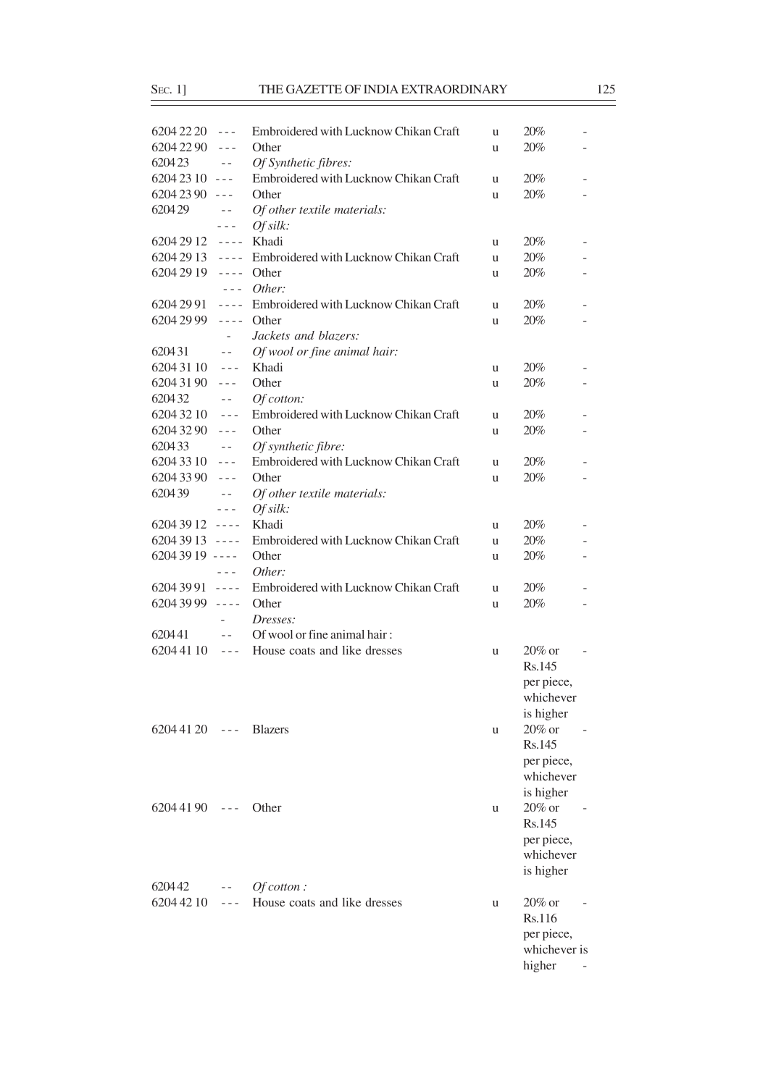| $62042220$ ---        |                          | Embroidered with Lucknow Chikan Craft                 | u | 20%          |                          |
|-----------------------|--------------------------|-------------------------------------------------------|---|--------------|--------------------------|
| 6204 22 90            | $\sim$ $ \sim$           | Other                                                 | u | 20%          |                          |
| 620423                | $\sim$ $\sim$            | Of Synthetic fibres:                                  |   |              |                          |
| $62042310$ ---        |                          | Embroidered with Lucknow Chikan Craft                 | u | 20%          |                          |
| $62042390$ ---        |                          | Other                                                 | u | 20%          |                          |
| 620429                | $\perp$ $\perp$          | Of other textile materials:                           |   |              |                          |
|                       | $\omega = \omega$        | Of silk:                                              |   |              |                          |
| 6204 29 12 ---- Khadi |                          |                                                       | u | 20%          |                          |
|                       |                          | 6204 29 13 ---- Embroidered with Lucknow Chikan Craft |   | 20%          |                          |
| 6204 29 19            |                          | $---$ Other                                           | u | 20%          |                          |
|                       |                          | $--- Other:$                                          | u |              |                          |
| 6204 29 91            |                          | ---- Embroidered with Lucknow Chikan Craft            |   | 20%          |                          |
| 6204 29 99            | $\omega = \omega/\omega$ | Other                                                 | u | 20%          |                          |
|                       |                          |                                                       | u |              |                          |
|                       | $\overline{\phantom{a}}$ | Jackets and blazers:                                  |   |              |                          |
| 620431                | $\sim$ $-$               | Of wool or fine animal hair:                          |   |              |                          |
| $62043110$ ---        |                          | Khadi                                                 | u | 20%          |                          |
| 6204 31 90            | $- - -$                  | Other                                                 | u | 20%          |                          |
| 620432                | $\sim$ $-$               | Of cotton:                                            |   |              |                          |
| 6204 32 10            | $\sim$ $\sim$ $\sim$     | Embroidered with Lucknow Chikan Craft                 | u | 20%          |                          |
| 6204 32 90            | $- - -$                  | Other                                                 | u | 20%          |                          |
| 620433                | $\sim$ $-$               | Of synthetic fibre:                                   |   |              |                          |
| $62043310$ ---        |                          | Embroidered with Lucknow Chikan Craft                 | u | 20%          |                          |
| 6204 33 90            | $\sim$ $\sim$ $\sim$     | Other                                                 | u | 20%          |                          |
| 620439                | $\sim$ $-$               | Of other textile materials:                           |   |              |                          |
|                       | $- - -$                  | Of silk:                                              |   |              |                          |
| $62043912$ ----       |                          | Khadi                                                 | u | 20%          |                          |
| $62043913$ ----       |                          | Embroidered with Lucknow Chikan Craft                 | u | 20%          |                          |
| $62043919$ ----       |                          | Other                                                 | u | 20%          |                          |
|                       | $\sim$ $\sim$ $\sim$     | Other:                                                |   |              |                          |
| $62043991$ ----       |                          | Embroidered with Lucknow Chikan Craft                 | u | 20%          | $\overline{\phantom{0}}$ |
| $62043999$ ----       |                          | Other                                                 | u | 20%          | $\overline{\phantom{0}}$ |
|                       | $\sim$                   | Dresses:                                              |   |              |                          |
| 620441                | $\sim$ $\sim$            | Of wool or fine animal hair:                          |   |              |                          |
| 6204 41 10            | $\omega = \omega$        | House coats and like dresses                          | u | $20\%$ or    |                          |
|                       |                          |                                                       |   | Rs.145       |                          |
|                       |                          |                                                       |   | per piece,   |                          |
|                       |                          |                                                       |   | whichever    |                          |
|                       |                          |                                                       |   | is higher    |                          |
| $62044120$ ---        |                          | <b>Blazers</b>                                        | u | 20% or       |                          |
|                       |                          |                                                       |   | Rs.145       |                          |
|                       |                          |                                                       |   | per piece,   |                          |
|                       |                          |                                                       |   | whichever    |                          |
|                       |                          |                                                       |   | is higher    |                          |
| $62044190$ ---        |                          | Other                                                 | u | 20% or       |                          |
|                       |                          |                                                       |   | Rs.145       |                          |
|                       |                          |                                                       |   | per piece,   |                          |
|                       |                          |                                                       |   | whichever    |                          |
|                       |                          |                                                       |   | is higher    |                          |
| 620442                | $\sim$ $-$               | $Of cot to in:$                                       |   |              |                          |
| 6204 42 10            | $\sim$ $ \sim$           | House coats and like dresses                          | u | $20\%$ or    |                          |
|                       |                          |                                                       |   | Rs.116       |                          |
|                       |                          |                                                       |   | per piece,   |                          |
|                       |                          |                                                       |   | whichever is |                          |
|                       |                          |                                                       |   | higher       |                          |
|                       |                          |                                                       |   |              |                          |

 $\overline{\phantom{a}}$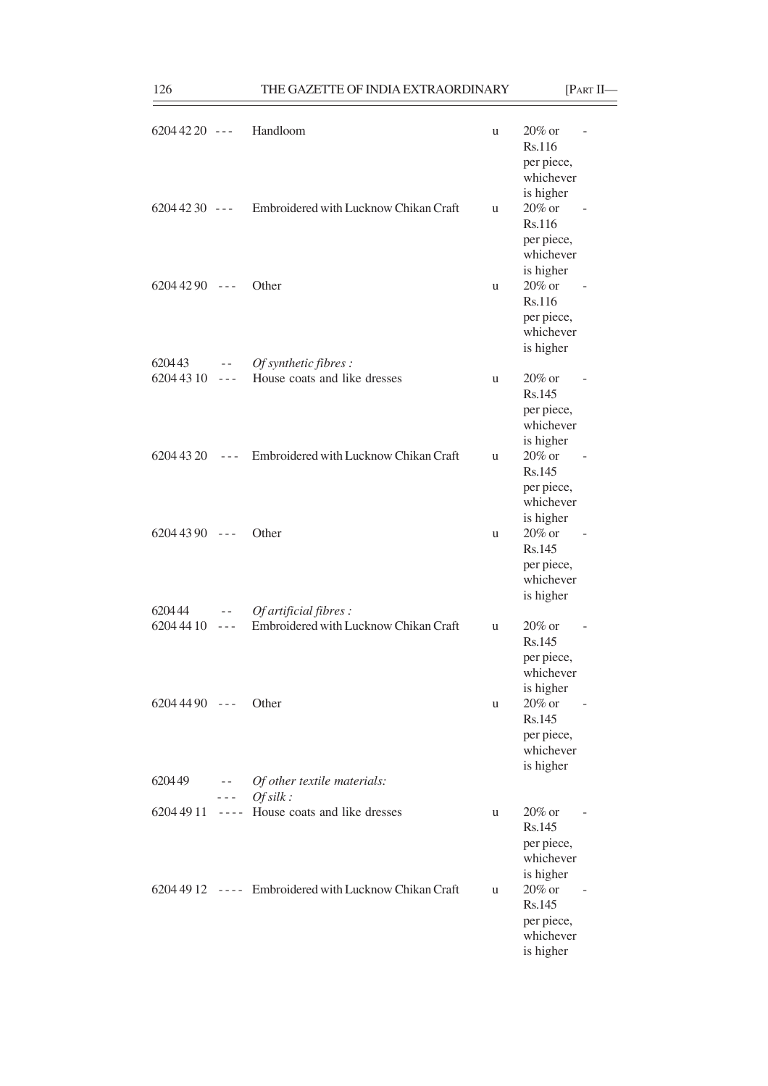| $62044220$ --- |                                                                                                                                                                                                                                                                                                                                                                                                                                                              | Handloom                                              | u | $20\%$ or<br>Rs.116<br>per piece,<br>whichever<br>is higher           |  |
|----------------|--------------------------------------------------------------------------------------------------------------------------------------------------------------------------------------------------------------------------------------------------------------------------------------------------------------------------------------------------------------------------------------------------------------------------------------------------------------|-------------------------------------------------------|---|-----------------------------------------------------------------------|--|
| $62044230$ --- |                                                                                                                                                                                                                                                                                                                                                                                                                                                              | Embroidered with Lucknow Chikan Craft                 | u | $20\%$ or<br>Rs.116<br>per piece,<br>whichever<br>is higher           |  |
| $62044290$ --- |                                                                                                                                                                                                                                                                                                                                                                                                                                                              | Other                                                 | u | $20\%$ or<br>Rs.116<br>per piece,<br>whichever<br>is higher           |  |
| $620443 - -$   |                                                                                                                                                                                                                                                                                                                                                                                                                                                              | Of synthetic fibres :                                 |   |                                                                       |  |
| $62044310$ --- |                                                                                                                                                                                                                                                                                                                                                                                                                                                              | House coats and like dresses                          | u | $20\%$ or<br>Rs.145<br>per piece,<br>whichever                        |  |
| $62044320$ --- |                                                                                                                                                                                                                                                                                                                                                                                                                                                              | Embroidered with Lucknow Chikan Craft                 | u | is higher<br>20% or<br>Rs.145<br>per piece,<br>whichever              |  |
| $62044390$ --- |                                                                                                                                                                                                                                                                                                                                                                                                                                                              | Other                                                 | u | is higher<br>20% or<br>Rs.145<br>per piece,<br>whichever<br>is higher |  |
| 620444         | $\mathcal{L} = \mathcal{L} \mathcal{L} \mathcal{L} \mathcal{L} \mathcal{L} \mathcal{L} \mathcal{L} \mathcal{L} \mathcal{L} \mathcal{L} \mathcal{L} \mathcal{L} \mathcal{L} \mathcal{L} \mathcal{L} \mathcal{L} \mathcal{L} \mathcal{L} \mathcal{L} \mathcal{L} \mathcal{L} \mathcal{L} \mathcal{L} \mathcal{L} \mathcal{L} \mathcal{L} \mathcal{L} \mathcal{L} \mathcal{L} \mathcal{L} \mathcal{L} \mathcal{L} \mathcal{L} \mathcal{L} \mathcal{L} \mathcal$ | Of artificial fibres :                                |   |                                                                       |  |
| 6204 44 10     | $\sim$ $\sim$ $\sim$                                                                                                                                                                                                                                                                                                                                                                                                                                         | Embroidered with Lucknow Chikan Craft                 | u | $20\%$ or<br>Rs.145<br>per piece,<br>whichever<br>is higher           |  |
| $62044490$ --- |                                                                                                                                                                                                                                                                                                                                                                                                                                                              | Other                                                 | u | 20% or<br>Rs.145<br>per piece,<br>whichever<br>is higher              |  |
| 620449         | $- - -$                                                                                                                                                                                                                                                                                                                                                                                                                                                      | -- Of other textile materials:<br>Ofsilk:             |   |                                                                       |  |
| 6204 49 11     |                                                                                                                                                                                                                                                                                                                                                                                                                                                              | ---- House coats and like dresses                     | u | $20\%$ or                                                             |  |
|                |                                                                                                                                                                                                                                                                                                                                                                                                                                                              |                                                       |   | Rs.145<br>per piece,<br>whichever<br>is higher                        |  |
|                |                                                                                                                                                                                                                                                                                                                                                                                                                                                              | 6204 49 12 ---- Embroidered with Lucknow Chikan Craft | u | 20% or<br>Rs.145<br>per piece,<br>whichever<br>is higher              |  |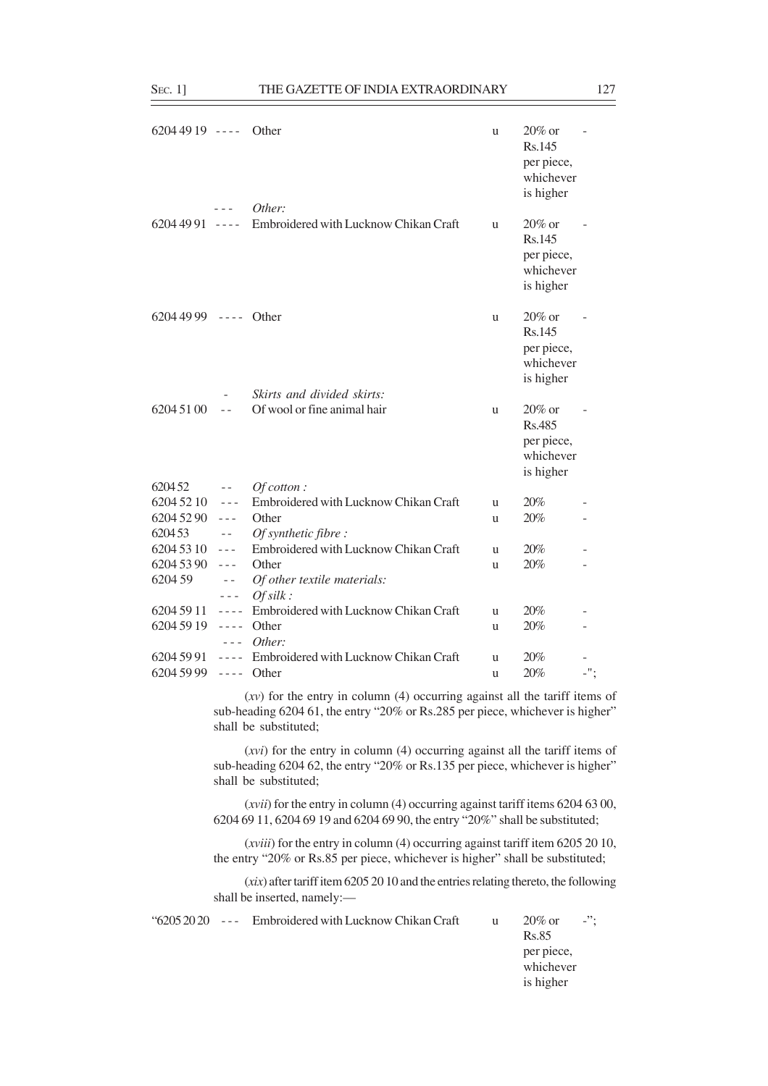| $62044919$ ---- Other |                                          |                                                                                                                                                                                         | u | $20\%$ or<br>Rs.145<br>per piece,                           |     |
|-----------------------|------------------------------------------|-----------------------------------------------------------------------------------------------------------------------------------------------------------------------------------------|---|-------------------------------------------------------------|-----|
|                       | $- -$                                    | Other:                                                                                                                                                                                  |   | whichever<br>is higher                                      |     |
|                       |                                          | 6204 49 91 ---- Embroidered with Lucknow Chikan Craft                                                                                                                                   | u | $20\%$ or<br>Rs.145<br>per piece,<br>whichever<br>is higher |     |
| 6204 49 99 ---- Other |                                          |                                                                                                                                                                                         | u | 20% or<br>Rs.145<br>per piece,<br>whichever<br>is higher    |     |
|                       |                                          | Skirts and divided skirts:                                                                                                                                                              |   |                                                             |     |
| 6204 51 00            | $\overline{a}$                           | Of wool or fine animal hair                                                                                                                                                             | u | 20% or<br>Rs.485<br>per piece,<br>whichever                 |     |
|                       |                                          |                                                                                                                                                                                         |   | is higher                                                   |     |
| 620452                | $\sim$ $-$                               | $Of cotton$ :                                                                                                                                                                           |   |                                                             |     |
| $62045210$ ---        |                                          | Embroidered with Lucknow Chikan Craft                                                                                                                                                   | u | 20%                                                         |     |
| 6204 52 90            | $\sim$ $\sim$ $\sim$                     | Other                                                                                                                                                                                   | u | 20%                                                         |     |
| 620453                | $\sim$ $-$                               | Of synthetic fibre :                                                                                                                                                                    |   |                                                             |     |
| $62045310$ ---        |                                          | Embroidered with Lucknow Chikan Craft                                                                                                                                                   | u | 20%                                                         |     |
| 6204 53 90            | $\sim$ $ \sim$                           | Other                                                                                                                                                                                   |   | 20%                                                         |     |
| 6204 59               | $\sim$ $\sim$<br>$\perp$ $\perp$ $\perp$ | Of other textile materials:<br>Ofsilk:                                                                                                                                                  | u |                                                             |     |
| $62045911$ ----       |                                          | Embroidered with Lucknow Chikan Craft                                                                                                                                                   | u | 20%                                                         |     |
| $62045919$ ---- Other | $\sim$ $\sim$ $\sim$                     | Other:                                                                                                                                                                                  | u | 20%                                                         |     |
| 6204 59 91            |                                          | ---- Embroidered with Lucknow Chikan Craft                                                                                                                                              | u | 20%                                                         |     |
| 6204 59 99            | $---$ Other                              |                                                                                                                                                                                         | u | 20%                                                         | -"; |
|                       |                                          | $(xv)$ for the entry in column (4) occurring against all the tariff items of<br>sub-heading 6204 61, the entry "20% or Rs.285 per piece, whichever is higher"<br>shall be substituted;  |   |                                                             |     |
|                       |                                          | $(xvi)$ for the entry in column (4) occurring against all the tariff items of<br>sub-heading 6204 62, the entry "20% or Rs.135 per piece, whichever is higher"<br>shall be substituted; |   |                                                             |     |
|                       |                                          | $(xvii)$ for the entry in column (4) occurring against tariff items 6204 63 00,<br>6204 69 11, 6204 69 19 and 6204 69 90, the entry "20%" shall be substituted;                         |   |                                                             |     |
|                       |                                          | $(xviii)$ for the entry in column (4) occurring against tariff item 6205 20 10,<br>the entry "20% or Rs.85 per piece, whichever is higher" shall be substituted;                        |   |                                                             |     |
|                       |                                          | $(xix)$ after tariff item 6205 20 10 and the entries relating thereto, the following<br>shall be inserted, namely:-                                                                     |   |                                                             |     |

|  | $20\%$ or<br>Rs.85<br>per piece,<br>whichever<br>is higher | $-$ "; |
|--|------------------------------------------------------------|--------|
|--|------------------------------------------------------------|--------|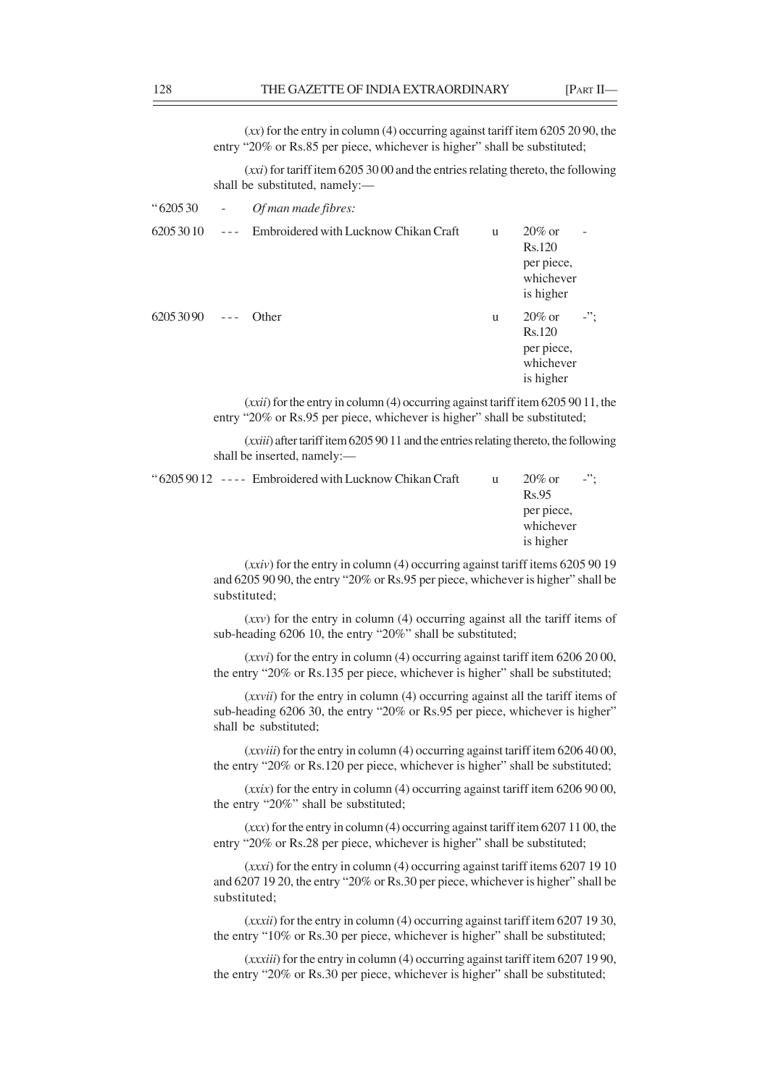(*xx*) for the entry in column (4) occurring against tariff item 6205 20 90, the entry "20% or Rs.85 per piece, whichever is higher" shall be substituted; (*xxi*) for tariff item 6205 30 00 and the entries relating thereto, the following shall be substituted, namely:–– " 6205 30 - *Of man made fibres:*  $6205\,30\,10$  --- Embroidered with Lucknow Chikan Craft u  $20\%$  or Rs.120 per piece, whichever is higher  $6205\,30\,90$  --- Other u  $20\%$  or -"; Rs.120 per piece, whichever is higher (*xxii*) for the entry in column (4) occurring against tariff item 6205 90 11, the entry "20% or Rs.95 per piece, whichever is higher" shall be substituted; (*xxiii*) after tariff item 6205 90 11 and the entries relating thereto, the following shall be inserted, namely:— " $62059012$  ---- Embroidered with Lucknow Chikan Craft u  $20\%$  or -"; Rs.95 per piece, whichever is higher (*xxiv*) for the entry in column (4) occurring against tariff items 6205 90 19

and 6205 90 90, the entry "20% or Rs.95 per piece, whichever is higher" shall be substituted;

(*xxv*) for the entry in column (4) occurring against all the tariff items of sub-heading 6206 10, the entry "20%" shall be substituted;

(*xxvi*) for the entry in column (4) occurring against tariff item 6206 20 00, the entry "20% or Rs.135 per piece, whichever is higher" shall be substituted;

(*xxvii*) for the entry in column (4) occurring against all the tariff items of sub-heading 6206 30, the entry "20% or Rs.95 per piece, whichever is higher" shall be substituted;

(*xxviii*) for the entry in column (4) occurring against tariff item 6206 40 00, the entry "20% or Rs.120 per piece, whichever is higher" shall be substituted;

(*xxix*) for the entry in column (4) occurring against tariff item 6206 90 00, the entry "20%" shall be substituted;

(*xxx*) for the entry in column (4) occurring against tariff item 6207 11 00, the entry "20% or Rs.28 per piece, whichever is higher" shall be substituted;

(*xxxi*) for the entry in column (4) occurring against tariff items 6207 19 10 and 6207 19 20, the entry "20% or Rs.30 per piece, whichever is higher" shall be substituted;

(*xxxii*) for the entry in column (4) occurring against tariff item 6207 19 30, the entry "10% or Rs.30 per piece, whichever is higher" shall be substituted;

(*xxxiii*) for the entry in column (4) occurring against tariff item 6207 19 90, the entry "20% or Rs.30 per piece, whichever is higher" shall be substituted;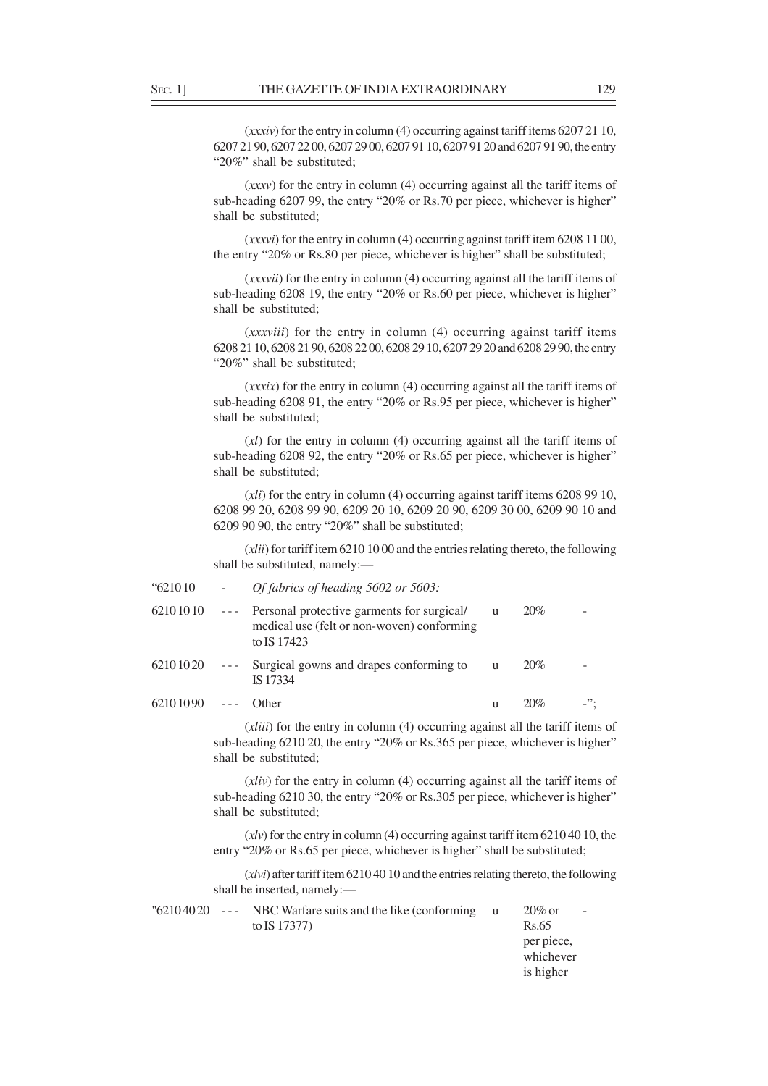(*xxxiv*) for the entry in column (4) occurring against tariff items 6207 21 10, 6207 21 90, 6207 22 00, 6207 29 00, 6207 91 10, 6207 91 20 and 6207 91 90, the entry "20%" shall be substituted;

(*xxxv*) for the entry in column (4) occurring against all the tariff items of sub-heading 6207 99, the entry "20% or Rs.70 per piece, whichever is higher" shall be substituted;

(*xxxvi*) for the entry in column (4) occurring against tariff item 6208 11 00, the entry "20% or Rs.80 per piece, whichever is higher" shall be substituted;

(*xxxvii*) for the entry in column (4) occurring against all the tariff items of sub-heading 6208 19, the entry "20% or Rs.60 per piece, whichever is higher" shall be substituted;

(*xxxviii*) for the entry in column (4) occurring against tariff items 6208 21 10, 6208 21 90, 6208 22 00, 6208 29 10, 6207 29 20 and 6208 29 90, the entry "20%" shall be substituted;

(*xxxix*) for the entry in column (4) occurring against all the tariff items of sub-heading 6208 91, the entry "20% or Rs.95 per piece, whichever is higher" shall be substituted;

(*xl*) for the entry in column (4) occurring against all the tariff items of sub-heading 6208 92, the entry "20% or Rs.65 per piece, whichever is higher" shall be substituted;

(*xli*) for the entry in column (4) occurring against tariff items 6208 99 10, 6208 99 20, 6208 99 90, 6209 20 10, 6209 20 90, 6209 30 00, 6209 90 10 and 6209 90 90, the entry "20%" shall be substituted;

(*xlii*) for tariff item 6210 10 00 and the entries relating thereto, the following shall be substituted, namely:—

| "621010"       |                                                                                                                                                                                                                                                                                                                                                                                              | Of fabrics of heading 5602 or 5603:                                                                     |   |     |                 |
|----------------|----------------------------------------------------------------------------------------------------------------------------------------------------------------------------------------------------------------------------------------------------------------------------------------------------------------------------------------------------------------------------------------------|---------------------------------------------------------------------------------------------------------|---|-----|-----------------|
| $62101010$ --- |                                                                                                                                                                                                                                                                                                                                                                                              | Personal protective garments for surgical/<br>medical use (felt or non-woven) conforming<br>to IS 17423 | u | 20% |                 |
| $62101020$ --- |                                                                                                                                                                                                                                                                                                                                                                                              | Surgical gowns and drapes conforming to<br>IS 17334                                                     | u | 20% |                 |
| 62101090       | $\frac{1}{2} \frac{1}{2} \frac{1}{2} \frac{1}{2} \frac{1}{2} \frac{1}{2} \frac{1}{2} \frac{1}{2} \frac{1}{2} \frac{1}{2} \frac{1}{2} \frac{1}{2} \frac{1}{2} \frac{1}{2} \frac{1}{2} \frac{1}{2} \frac{1}{2} \frac{1}{2} \frac{1}{2} \frac{1}{2} \frac{1}{2} \frac{1}{2} \frac{1}{2} \frac{1}{2} \frac{1}{2} \frac{1}{2} \frac{1}{2} \frac{1}{2} \frac{1}{2} \frac{1}{2} \frac{1}{2} \frac{$ | <b>Other</b>                                                                                            | u | 20% | $\cdot$ $\cdot$ |

(*xliii*) for the entry in column (4) occurring against all the tariff items of sub-heading 6210 20, the entry "20% or Rs.365 per piece, whichever is higher" shall be substituted;

(*xliv*) for the entry in column (4) occurring against all the tariff items of sub-heading 6210 30, the entry "20% or Rs.305 per piece, whichever is higher" shall be substituted;

(*xlv*) for the entry in column (4) occurring against tariff item 6210 40 10, the entry "20% or Rs.65 per piece, whichever is higher" shall be substituted;

(*xlvi*) after tariff item 6210 40 10 and the entries relating thereto, the following shall be inserted, namely:—

|  | $"62104020$ --- NBC Warfare suits and the like (conforming | $20\%$ or  | - |
|--|------------------------------------------------------------|------------|---|
|  | to IS 17377)                                               | Rs.65      |   |
|  |                                                            | per piece, |   |
|  |                                                            | whichever  |   |
|  |                                                            | is higher  |   |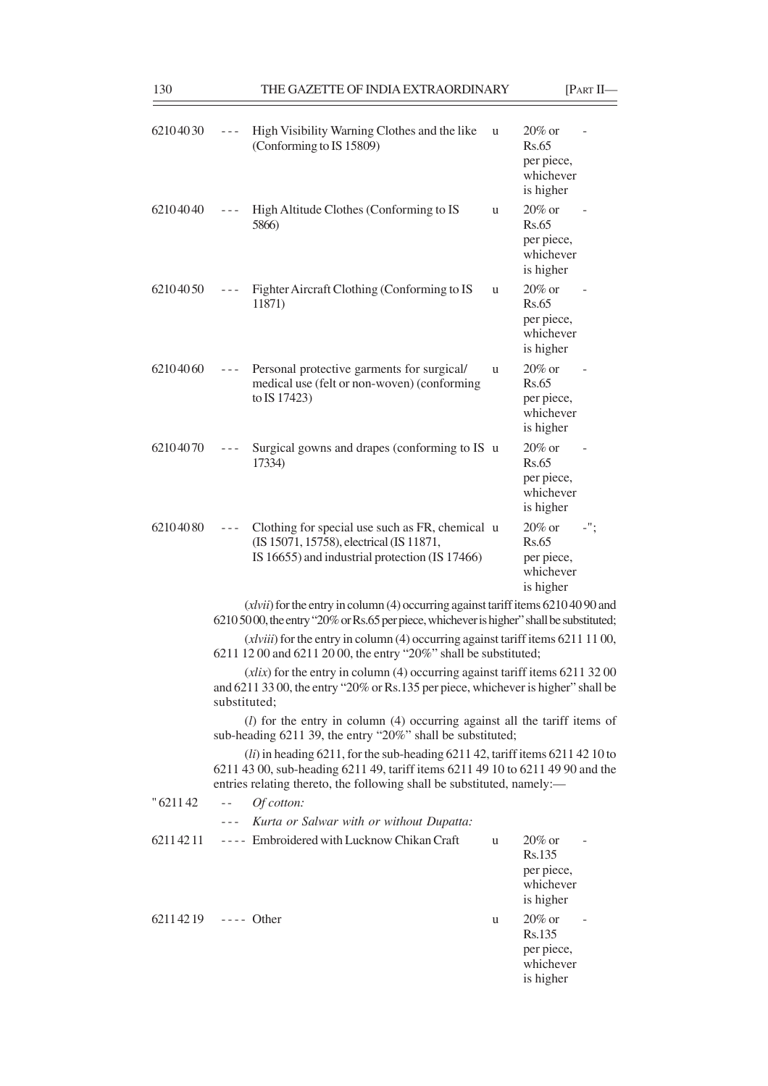| THE GAZETTE OF INDIA EXTRAORDINARY<br>130 |         |                                                                                                                                               |   |                                                                   | $[PART II-$ |  |
|-------------------------------------------|---------|-----------------------------------------------------------------------------------------------------------------------------------------------|---|-------------------------------------------------------------------|-------------|--|
| 62104030                                  |         | High Visibility Warning Clothes and the like<br>(Conforming to IS 15809)                                                                      | u | $20\%$ or<br>Rs.65<br>per piece,<br>whichever<br>is higher        |             |  |
| 62104040                                  |         | High Altitude Clothes (Conforming to IS<br>5866)                                                                                              | u | $20\%$ or<br><b>Rs.65</b><br>per piece,<br>whichever<br>is higher |             |  |
| 62104050                                  |         | Fighter Aircraft Clothing (Conforming to IS<br>11871)                                                                                         | u | $20\%$ or<br><b>Rs.65</b><br>per piece,<br>whichever<br>is higher |             |  |
| 62104060                                  | $- - -$ | Personal protective garments for surgical/<br>medical use (felt or non-woven) (conforming<br>to IS 17423)                                     | u | 20% or<br><b>Rs.65</b><br>per piece,<br>whichever<br>is higher    |             |  |
| 62104070                                  |         | Surgical gowns and drapes (conforming to IS u<br>17334)                                                                                       |   | 20% or<br><b>Rs.65</b><br>per piece,<br>whichever<br>is higher    |             |  |
| 62104080                                  | $- - -$ | Clothing for special use such as FR, chemical u<br>(IS 15071, 15758), electrical (IS 11871,<br>IS 16655) and industrial protection (IS 17466) |   | $20\%$ or<br><b>Rs.65</b><br>per piece,<br>whichever<br>is higher |             |  |
|                                           |         | $(xlvii)$ for the entry in column (4) occurring against tariff items 6210 40 90 and                                                           |   |                                                                   |             |  |

(*xlvii*) for the entry in column (4) occurring against tariff items 6210 40 90 and 6210 50 00, the entry "20% or Rs.65 per piece, whichever is higher" shall be substituted;

(*xlviii*) for the entry in column (4) occurring against tariff items 6211 11 00, 6211 12 00 and 6211 20 00, the entry "20%" shall be substituted;

(*xlix*) for the entry in column (4) occurring against tariff items 6211 32 00 and 6211 33 00, the entry "20% or Rs.135 per piece, whichever is higher" shall be substituted;

(*l*) for the entry in column (4) occurring against all the tariff items of sub-heading 6211 39, the entry "20%" shall be substituted;

(*li*) in heading 6211, for the sub-heading 6211 42, tariff items 6211 42 10 to 6211 43 00, sub-heading 6211 49, tariff items 6211 49 10 to 6211 49 90 and the entries relating thereto, the following shall be substituted, namely:—

| " 6211 42 | Of cotton:<br>$\sim$ $-$                            |   |                                                             |
|-----------|-----------------------------------------------------|---|-------------------------------------------------------------|
|           | Kurta or Salwar with or without Dupatta:<br>$- - -$ |   |                                                             |
| 62114211  | ---- Embroidered with Lucknow Chikan Craft          | u | $20\%$ or<br>Rs.135<br>per piece,<br>whichever<br>is higher |
| 62114219  | $---$ Other                                         | u | $20\%$ or<br>Rs.135<br>per piece,<br>whichever<br>is higher |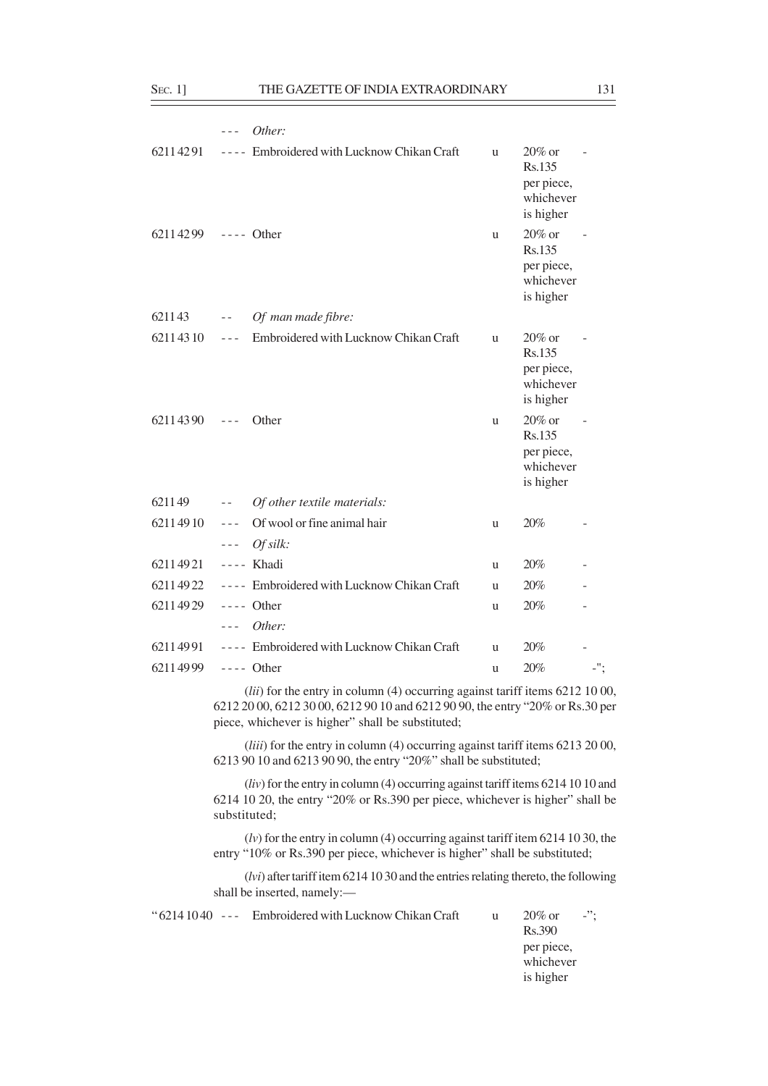6211 43 - - *Of man made fibre:*

- - - *Of silk:*

- - - *Other:*

|                     |                             | Other:                                |              |                                                             |  |
|---------------------|-----------------------------|---------------------------------------|--------------|-------------------------------------------------------------|--|
| 62114291            | $\sim$ $\sim$ $\sim$ $\sim$ | Embroidered with Lucknow Chikan Craft | u            | $20\%$ or<br>Rs.135<br>per piece,<br>whichever<br>is higher |  |
| 62114299 ---- Other |                             |                                       | <sub>u</sub> | $20\%$ or<br>Rs.135<br>per piece,<br>whichever<br>is higher |  |
| 621143              | $\sim$ $-$                  | Of man made fibre:                    |              |                                                             |  |
| 62114310            | $- - -$                     | Embroidered with Lucknow Chikan Craft | u            | $20\%$ or<br>Rs.135<br>per piece,<br>whichever<br>is higher |  |
| 62114390            |                             | Other                                 | <sub>u</sub> | $20\%$ or<br>Rs.135<br>per piece,<br>whichever<br>is higher |  |
| 621149              | $- -$                       | Of other textile materials:           |              |                                                             |  |

6211 4991 ---- Embroidered with Lucknow Chikan Craft u 20% 6211 49 99 - - - - Other u 20% - "; (*lii*) for the entry in column (4) occurring against tariff items 6212 10 00, 6212 20 00, 6212 30 00, 6212 90 10 and 6212 90 90, the entry "20% or Rs.30 per

 $6211\,49\,10$  --- Of wool or fine animal hair u  $20\%$ 

6211 49 21 - - - - Khadi u 20% - 6211 49 22 - - - - Embroidered with Lucknow Chikan Craft u 20% 6211 49 29 - - - - Other u 20%

piece, whichever is higher" shall be substituted;

(*liii*) for the entry in column (4) occurring against tariff items 6213 20 00, 6213 90 10 and 6213 90 90, the entry "20%" shall be substituted;

(*liv*) for the entry in column (4) occurring against tariff items 6214 10 10 and 6214 10 20, the entry "20% or Rs.390 per piece, whichever is higher" shall be substituted;

(*lv*) for the entry in column (4) occurring against tariff item 6214 10 30, the entry "10% or Rs.390 per piece, whichever is higher" shall be substituted;

(*lvi*) after tariff item 6214 10 30 and the entries relating thereto, the following shall be inserted, namely:—

|  | " $62141040$ --- Embroidered with Lucknow Chikan Craft | u | $20\%$ or  | $\mathbf{L}^{(2)}$ |
|--|--------------------------------------------------------|---|------------|--------------------|
|  |                                                        |   | Rs.390     |                    |
|  |                                                        |   | per piece, |                    |
|  |                                                        |   | whichever  |                    |
|  |                                                        |   | is higher  |                    |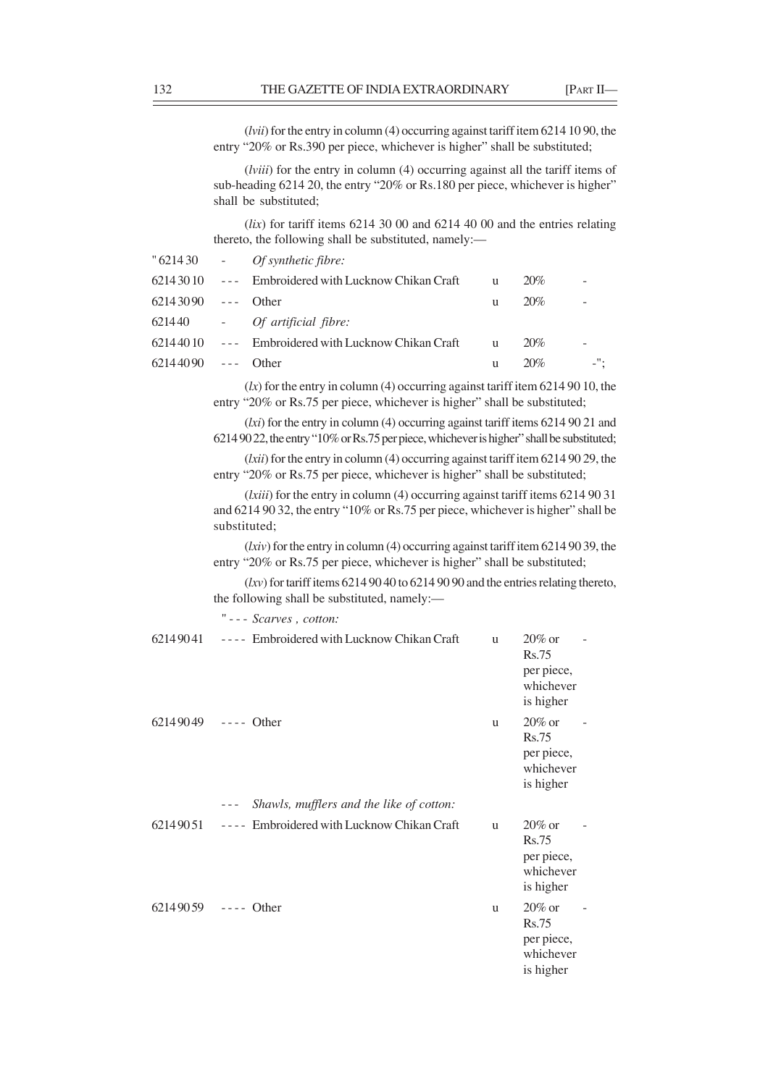(*lvii*) for the entry in column (4) occurring against tariff item 6214 10 90, the entry "20% or Rs.390 per piece, whichever is higher" shall be substituted;

(*lviii*) for the entry in column (4) occurring against all the tariff items of sub-heading 6214 20, the entry "20% or Rs.180 per piece, whichever is higher" shall be substituted;

(*lix*) for tariff items 6214 30 00 and 6214 40 00 and the entries relating thereto, the following shall be substituted, namely:—

| 6214 30 10 --- Embroidered with Lucknow Chikan Craft<br>20%<br>u<br>62143090 --- Other<br>20%<br>u<br>621440 - Of artificial fibre:<br>$62144010$ --- Embroidered with Lucknow Chikan Craft<br>20%<br>u<br>$62144090$ --- Other<br>20%<br>u |  | $"621430$ - Of synthetic fibre: |  |     |
|---------------------------------------------------------------------------------------------------------------------------------------------------------------------------------------------------------------------------------------------|--|---------------------------------|--|-----|
|                                                                                                                                                                                                                                             |  |                                 |  |     |
|                                                                                                                                                                                                                                             |  |                                 |  |     |
|                                                                                                                                                                                                                                             |  |                                 |  |     |
|                                                                                                                                                                                                                                             |  |                                 |  |     |
|                                                                                                                                                                                                                                             |  |                                 |  | -"; |

(*lx*) for the entry in column (4) occurring against tariff item 6214 90 10, the entry "20% or Rs.75 per piece, whichever is higher" shall be substituted;

(*lxi*) for the entry in column (4) occurring against tariff items 6214 90 21 and 6214 90 22, the entry "10% or Rs.75 per piece, whichever is higher" shall be substituted;

(*lxii*) for the entry in column (4) occurring against tariff item 6214 90 29, the entry "20% or Rs.75 per piece, whichever is higher" shall be substituted;

(*lxiii*) for the entry in column (4) occurring against tariff items 6214 90 31 and 6214 90 32, the entry "10% or Rs.75 per piece, whichever is higher" shall be substituted;

(*lxiv*) for the entry in column (4) occurring against tariff item 6214 90 39, the entry "20% or Rs.75 per piece, whichever is higher" shall be substituted;

(*lxv*) for tariff items 6214 90 40 to 6214 90 90 and the entries relating thereto, the following shall be substituted, namely:—

" - - - *Scarves , cotton:*

| 62149041 | ---- Embroidered with Lucknow Chikan Craft          | u            | $20\%$ or<br><b>Rs.75</b><br>per piece,<br>whichever<br>is higher |
|----------|-----------------------------------------------------|--------------|-------------------------------------------------------------------|
| 62149049 | $---$ Other                                         | u            | $20\%$ or<br><b>Rs.75</b><br>per piece,<br>whichever<br>is higher |
|          | Shawls, mufflers and the like of cotton:<br>$- - -$ |              |                                                                   |
| 62149051 | Embroidered with Lucknow Chikan Craft<br>$- - - -$  | u            | $20\%$ or<br><b>Rs.75</b><br>per piece,<br>whichever<br>is higher |
| 62149059 | $---$ Other                                         | <sub>u</sub> | $20\%$ or<br><b>Rs.75</b><br>per piece,<br>whichever<br>is higher |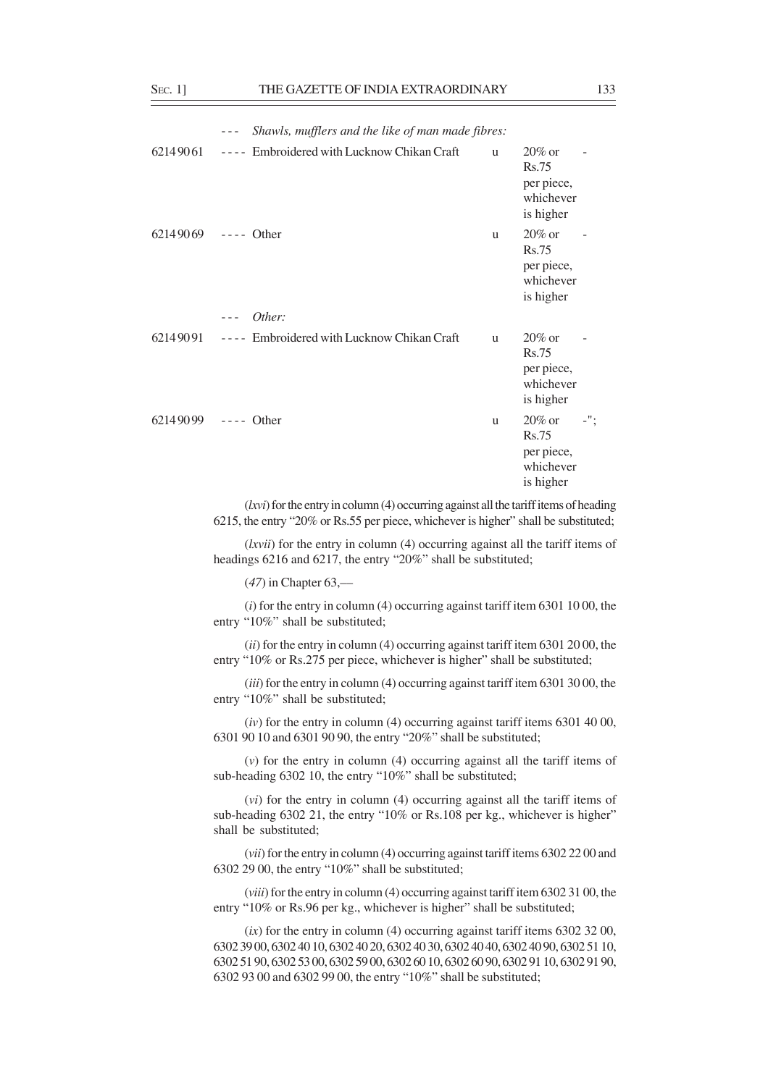|          | Shawls, mufflers and the like of man made fibres:<br>$- - -$         |              |                                                                   |     |  |  |  |  |
|----------|----------------------------------------------------------------------|--------------|-------------------------------------------------------------------|-----|--|--|--|--|
| 62149061 | Embroidered with Lucknow Chikan Craft<br>$\sim$ $ \sim$ $-$          | <sub>u</sub> | $20\%$ or<br><b>Rs.75</b><br>per piece,<br>whichever<br>is higher |     |  |  |  |  |
| 62149069 | $---$ Other                                                          | u            | $20\%$ or<br><b>Rs.75</b><br>per piece,<br>whichever<br>is higher |     |  |  |  |  |
|          | Other:                                                               |              |                                                                   |     |  |  |  |  |
| 62149091 | Embroidered with Lucknow Chikan Craft<br>$\sim$ $\sim$ $\sim$ $\sim$ | u            | $20\%$ or<br>Rs.75<br>per piece,<br>whichever<br>is higher        |     |  |  |  |  |
| 62149099 | $---$ Other                                                          | u            | $20\%$ or<br><b>Rs.75</b><br>per piece,<br>whichever<br>is higher | -"; |  |  |  |  |

(*lxvi*) for the entry in column (4) occurring against all the tariff items of heading 6215, the entry "20% or Rs.55 per piece, whichever is higher" shall be substituted;

(*lxvii*) for the entry in column (4) occurring against all the tariff items of headings 6216 and 6217, the entry "20%" shall be substituted;

(*47*) in Chapter 63,––

(*i*) for the entry in column (4) occurring against tariff item 6301 10 00, the entry "10%" shall be substituted;

(*ii*) for the entry in column (4) occurring against tariff item 6301 20 00, the entry "10% or Rs.275 per piece, whichever is higher" shall be substituted;

(*iii*) for the entry in column (4) occurring against tariff item 6301 30 00, the entry "10%" shall be substituted;

(*iv*) for the entry in column (4) occurring against tariff items 6301 40 00, 6301 90 10 and 6301 90 90, the entry "20%" shall be substituted;

(*v*) for the entry in column (4) occurring against all the tariff items of sub-heading 6302 10, the entry "10%" shall be substituted;

(*vi*) for the entry in column (4) occurring against all the tariff items of sub-heading 6302 21, the entry "10% or Rs.108 per kg., whichever is higher" shall be substituted;

(*vii*) for the entry in column (4) occurring against tariff items 6302 22 00 and 6302 29 00, the entry "10%" shall be substituted;

(*viii*) for the entry in column (4) occurring against tariff item 6302 31 00, the entry "10% or Rs.96 per kg., whichever is higher" shall be substituted;

(*ix*) for the entry in column (4) occurring against tariff items 6302 32 00, 6302 39 00, 6302 40 10, 6302 40 20, 6302 40 30, 6302 40 40, 6302 40 90, 6302 51 10, 6302 51 90, 6302 53 00, 6302 59 00, 6302 60 10, 6302 60 90, 6302 91 10, 6302 91 90, 6302 93 00 and 6302 99 00, the entry "10%" shall be substituted;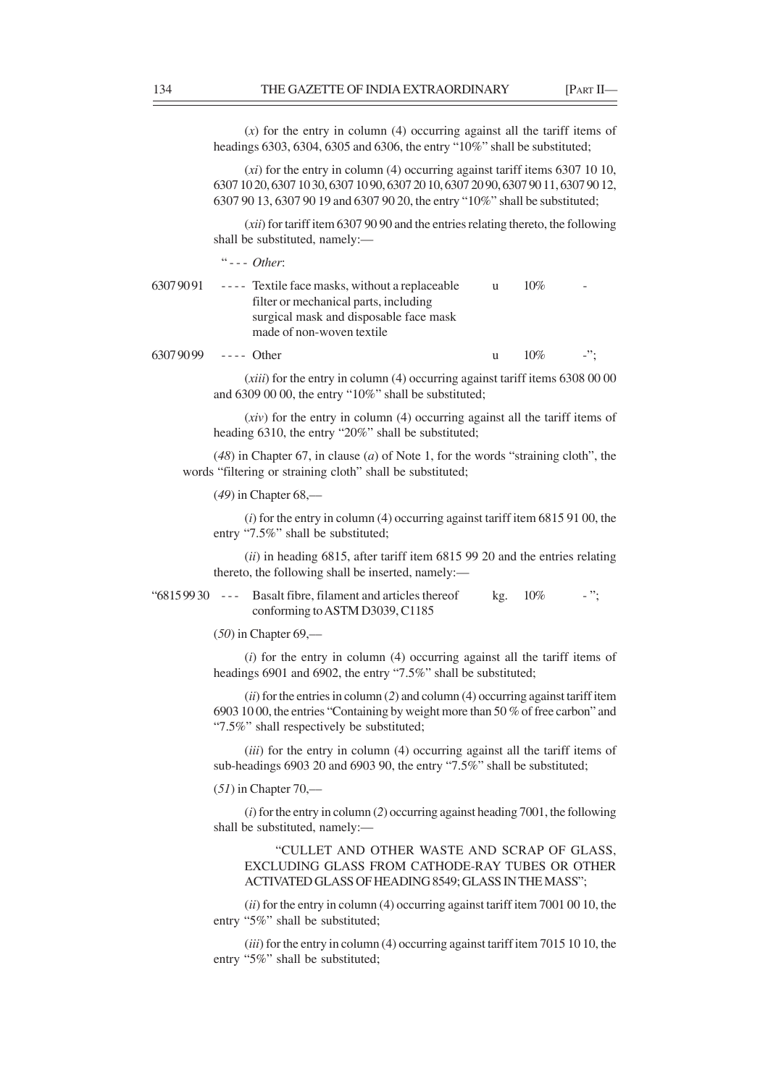(*x*) for the entry in column (4) occurring against all the tariff items of headings 6303, 6304, 6305 and 6306, the entry "10%" shall be substituted;

(*xi*) for the entry in column (4) occurring against tariff items 6307 10 10, 6307 10 20, 6307 10 30, 6307 10 90, 6307 20 10, 6307 20 90, 6307 90 11, 6307 90 12, 6307 90 13, 6307 90 19 and 6307 90 20, the entry "10%" shall be substituted;

(*xii*) for tariff item 6307 90 90 and the entries relating thereto, the following shall be substituted, namely:—

" - - - *Other*:

| 63079091 | ---- Textile face masks, without a replaceable | $10\%$ | $\sim$ |
|----------|------------------------------------------------|--------|--------|
|          | filter or mechanical parts, including          |        |        |
|          | surgical mask and disposable face mask         |        |        |
|          | made of non-woven textile                      |        |        |
|          |                                                |        |        |

and 6309 00 00, the entry "10%" shall be substituted;

 $63079099$  ---- Other u  $10\%$  -";

(*xiii*) for the entry in column (4) occurring against tariff items 6308 00 00

(*xiv*) for the entry in column (4) occurring against all the tariff items of heading 6310, the entry "20%" shall be substituted;

(*48*) in Chapter 67, in clause (*a*) of Note 1, for the words "straining cloth", the words "filtering or straining cloth" shall be substituted;

(*49*) in Chapter 68,––

(*i*) for the entry in column (4) occurring against tariff item 6815 91 00, the entry "7.5%" shall be substituted;

(*ii*) in heading 6815, after tariff item 6815 99 20 and the entries relating thereto, the following shall be inserted, namely:—

"68159930 --- Basalt fibre, filament and articles thereof kg. 10% -"; conforming to ASTM D3039, C1185

(*50*) in Chapter 69,––

(*i*) for the entry in column (4) occurring against all the tariff items of headings 6901 and 6902, the entry "7.5%" shall be substituted;

(*ii*) for the entries in column (*2*) and column (4) occurring against tariff item 6903 10 00, the entries "Containing by weight more than 50 % of free carbon" and "7.5%" shall respectively be substituted;

(*iii*) for the entry in column (4) occurring against all the tariff items of sub-headings 6903 20 and 6903 90, the entry "7.5%" shall be substituted;

(*51*) in Chapter 70,––

(*i*) for the entry in column (*2*) occurring against heading 7001, the following shall be substituted, namely:—

"CULLET AND OTHER WASTE AND SCRAP OF GLASS, EXCLUDING GLASS FROM CATHODE-RAY TUBES OR OTHER ACTIVATED GLASS OF HEADING 8549; GLASS IN THE MASS";

(*ii*) for the entry in column (4) occurring against tariff item 7001 00 10, the entry "5%" shall be substituted;

(*iii*) for the entry in column (4) occurring against tariff item 7015 10 10, the entry "5%" shall be substituted;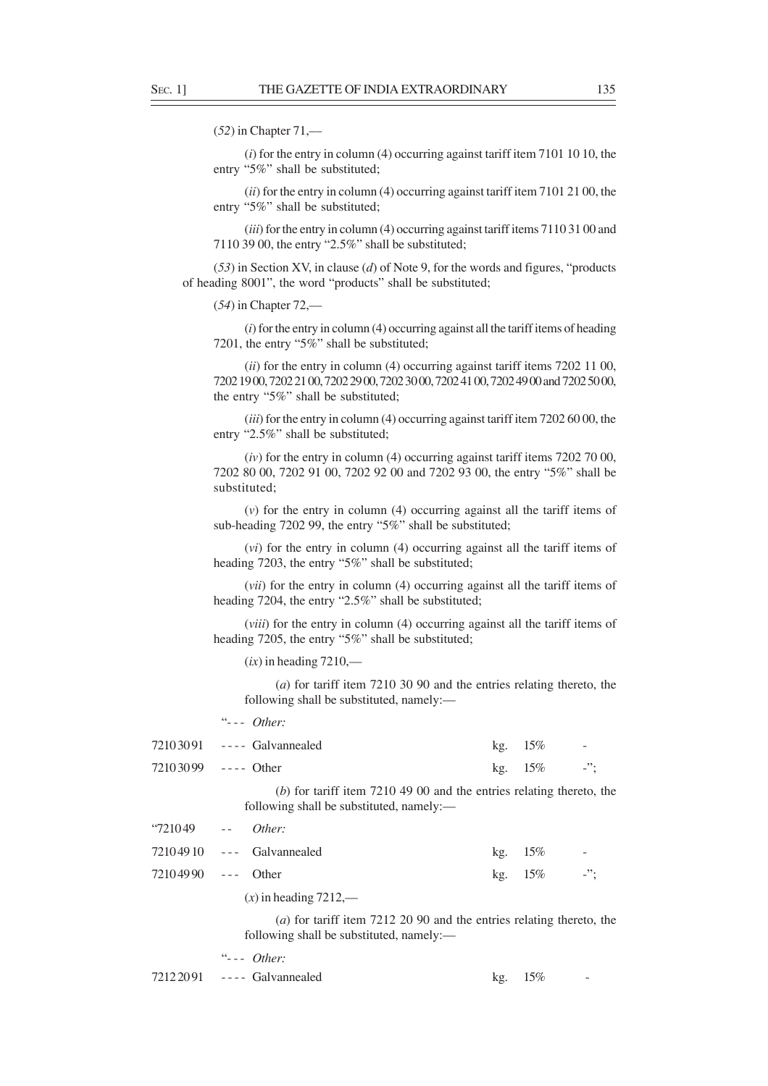(*52*) in Chapter 71,––

(*i*) for the entry in column (4) occurring against tariff item 7101 10 10, the entry "5%" shall be substituted;

(*ii*) for the entry in column (4) occurring against tariff item 7101 21 00, the entry "5%" shall be substituted;

(*iii*) for the entry in column (4) occurring against tariff items 7110 31 00 and 7110 39 00, the entry "2.5%" shall be substituted;

(*53*) in Section XV, in clause (*d*) of Note 9, for the words and figures, "products of heading 8001", the word "products" shall be substituted;

(*54*) in Chapter 72,––

(*i*) for the entry in column (4) occurring against all the tariff items of heading 7201, the entry "5%" shall be substituted;

(*ii*) for the entry in column (4) occurring against tariff items 7202 11 00, 7202 19 00, 7202 21 00, 7202 29 00, 7202 30 00, 7202 41 00, 7202 49 00 and 7202 50 00, the entry "5%" shall be substituted;

(*iii*) for the entry in column (4) occurring against tariff item 7202 60 00, the entry "2.5%" shall be substituted;

(*iv*) for the entry in column (4) occurring against tariff items 7202 70 00, 7202 80 00, 7202 91 00, 7202 92 00 and 7202 93 00, the entry "5%" shall be substituted;

(*v*) for the entry in column (4) occurring against all the tariff items of sub-heading 7202 99, the entry "5%" shall be substituted;

(*vi*) for the entry in column (4) occurring against all the tariff items of heading 7203, the entry "5%" shall be substituted;

(*vii*) for the entry in column (4) occurring against all the tariff items of heading 7204, the entry "2.5%" shall be substituted;

(*viii*) for the entry in column (4) occurring against all the tariff items of heading 7205, the entry "5%" shall be substituted;

 $(ix)$  in heading  $7210$ ,—

(*a*) for tariff item 7210 30 90 and the entries relating thereto, the following shall be substituted, namely:—

"- - - *Other:*

|              | 72103091 ---- Galvannealed                                                                                                  | kg. | 15%    |        |
|--------------|-----------------------------------------------------------------------------------------------------------------------------|-----|--------|--------|
|              | 72103099 ---- Other                                                                                                         | kg. | $15\%$ | $-$ ": |
|              | $(b)$ for tariff item 7210 49 00 and the entries relating thereto, the<br>following shall be substituted, namely:—          |     |        |        |
| $4721049$ -- | Other:                                                                                                                      |     |        |        |
|              | $72104910$ --- Galvannealed                                                                                                 | kg. | 15%    |        |
|              | 72104990 --- Other                                                                                                          | kg. | $15\%$ | $-$ ": |
|              | $(x)$ in heading 7212,—                                                                                                     |     |        |        |
|              | ( <i>a</i> ) for tariff item $7212$ 20 90 and the entries relating thereto, the<br>following shall be substituted, namely:— |     |        |        |
|              | $\dddot{\mathbf{u}}$ --- Other:                                                                                             |     |        |        |

 $7212\,2091$  ---- Galvannealed kg.  $15\%$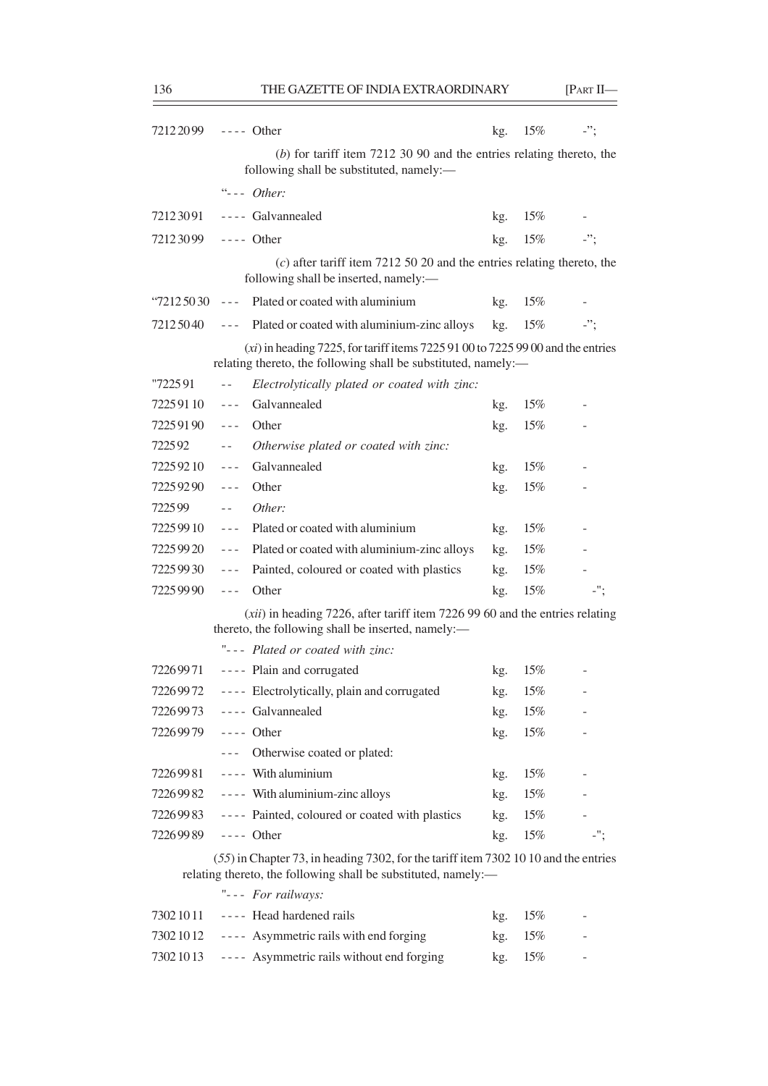| 72122099   | $---$ Other                                                                                                                                           | kg. | 15%    | $-$ "; |
|------------|-------------------------------------------------------------------------------------------------------------------------------------------------------|-----|--------|--------|
|            | $(b)$ for tariff item 7212 30 90 and the entries relating thereto, the<br>following shall be substituted, namely:—                                    |     |        |        |
|            | $"--- Other:$                                                                                                                                         |     |        |        |
| 72123091   | ---- Galvannealed                                                                                                                                     | kg. | 15%    |        |
| 72123099   | $---$ Other                                                                                                                                           | kg. | $15\%$ | $-$ "; |
|            | $(c)$ after tariff item 7212 50 20 and the entries relating thereto, the<br>following shall be inserted, namely:-                                     |     |        |        |
| 2125030    | Plated or coated with aluminium<br>$\sim$ $\sim$ $\sim$                                                                                               | kg. | $15\%$ |        |
| 72125040   | Plated or coated with aluminium-zinc alloys<br>$\sim$ $\sim$ $\sim$                                                                                   | kg. | 15%    | $-$ ": |
|            | $(xi)$ in heading 7225, for tariff items 7225 91 00 to 7225 99 00 and the entries<br>relating thereto, the following shall be substituted, namely:-   |     |        |        |
| "722591    | Electrolytically plated or coated with zinc:<br>$- -$                                                                                                 |     |        |        |
| 72259110   | Galvannealed<br>$\sim$ $\sim$ $\sim$                                                                                                                  | kg. | 15%    |        |
| 72259190   | Other<br>$- - -$                                                                                                                                      | kg. | 15%    |        |
| 722592     | Otherwise plated or coated with zinc:<br>$- -$                                                                                                        |     |        |        |
| 72259210   | Galvannealed<br>$\sim$ $\sim$ $\sim$                                                                                                                  | kg. | 15%    |        |
| 72259290   | Other<br>$- - -$                                                                                                                                      | kg. | 15%    |        |
| 722599     | Other:<br>$\sim$ $-$                                                                                                                                  |     |        |        |
| 7225 99 10 | Plated or coated with aluminium<br>$\sim$ $ \sim$                                                                                                     | kg. | 15%    |        |
| 7225 99 20 | Plated or coated with aluminium-zinc alloys<br>$\sim$ $ \sim$                                                                                         | kg. | $15\%$ |        |
| 7225 99 30 | Painted, coloured or coated with plastics<br>$\sim$ $\sim$ $\sim$                                                                                     | kg. | $15\%$ |        |
| 72259990   | Other<br>$- - -$                                                                                                                                      | kg. | 15%    | $-$ "; |
|            | $(xii)$ in heading 7226, after tariff item 7226 99 60 and the entries relating<br>thereto, the following shall be inserted, namely:-                  |     |        |        |
|            | "--- Plated or coated with zinc:                                                                                                                      |     |        |        |
| 72269971   | ---- Plain and corrugated                                                                                                                             | kg. | 15%    |        |
| 72269972   | ---- Electrolytically, plain and corrugated                                                                                                           | kg. | 15%    |        |
|            | 72269973 ---- Galvannealed                                                                                                                            | kg. | 15%    |        |
| 72269979   | $---$ Other                                                                                                                                           | kg. | 15%    |        |
|            | Otherwise coated or plated:<br>$\sim$ $ \sim$                                                                                                         |     |        |        |
| 72269981   | ---- With aluminium                                                                                                                                   | kg. | 15%    |        |
| 7226 99 82 | ---- With aluminium-zinc alloys                                                                                                                       | kg. | 15%    |        |
| 72269983   | ---- Painted, coloured or coated with plastics                                                                                                        | kg. | 15%    |        |
| 72269989   | $---$ Other                                                                                                                                           | kg. | 15%    | $-$ "; |
|            | (55) in Chapter 73, in heading 7302, for the tariff item 7302 10 10 and the entries<br>relating thereto, the following shall be substituted, namely:- |     |        |        |
|            | "--- For railways:                                                                                                                                    |     |        |        |

| $73021011$ ---- Head hardened rails                 | kg. 15% | $\sim$ |
|-----------------------------------------------------|---------|--------|
| 7302 10 12 ---- Asymmetric rails with end forging   | kg. 15% | $\sim$ |
| 7302 1013 ---- Asymmetric rails without end forging | kg. 15% |        |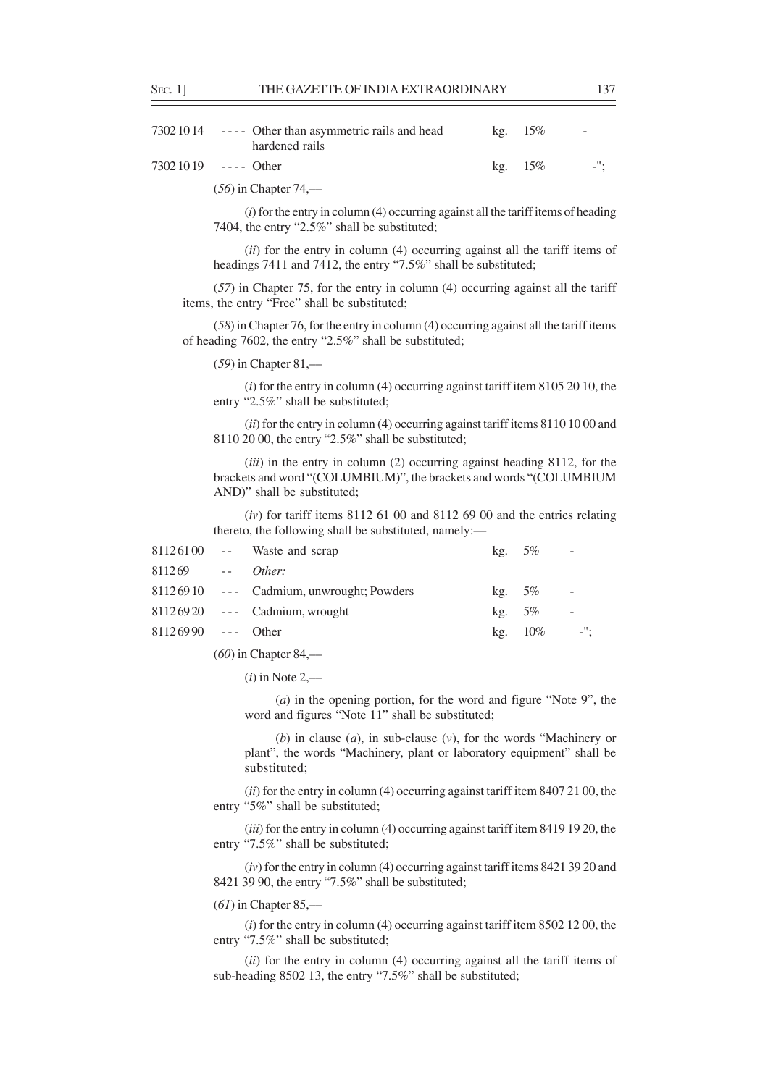| 7302 10 14 ---- Other than asymmetric rails and head<br>hardened rails | $kg.$ 15% | $\sim$ |
|------------------------------------------------------------------------|-----------|--------|
| $73021019$ ---- Other                                                  | kg. 15%   | $-$ ": |

(*56*) in Chapter 74,––

(*i*) for the entry in column (4) occurring against all the tariff items of heading 7404, the entry "2.5%" shall be substituted;

(*ii*) for the entry in column (4) occurring against all the tariff items of headings 7411 and 7412, the entry "7.5%" shall be substituted;

(*57*) in Chapter 75, for the entry in column (4) occurring against all the tariff items, the entry "Free" shall be substituted;

(*58*) in Chapter 76, for the entry in column (4) occurring against all the tariff items of heading 7602, the entry "2.5%" shall be substituted;

(*59*) in Chapter 81,––

(*i*) for the entry in column (4) occurring against tariff item 8105 20 10, the entry "2.5%" shall be substituted;

(*ii*) for the entry in column (4) occurring against tariff items 8110 10 00 and 8110 20 00, the entry "2.5%" shall be substituted;

(*iii*) in the entry in column (2) occurring against heading 8112, for the brackets and word "(COLUMBIUM)", the brackets and words "(COLUMBIUM AND)" shall be substituted;

(*iv*) for tariff items 8112 61 00 and 8112 69 00 and the entries relating thereto, the following shall be substituted, namely:—

|                      | $81126100$ -- Waste and scrap            | kg. $5\%$ | <b>Contract Contract</b> |                          |
|----------------------|------------------------------------------|-----------|--------------------------|--------------------------|
| $811269$ -- Other:   |                                          |           |                          |                          |
|                      | 81126910 --- Cadmium, unwrought; Powders | kg. $5\%$ |                          | $\sim$ $-$               |
|                      | $81126920$ --- Cadmium, wrought          | $kg. 5\%$ |                          | $\overline{\phantom{a}}$ |
| $81126990$ --- Other |                                          |           | kg. $10\%$               | $-$ ";                   |
|                      |                                          |           |                          |                          |

(*60*) in Chapter 84,––

(*i*) in Note 2,––

(*a*) in the opening portion, for the word and figure "Note 9", the word and figures "Note 11" shall be substituted;

(*b*) in clause (*a*), in sub-clause (*v*), for the words "Machinery or plant", the words "Machinery, plant or laboratory equipment" shall be substituted;

(*ii*) for the entry in column (4) occurring against tariff item 8407 21 00, the entry "5%" shall be substituted;

(*iii*) for the entry in column (4) occurring against tariff item 8419 19 20, the entry "7.5%" shall be substituted;

(*iv*) for the entry in column (4) occurring against tariff items 8421 39 20 and 8421 39 90, the entry "7.5%" shall be substituted;

(*61*) in Chapter 85,––

(*i*) for the entry in column (4) occurring against tariff item 8502 12 00, the entry "7.5%" shall be substituted;

(*ii*) for the entry in column (4) occurring against all the tariff items of sub-heading 8502 13, the entry "7.5%" shall be substituted;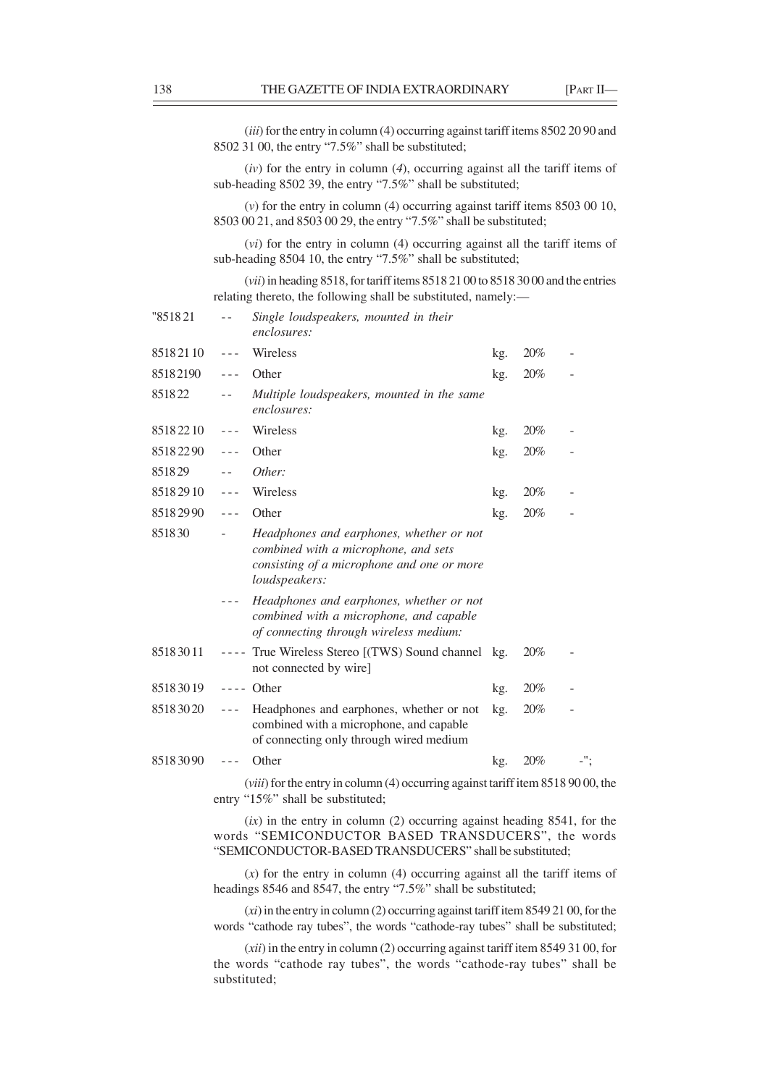(*iii*) for the entry in column (4) occurring against tariff items 8502 20 90 and 8502 31 00, the entry "7.5%" shall be substituted;

(*iv*) for the entry in column (*4*), occurring against all the tariff items of sub-heading 8502 39, the entry "7.5%" shall be substituted;

(*v*) for the entry in column (4) occurring against tariff items 8503 00 10, 8503 00 21, and 8503 00 29, the entry "7.5%" shall be substituted;

(*vi*) for the entry in column (4) occurring against all the tariff items of sub-heading 8504 10, the entry "7.5%" shall be substituted;

(*vii*) in heading 8518, for tariff items 8518 21 00 to 8518 30 00 and the entries relating thereto, the following shall be substituted, namely:––

| "851821  | $ -$      | Single loudspeakers, mounted in their<br>enclosures:                                                                                                   |     |     |  |
|----------|-----------|--------------------------------------------------------------------------------------------------------------------------------------------------------|-----|-----|--|
| 85182110 | $- - -$   | Wireless                                                                                                                                               | kg. | 20% |  |
| 85182190 | $- - -$   | Other                                                                                                                                                  | kg. | 20% |  |
| 851822   |           | Multiple loudspeakers, mounted in the same<br>enclosures:                                                                                              |     |     |  |
| 85182210 | $- - -$   | Wireless                                                                                                                                               | kg. | 20% |  |
| 85182290 | $- - -$   | Other                                                                                                                                                  | kg. | 20% |  |
| 851829   | $ -$      | Other:                                                                                                                                                 |     |     |  |
| 85182910 | $- - -$   | Wireless                                                                                                                                               | kg. | 20% |  |
| 85182990 | $- - -$   | Other                                                                                                                                                  | kg. | 20% |  |
| 851830   |           | Headphones and earphones, whether or not<br>combined with a microphone, and sets<br>consisting of a microphone and one or more<br><i>loudspeakers:</i> |     |     |  |
|          |           | Headphones and earphones, whether or not<br>combined with a microphone, and capable<br>of connecting through wireless medium:                          |     |     |  |
| 85183011 | $- - - -$ | True Wireless Stereo [(TWS) Sound channel kg.<br>not connected by wire]                                                                                |     | 20% |  |
| 85183019 |           | $---$ Other                                                                                                                                            | kg. | 20% |  |
| 85183020 | $- - -$   | Headphones and earphones, whether or not<br>combined with a microphone, and capable<br>of connecting only through wired medium                         | kg. | 20% |  |
| 85183090 |           | Other                                                                                                                                                  | kg. | 20% |  |

(*viii*) for the entry in column (4) occurring against tariff item 8518 90 00, the entry "15%" shall be substituted;

(*ix*) in the entry in column (2) occurring against heading 8541, for the words "SEMICONDUCTOR BASED TRANSDUCERS", the words "SEMICONDUCTOR-BASED TRANSDUCERS" shall be substituted;

(*x*) for the entry in column (4) occurring against all the tariff items of headings 8546 and 8547, the entry "7.5%" shall be substituted;

(*xi*) in the entry in column (2) occurring against tariff item 8549 21 00, for the words "cathode ray tubes", the words "cathode-ray tubes" shall be substituted;

(*xii*) in the entry in column (2) occurring against tariff item 8549 31 00, for the words "cathode ray tubes", the words "cathode-ray tubes" shall be substituted;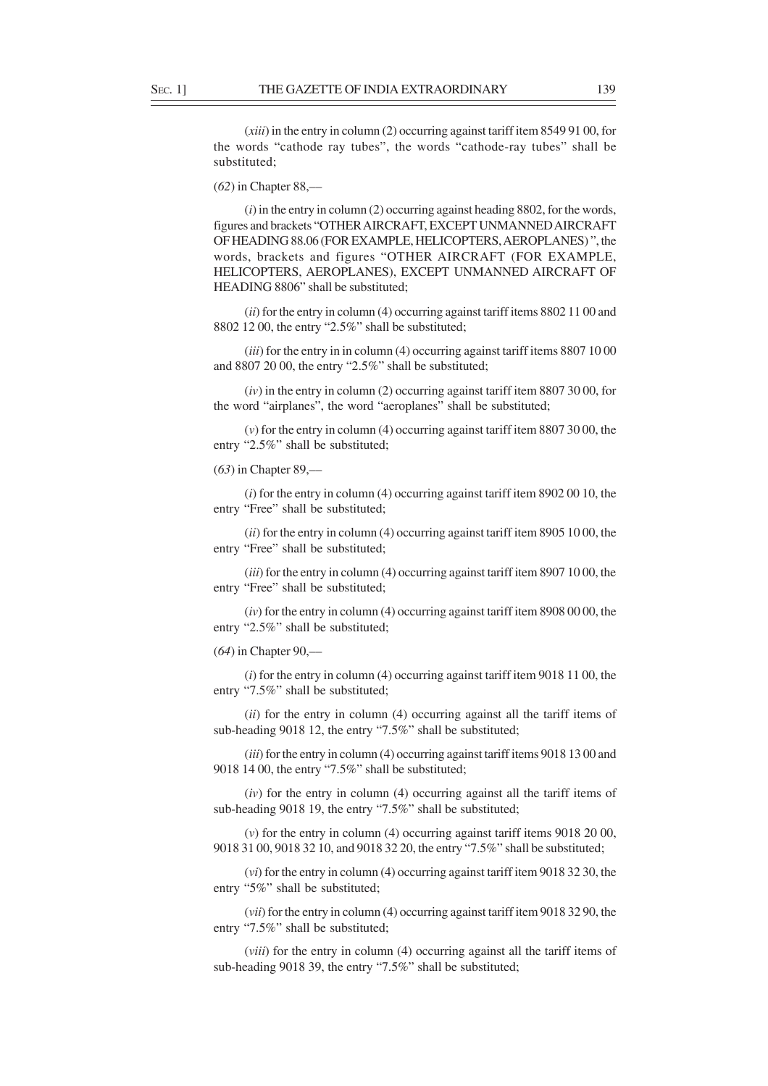(*xiii*) in the entry in column (2) occurring against tariff item 8549 91 00, for the words "cathode ray tubes", the words "cathode-ray tubes" shall be substituted;

(*62*) in Chapter 88,––

(*i*) in the entry in column (2) occurring against heading 8802, for the words, figures and brackets "OTHER AIRCRAFT, EXCEPT UNMANNED AIRCRAFT OF HEADING 88.06 (FOR EXAMPLE, HELICOPTERS, AEROPLANES) ", the words, brackets and figures "OTHER AIRCRAFT (FOR EXAMPLE, HELICOPTERS, AEROPLANES), EXCEPT UNMANNED AIRCRAFT OF HEADING 8806" shall be substituted;

(*ii*) for the entry in column (4) occurring against tariff items 8802 11 00 and 8802 12 00, the entry "2.5%" shall be substituted;

(*iii*) for the entry in in column (4) occurring against tariff items 8807 10 00 and 8807 20 00, the entry "2.5%" shall be substituted;

(*iv*) in the entry in column (2) occurring against tariff item 8807 30 00, for the word "airplanes", the word "aeroplanes" shall be substituted;

(*v*) for the entry in column (4) occurring against tariff item 8807 30 00, the entry "2.5%" shall be substituted;

(*63*) in Chapter 89,––

(*i*) for the entry in column (4) occurring against tariff item 8902 00 10, the entry "Free" shall be substituted;

(*ii*) for the entry in column (4) occurring against tariff item 8905 10 00, the entry "Free" shall be substituted;

(*iii*) for the entry in column (4) occurring against tariff item 8907 10 00, the entry "Free" shall be substituted;

(*iv*) for the entry in column (4) occurring against tariff item 8908 00 00, the entry "2.5%" shall be substituted;

(*64*) in Chapter 90,––

(*i*) for the entry in column (4) occurring against tariff item 9018 11 00, the entry "7.5%" shall be substituted;

(*ii*) for the entry in column (4) occurring against all the tariff items of sub-heading 9018 12, the entry "7.5%" shall be substituted;

(*iii*) for the entry in column (4) occurring against tariff items 9018 13 00 and 9018 14 00, the entry "7.5%" shall be substituted;

(*iv*) for the entry in column (4) occurring against all the tariff items of sub-heading 9018 19, the entry "7.5%" shall be substituted;

(*v*) for the entry in column (4) occurring against tariff items 9018 20 00, 9018 31 00, 9018 32 10, and 9018 32 20, the entry "7.5%" shall be substituted;

(*vi*) for the entry in column (4) occurring against tariff item 9018 32 30, the entry "5%" shall be substituted;

(*vii*) for the entry in column (4) occurring against tariff item 9018 32 90, the entry "7.5%" shall be substituted;

(*viii*) for the entry in column (4) occurring against all the tariff items of sub-heading 9018 39, the entry "7.5%" shall be substituted;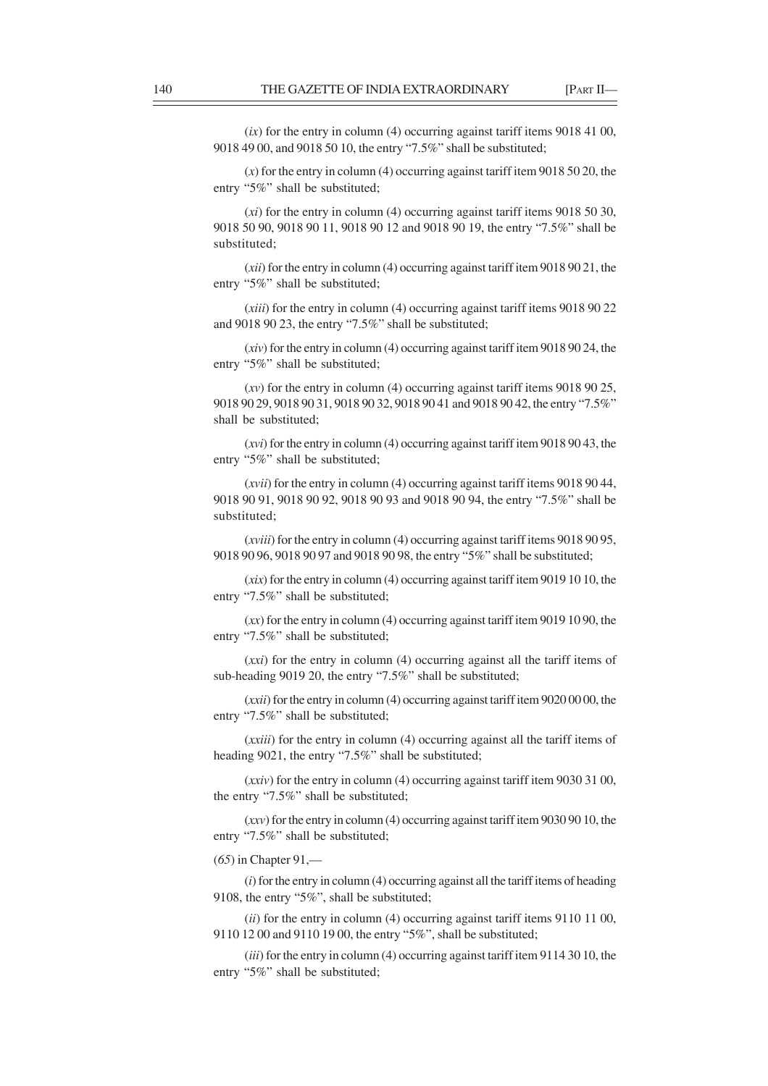(*ix*) for the entry in column (4) occurring against tariff items 9018 41 00, 9018 49 00, and 9018 50 10, the entry "7.5%" shall be substituted;

(*x*) for the entry in column (4) occurring against tariff item 9018 50 20, the entry "5%" shall be substituted;

(*xi*) for the entry in column (4) occurring against tariff items 9018 50 30, 9018 50 90, 9018 90 11, 9018 90 12 and 9018 90 19, the entry "7.5%" shall be substituted;

(*xii*) for the entry in column (4) occurring against tariff item 9018 90 21, the entry "5%" shall be substituted;

(*xiii*) for the entry in column (4) occurring against tariff items 9018 90 22 and 9018 90 23, the entry "7.5%" shall be substituted;

(*xiv*) for the entry in column (4) occurring against tariff item 9018 90 24, the entry "5%" shall be substituted;

(*xv*) for the entry in column (4) occurring against tariff items 9018 90 25, 9018 90 29, 9018 90 31, 9018 90 32, 9018 90 41 and 9018 90 42, the entry "7.5%" shall be substituted;

(*xvi*) for the entry in column (4) occurring against tariff item 9018 90 43, the entry "5%" shall be substituted;

(*xvii*) for the entry in column (4) occurring against tariff items 9018 90 44, 9018 90 91, 9018 90 92, 9018 90 93 and 9018 90 94, the entry "7.5%" shall be substituted;

(*xviii*) for the entry in column (4) occurring against tariff items 9018 90 95, 9018 90 96, 9018 90 97 and 9018 90 98, the entry "5%" shall be substituted;

(*xix*) for the entry in column (4) occurring against tariff item 9019 10 10, the entry "7.5%" shall be substituted;

(*xx*) for the entry in column (4) occurring against tariff item 9019 10 90, the entry "7.5%" shall be substituted;

(*xxi*) for the entry in column (4) occurring against all the tariff items of sub-heading 9019 20, the entry "7.5%" shall be substituted;

(*xxii*) for the entry in column (4) occurring against tariff item 9020 00 00, the entry "7.5%" shall be substituted;

(*xxiii*) for the entry in column (4) occurring against all the tariff items of heading 9021, the entry "7.5%" shall be substituted;

(*xxiv*) for the entry in column (4) occurring against tariff item 9030 31 00, the entry "7.5%" shall be substituted;

(*xxv*) for the entry in column (4) occurring against tariff item 9030 90 10, the entry "7.5%" shall be substituted;

(*65*) in Chapter 91,––

(*i*) for the entry in column (4) occurring against all the tariff items of heading 9108, the entry "5%", shall be substituted;

(*ii*) for the entry in column (4) occurring against tariff items 9110 11 00, 9110 12 00 and 9110 19 00, the entry "5%", shall be substituted;

(*iii*) for the entry in column (4) occurring against tariff item 9114 30 10, the entry "5%" shall be substituted;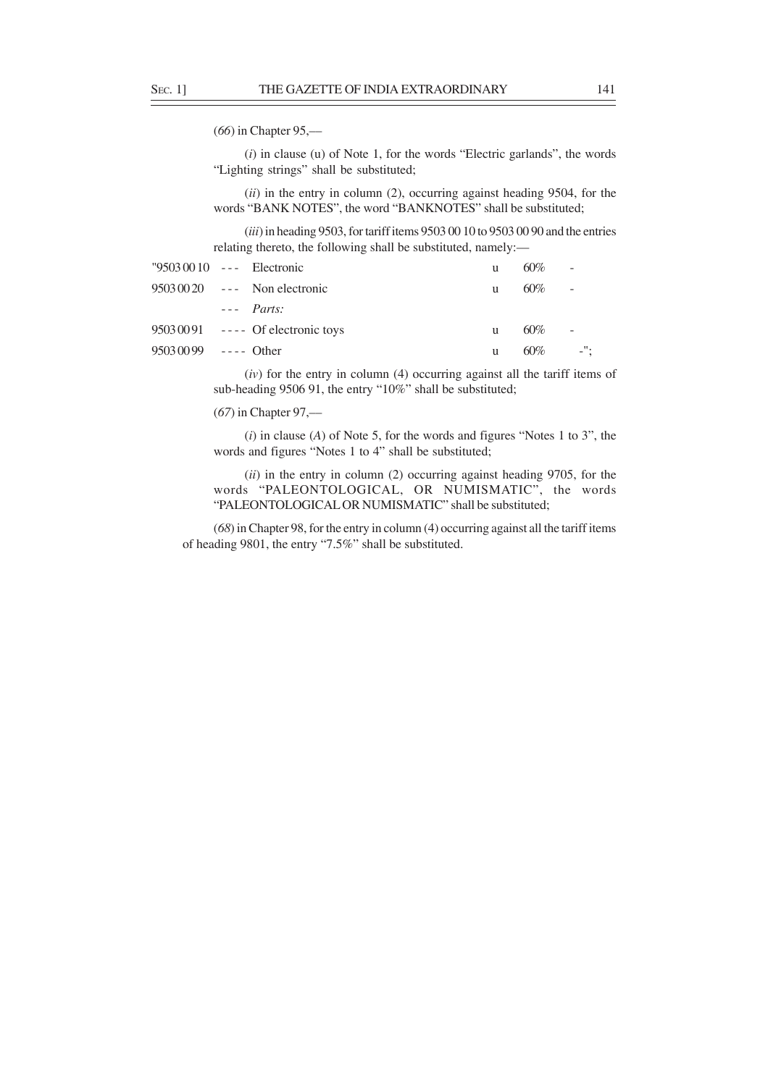(*66*) in Chapter 95,––

(*i*) in clause (u) of Note 1, for the words "Electric garlands", the words "Lighting strings" shall be substituted;

(*ii*) in the entry in column (2), occurring against heading 9504, for the words "BANK NOTES", the word "BANKNOTES" shall be substituted;

(*iii*) in heading 9503, for tariff items 9503 00 10 to 9503 00 90 and the entries relating thereto, the following shall be substituted, namely:––

| $"95030010 -- -  \nElectronic$ |                                    | u | $60\%$     | $\sim$ |
|--------------------------------|------------------------------------|---|------------|--------|
|                                | $95030020$ --- Non electronic      | u | 60%        | $\sim$ |
|                                | $---$ <i>Parts:</i>                |   |            |        |
|                                | $95030091$ ---- Of electronic toys | u | $60\%$     | $\sim$ |
| $95030099$ ---- Other          |                                    | u | $60\%$ -"; |        |

(*iv*) for the entry in column (4) occurring against all the tariff items of sub-heading 9506 91, the entry "10%" shall be substituted;

(*67*) in Chapter 97,––

(*i*) in clause (*A*) of Note 5, for the words and figures "Notes 1 to 3", the words and figures "Notes 1 to 4" shall be substituted;

(*ii*) in the entry in column (2) occurring against heading 9705, for the words "PALEONTOLOGICAL, OR NUMISMATIC", the words "PALEONTOLOGICAL OR NUMISMATIC" shall be substituted;

(*68*) in Chapter 98, for the entry in column (4) occurring against all the tariff items of heading 9801, the entry "7.5%" shall be substituted.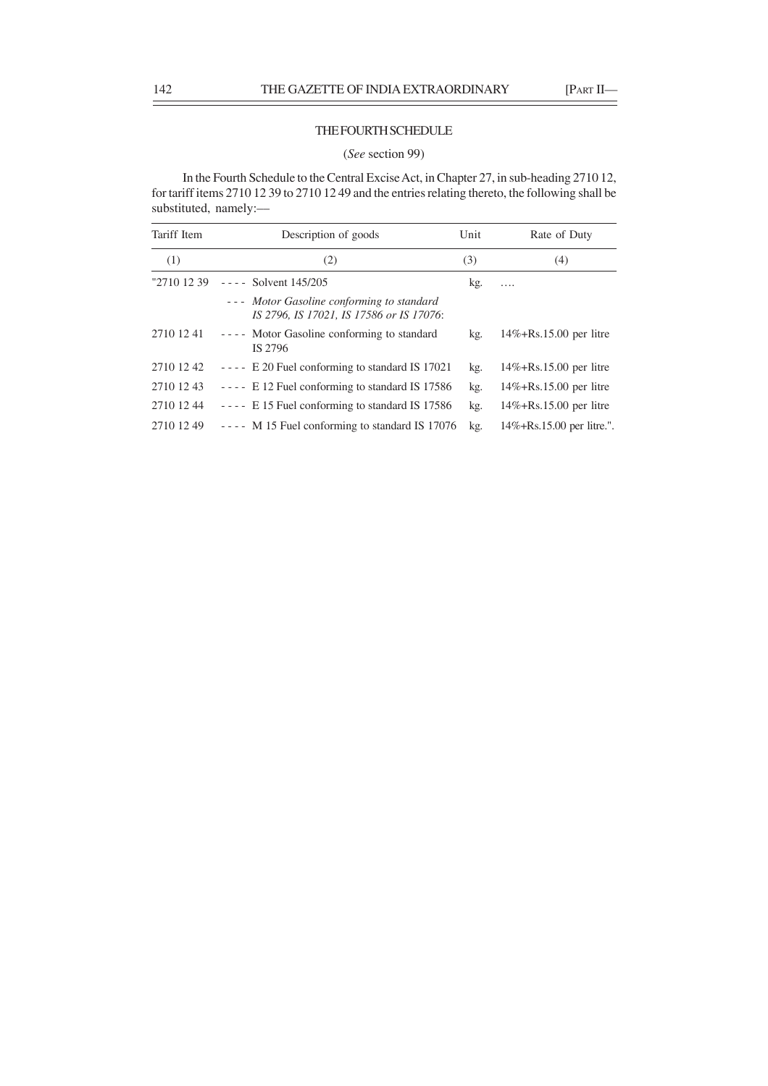## THE FOURTH SCHEDULE

### (*See* section 99)

In the Fourth Schedule to the Central Excise Act, in Chapter 27, in sub-heading 2710 12, for tariff items 2710 12 39 to 2710 12 49 and the entries relating thereto, the following shall be substituted, namely:-

| Tariff Item | Description of goods                                                                  | Unit | Rate of Duty                   |
|-------------|---------------------------------------------------------------------------------------|------|--------------------------------|
| (1)         | (2)                                                                                   | (3)  | (4)                            |
| "2710 12 39 | $---$ Solvent 145/205                                                                 | kg.  | .                              |
|             | --- Motor Gasoline conforming to standard<br>IS 2796, IS 17021, IS 17586 or IS 17076: |      |                                |
| 2710 12 41  | ---- Motor Gasoline conforming to standard<br>IS 2796                                 | kg.  | $14\% + Rs.15.00$ per litre    |
| 2710 12 42  | $---$ E 20 Fuel conforming to standard IS 17021                                       | kg.  | $14\% + Rs.15.00$ per litre    |
| 2710 12 43  | ---- E 12 Fuel conforming to standard IS 17586                                        | kg.  | $14\% + Rs.15.00$ per litre    |
| 2710 12 44  | $--- E 15$ Fuel conforming to standard IS 17586                                       | kg.  | $14\% + Rs.15.00$ per litre    |
| 2710 12 49  | $---$ M 15 Fuel conforming to standard IS 17076                                       | kg.  | $14\% + Rs.15.00$ per litre.". |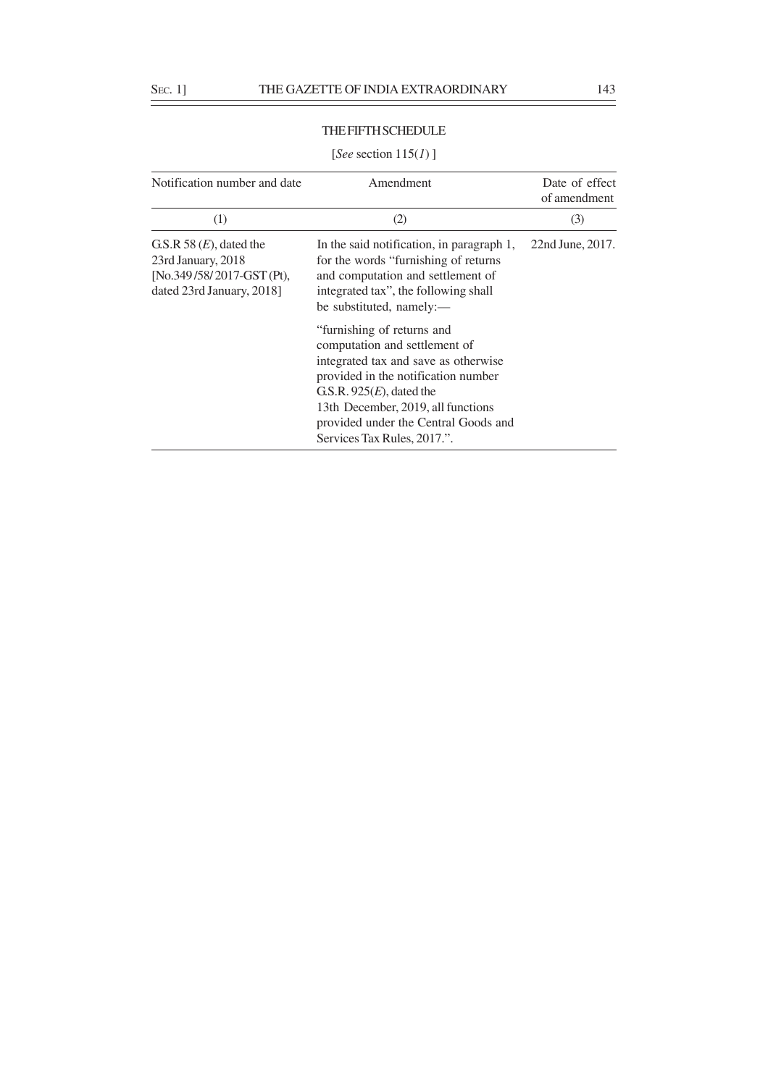## THE FIFTH SCHEDULE

## Notification number and date Amendment Date of effect of amendment (1)  $(2)$   $(3)$ G.S.R 58 (*E*), dated the In the said notification, in paragraph 1, 22nd June, 2017. 23rd January, 2018 for the words "furnishing of returns [No.349 /58/ 2017-GST (Pt), and computation and settlement of dated 23rd January, 2018] integrated tax", the following shall be substituted, namely:–– "furnishing of returns and computation and settlement of integrated tax and save as otherwise provided in the notification number G.S.R. 925(*E*), dated the 13th December, 2019, all functions provided under the Central Goods and Services Tax Rules, 2017.".

#### [*See* section 115(*1*) ]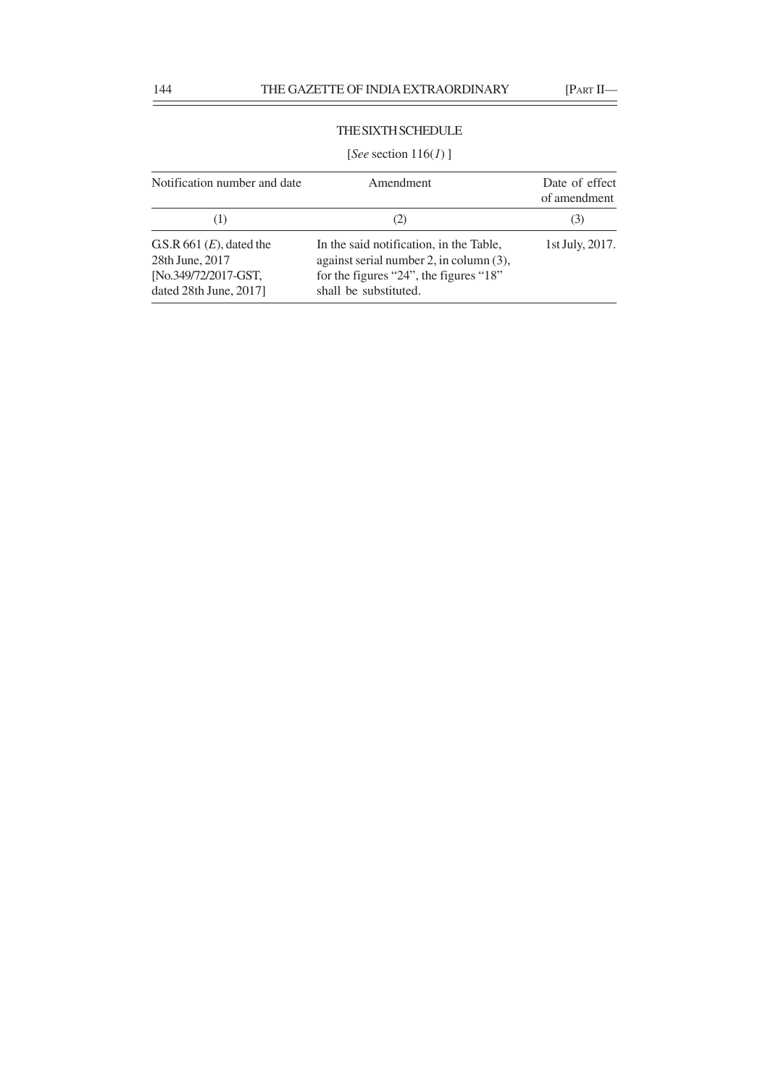of amendment

## THE SIXTH SCHEDULE

# [*See* section 116(*1*) ] Notification number and date Amendment Date of effect

| (1)                                 | (Z)                                     | (3)             |
|-------------------------------------|-----------------------------------------|-----------------|
| G.S.R $661$ ( <i>E</i> ), dated the | In the said notification, in the Table, | 1st July, 2017. |
| 28th June, 2017                     | against serial number 2, in column (3), |                 |
| [No.349/72/2017-GST,                | for the figures "24", the figures "18"  |                 |
| dated $28th$ June, $2017$ ]         | shall be substituted.                   |                 |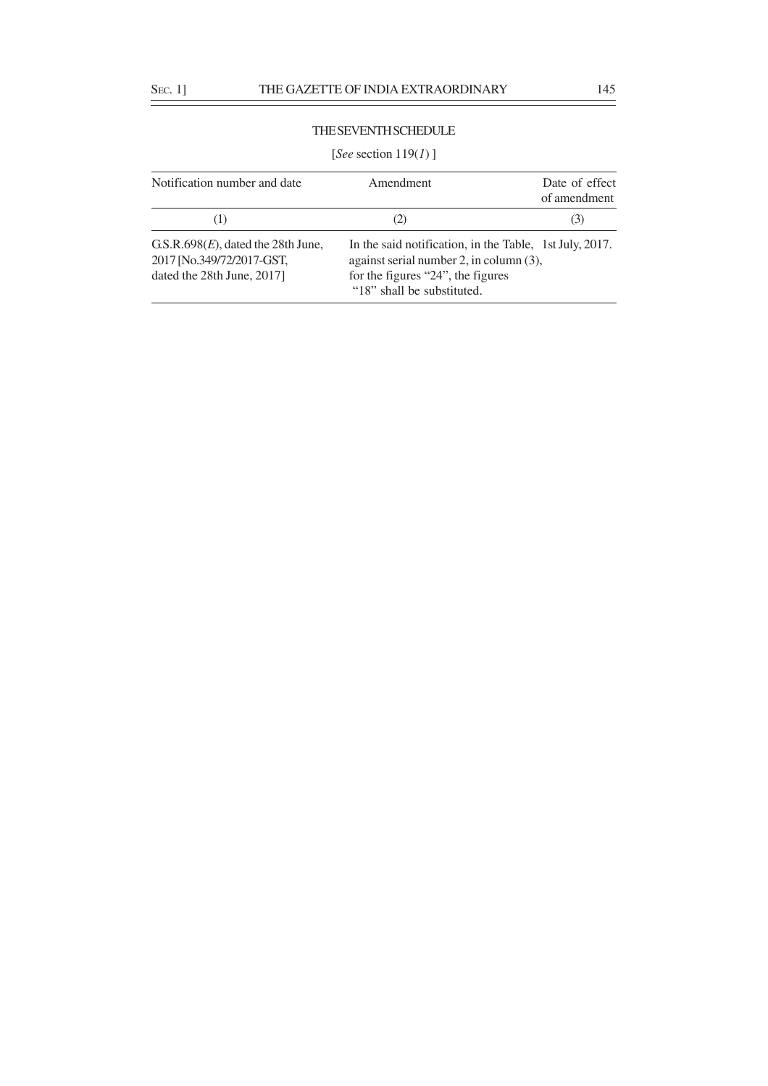# THE SEVENTH SCHEDULE

# [*See* section 119(*1*) ]

| Notification number and date                                                                      | Amendment                                                                                                                                                             | Date of effect<br>of amendment |
|---------------------------------------------------------------------------------------------------|-----------------------------------------------------------------------------------------------------------------------------------------------------------------------|--------------------------------|
| (1)                                                                                               | (2)                                                                                                                                                                   | (3)                            |
| G.S.R.698 $(E)$ , dated the 28th June,<br>2017 [No.349/72/2017-GST,<br>dated the 28th June, 2017] | In the said notification, in the Table, 1st July, 2017.<br>against serial number 2, in column (3),<br>for the figures "24", the figures<br>"18" shall be substituted. |                                |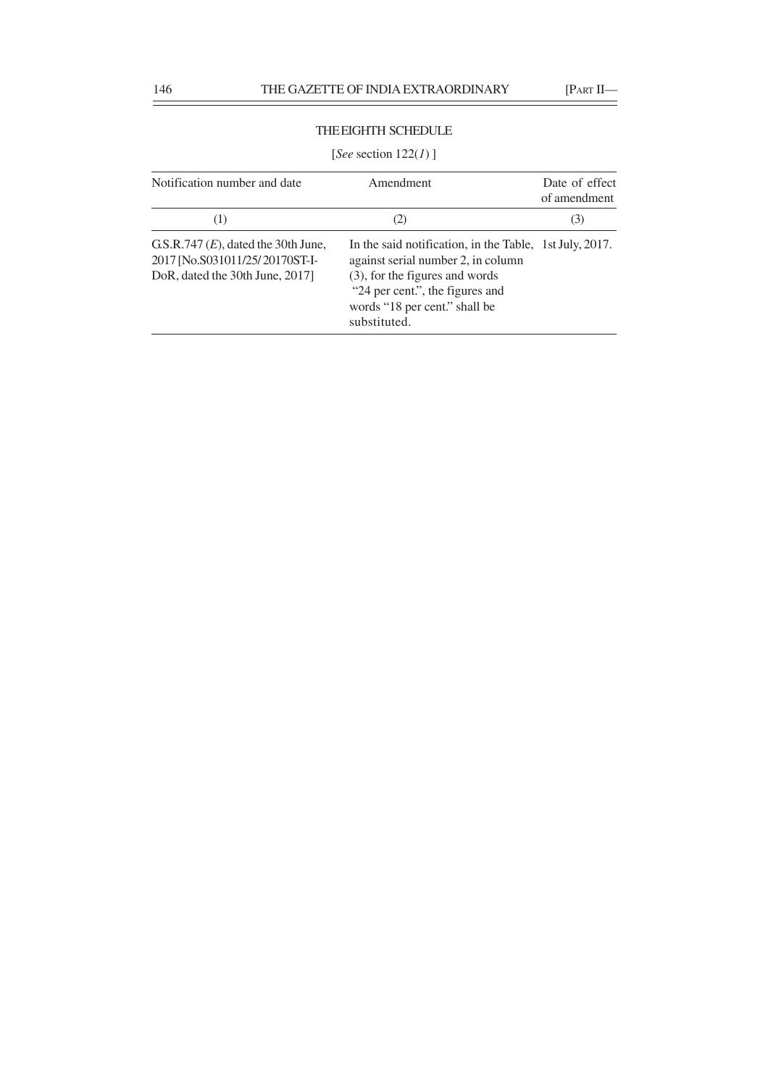# THE EIGHTH SCHEDULE

# [*See* section 122(*1*) ]

| Notification number and date                                                                                | Amendment                                                                                                                                                                                                           | Date of effect<br>of amendment |
|-------------------------------------------------------------------------------------------------------------|---------------------------------------------------------------------------------------------------------------------------------------------------------------------------------------------------------------------|--------------------------------|
| (1)                                                                                                         | (2)                                                                                                                                                                                                                 | (3)                            |
| G.S.R.747 $(E)$ , dated the 30th June,<br>2017 [No.S031011/25/20170ST-I-<br>DoR, dated the 30th June, 2017] | In the said notification, in the Table, 1st July, 2017.<br>against serial number 2, in column<br>(3), for the figures and words<br>"24 per cent.", the figures and<br>words "18 per cent." shall be<br>substituted. |                                |